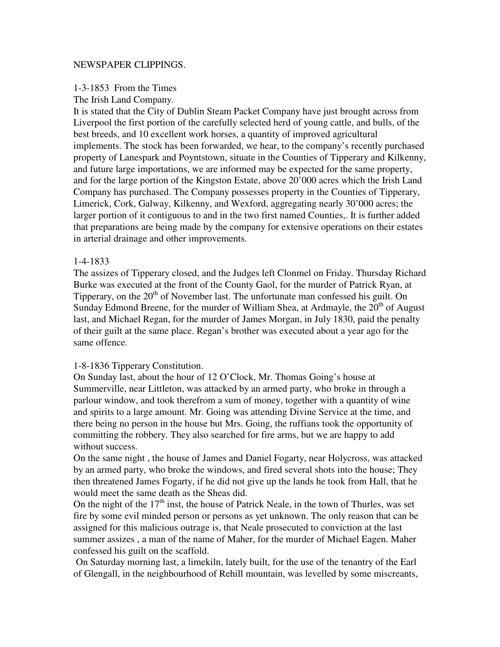### NEWSPAPER CLIPPINGS.

### 1-3-1853 From the Times

The Irish Land Company.

It is stated that the City of Dublin Steam Packet Company have just brought across from Liverpool the first portion of the carefully selected herd of young cattle, and bulls, of the best breeds, and 10 excellent work horses, a quantity of improved agricultural implements. The stock has been forwarded, we hear, to the company's recently purchased property of Lanespark and Poyntstown, situate in the Counties of Tipperary and Kilkenny, and future large importations, we are informed may be expected for the same property, and for the large portion of the Kingston Estate, above 20'000 acres which the Irish Land Company has purchased. The Company possesses property in the Counties of Tipperary, Limerick, Cork, Galway, Kilkenny, and Wexford, aggregating nearly 30'000 acres; the larger portion of it contiguous to and in the two first named Counties,. It is further added that preparations are being made by the company for extensive operations on their estates in arterial drainage and other improvements.

### 1-4-1833

The assizes of Tipperary closed, and the Judges left Clonmel on Friday. Thursday Richard Burke was executed at the front of the County Gaol, for the murder of Patrick Ryan, at Tipperary, on the  $20<sup>th</sup>$  of November last. The unfortunate man confessed his guilt. On Sunday Edmond Breene, for the murder of William Shea, at Ardmayle, the  $20<sup>th</sup>$  of August last, and Michael Regan, for the murder of James Morgan, in July 1830, paid the penalty of their guilt at the same place. Regan's brother was executed about a year ago for the same offence.

## 1-8-1836 Tipperary Constitution.

On Sunday last, about the hour of 12 O'Clock, Mr. Thomas Going's house at Summerville, near Littleton, was attacked by an armed party, who broke in through a parlour window, and took therefrom a sum of money, together with a quantity of wine and spirits to a large amount. Mr. Going was attending Divine Service at the time, and there being no person in the house but Mrs. Going, the ruffians took the opportunity of committing the robbery. They also searched for fire arms, but we are happy to add without success.

On the same night , the house of James and Daniel Fogarty, near Holycross, was attacked by an armed party, who broke the windows, and fired several shots into the house; They then threatened James Fogarty, if he did not give up the lands he took from Hall, that he would meet the same death as the Sheas did.

On the night of the  $17<sup>th</sup>$  inst, the house of Patrick Neale, in the town of Thurles, was set fire by some evil minded person or persons as yet unknown. The only reason that can be assigned for this malicious outrage is, that Neale prosecuted to conviction at the last summer assizes , a man of the name of Maher, for the murder of Michael Eagen. Maher confessed his guilt on the scaffold.

 On Saturday morning last, a limekiln, lately built, for the use of the tenantry of the Earl of Glengall, in the neighbourhood of Rehill mountain, was levelled by some miscreants,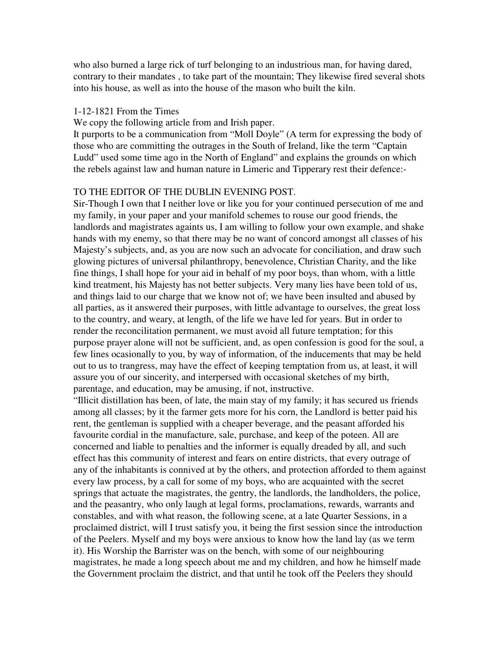who also burned a large rick of turf belonging to an industrious man, for having dared, contrary to their mandates , to take part of the mountain; They likewise fired several shots into his house, as well as into the house of the mason who built the kiln.

#### 1-12-1821 From the Times

We copy the following article from and Irish paper.

It purports to be a communication from "Moll Doyle" (A term for expressing the body of those who are committing the outrages in the South of Ireland, like the term "Captain Ludd" used some time ago in the North of England" and explains the grounds on which the rebels against law and human nature in Limeric and Tipperary rest their defence:-

#### TO THE EDITOR OF THE DUBLIN EVENING POST.

Sir-Though I own that I neither love or like you for your continued persecution of me and my family, in your paper and your manifold schemes to rouse our good friends, the landlords and magistrates againts us, I am willing to follow your own example, and shake hands with my enemy, so that there may be no want of concord amongst all classes of his Majesty's subjects, and, as you are now such an advocate for conciliation, and draw such glowing pictures of universal philanthropy, benevolence, Christian Charity, and the like fine things, I shall hope for your aid in behalf of my poor boys, than whom, with a little kind treatment, his Majesty has not better subjects. Very many lies have been told of us, and things laid to our charge that we know not of; we have been insulted and abused by all parties, as it answered their purposes, with little advantage to ourselves, the great loss to the country, and weary, at length, of the life we have led for years. But in order to render the reconcilitation permanent, we must avoid all future temptation; for this purpose prayer alone will not be sufficient, and, as open confession is good for the soul, a few lines ocasionally to you, by way of information, of the inducements that may be held out to us to trangress, may have the effect of keeping temptation from us, at least, it will assure you of our sincerity, and interpersed with occasional sketches of my birth, parentage, and education, may be amusing, if not, instructive.

"Illicit distillation has been, of late, the main stay of my family; it has secured us friends among all classes; by it the farmer gets more for his corn, the Landlord is better paid his rent, the gentleman is supplied with a cheaper beverage, and the peasant afforded his favourite cordial in the manufacture, sale, purchase, and keep of the poteen. All are concerned and liable to penalties and the informer is equally dreaded by all, and such effect has this community of interest and fears on entire districts, that every outrage of any of the inhabitants is connived at by the others, and protection afforded to them against every law process, by a call for some of my boys, who are acquainted with the secret springs that actuate the magistrates, the gentry, the landlords, the landholders, the police, and the peasantry, who only laugh at legal forms, proclamations, rewards, warrants and constables, and with what reason, the following scene, at a late Quarter Sessions, in a proclaimed district, will I trust satisfy you, it being the first session since the introduction of the Peelers. Myself and my boys were anxious to know how the land lay (as we term it). His Worship the Barrister was on the bench, with some of our neighbouring magistrates, he made a long speech about me and my children, and how he himself made the Government proclaim the district, and that until he took off the Peelers they should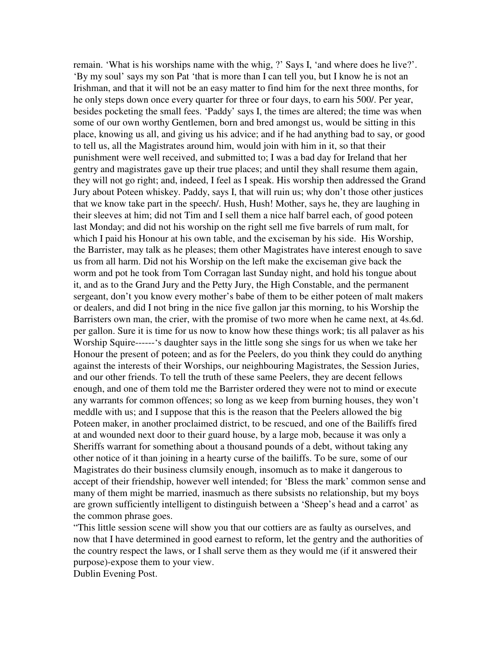remain. 'What is his worships name with the whig, ?' Says I, 'and where does he live?'. 'By my soul' says my son Pat 'that is more than I can tell you, but I know he is not an Irishman, and that it will not be an easy matter to find him for the next three months, for he only steps down once every quarter for three or four days, to earn his 500/. Per year, besides pocketing the small fees. 'Paddy' says I, the times are altered; the time was when some of our own worthy Gentlemen, born and bred amongst us, would be sitting in this place, knowing us all, and giving us his advice; and if he had anything bad to say, or good to tell us, all the Magistrates around him, would join with him in it, so that their punishment were well received, and submitted to; I was a bad day for Ireland that her gentry and magistrates gave up their true places; and until they shall resume them again, they will not go right; and, indeed, I feel as I speak. His worship then addressed the Grand Jury about Poteen whiskey. Paddy, says I, that will ruin us; why don't those other justices that we know take part in the speech/. Hush, Hush! Mother, says he, they are laughing in their sleeves at him; did not Tim and I sell them a nice half barrel each, of good poteen last Monday; and did not his worship on the right sell me five barrels of rum malt, for which I paid his Honour at his own table, and the exciseman by his side. His Worship, the Barrister, may talk as he pleases; them other Magistrates have interest enough to save us from all harm. Did not his Worship on the left make the exciseman give back the worm and pot he took from Tom Corragan last Sunday night, and hold his tongue about it, and as to the Grand Jury and the Petty Jury, the High Constable, and the permanent sergeant, don't you know every mother's babe of them to be either poteen of malt makers or dealers, and did I not bring in the nice five gallon jar this morning, to his Worship the Barristers own man, the crier, with the promise of two more when he came next, at 4s.6d. per gallon. Sure it is time for us now to know how these things work; tis all palaver as his Worship Squire------'s daughter says in the little song she sings for us when we take her Honour the present of poteen; and as for the Peelers, do you think they could do anything against the interests of their Worships, our neighbouring Magistrates, the Session Juries, and our other friends. To tell the truth of these same Peelers, they are decent fellows enough, and one of them told me the Barrister ordered they were not to mind or execute any warrants for common offences; so long as we keep from burning houses, they won't meddle with us; and I suppose that this is the reason that the Peelers allowed the big Poteen maker, in another proclaimed district, to be rescued, and one of the Bailiffs fired at and wounded next door to their guard house, by a large mob, because it was only a Sheriffs warrant for something about a thousand pounds of a debt, without taking any other notice of it than joining in a hearty curse of the bailiffs. To be sure, some of our Magistrates do their business clumsily enough, insomuch as to make it dangerous to accept of their friendship, however well intended; for 'Bless the mark' common sense and many of them might be married, inasmuch as there subsists no relationship, but my boys are grown sufficiently intelligent to distinguish between a 'Sheep's head and a carrot' as the common phrase goes.

"This little session scene will show you that our cottiers are as faulty as ourselves, and now that I have determined in good earnest to reform, let the gentry and the authorities of the country respect the laws, or I shall serve them as they would me (if it answered their purpose)-expose them to your view.

Dublin Evening Post.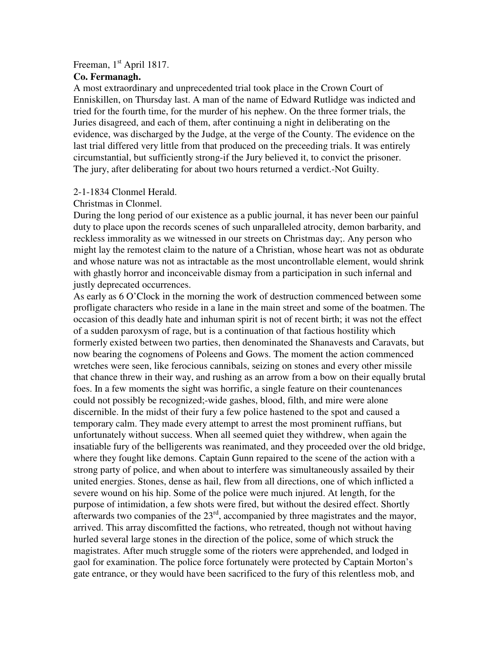#### Freeman,  $1<sup>st</sup>$  April 1817.

### **Co. Fermanagh.**

A most extraordinary and unprecedented trial took place in the Crown Court of Enniskillen, on Thursday last. A man of the name of Edward Rutlidge was indicted and tried for the fourth time, for the murder of his nephew. On the three former trials, the Juries disagreed, and each of them, after continuing a night in deliberating on the evidence, was discharged by the Judge, at the verge of the County. The evidence on the last trial differed very little from that produced on the preceeding trials. It was entirely circumstantial, but sufficiently strong-if the Jury believed it, to convict the prisoner. The jury, after deliberating for about two hours returned a verdict.-Not Guilty.

#### 2-1-1834 Clonmel Herald.

#### Christmas in Clonmel.

During the long period of our existence as a public journal, it has never been our painful duty to place upon the records scenes of such unparalleled atrocity, demon barbarity, and reckless immorality as we witnessed in our streets on Christmas day;. Any person who might lay the remotest claim to the nature of a Christian, whose heart was not as obdurate and whose nature was not as intractable as the most uncontrollable element, would shrink with ghastly horror and inconceivable dismay from a participation in such infernal and justly deprecated occurrences.

As early as 6 O'Clock in the morning the work of destruction commenced between some profligate characters who reside in a lane in the main street and some of the boatmen. The occasion of this deadly hate and inhuman spirit is not of recent birth; it was not the effect of a sudden paroxysm of rage, but is a continuation of that factious hostility which formerly existed between two parties, then denominated the Shanavests and Caravats, but now bearing the cognomens of Poleens and Gows. The moment the action commenced wretches were seen, like ferocious cannibals, seizing on stones and every other missile that chance threw in their way, and rushing as an arrow from a bow on their equally brutal foes. In a few moments the sight was horrific, a single feature on their countenances could not possibly be recognized;-wide gashes, blood, filth, and mire were alone discernible. In the midst of their fury a few police hastened to the spot and caused a temporary calm. They made every attempt to arrest the most prominent ruffians, but unfortunately without success. When all seemed quiet they withdrew, when again the insatiable fury of the belligerents was reanimated, and they proceeded over the old bridge, where they fought like demons. Captain Gunn repaired to the scene of the action with a strong party of police, and when about to interfere was simultaneously assailed by their united energies. Stones, dense as hail, flew from all directions, one of which inflicted a severe wound on his hip. Some of the police were much injured. At length, for the purpose of intimidation, a few shots were fired, but without the desired effect. Shortly afterwards two companies of the  $23<sup>rd</sup>$ , accompanied by three magistrates and the mayor, arrived. This array discomfitted the factions, who retreated, though not without having hurled several large stones in the direction of the police, some of which struck the magistrates. After much struggle some of the rioters were apprehended, and lodged in gaol for examination. The police force fortunately were protected by Captain Morton's gate entrance, or they would have been sacrificed to the fury of this relentless mob, and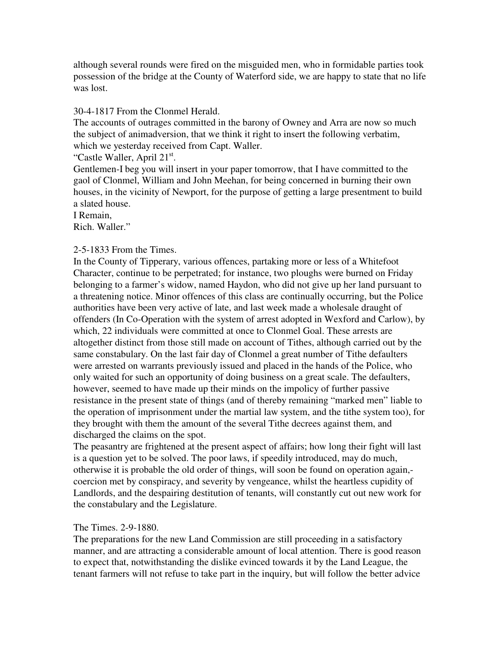although several rounds were fired on the misguided men, who in formidable parties took possession of the bridge at the County of Waterford side, we are happy to state that no life was lost.

### 30-4-1817 From the Clonmel Herald.

The accounts of outrages committed in the barony of Owney and Arra are now so much the subject of animadversion, that we think it right to insert the following verbatim, which we yesterday received from Capt. Waller.

"Castle Waller, April 21st.

Gentlemen-I beg you will insert in your paper tomorrow, that I have committed to the gaol of Clonmel, William and John Meehan, for being concerned in burning their own houses, in the vicinity of Newport, for the purpose of getting a large presentment to build a slated house.

I Remain,

Rich. Waller."

## 2-5-1833 From the Times.

In the County of Tipperary, various offences, partaking more or less of a Whitefoot Character, continue to be perpetrated; for instance, two ploughs were burned on Friday belonging to a farmer's widow, named Haydon, who did not give up her land pursuant to a threatening notice. Minor offences of this class are continually occurring, but the Police authorities have been very active of late, and last week made a wholesale draught of offenders (In Co-Operation with the system of arrest adopted in Wexford and Carlow), by which, 22 individuals were committed at once to Clonmel Goal. These arrests are altogether distinct from those still made on account of Tithes, although carried out by the same constabulary. On the last fair day of Clonmel a great number of Tithe defaulters were arrested on warrants previously issued and placed in the hands of the Police, who only waited for such an opportunity of doing business on a great scale. The defaulters, however, seemed to have made up their minds on the impolicy of further passive resistance in the present state of things (and of thereby remaining "marked men" liable to the operation of imprisonment under the martial law system, and the tithe system too), for they brought with them the amount of the several Tithe decrees against them, and discharged the claims on the spot.

The peasantry are frightened at the present aspect of affairs; how long their fight will last is a question yet to be solved. The poor laws, if speedily introduced, may do much, otherwise it is probable the old order of things, will soon be found on operation again, coercion met by conspiracy, and severity by vengeance, whilst the heartless cupidity of Landlords, and the despairing destitution of tenants, will constantly cut out new work for the constabulary and the Legislature.

## The Times. 2-9-1880.

The preparations for the new Land Commission are still proceeding in a satisfactory manner, and are attracting a considerable amount of local attention. There is good reason to expect that, notwithstanding the dislike evinced towards it by the Land League, the tenant farmers will not refuse to take part in the inquiry, but will follow the better advice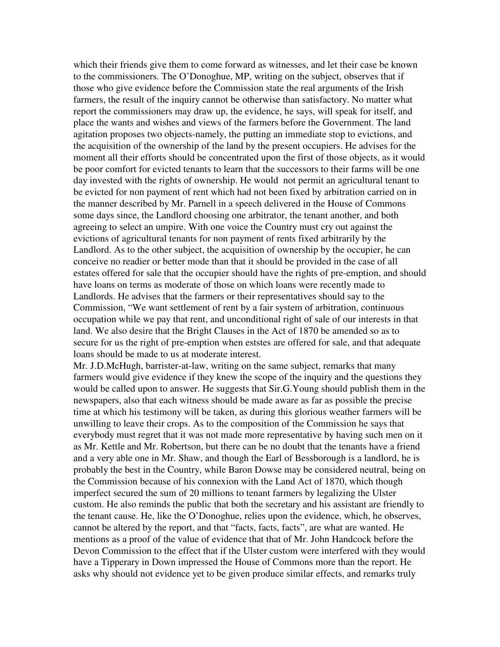which their friends give them to come forward as witnesses, and let their case be known to the commissioners. The O'Donoghue, MP, writing on the subject, observes that if those who give evidence before the Commission state the real arguments of the Irish farmers, the result of the inquiry cannot be otherwise than satisfactory. No matter what report the commissioners may draw up, the evidence, he says, will speak for itself, and place the wants and wishes and views of the farmers before the Government. The land agitation proposes two objects-namely, the putting an immediate stop to evictions, and the acquisition of the ownership of the land by the present occupiers. He advises for the moment all their efforts should be concentrated upon the first of those objects, as it would be poor comfort for evicted tenants to learn that the successors to their farms will be one day invested with the rights of ownership. He would not permit an agricultural tenant to be evicted for non payment of rent which had not been fixed by arbitration carried on in the manner described by Mr. Parnell in a speech delivered in the House of Commons some days since, the Landlord choosing one arbitrator, the tenant another, and both agreeing to select an umpire. With one voice the Country must cry out against the evictions of agricultural tenants for non payment of rents fixed arbitrarily by the Landlord. As to the other subject, the acquisition of ownership by the occupier, he can conceive no readier or better mode than that it should be provided in the case of all estates offered for sale that the occupier should have the rights of pre-emption, and should have loans on terms as moderate of those on which loans were recently made to Landlords. He advises that the farmers or their representatives should say to the Commission, "We want settlement of rent by a fair system of arbitration, continuous occupation while we pay that rent, and unconditional right of sale of our interests in that land. We also desire that the Bright Clauses in the Act of 1870 be amended so as to secure for us the right of pre-emption when eststes are offered for sale, and that adequate loans should be made to us at moderate interest.

Mr. J.D.McHugh, barrister-at-law, writing on the same subject, remarks that many farmers would give evidence if they knew the scope of the inquiry and the questions they would be called upon to answer. He suggests that Sir.G.Young should publish them in the newspapers, also that each witness should be made aware as far as possible the precise time at which his testimony will be taken, as during this glorious weather farmers will be unwilling to leave their crops. As to the composition of the Commission he says that everybody must regret that it was not made more representative by having such men on it as Mr. Kettle and Mr. Robertson, but there can be no doubt that the tenants have a friend and a very able one in Mr. Shaw, and though the Earl of Bessborough is a landlord, he is probably the best in the Country, while Baron Dowse may be considered neutral, being on the Commission because of his connexion with the Land Act of 1870, which though imperfect secured the sum of 20 millions to tenant farmers by legalizing the Ulster custom. He also reminds the public that both the secretary and his assistant are friendly to the tenant cause. He, like the O'Donoghue, relies upon the evidence, which, he observes, cannot be altered by the report, and that "facts, facts, facts", are what are wanted. He mentions as a proof of the value of evidence that that of Mr. John Handcock before the Devon Commission to the effect that if the Ulster custom were interfered with they would have a Tipperary in Down impressed the House of Commons more than the report. He asks why should not evidence yet to be given produce similar effects, and remarks truly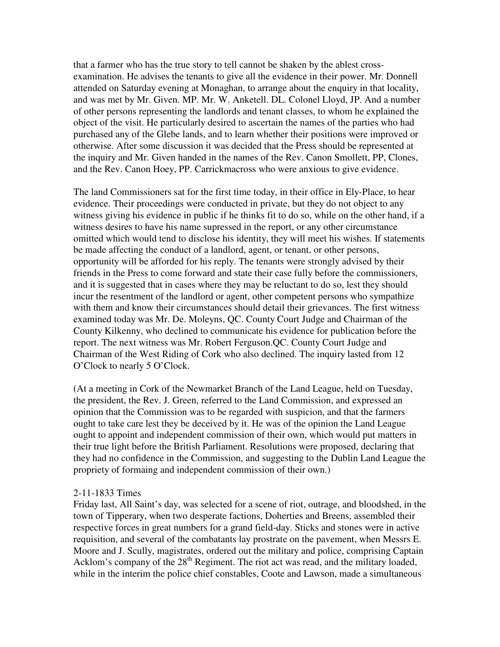that a farmer who has the true story to tell cannot be shaken by the ablest crossexamination. He advises the tenants to give all the evidence in their power. Mr. Donnell attended on Saturday evening at Monaghan, to arrange about the enquiry in that locality, and was met by Mr. Given. MP. Mr. W. Anketell. DL. Colonel Lloyd, JP. And a number of other persons representing the landlords and tenant classes, to whom he explained the object of the visit. He particularly desired to ascertain the names of the parties who had purchased any of the Glebe lands, and to learn whether their positions were improved or otherwise. After some discussion it was decided that the Press should be represented at the inquiry and Mr. Given handed in the names of the Rev. Canon Smollett, PP, Clones, and the Rev. Canon Hoey, PP. Carrickmacross who were anxious to give evidence.

The land Commissioners sat for the first time today, in their office in Ely-Place, to hear evidence. Their proceedings were conducted in private, but they do not object to any witness giving his evidence in public if he thinks fit to do so, while on the other hand, if a witness desires to have his name supressed in the report, or any other circumstance omitted which would tend to disclose his identity, they will meet his wishes. If statements be made affecting the conduct of a landlord, agent, or tenant, or other persons, opportunity will be afforded for his reply. The tenants were strongly advised by their friends in the Press to come forward and state their case fully before the commissioners, and it is suggested that in cases where they may be reluctant to do so, lest they should incur the resentment of the landlord or agent, other competent persons who sympathize with them and know their circumstances should detail their grievances. The first witness examined today was Mr. De. Moleyns, QC. County Court Judge and Chairman of the County Kilkenny, who declined to communicate his evidence for publication before the report. The next witness was Mr. Robert Ferguson.QC. County Court Judge and Chairman of the West Riding of Cork who also declined. The inquiry lasted from 12 O'Clock to nearly 5 O'Clock.

(At a meeting in Cork of the Newmarket Branch of the Land League, held on Tuesday, the president, the Rev. J. Green, referred to the Land Commission, and expressed an opinion that the Commission was to be regarded with suspicion, and that the farmers ought to take care lest they be deceived by it. He was of the opinion the Land League ought to appoint and independent commission of their own, which would put matters in their true light before the British Parliament. Resolutions were proposed, declaring that they had no confidence in the Commission, and suggesting to the Dublin Land League the propriety of formaing and independent commission of their own.)

#### 2-11-1833 Times

Friday last, All Saint's day, was selected for a scene of riot, outrage, and bloodshed, in the town of Tipperary, when two desperate factions, Doherties and Breens, assembled their respective forces in great numbers for a grand field-day. Sticks and stones were in active requisition, and several of the combatants lay prostrate on the pavement, when Messrs E. Moore and J. Scully, magistrates, ordered out the military and police, comprising Captain Acklom's company of the  $28<sup>th</sup>$  Regiment. The riot act was read, and the military loaded, while in the interim the police chief constables, Coote and Lawson, made a simultaneous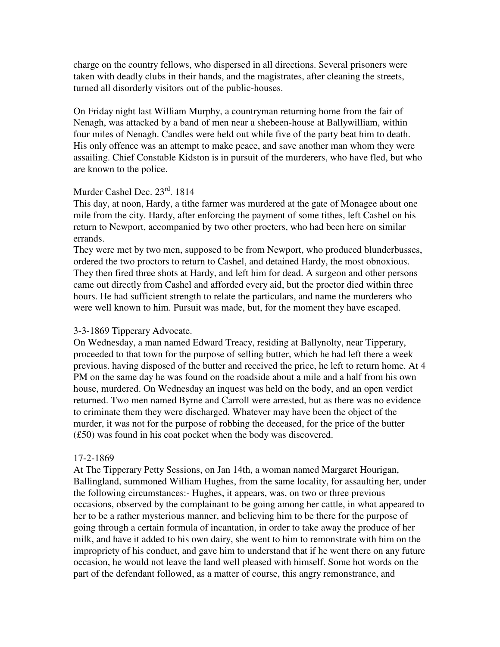charge on the country fellows, who dispersed in all directions. Several prisoners were taken with deadly clubs in their hands, and the magistrates, after cleaning the streets, turned all disorderly visitors out of the public-houses.

On Friday night last William Murphy, a countryman returning home from the fair of Nenagh, was attacked by a band of men near a shebeen-house at Ballywilliam, within four miles of Nenagh. Candles were held out while five of the party beat him to death. His only offence was an attempt to make peace, and save another man whom they were assailing. Chief Constable Kidston is in pursuit of the murderers, who have fled, but who are known to the police.

## Murder Cashel Dec. 23<sup>rd</sup>. 1814

This day, at noon, Hardy, a tithe farmer was murdered at the gate of Monagee about one mile from the city. Hardy, after enforcing the payment of some tithes, left Cashel on his return to Newport, accompanied by two other procters, who had been here on similar errands.

They were met by two men, supposed to be from Newport, who produced blunderbusses, ordered the two proctors to return to Cashel, and detained Hardy, the most obnoxious. They then fired three shots at Hardy, and left him for dead. A surgeon and other persons came out directly from Cashel and afforded every aid, but the proctor died within three hours. He had sufficient strength to relate the particulars, and name the murderers who were well known to him. Pursuit was made, but, for the moment they have escaped.

#### 3-3-1869 Tipperary Advocate.

On Wednesday, a man named Edward Treacy, residing at Ballynolty, near Tipperary, proceeded to that town for the purpose of selling butter, which he had left there a week previous. having disposed of the butter and received the price, he left to return home. At 4 PM on the same day he was found on the roadside about a mile and a half from his own house, murdered. On Wednesday an inquest was held on the body, and an open verdict returned. Two men named Byrne and Carroll were arrested, but as there was no evidence to criminate them they were discharged. Whatever may have been the object of the murder, it was not for the purpose of robbing the deceased, for the price of the butter (£50) was found in his coat pocket when the body was discovered.

#### 17-2-1869

At The Tipperary Petty Sessions, on Jan 14th, a woman named Margaret Hourigan, Ballingland, summoned William Hughes, from the same locality, for assaulting her, under the following circumstances:- Hughes, it appears, was, on two or three previous occasions, observed by the complainant to be going among her cattle, in what appeared to her to be a rather mysterious manner, and believing him to be there for the purpose of going through a certain formula of incantation, in order to take away the produce of her milk, and have it added to his own dairy, she went to him to remonstrate with him on the impropriety of his conduct, and gave him to understand that if he went there on any future occasion, he would not leave the land well pleased with himself. Some hot words on the part of the defendant followed, as a matter of course, this angry remonstrance, and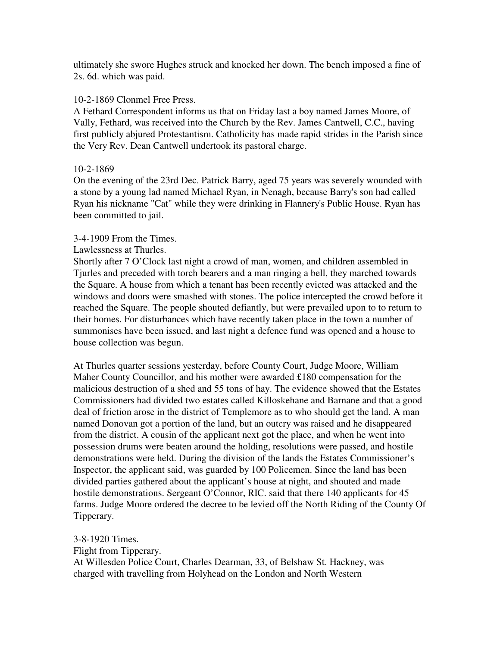ultimately she swore Hughes struck and knocked her down. The bench imposed a fine of 2s. 6d. which was paid.

## 10-2-1869 Clonmel Free Press.

A Fethard Correspondent informs us that on Friday last a boy named James Moore, of Vally, Fethard, was received into the Church by the Rev. James Cantwell, C.C., having first publicly abjured Protestantism. Catholicity has made rapid strides in the Parish since the Very Rev. Dean Cantwell undertook its pastoral charge.

## 10-2-1869

On the evening of the 23rd Dec. Patrick Barry, aged 75 years was severely wounded with a stone by a young lad named Michael Ryan, in Nenagh, because Barry's son had called Ryan his nickname "Cat" while they were drinking in Flannery's Public House. Ryan has been committed to jail.

## 3-4-1909 From the Times.

## Lawlessness at Thurles.

Shortly after 7 O'Clock last night a crowd of man, women, and children assembled in Tjurles and preceded with torch bearers and a man ringing a bell, they marched towards the Square. A house from which a tenant has been recently evicted was attacked and the windows and doors were smashed with stones. The police intercepted the crowd before it reached the Square. The people shouted defiantly, but were prevailed upon to to return to their homes. For disturbances which have recently taken place in the town a number of summonises have been issued, and last night a defence fund was opened and a house to house collection was begun.

At Thurles quarter sessions yesterday, before County Court, Judge Moore, William Maher County Councillor, and his mother were awarded £180 compensation for the malicious destruction of a shed and 55 tons of hay. The evidence showed that the Estates Commissioners had divided two estates called Killoskehane and Barnane and that a good deal of friction arose in the district of Templemore as to who should get the land. A man named Donovan got a portion of the land, but an outcry was raised and he disappeared from the district. A cousin of the applicant next got the place, and when he went into possession drums were beaten around the holding, resolutions were passed, and hostile demonstrations were held. During the division of the lands the Estates Commissioner's Inspector, the applicant said, was guarded by 100 Policemen. Since the land has been divided parties gathered about the applicant's house at night, and shouted and made hostile demonstrations. Sergeant O'Connor, RIC. said that there 140 applicants for 45 farms. Judge Moore ordered the decree to be levied off the North Riding of the County Of Tipperary.

3-8-1920 Times. Flight from Tipperary. At Willesden Police Court, Charles Dearman, 33, of Belshaw St. Hackney, was charged with travelling from Holyhead on the London and North Western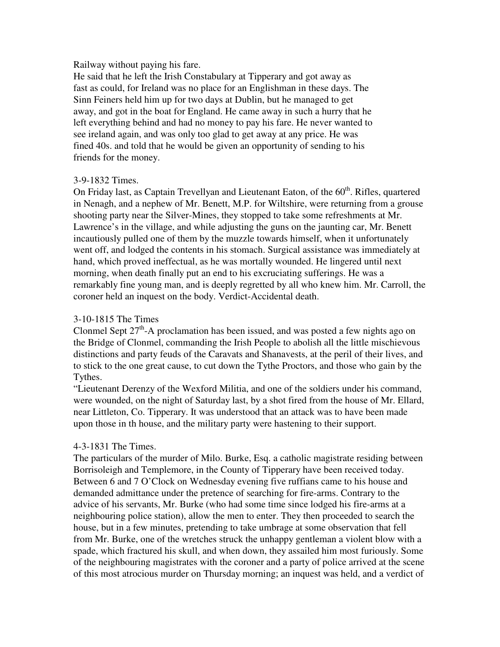## Railway without paying his fare.

He said that he left the Irish Constabulary at Tipperary and got away as fast as could, for Ireland was no place for an Englishman in these days. The Sinn Feiners held him up for two days at Dublin, but he managed to get away, and got in the boat for England. He came away in such a hurry that he left everything behind and had no money to pay his fare. He never wanted to see ireland again, and was only too glad to get away at any price. He was fined 40s. and told that he would be given an opportunity of sending to his friends for the money.

## 3-9-1832 Times.

On Friday last, as Captain Trevellyan and Lieutenant Eaton, of the 60<sup>th</sup>. Rifles, quartered in Nenagh, and a nephew of Mr. Benett, M.P. for Wiltshire, were returning from a grouse shooting party near the Silver-Mines, they stopped to take some refreshments at Mr. Lawrence's in the village, and while adjusting the guns on the jaunting car, Mr. Benett incautiously pulled one of them by the muzzle towards himself, when it unfortunately went off, and lodged the contents in his stomach. Surgical assistance was immediately at hand, which proved ineffectual, as he was mortally wounded. He lingered until next morning, when death finally put an end to his excruciating sufferings. He was a remarkably fine young man, and is deeply regretted by all who knew him. Mr. Carroll, the coroner held an inquest on the body. Verdict-Accidental death.

## 3-10-1815 The Times

Clonmel Sept  $27<sup>th</sup>$ -A proclamation has been issued, and was posted a few nights ago on the Bridge of Clonmel, commanding the Irish People to abolish all the little mischievous distinctions and party feuds of the Caravats and Shanavests, at the peril of their lives, and to stick to the one great cause, to cut down the Tythe Proctors, and those who gain by the Tythes.

"Lieutenant Derenzy of the Wexford Militia, and one of the soldiers under his command, were wounded, on the night of Saturday last, by a shot fired from the house of Mr. Ellard, near Littleton, Co. Tipperary. It was understood that an attack was to have been made upon those in th house, and the military party were hastening to their support.

# 4-3-1831 The Times.

The particulars of the murder of Milo. Burke, Esq. a catholic magistrate residing between Borrisoleigh and Templemore, in the County of Tipperary have been received today. Between 6 and 7 O'Clock on Wednesday evening five ruffians came to his house and demanded admittance under the pretence of searching for fire-arms. Contrary to the advice of his servants, Mr. Burke (who had some time since lodged his fire-arms at a neighbouring police station), allow the men to enter. They then proceeded to search the house, but in a few minutes, pretending to take umbrage at some observation that fell from Mr. Burke, one of the wretches struck the unhappy gentleman a violent blow with a spade, which fractured his skull, and when down, they assailed him most furiously. Some of the neighbouring magistrates with the coroner and a party of police arrived at the scene of this most atrocious murder on Thursday morning; an inquest was held, and a verdict of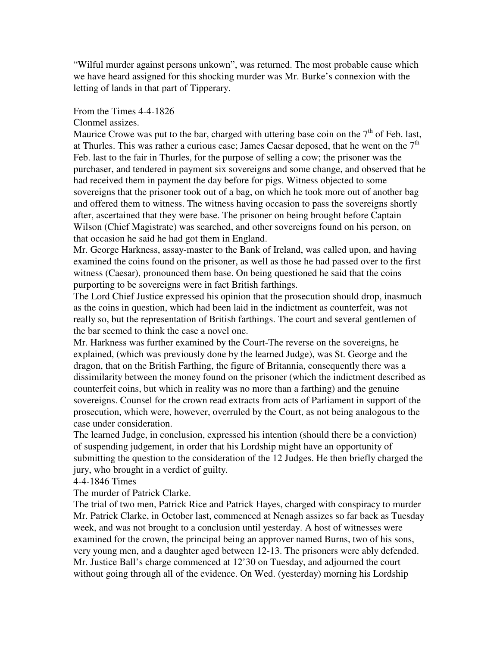"Wilful murder against persons unkown", was returned. The most probable cause which we have heard assigned for this shocking murder was Mr. Burke's connexion with the letting of lands in that part of Tipperary.

#### From the Times 4-4-1826

Clonmel assizes.

Maurice Crowe was put to the bar, charged with uttering base coin on the  $7<sup>th</sup>$  of Feb. last, at Thurles. This was rather a curious case; James Caesar deposed, that he went on the  $7<sup>th</sup>$ Feb. last to the fair in Thurles, for the purpose of selling a cow; the prisoner was the purchaser, and tendered in payment six sovereigns and some change, and observed that he had received them in payment the day before for pigs. Witness objected to some sovereigns that the prisoner took out of a bag, on which he took more out of another bag and offered them to witness. The witness having occasion to pass the sovereigns shortly after, ascertained that they were base. The prisoner on being brought before Captain Wilson (Chief Magistrate) was searched, and other sovereigns found on his person, on that occasion he said he had got them in England.

Mr. George Harkness, assay-master to the Bank of Ireland, was called upon, and having examined the coins found on the prisoner, as well as those he had passed over to the first witness (Caesar), pronounced them base. On being questioned he said that the coins purporting to be sovereigns were in fact British farthings.

The Lord Chief Justice expressed his opinion that the prosecution should drop, inasmuch as the coins in question, which had been laid in the indictment as counterfeit, was not really so, but the representation of British farthings. The court and several gentlemen of the bar seemed to think the case a novel one.

Mr. Harkness was further examined by the Court-The reverse on the sovereigns, he explained, (which was previously done by the learned Judge), was St. George and the dragon, that on the British Farthing, the figure of Britannia, consequently there was a dissimilarity between the money found on the prisoner (which the indictment described as counterfeit coins, but which in reality was no more than a farthing) and the genuine sovereigns. Counsel for the crown read extracts from acts of Parliament in support of the prosecution, which were, however, overruled by the Court, as not being analogous to the case under consideration.

The learned Judge, in conclusion, expressed his intention (should there be a conviction) of suspending judgement, in order that his Lordship might have an opportunity of submitting the question to the consideration of the 12 Judges. He then briefly charged the jury, who brought in a verdict of guilty.

4-4-1846 Times

The murder of Patrick Clarke.

The trial of two men, Patrick Rice and Patrick Hayes, charged with conspiracy to murder Mr. Patrick Clarke, in October last, commenced at Nenagh assizes so far back as Tuesday week, and was not brought to a conclusion until yesterday. A host of witnesses were examined for the crown, the principal being an approver named Burns, two of his sons, very young men, and a daughter aged between 12-13. The prisoners were ably defended. Mr. Justice Ball's charge commenced at 12'30 on Tuesday, and adjourned the court without going through all of the evidence. On Wed. (yesterday) morning his Lordship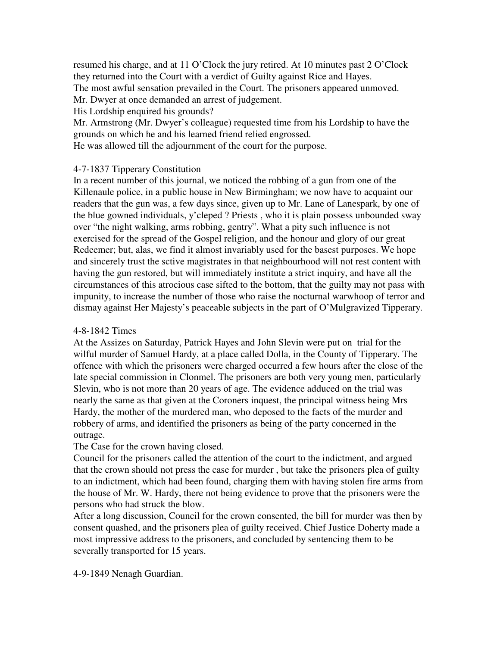resumed his charge, and at 11 O'Clock the jury retired. At 10 minutes past 2 O'Clock they returned into the Court with a verdict of Guilty against Rice and Hayes. The most awful sensation prevailed in the Court. The prisoners appeared unmoved.

Mr. Dwyer at once demanded an arrest of judgement.

His Lordship enquired his grounds?

Mr. Armstrong (Mr. Dwyer's colleague) requested time from his Lordship to have the grounds on which he and his learned friend relied engrossed.

He was allowed till the adjournment of the court for the purpose.

## 4-7-1837 Tipperary Constitution

In a recent number of this journal, we noticed the robbing of a gun from one of the Killenaule police, in a public house in New Birmingham; we now have to acquaint our readers that the gun was, a few days since, given up to Mr. Lane of Lanespark, by one of the blue gowned individuals, y'cleped ? Priests , who it is plain possess unbounded sway over "the night walking, arms robbing, gentry". What a pity such influence is not exercised for the spread of the Gospel religion, and the honour and glory of our great Redeemer; but, alas, we find it almost invariably used for the basest purposes. We hope and sincerely trust the sctive magistrates in that neighbourhood will not rest content with having the gun restored, but will immediately institute a strict inquiry, and have all the circumstances of this atrocious case sifted to the bottom, that the guilty may not pass with impunity, to increase the number of those who raise the nocturnal warwhoop of terror and dismay against Her Majesty's peaceable subjects in the part of O'Mulgravized Tipperary.

## 4-8-1842 Times

At the Assizes on Saturday, Patrick Hayes and John Slevin were put on trial for the wilful murder of Samuel Hardy, at a place called Dolla, in the County of Tipperary. The offence with which the prisoners were charged occurred a few hours after the close of the late special commission in Clonmel. The prisoners are both very young men, particularly Slevin, who is not more than 20 years of age. The evidence adduced on the trial was nearly the same as that given at the Coroners inquest, the principal witness being Mrs Hardy, the mother of the murdered man, who deposed to the facts of the murder and robbery of arms, and identified the prisoners as being of the party concerned in the outrage.

The Case for the crown having closed.

Council for the prisoners called the attention of the court to the indictment, and argued that the crown should not press the case for murder , but take the prisoners plea of guilty to an indictment, which had been found, charging them with having stolen fire arms from the house of Mr. W. Hardy, there not being evidence to prove that the prisoners were the persons who had struck the blow.

After a long discussion, Council for the crown consented, the bill for murder was then by consent quashed, and the prisoners plea of guilty received. Chief Justice Doherty made a most impressive address to the prisoners, and concluded by sentencing them to be severally transported for 15 years.

4-9-1849 Nenagh Guardian.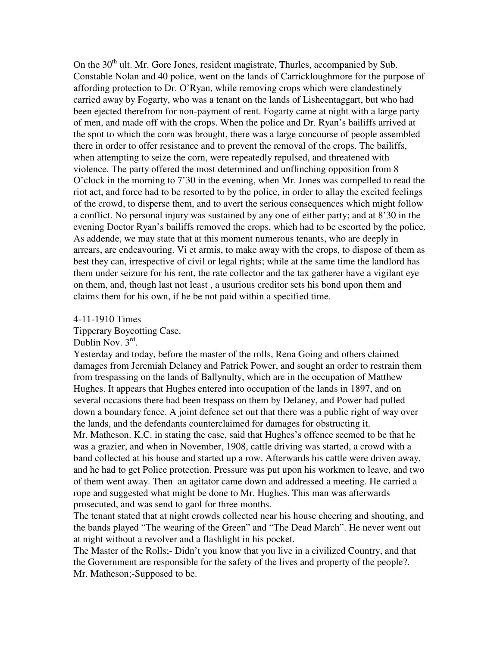On the 30<sup>th</sup> ult. Mr. Gore Jones, resident magistrate, Thurles, accompanied by Sub. Constable Nolan and 40 police, went on the lands of Carrickloughmore for the purpose of affording protection to Dr. O'Ryan, while removing crops which were clandestinely carried away by Fogarty, who was a tenant on the lands of Lisheentaggart, but who had been ejected therefrom for non-payment of rent. Fogarty came at night with a large party of men, and made off with the crops. When the police and Dr. Ryan's bailiffs arrived at the spot to which the corn was brought, there was a large concourse of people assembled there in order to offer resistance and to prevent the removal of the crops. The bailiffs, when attempting to seize the corn, were repeatedly repulsed, and threatened with violence. The party offered the most determined and unflinching opposition from 8 O'clock in the morning to 7'30 in the evening, when Mr. Jones was compelled to read the riot act, and force had to be resorted to by the police, in order to allay the excited feelings of the crowd, to disperse them, and to avert the serious consequences which might follow a conflict. No personal injury was sustained by any one of either party; and at 8'30 in the evening Doctor Ryan's bailiffs removed the crops, which had to be escorted by the police. As addende, we may state that at this moment numerous tenants, who are deeply in arrears, are endeavouring. Vi et armis, to make away with the crops, to dispose of them as best they can, irrespective of civil or legal rights; while at the same time the landlord has them under seizure for his rent, the rate collector and the tax gatherer have a vigilant eye on them, and, though last not least , a usurious creditor sets his bond upon them and claims them for his own, if he be not paid within a specified time.

4-11-1910 Times

Tipperary Boycotting Case.

Dublin Nov. 3rd.

Yesterday and today, before the master of the rolls, Rena Going and others claimed damages from Jeremiah Delaney and Patrick Power, and sought an order to restrain them from trespassing on the lands of Ballynulty, which are in the occupation of Matthew Hughes. It appears that Hughes entered into occupation of the lands in 1897, and on several occasions there had been trespass on them by Delaney, and Power had pulled down a boundary fence. A joint defence set out that there was a public right of way over the lands, and the defendants counterclaimed for damages for obstructing it.

Mr. Matheson. K.C. in stating the case, said that Hughes's offence seemed to be that he was a grazier, and when in November, 1908, cattle driving was started, a crowd with a band collected at his house and started up a row. Afterwards his cattle were driven away, and he had to get Police protection. Pressure was put upon his workmen to leave, and two of them went away. Then an agitator came down and addressed a meeting. He carried a rope and suggested what might be done to Mr. Hughes. This man was afterwards prosecuted, and was send to gaol for three months.

The tenant stated that at night crowds collected near his house cheering and shouting, and the bands played "The wearing of the Green" and "The Dead March". He never went out at night without a revolver and a flashlight in his pocket.

The Master of the Rolls;- Didn't you know that you live in a civilized Country, and that the Government are responsible for the safety of the lives and property of the people?. Mr. Matheson;-Supposed to be.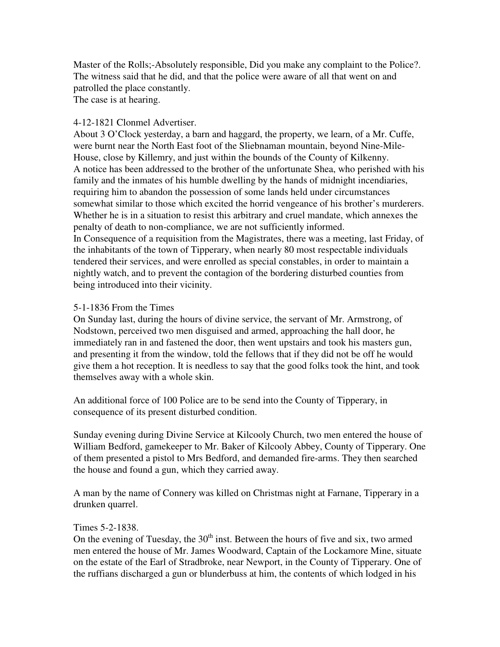Master of the Rolls;-Absolutely responsible, Did you make any complaint to the Police?. The witness said that he did, and that the police were aware of all that went on and patrolled the place constantly.

The case is at hearing.

## 4-12-1821 Clonmel Advertiser.

About 3 O'Clock yesterday, a barn and haggard, the property, we learn, of a Mr. Cuffe, were burnt near the North East foot of the Sliebnaman mountain, beyond Nine-Mile-House, close by Killemry, and just within the bounds of the County of Kilkenny. A notice has been addressed to the brother of the unfortunate Shea, who perished with his family and the inmates of his humble dwelling by the hands of midnight incendiaries, requiring him to abandon the possession of some lands held under circumstances somewhat similar to those which excited the horrid vengeance of his brother's murderers. Whether he is in a situation to resist this arbitrary and cruel mandate, which annexes the penalty of death to non-compliance, we are not sufficiently informed. In Consequence of a requisition from the Magistrates, there was a meeting, last Friday, of the inhabitants of the town of Tipperary, when nearly 80 most respectable individuals tendered their services, and were enrolled as special constables, in order to maintain a nightly watch, and to prevent the contagion of the bordering disturbed counties from being introduced into their vicinity.

## 5-1-1836 From the Times

On Sunday last, during the hours of divine service, the servant of Mr. Armstrong, of Nodstown, perceived two men disguised and armed, approaching the hall door, he immediately ran in and fastened the door, then went upstairs and took his masters gun, and presenting it from the window, told the fellows that if they did not be off he would give them a hot reception. It is needless to say that the good folks took the hint, and took themselves away with a whole skin.

An additional force of 100 Police are to be send into the County of Tipperary, in consequence of its present disturbed condition.

Sunday evening during Divine Service at Kilcooly Church, two men entered the house of William Bedford, gamekeeper to Mr. Baker of Kilcooly Abbey, County of Tipperary. One of them presented a pistol to Mrs Bedford, and demanded fire-arms. They then searched the house and found a gun, which they carried away.

A man by the name of Connery was killed on Christmas night at Farnane, Tipperary in a drunken quarrel.

## Times 5-2-1838.

On the evening of Tuesday, the  $30<sup>th</sup>$  inst. Between the hours of five and six, two armed men entered the house of Mr. James Woodward, Captain of the Lockamore Mine, situate on the estate of the Earl of Stradbroke, near Newport, in the County of Tipperary. One of the ruffians discharged a gun or blunderbuss at him, the contents of which lodged in his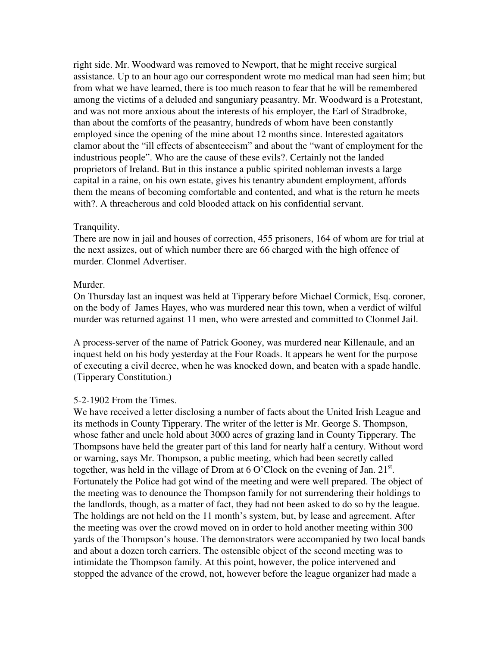right side. Mr. Woodward was removed to Newport, that he might receive surgical assistance. Up to an hour ago our correspondent wrote mo medical man had seen him; but from what we have learned, there is too much reason to fear that he will be remembered among the victims of a deluded and sanguniary peasantry. Mr. Woodward is a Protestant, and was not more anxious about the interests of his employer, the Earl of Stradbroke, than about the comforts of the peasantry, hundreds of whom have been constantly employed since the opening of the mine about 12 months since. Interested agaitators clamor about the "ill effects of absenteeeism" and about the "want of employment for the industrious people". Who are the cause of these evils?. Certainly not the landed proprietors of Ireland. But in this instance a public spirited nobleman invests a large capital in a raine, on his own estate, gives his tenantry abundent employment, affords them the means of becoming comfortable and contented, and what is the return he meets with?. A threacherous and cold blooded attack on his confidential servant.

#### Tranquility.

There are now in jail and houses of correction, 455 prisoners, 164 of whom are for trial at the next assizes, out of which number there are 66 charged with the high offence of murder. Clonmel Advertiser.

#### Murder.

On Thursday last an inquest was held at Tipperary before Michael Cormick, Esq. coroner, on the body of James Hayes, who was murdered near this town, when a verdict of wilful murder was returned against 11 men, who were arrested and committed to Clonmel Jail.

A process-server of the name of Patrick Gooney, was murdered near Killenaule, and an inquest held on his body yesterday at the Four Roads. It appears he went for the purpose of executing a civil decree, when he was knocked down, and beaten with a spade handle. (Tipperary Constitution.)

## 5-2-1902 From the Times.

We have received a letter disclosing a number of facts about the United Irish League and its methods in County Tipperary. The writer of the letter is Mr. George S. Thompson, whose father and uncle hold about 3000 acres of grazing land in County Tipperary. The Thompsons have held the greater part of this land for nearly half a century. Without word or warning, says Mr. Thompson, a public meeting, which had been secretly called together, was held in the village of Drom at  $6$  O'Clock on the evening of Jan.  $21<sup>st</sup>$ . Fortunately the Police had got wind of the meeting and were well prepared. The object of the meeting was to denounce the Thompson family for not surrendering their holdings to the landlords, though, as a matter of fact, they had not been asked to do so by the league. The holdings are not held on the 11 month's system, but, by lease and agreement. After the meeting was over the crowd moved on in order to hold another meeting within 300 yards of the Thompson's house. The demonstrators were accompanied by two local bands and about a dozen torch carriers. The ostensible object of the second meeting was to intimidate the Thompson family. At this point, however, the police intervened and stopped the advance of the crowd, not, however before the league organizer had made a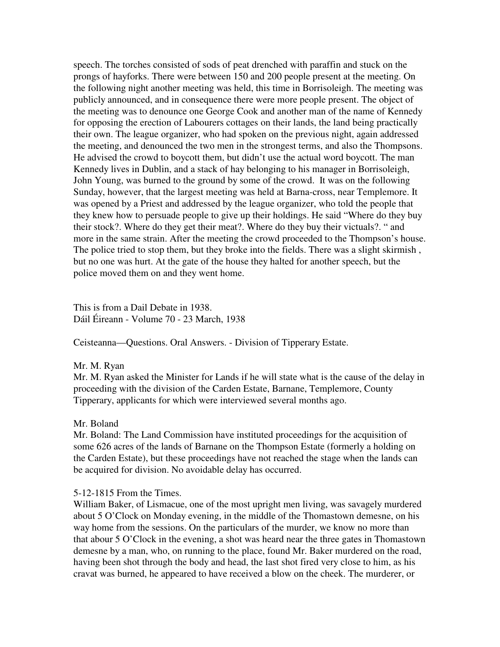speech. The torches consisted of sods of peat drenched with paraffin and stuck on the prongs of hayforks. There were between 150 and 200 people present at the meeting. On the following night another meeting was held, this time in Borrisoleigh. The meeting was publicly announced, and in consequence there were more people present. The object of the meeting was to denounce one George Cook and another man of the name of Kennedy for opposing the erection of Labourers cottages on their lands, the land being practically their own. The league organizer, who had spoken on the previous night, again addressed the meeting, and denounced the two men in the strongest terms, and also the Thompsons. He advised the crowd to boycott them, but didn't use the actual word boycott. The man Kennedy lives in Dublin, and a stack of hay belonging to his manager in Borrisoleigh, John Young, was burned to the ground by some of the crowd. It was on the following Sunday, however, that the largest meeting was held at Barna-cross, near Templemore. It was opened by a Priest and addressed by the league organizer, who told the people that they knew how to persuade people to give up their holdings. He said "Where do they buy their stock?. Where do they get their meat?. Where do they buy their victuals?. " and more in the same strain. After the meeting the crowd proceeded to the Thompson's house. The police tried to stop them, but they broke into the fields. There was a slight skirmish , but no one was hurt. At the gate of the house they halted for another speech, but the police moved them on and they went home.

This is from a Dail Debate in 1938. Dáil Éireann - Volume 70 - 23 March, 1938

Ceisteanna—Questions. Oral Answers. - Division of Tipperary Estate.

#### Mr. M. Ryan

Mr. M. Ryan asked the Minister for Lands if he will state what is the cause of the delay in proceeding with the division of the Carden Estate, Barnane, Templemore, County Tipperary, applicants for which were interviewed several months ago.

#### Mr. Boland

Mr. Boland: The Land Commission have instituted proceedings for the acquisition of some 626 acres of the lands of Barnane on the Thompson Estate (formerly a holding on the Carden Estate), but these proceedings have not reached the stage when the lands can be acquired for division. No avoidable delay has occurred.

#### 5-12-1815 From the Times.

William Baker, of Lismacue, one of the most upright men living, was savagely murdered about 5 O'Clock on Monday evening, in the middle of the Thomastown demesne, on his way home from the sessions. On the particulars of the murder, we know no more than that abour 5 O'Clock in the evening, a shot was heard near the three gates in Thomastown demesne by a man, who, on running to the place, found Mr. Baker murdered on the road, having been shot through the body and head, the last shot fired very close to him, as his cravat was burned, he appeared to have received a blow on the cheek. The murderer, or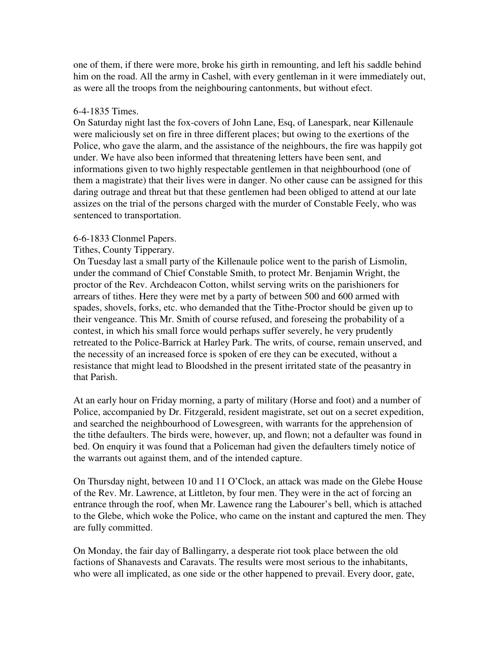one of them, if there were more, broke his girth in remounting, and left his saddle behind him on the road. All the army in Cashel, with every gentleman in it were immediately out, as were all the troops from the neighbouring cantonments, but without efect.

### 6-4-1835 Times.

On Saturday night last the fox-covers of John Lane, Esq, of Lanespark, near Killenaule were maliciously set on fire in three different places; but owing to the exertions of the Police, who gave the alarm, and the assistance of the neighbours, the fire was happily got under. We have also been informed that threatening letters have been sent, and informations given to two highly respectable gentlemen in that neighbourhood (one of them a magistrate) that their lives were in danger. No other cause can be assigned for this daring outrage and threat but that these gentlemen had been obliged to attend at our late assizes on the trial of the persons charged with the murder of Constable Feely, who was sentenced to transportation.

## 6-6-1833 Clonmel Papers.

### Tithes, County Tipperary.

On Tuesday last a small party of the Killenaule police went to the parish of Lismolin, under the command of Chief Constable Smith, to protect Mr. Benjamin Wright, the proctor of the Rev. Archdeacon Cotton, whilst serving writs on the parishioners for arrears of tithes. Here they were met by a party of between 500 and 600 armed with spades, shovels, forks, etc. who demanded that the Tithe-Proctor should be given up to their vengeance. This Mr. Smith of course refused, and foreseing the probability of a contest, in which his small force would perhaps suffer severely, he very prudently retreated to the Police-Barrick at Harley Park. The writs, of course, remain unserved, and the necessity of an increased force is spoken of ere they can be executed, without a resistance that might lead to Bloodshed in the present irritated state of the peasantry in that Parish.

At an early hour on Friday morning, a party of military (Horse and foot) and a number of Police, accompanied by Dr. Fitzgerald, resident magistrate, set out on a secret expedition, and searched the neighbourhood of Lowesgreen, with warrants for the apprehension of the tithe defaulters. The birds were, however, up, and flown; not a defaulter was found in bed. On enquiry it was found that a Policeman had given the defaulters timely notice of the warrants out against them, and of the intended capture.

On Thursday night, between 10 and 11 O'Clock, an attack was made on the Glebe House of the Rev. Mr. Lawrence, at Littleton, by four men. They were in the act of forcing an entrance through the roof, when Mr. Lawence rang the Labourer's bell, which is attached to the Glebe, which woke the Police, who came on the instant and captured the men. They are fully committed.

On Monday, the fair day of Ballingarry, a desperate riot took place between the old factions of Shanavests and Caravats. The results were most serious to the inhabitants, who were all implicated, as one side or the other happened to prevail. Every door, gate,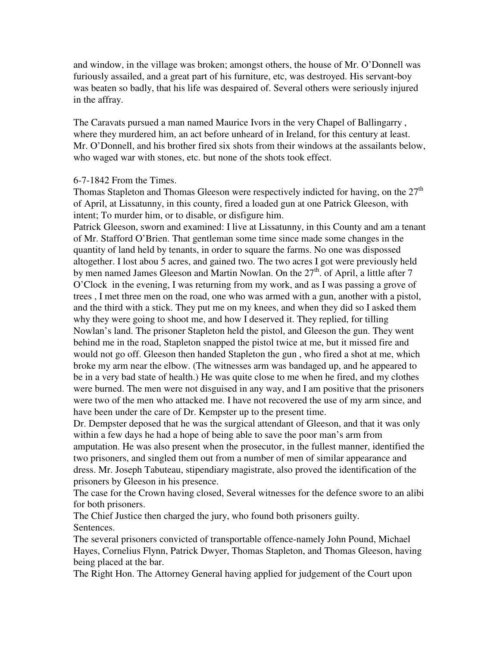and window, in the village was broken; amongst others, the house of Mr. O'Donnell was furiously assailed, and a great part of his furniture, etc, was destroyed. His servant-boy was beaten so badly, that his life was despaired of. Several others were seriously injured in the affray.

The Caravats pursued a man named Maurice Ivors in the very Chapel of Ballingarry , where they murdered him, an act before unheard of in Ireland, for this century at least. Mr. O'Donnell, and his brother fired six shots from their windows at the assailants below, who waged war with stones, etc. but none of the shots took effect.

#### 6-7-1842 From the Times.

Thomas Stapleton and Thomas Gleeson were respectively indicted for having, on the  $27<sup>th</sup>$ of April, at Lissatunny, in this county, fired a loaded gun at one Patrick Gleeson, with intent; To murder him, or to disable, or disfigure him.

Patrick Gleeson, sworn and examined: I live at Lissatunny, in this County and am a tenant of Mr. Stafford O'Brien. That gentleman some time since made some changes in the quantity of land held by tenants, in order to square the farms. No one was dispossed altogether. I lost abou 5 acres, and gained two. The two acres I got were previously held by men named James Gleeson and Martin Nowlan. On the  $27<sup>th</sup>$ . of April, a little after 7 O'Clock in the evening, I was returning from my work, and as I was passing a grove of trees , I met three men on the road, one who was armed with a gun, another with a pistol, and the third with a stick. They put me on my knees, and when they did so I asked them why they were going to shoot me, and how I deserved it. They replied, for tilling Nowlan's land. The prisoner Stapleton held the pistol, and Gleeson the gun. They went behind me in the road, Stapleton snapped the pistol twice at me, but it missed fire and would not go off. Gleeson then handed Stapleton the gun , who fired a shot at me, which broke my arm near the elbow. (The witnesses arm was bandaged up, and he appeared to be in a very bad state of health.) He was quite close to me when he fired, and my clothes were burned. The men were not disguised in any way, and I am positive that the prisoners were two of the men who attacked me. I have not recovered the use of my arm since, and have been under the care of Dr. Kempster up to the present time.

Dr. Dempster deposed that he was the surgical attendant of Gleeson, and that it was only within a few days he had a hope of being able to save the poor man's arm from amputation. He was also present when the prosecutor, in the fullest manner, identified the two prisoners, and singled them out from a number of men of similar appearance and dress. Mr. Joseph Tabuteau, stipendiary magistrate, also proved the identification of the prisoners by Gleeson in his presence.

The case for the Crown having closed, Several witnesses for the defence swore to an alibi for both prisoners.

The Chief Justice then charged the jury, who found both prisoners guilty. Sentences.

The several prisoners convicted of transportable offence-namely John Pound, Michael Hayes, Cornelius Flynn, Patrick Dwyer, Thomas Stapleton, and Thomas Gleeson, having being placed at the bar.

The Right Hon. The Attorney General having applied for judgement of the Court upon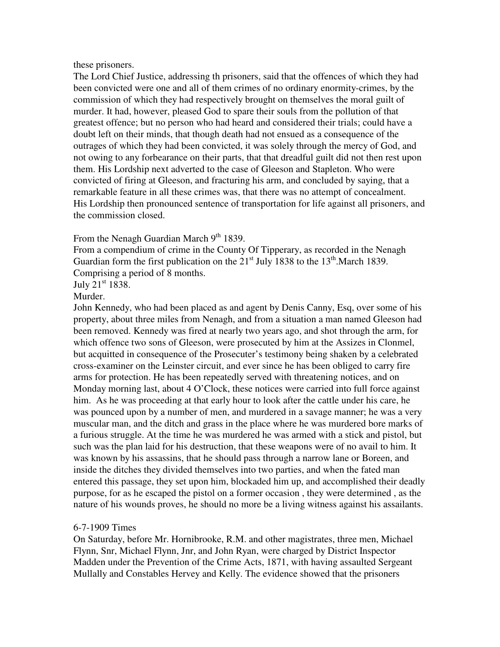### these prisoners.

The Lord Chief Justice, addressing th prisoners, said that the offences of which they had been convicted were one and all of them crimes of no ordinary enormity-crimes, by the commission of which they had respectively brought on themselves the moral guilt of murder. It had, however, pleased God to spare their souls from the pollution of that greatest offence; but no person who had heard and considered their trials; could have a doubt left on their minds, that though death had not ensued as a consequence of the outrages of which they had been convicted, it was solely through the mercy of God, and not owing to any forbearance on their parts, that that dreadful guilt did not then rest upon them. His Lordship next adverted to the case of Gleeson and Stapleton. Who were convicted of firing at Gleeson, and fracturing his arm, and concluded by saying, that a remarkable feature in all these crimes was, that there was no attempt of concealment. His Lordship then pronounced sentence of transportation for life against all prisoners, and the commission closed.

## From the Nenagh Guardian March  $9<sup>th</sup> 1839$ .

From a compendium of crime in the County Of Tipperary, as recorded in the Nenagh Guardian form the first publication on the  $21<sup>st</sup>$  July 1838 to the 13<sup>th</sup>.March 1839. Comprising a period of 8 months.

July  $21<sup>st</sup> 1838$ .

Murder.

John Kennedy, who had been placed as and agent by Denis Canny, Esq, over some of his property, about three miles from Nenagh, and from a situation a man named Gleeson had been removed. Kennedy was fired at nearly two years ago, and shot through the arm, for which offence two sons of Gleeson, were prosecuted by him at the Assizes in Clonmel, but acquitted in consequence of the Prosecuter's testimony being shaken by a celebrated cross-examiner on the Leinster circuit, and ever since he has been obliged to carry fire arms for protection. He has been repeatedly served with threatening notices, and on Monday morning last, about 4 O'Clock, these notices were carried into full force against him. As he was proceeding at that early hour to look after the cattle under his care, he was pounced upon by a number of men, and murdered in a savage manner; he was a very muscular man, and the ditch and grass in the place where he was murdered bore marks of a furious struggle. At the time he was murdered he was armed with a stick and pistol, but such was the plan laid for his destruction, that these weapons were of no avail to him. It was known by his assassins, that he should pass through a narrow lane or Boreen, and inside the ditches they divided themselves into two parties, and when the fated man entered this passage, they set upon him, blockaded him up, and accomplished their deadly purpose, for as he escaped the pistol on a former occasion , they were determined , as the nature of his wounds proves, he should no more be a living witness against his assailants.

#### 6-7-1909 Times

On Saturday, before Mr. Hornibrooke, R.M. and other magistrates, three men, Michael Flynn, Snr, Michael Flynn, Jnr, and John Ryan, were charged by District Inspector Madden under the Prevention of the Crime Acts, 1871, with having assaulted Sergeant Mullally and Constables Hervey and Kelly. The evidence showed that the prisoners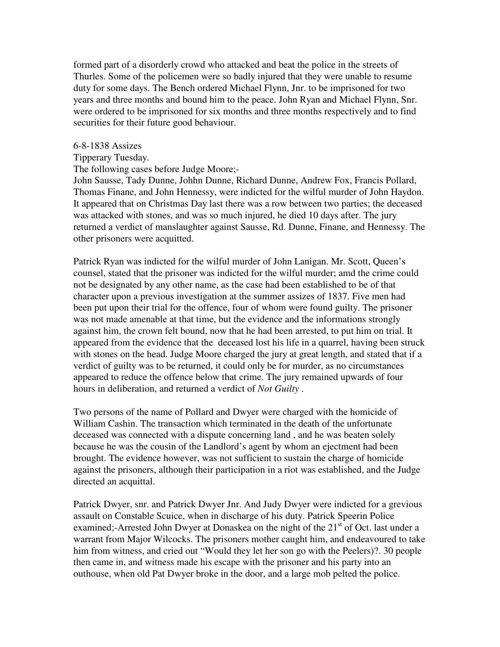formed part of a disorderly crowd who attacked and beat the police in the streets of Thurles. Some of the policemen were so badly injured that they were unable to resume duty for some days. The Bench ordered Michael Flynn, Jnr. to be imprisoned for two years and three months and bound him to the peace. John Ryan and Michael Flynn, Snr. were ordered to be imprisoned for six months and three months respectively and to find securities for their future good behaviour.

#### 6-8-1838 Assizes

Tipperary Tuesday.

The following cases before Judge Moore;-

John Sausse, Tady Dunne, Johhn Dunne, Richard Dunne, Andrew Fox, Francis Pollard, Thomas Finane, and John Hennessy, were indicted for the wilful murder of John Haydon. It appeared that on Christmas Day last there was a row between two parties; the deceased was attacked with stones, and was so much injured, he died 10 days after. The jury returned a verdict of manslaughter against Sausse, Rd. Dunne, Finane, and Hennessy. The other prisoners were acquitted.

Patrick Ryan was indicted for the wilful murder of John Lanigan. Mr. Scott, Queen's counsel, stated that the prisoner was indicted for the wilful murder; amd the crime could not be designated by any other name, as the case had been established to be of that character upon a previous investigation at the summer assizes of 1837. Five men had been put upon their trial for the offence, four of whom were found guilty. The prisoner was not made amenable at that time, but the evidence and the informations strongly against him, the crown felt bound, now that he had been arrested, to put him on trial. It appeared from the evidence that the deceased lost his life in a quarrel, having been struck with stones on the head. Judge Moore charged the jury at great length, and stated that if a verdict of guilty was to be returned, it could only be for murder, as no circumstances appeared to reduce the offence below that crime. The jury remained upwards of four hours in deliberation, and returned a verdict of *Not Guilty* .

Two persons of the name of Pollard and Dwyer were charged with the homicide of William Cashin. The transaction which terminated in the death of the unfortunate deceased was connected with a dispute concerning land , and he was beaten solely because he was the cousin of the Landlord's agent by whom an ejectment had been brought. The evidence however, was not sufficient to sustain the charge of homicide against the prisoners, although their participation in a riot was established, and the Judge directed an acquittal.

Patrick Dwyer, snr. and Patrick Dwyer Jnr. And Judy Dwyer were indicted for a grevious assault on Constable Scuice, when in discharge of his duty. Patrick Speerin Police examined;-Arrested John Dwyer at Donaskea on the night of the  $21<sup>st</sup>$  of Oct. last under a warrant from Major Wilcocks. The prisoners mother caught him, and endeavoured to take him from witness, and cried out "Would they let her son go with the Peelers)?. 30 people then came in, and witness made his escape with the prisoner and his party into an outhouse, when old Pat Dwyer broke in the door, and a large mob pelted the police.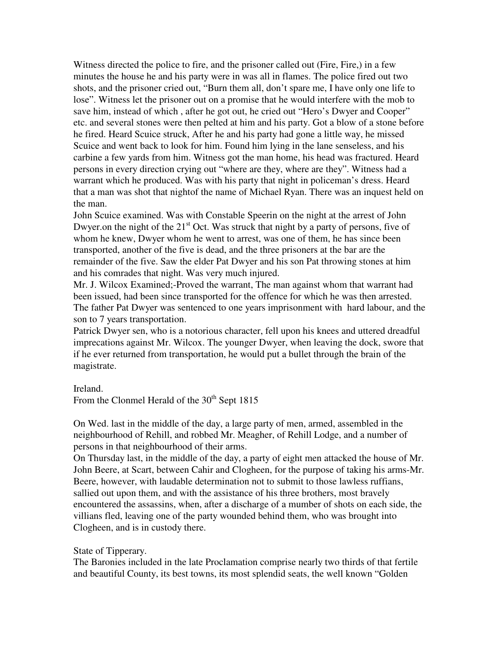Witness directed the police to fire, and the prisoner called out (Fire, Fire,) in a few minutes the house he and his party were in was all in flames. The police fired out two shots, and the prisoner cried out, "Burn them all, don't spare me, I have only one life to lose". Witness let the prisoner out on a promise that he would interfere with the mob to save him, instead of which , after he got out, he cried out "Hero's Dwyer and Cooper" etc. and several stones were then pelted at him and his party. Got a blow of a stone before he fired. Heard Scuice struck, After he and his party had gone a little way, he missed Scuice and went back to look for him. Found him lying in the lane senseless, and his carbine a few yards from him. Witness got the man home, his head was fractured. Heard persons in every direction crying out "where are they, where are they". Witness had a warrant which he produced. Was with his party that night in policeman's dress. Heard that a man was shot that nightof the name of Michael Ryan. There was an inquest held on the man.

John Scuice examined. Was with Constable Speerin on the night at the arrest of John Dwyer.on the night of the  $21<sup>st</sup>$  Oct. Was struck that night by a party of persons, five of whom he knew, Dwyer whom he went to arrest, was one of them, he has since been transported, another of the five is dead, and the three prisoners at the bar are the remainder of the five. Saw the elder Pat Dwyer and his son Pat throwing stones at him and his comrades that night. Was very much injured.

Mr. J. Wilcox Examined;-Proved the warrant, The man against whom that warrant had been issued, had been since transported for the offence for which he was then arrested. The father Pat Dwyer was sentenced to one years imprisonment with hard labour, and the son to 7 years transportation.

Patrick Dwyer sen, who is a notorious character, fell upon his knees and uttered dreadful imprecations against Mr. Wilcox. The younger Dwyer, when leaving the dock, swore that if he ever returned from transportation, he would put a bullet through the brain of the magistrate.

#### Ireland.

From the Clonmel Herald of the  $30<sup>th</sup>$  Sept 1815

On Wed. last in the middle of the day, a large party of men, armed, assembled in the neighbourhood of Rehill, and robbed Mr. Meagher, of Rehill Lodge, and a number of persons in that neighbourhood of their arms.

On Thursday last, in the middle of the day, a party of eight men attacked the house of Mr. John Beere, at Scart, between Cahir and Clogheen, for the purpose of taking his arms-Mr. Beere, however, with laudable determination not to submit to those lawless ruffians, sallied out upon them, and with the assistance of his three brothers, most bravely encountered the assassins, when, after a discharge of a mumber of shots on each side, the villians fled, leaving one of the party wounded behind them, who was brought into Clogheen, and is in custody there.

## State of Tipperary.

The Baronies included in the late Proclamation comprise nearly two thirds of that fertile and beautiful County, its best towns, its most splendid seats, the well known "Golden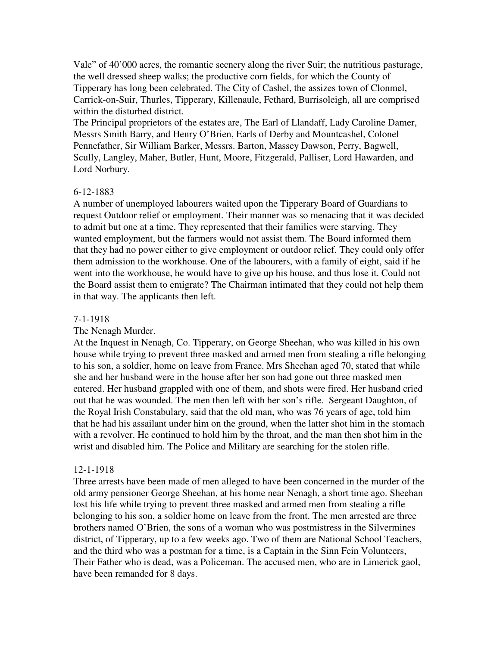Vale" of 40'000 acres, the romantic secnery along the river Suir; the nutritious pasturage, the well dressed sheep walks; the productive corn fields, for which the County of Tipperary has long been celebrated. The City of Cashel, the assizes town of Clonmel, Carrick-on-Suir, Thurles, Tipperary, Killenaule, Fethard, Burrisoleigh, all are comprised within the disturbed district.

The Principal proprietors of the estates are, The Earl of Llandaff, Lady Caroline Damer, Messrs Smith Barry, and Henry O'Brien, Earls of Derby and Mountcashel, Colonel Pennefather, Sir William Barker, Messrs. Barton, Massey Dawson, Perry, Bagwell, Scully, Langley, Maher, Butler, Hunt, Moore, Fitzgerald, Palliser, Lord Hawarden, and Lord Norbury.

#### 6-12-1883

A number of unemployed labourers waited upon the Tipperary Board of Guardians to request Outdoor relief or employment. Their manner was so menacing that it was decided to admit but one at a time. They represented that their families were starving. They wanted employment, but the farmers would not assist them. The Board informed them that they had no power either to give employment or outdoor relief. They could only offer them admission to the workhouse. One of the labourers, with a family of eight, said if he went into the workhouse, he would have to give up his house, and thus lose it. Could not the Board assist them to emigrate? The Chairman intimated that they could not help them in that way. The applicants then left.

#### 7-1-1918

The Nenagh Murder.

At the Inquest in Nenagh, Co. Tipperary, on George Sheehan, who was killed in his own house while trying to prevent three masked and armed men from stealing a rifle belonging to his son, a soldier, home on leave from France. Mrs Sheehan aged 70, stated that while she and her husband were in the house after her son had gone out three masked men entered. Her husband grappled with one of them, and shots were fired. Her husband cried out that he was wounded. The men then left with her son's rifle. Sergeant Daughton, of the Royal Irish Constabulary, said that the old man, who was 76 years of age, told him that he had his assailant under him on the ground, when the latter shot him in the stomach with a revolver. He continued to hold him by the throat, and the man then shot him in the wrist and disabled him. The Police and Military are searching for the stolen rifle.

## 12-1-1918

Three arrests have been made of men alleged to have been concerned in the murder of the old army pensioner George Sheehan, at his home near Nenagh, a short time ago. Sheehan lost his life while trying to prevent three masked and armed men from stealing a rifle belonging to his son, a soldier home on leave from the front. The men arrested are three brothers named O'Brien, the sons of a woman who was postmistress in the Silvermines district, of Tipperary, up to a few weeks ago. Two of them are National School Teachers, and the third who was a postman for a time, is a Captain in the Sinn Fein Volunteers, Their Father who is dead, was a Policeman. The accused men, who are in Limerick gaol, have been remanded for 8 days.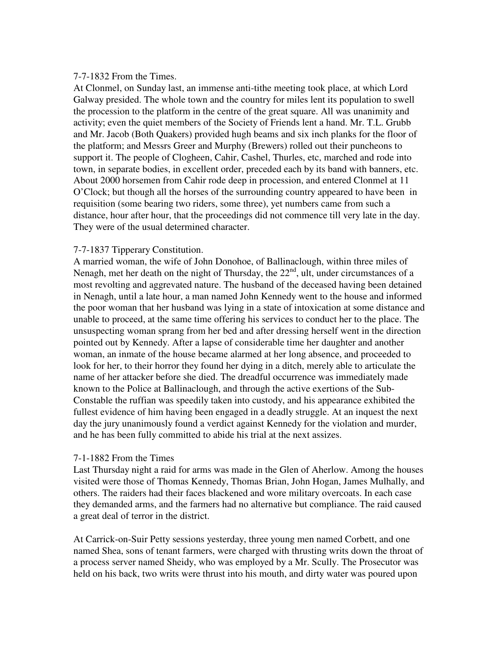### 7-7-1832 From the Times.

At Clonmel, on Sunday last, an immense anti-tithe meeting took place, at which Lord Galway presided. The whole town and the country for miles lent its population to swell the procession to the platform in the centre of the great square. All was unanimity and activity; even the quiet members of the Society of Friends lent a hand. Mr. T.L. Grubb and Mr. Jacob (Both Quakers) provided hugh beams and six inch planks for the floor of the platform; and Messrs Greer and Murphy (Brewers) rolled out their puncheons to support it. The people of Clogheen, Cahir, Cashel, Thurles, etc, marched and rode into town, in separate bodies, in excellent order, preceded each by its band with banners, etc. About 2000 horsemen from Cahir rode deep in procession, and entered Clonmel at 11 O'Clock; but though all the horses of the surrounding country appeared to have been in requisition (some bearing two riders, some three), yet numbers came from such a distance, hour after hour, that the proceedings did not commence till very late in the day. They were of the usual determined character.

## 7-7-1837 Tipperary Constitution.

A married woman, the wife of John Donohoe, of Ballinaclough, within three miles of Nenagh, met her death on the night of Thursday, the  $22<sup>nd</sup>$ , ult, under circumstances of a most revolting and aggrevated nature. The husband of the deceased having been detained in Nenagh, until a late hour, a man named John Kennedy went to the house and informed the poor woman that her husband was lying in a state of intoxication at some distance and unable to proceed, at the same time offering his services to conduct her to the place. The unsuspecting woman sprang from her bed and after dressing herself went in the direction pointed out by Kennedy. After a lapse of considerable time her daughter and another woman, an inmate of the house became alarmed at her long absence, and proceeded to look for her, to their horror they found her dying in a ditch, merely able to articulate the name of her attacker before she died. The dreadful occurrence was immediately made known to the Police at Ballinaclough, and through the active exertions of the Sub-Constable the ruffian was speedily taken into custody, and his appearance exhibited the fullest evidence of him having been engaged in a deadly struggle. At an inquest the next day the jury unanimously found a verdict against Kennedy for the violation and murder, and he has been fully committed to abide his trial at the next assizes.

#### 7-1-1882 From the Times

Last Thursday night a raid for arms was made in the Glen of Aherlow. Among the houses visited were those of Thomas Kennedy, Thomas Brian, John Hogan, James Mulhally, and others. The raiders had their faces blackened and wore military overcoats. In each case they demanded arms, and the farmers had no alternative but compliance. The raid caused a great deal of terror in the district.

At Carrick-on-Suir Petty sessions yesterday, three young men named Corbett, and one named Shea, sons of tenant farmers, were charged with thrusting writs down the throat of a process server named Sheidy, who was employed by a Mr. Scully. The Prosecutor was held on his back, two writs were thrust into his mouth, and dirty water was poured upon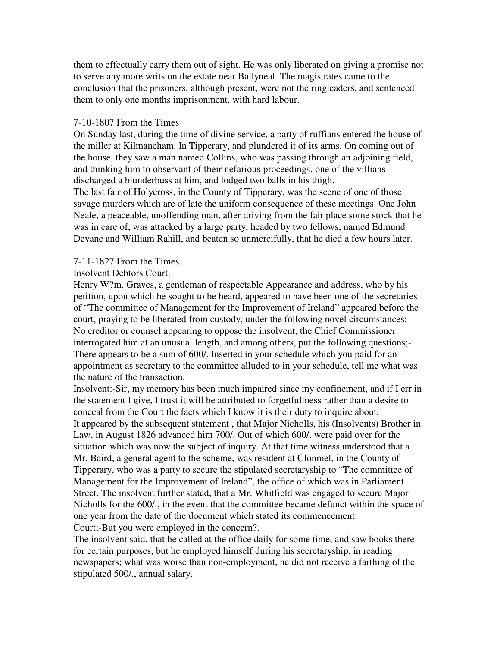them to effectually carry them out of sight. He was only liberated on giving a promise not to serve any more writs on the estate near Ballyneal. The magistrates came to the conclusion that the prisoners, although present, were not the ringleaders, and sentenced them to only one months imprisonment, with hard labour.

#### 7-10-1807 From the Times

On Sunday last, during the time of divine service, a party of ruffians entered the house of the miller at Kilmaneham. In Tipperary, and plundered it of its arms. On coming out of the house, they saw a man named Collins, who was passing through an adjoining field, and thinking him to observant of their nefarious proceedings, one of the villians discharged a blunderbuss at him, and lodged two balls in his thigh.

The last fair of Holycross, in the County of Tipperary, was the scene of one of those savage murders which are of late the uniform consequence of these meetings. One John Neale, a peaceable, unoffending man, after driving from the fair place some stock that he was in care of, was attacked by a large party, headed by two fellows, named Edmund Devane and William Rahill, and beaten so unmercifully, that he died a few hours later.

### 7-11-1827 From the Times.

Insolvent Debtors Court.

Henry W?m. Graves, a gentleman of respectable Appearance and address, who by his petition, upon which he sought to be heard, appeared to have been one of the secretaries of "The committee of Management for the Improvement of Ireland" appeared before the court, praying to be liberated from custody, under the following novel circumstances:- No creditor or counsel appearing to oppose the insolvent, the Chief Commissioner interrogated him at an unusual length, and among others, put the following questions;- There appears to be a sum of 600/. Inserted in your schedule which you paid for an appointment as secretary to the committee alluded to in your schedule, tell me what was the nature of the transaction.

Insolvent:-Sir, my memory has been much impaired since my confinement, and if I err in the statement I give, I trust it will be attributed to forgetfullness rather than a desire to conceal from the Court the facts which I know it is their duty to inquire about. It appeared by the subsequent statement , that Major Nicholls, his (Insolvents) Brother in Law, in August 1826 advanced him 700/. Out of which 600/. were paid over for the situation which was now the subject of inquiry. At that time witness understood that a Mr. Baird, a general agent to the scheme, was resident at Clonmel, in the County of Tipperary, who was a party to secure the stipulated secretaryship to "The committee of Management for the Improvement of Ireland", the office of which was in Parliament Street. The insolvent further stated, that a Mr. Whitfield was engaged to secure Major Nicholls for the 600/., in the event that the committee became defunct within the space of one year from the date of the document which stated its commencement.

Court;-But you were employed in the concern?.

The insolvent said, that he called at the office daily for some time, and saw books there for certain purposes, but he employed himself during his secretaryship, in reading newspapers; what was worse than non-employment, he did not receive a farthing of the stipulated 500/., annual salary.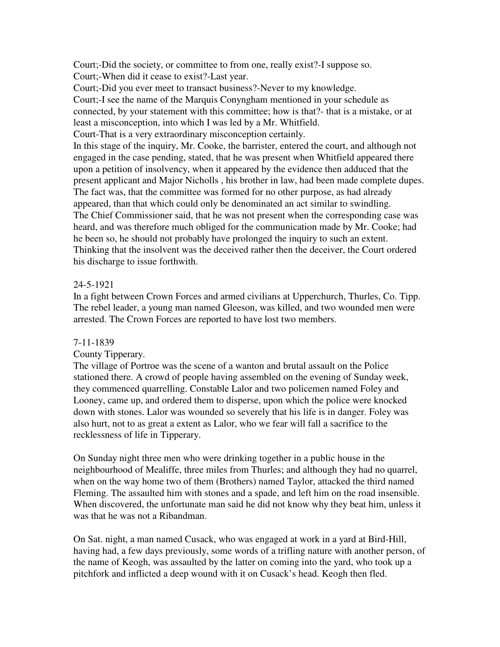Court;-Did the society, or committee to from one, really exist?-I suppose so.

Court;-When did it cease to exist?-Last year.

Court;-Did you ever meet to transact business?-Never to my knowledge.

Court;-I see the name of the Marquis Conyngham mentioned in your schedule as connected, by your statement with this committee; how is that?- that is a mistake, or at least a misconception, into which I was led by a Mr. Whitfield.

Court-That is a very extraordinary misconception certainly.

In this stage of the inquiry, Mr. Cooke, the barrister, entered the court, and although not engaged in the case pending, stated, that he was present when Whitfield appeared there upon a petition of insolvency, when it appeared by the evidence then adduced that the present applicant and Major Nicholls , his brother in law, had been made complete dupes. The fact was, that the committee was formed for no other purpose, as had already appeared, than that which could only be denominated an act similar to swindling. The Chief Commissioner said, that he was not present when the corresponding case was heard, and was therefore much obliged for the communication made by Mr. Cooke; had he been so, he should not probably have prolonged the inquiry to such an extent. Thinking that the insolvent was the deceived rather then the deceiver, the Court ordered his discharge to issue forthwith.

# 24-5-1921

In a fight between Crown Forces and armed civilians at Upperchurch, Thurles, Co. Tipp. The rebel leader, a young man named Gleeson, was killed, and two wounded men were arrested. The Crown Forces are reported to have lost two members.

# 7-11-1839

# County Tipperary.

The village of Portroe was the scene of a wanton and brutal assault on the Police stationed there. A crowd of people having assembled on the evening of Sunday week, they commenced quarrelling. Constable Lalor and two policemen named Foley and Looney, came up, and ordered them to disperse, upon which the police were knocked down with stones. Lalor was wounded so severely that his life is in danger. Foley was also hurt, not to as great a extent as Lalor, who we fear will fall a sacrifice to the recklessness of life in Tipperary.

On Sunday night three men who were drinking together in a public house in the neighbourhood of Mealiffe, three miles from Thurles; and although they had no quarrel, when on the way home two of them (Brothers) named Taylor, attacked the third named Fleming. The assaulted him with stones and a spade, and left him on the road insensible. When discovered, the unfortunate man said he did not know why they beat him, unless it was that he was not a Ribandman.

On Sat. night, a man named Cusack, who was engaged at work in a yard at Bird-Hill, having had, a few days previously, some words of a trifling nature with another person, of the name of Keogh, was assaulted by the latter on coming into the yard, who took up a pitchfork and inflicted a deep wound with it on Cusack's head. Keogh then fled.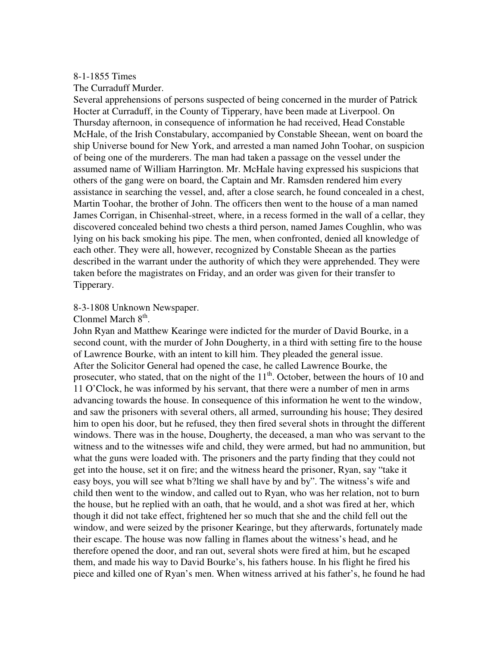#### 8-1-1855 Times

The Curraduff Murder.

Several apprehensions of persons suspected of being concerned in the murder of Patrick Hocter at Curraduff, in the County of Tipperary, have been made at Liverpool. On Thursday afternoon, in consequence of information he had received, Head Constable McHale, of the Irish Constabulary, accompanied by Constable Sheean, went on board the ship Universe bound for New York, and arrested a man named John Toohar, on suspicion of being one of the murderers. The man had taken a passage on the vessel under the assumed name of William Harrington. Mr. McHale having expressed his suspicions that others of the gang were on board, the Captain and Mr. Ramsden rendered him every assistance in searching the vessel, and, after a close search, he found concealed in a chest, Martin Toohar, the brother of John. The officers then went to the house of a man named James Corrigan, in Chisenhal-street, where, in a recess formed in the wall of a cellar, they discovered concealed behind two chests a third person, named James Coughlin, who was lying on his back smoking his pipe. The men, when confronted, denied all knowledge of each other. They were all, however, recognized by Constable Sheean as the parties described in the warrant under the authority of which they were apprehended. They were taken before the magistrates on Friday, and an order was given for their transfer to Tipperary.

# 8-3-1808 Unknown Newspaper.

# Clonmel March  $8<sup>th</sup>$ .

John Ryan and Matthew Kearinge were indicted for the murder of David Bourke, in a second count, with the murder of John Dougherty, in a third with setting fire to the house of Lawrence Bourke, with an intent to kill him. They pleaded the general issue. After the Solicitor General had opened the case, he called Lawrence Bourke, the prosecuter, who stated, that on the night of the  $11<sup>th</sup>$ . October, between the hours of 10 and 11 O'Clock, he was informed by his servant, that there were a number of men in arms advancing towards the house. In consequence of this information he went to the window, and saw the prisoners with several others, all armed, surrounding his house; They desired him to open his door, but he refused, they then fired several shots in throught the different windows. There was in the house, Dougherty, the deceased, a man who was servant to the witness and to the witnesses wife and child, they were armed, but had no ammunition, but what the guns were loaded with. The prisoners and the party finding that they could not get into the house, set it on fire; and the witness heard the prisoner, Ryan, say "take it easy boys, you will see what b?lting we shall have by and by". The witness's wife and child then went to the window, and called out to Ryan, who was her relation, not to burn the house, but he replied with an oath, that he would, and a shot was fired at her, which though it did not take effect, frightened her so much that she and the child fell out the window, and were seized by the prisoner Kearinge, but they afterwards, fortunately made their escape. The house was now falling in flames about the witness's head, and he therefore opened the door, and ran out, several shots were fired at him, but he escaped them, and made his way to David Bourke's, his fathers house. In his flight he fired his piece and killed one of Ryan's men. When witness arrived at his father's, he found he had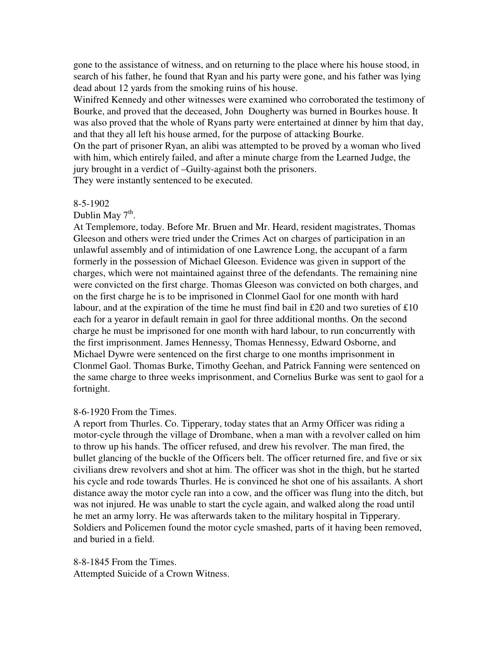gone to the assistance of witness, and on returning to the place where his house stood, in search of his father, he found that Ryan and his party were gone, and his father was lying dead about 12 yards from the smoking ruins of his house.

Winifred Kennedy and other witnesses were examined who corroborated the testimony of Bourke, and proved that the deceased, John Dougherty was burned in Bourkes house. It was also proved that the whole of Ryans party were entertained at dinner by him that day, and that they all left his house armed, for the purpose of attacking Bourke.

On the part of prisoner Ryan, an alibi was attempted to be proved by a woman who lived with him, which entirely failed, and after a minute charge from the Learned Judge, the jury brought in a verdict of –Guilty-against both the prisoners. They were instantly sentenced to be executed.

8-5-1902

# Dublin May  $7^{\text{th}}$ .

At Templemore, today. Before Mr. Bruen and Mr. Heard, resident magistrates, Thomas Gleeson and others were tried under the Crimes Act on charges of participation in an unlawful assembly and of intimidation of one Lawrence Long, the accupant of a farm formerly in the possession of Michael Gleeson. Evidence was given in support of the charges, which were not maintained against three of the defendants. The remaining nine were convicted on the first charge. Thomas Gleeson was convicted on both charges, and on the first charge he is to be imprisoned in Clonmel Gaol for one month with hard labour, and at the expiration of the time he must find bail in £20 and two sureties of £10 each for a yearor in default remain in gaol for three additional months. On the second charge he must be imprisoned for one month with hard labour, to run concurrently with the first imprisonment. James Hennessy, Thomas Hennessy, Edward Osborne, and Michael Dywre were sentenced on the first charge to one months imprisonment in Clonmel Gaol. Thomas Burke, Timothy Geehan, and Patrick Fanning were sentenced on the same charge to three weeks imprisonment, and Cornelius Burke was sent to gaol for a fortnight.

8-6-1920 From the Times.

A report from Thurles. Co. Tipperary, today states that an Army Officer was riding a motor-cycle through the village of Drombane, when a man with a revolver called on him to throw up his hands. The officer refused, and drew his revolver. The man fired, the bullet glancing of the buckle of the Officers belt. The officer returned fire, and five or six civilians drew revolvers and shot at him. The officer was shot in the thigh, but he started his cycle and rode towards Thurles. He is convinced he shot one of his assailants. A short distance away the motor cycle ran into a cow, and the officer was flung into the ditch, but was not injured. He was unable to start the cycle again, and walked along the road until he met an army lorry. He was afterwards taken to the military hospital in Tipperary. Soldiers and Policemen found the motor cycle smashed, parts of it having been removed, and buried in a field.

8-8-1845 From the Times. Attempted Suicide of a Crown Witness.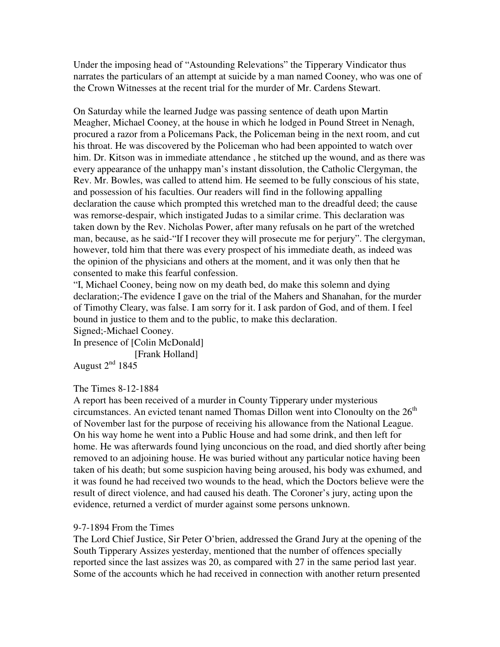Under the imposing head of "Astounding Relevations" the Tipperary Vindicator thus narrates the particulars of an attempt at suicide by a man named Cooney, who was one of the Crown Witnesses at the recent trial for the murder of Mr. Cardens Stewart.

On Saturday while the learned Judge was passing sentence of death upon Martin Meagher, Michael Cooney, at the house in which he lodged in Pound Street in Nenagh, procured a razor from a Policemans Pack, the Policeman being in the next room, and cut his throat. He was discovered by the Policeman who had been appointed to watch over him. Dr. Kitson was in immediate attendance , he stitched up the wound, and as there was every appearance of the unhappy man's instant dissolution, the Catholic Clergyman, the Rev. Mr. Bowles, was called to attend him. He seemed to be fully conscious of his state, and possession of his faculties. Our readers will find in the following appalling declaration the cause which prompted this wretched man to the dreadful deed; the cause was remorse-despair, which instigated Judas to a similar crime. This declaration was taken down by the Rev. Nicholas Power, after many refusals on he part of the wretched man, because, as he said-"If I recover they will prosecute me for perjury". The clergyman, however, told him that there was every prospect of his immediate death, as indeed was the opinion of the physicians and others at the moment, and it was only then that he consented to make this fearful confession.

"I, Michael Cooney, being now on my death bed, do make this solemn and dying declaration;-The evidence I gave on the trial of the Mahers and Shanahan, for the murder of Timothy Cleary, was false. I am sorry for it. I ask pardon of God, and of them. I feel bound in justice to them and to the public, to make this declaration.

Signed;-Michael Cooney.

In presence of [Colin McDonald] [Frank Holland]

August  $2<sup>nd</sup> 1845$ 

## The Times 8-12-1884

A report has been received of a murder in County Tipperary under mysterious circumstances. An evicted tenant named Thomas Dillon went into Clonoulty on the  $26<sup>th</sup>$ of November last for the purpose of receiving his allowance from the National League. On his way home he went into a Public House and had some drink, and then left for home. He was afterwards found lying unconcious on the road, and died shortly after being removed to an adjoining house. He was buried without any particular notice having been taken of his death; but some suspicion having being aroused, his body was exhumed, and it was found he had received two wounds to the head, which the Doctors believe were the result of direct violence, and had caused his death. The Coroner's jury, acting upon the evidence, returned a verdict of murder against some persons unknown.

## 9-7-1894 From the Times

The Lord Chief Justice, Sir Peter O'brien, addressed the Grand Jury at the opening of the South Tipperary Assizes yesterday, mentioned that the number of offences specially reported since the last assizes was 20, as compared with 27 in the same period last year. Some of the accounts which he had received in connection with another return presented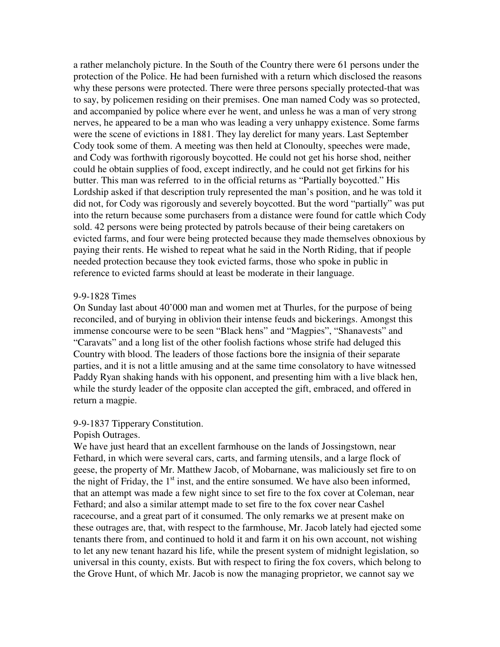a rather melancholy picture. In the South of the Country there were 61 persons under the protection of the Police. He had been furnished with a return which disclosed the reasons why these persons were protected. There were three persons specially protected-that was to say, by policemen residing on their premises. One man named Cody was so protected, and accompanied by police where ever he went, and unless he was a man of very strong nerves, he appeared to be a man who was leading a very unhappy existence. Some farms were the scene of evictions in 1881. They lay derelict for many years. Last September Cody took some of them. A meeting was then held at Clonoulty, speeches were made, and Cody was forthwith rigorously boycotted. He could not get his horse shod, neither could he obtain supplies of food, except indirectly, and he could not get firkins for his butter. This man was referred to in the official returns as "Partially boycotted." His Lordship asked if that description truly represented the man's position, and he was told it did not, for Cody was rigorously and severely boycotted. But the word "partially" was put into the return because some purchasers from a distance were found for cattle which Cody sold. 42 persons were being protected by patrols because of their being caretakers on evicted farms, and four were being protected because they made themselves obnoxious by paying their rents. He wished to repeat what he said in the North Riding, that if people needed protection because they took evicted farms, those who spoke in public in reference to evicted farms should at least be moderate in their language.

### 9-9-1828 Times

On Sunday last about 40'000 man and women met at Thurles, for the purpose of being reconciled, and of burying in oblivion their intense feuds and bickerings. Amongst this immense concourse were to be seen "Black hens" and "Magpies", "Shanavests" and "Caravats" and a long list of the other foolish factions whose strife had deluged this Country with blood. The leaders of those factions bore the insignia of their separate parties, and it is not a little amusing and at the same time consolatory to have witnessed Paddy Ryan shaking hands with his opponent, and presenting him with a live black hen, while the sturdy leader of the opposite clan accepted the gift, embraced, and offered in return a magpie.

#### 9-9-1837 Tipperary Constitution.

#### Popish Outrages.

We have just heard that an excellent farmhouse on the lands of Jossingstown, near Fethard, in which were several cars, carts, and farming utensils, and a large flock of geese, the property of Mr. Matthew Jacob, of Mobarnane, was maliciously set fire to on the night of Friday, the  $1<sup>st</sup>$  inst, and the entire sonsumed. We have also been informed, that an attempt was made a few night since to set fire to the fox cover at Coleman, near Fethard; and also a similar attempt made to set fire to the fox cover near Cashel racecourse, and a great part of it consumed. The only remarks we at present make on these outrages are, that, with respect to the farmhouse, Mr. Jacob lately had ejected some tenants there from, and continued to hold it and farm it on his own account, not wishing to let any new tenant hazard his life, while the present system of midnight legislation, so universal in this county, exists. But with respect to firing the fox covers, which belong to the Grove Hunt, of which Mr. Jacob is now the managing proprietor, we cannot say we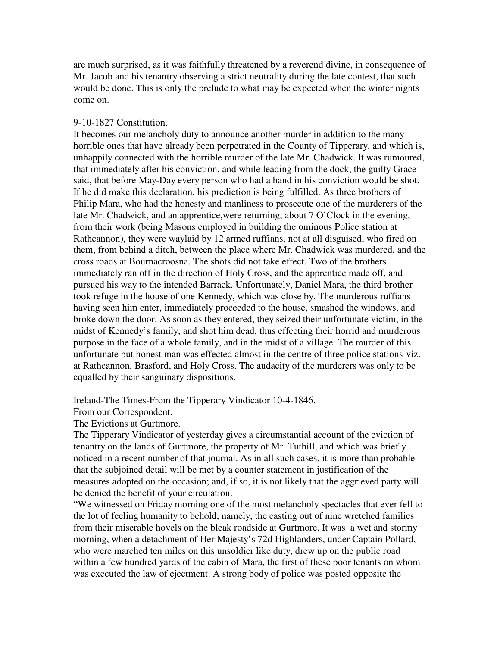are much surprised, as it was faithfully threatened by a reverend divine, in consequence of Mr. Jacob and his tenantry observing a strict neutrality during the late contest, that such would be done. This is only the prelude to what may be expected when the winter nights come on.

### 9-10-1827 Constitution.

It becomes our melancholy duty to announce another murder in addition to the many horrible ones that have already been perpetrated in the County of Tipperary, and which is, unhappily connected with the horrible murder of the late Mr. Chadwick. It was rumoured, that immediately after his conviction, and while leading from the dock, the guilty Grace said, that before May-Day every person who had a hand in his conviction would be shot. If he did make this declaration, his prediction is being fulfilled. As three brothers of Philip Mara, who had the honesty and manliness to prosecute one of the murderers of the late Mr. Chadwick, and an apprentice,were returning, about 7 O'Clock in the evening, from their work (being Masons employed in building the ominous Police station at Rathcannon), they were waylaid by 12 armed ruffians, not at all disguised, who fired on them, from behind a ditch, between the place where Mr. Chadwick was murdered, and the cross roads at Bournacroosna. The shots did not take effect. Two of the brothers immediately ran off in the direction of Holy Cross, and the apprentice made off, and pursued his way to the intended Barrack. Unfortunately, Daniel Mara, the third brother took refuge in the house of one Kennedy, which was close by. The murderous ruffians having seen him enter, immediately proceeded to the house, smashed the windows, and broke down the door. As soon as they entered, they seized their unfortunate victim, in the midst of Kennedy's family, and shot him dead, thus effecting their horrid and murderous purpose in the face of a whole family, and in the midst of a village. The murder of this unfortunate but honest man was effected almost in the centre of three police stations-viz. at Rathcannon, Brasford, and Holy Cross. The audacity of the murderers was only to be equalled by their sanguinary dispositions.

Ireland-The Times-From the Tipperary Vindicator 10-4-1846.

From our Correspondent.

The Evictions at Gurtmore.

The Tipperary Vindicator of yesterday gives a circumstantial account of the eviction of tenantry on the lands of Gurtmore, the property of Mr. Tuthill, and which was briefly noticed in a recent number of that journal. As in all such cases, it is more than probable that the subjoined detail will be met by a counter statement in justification of the measures adopted on the occasion; and, if so, it is not likely that the aggrieved party will be denied the benefit of your circulation.

"We witnessed on Friday morning one of the most melancholy spectacles that ever fell to the lot of feeling humanity to behold, namely, the casting out of nine wretched families from their miserable hovels on the bleak roadside at Gurtmore. It was a wet and stormy morning, when a detachment of Her Majesty's 72d Highlanders, under Captain Pollard, who were marched ten miles on this unsoldier like duty, drew up on the public road within a few hundred yards of the cabin of Mara, the first of these poor tenants on whom was executed the law of ejectment. A strong body of police was posted opposite the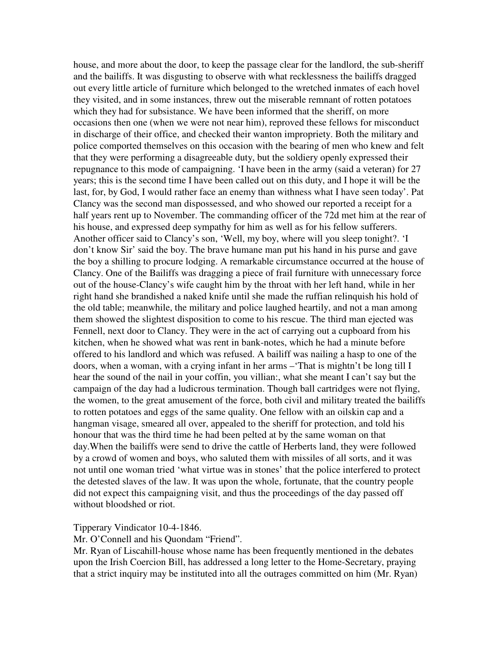house, and more about the door, to keep the passage clear for the landlord, the sub-sheriff and the bailiffs. It was disgusting to observe with what recklessness the bailiffs dragged out every little article of furniture which belonged to the wretched inmates of each hovel they visited, and in some instances, threw out the miserable remnant of rotten potatoes which they had for subsistance. We have been informed that the sheriff, on more occasions then one (when we were not near him), reproved these fellows for misconduct in discharge of their office, and checked their wanton impropriety. Both the military and police comported themselves on this occasion with the bearing of men who knew and felt that they were performing a disagreeable duty, but the soldiery openly expressed their repugnance to this mode of campaigning. 'I have been in the army (said a veteran) for 27 years; this is the second time I have been called out on this duty, and I hope it will be the last, for, by God, I would rather face an enemy than withness what I have seen today'. Pat Clancy was the second man dispossessed, and who showed our reported a receipt for a half years rent up to November. The commanding officer of the 72d met him at the rear of his house, and expressed deep sympathy for him as well as for his fellow sufferers. Another officer said to Clancy's son, 'Well, my boy, where will you sleep tonight?. 'I don't know Sir' said the boy. The brave humane man put his hand in his purse and gave the boy a shilling to procure lodging. A remarkable circumstance occurred at the house of Clancy. One of the Bailiffs was dragging a piece of frail furniture with unnecessary force out of the house-Clancy's wife caught him by the throat with her left hand, while in her right hand she brandished a naked knife until she made the ruffian relinquish his hold of the old table; meanwhile, the military and police laughed heartily, and not a man among them showed the slightest disposition to come to his rescue. The third man ejected was Fennell, next door to Clancy. They were in the act of carrying out a cupboard from his kitchen, when he showed what was rent in bank-notes, which he had a minute before offered to his landlord and which was refused. A bailiff was nailing a hasp to one of the doors, when a woman, with a crying infant in her arms –'That is mightn't be long till I hear the sound of the nail in your coffin, you villian:, what she meant I can't say but the campaign of the day had a ludicrous termination. Though ball cartridges were not flying, the women, to the great amusement of the force, both civil and military treated the bailiffs to rotten potatoes and eggs of the same quality. One fellow with an oilskin cap and a hangman visage, smeared all over, appealed to the sheriff for protection, and told his honour that was the third time he had been pelted at by the same woman on that day.When the bailiffs were send to drive the cattle of Herberts land, they were followed by a crowd of women and boys, who saluted them with missiles of all sorts, and it was not until one woman tried 'what virtue was in stones' that the police interfered to protect the detested slaves of the law. It was upon the whole, fortunate, that the country people did not expect this campaigning visit, and thus the proceedings of the day passed off without bloodshed or riot.

#### Tipperary Vindicator 10-4-1846.

Mr. O'Connell and his Quondam "Friend".

Mr. Ryan of Liscahill-house whose name has been frequently mentioned in the debates upon the Irish Coercion Bill, has addressed a long letter to the Home-Secretary, praying that a strict inquiry may be instituted into all the outrages committed on him (Mr. Ryan)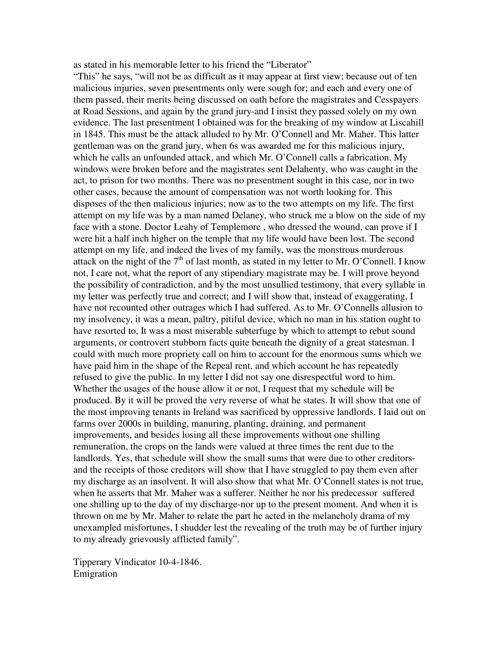as stated in his memorable letter to his friend the "Liberator"

"This" he says, "will not be as difficult as it may appear at first view; because out of ten malicious injuries, seven presentments only were sough for; and each and every one of them passed, their merits being discussed on oath before the magistrates and Cesspayers at Road Sessions, and again by the grand jury-and I insist they passed solely on my own evidence. The last presentment I obtained was for the breaking of my window at Liscahill in 1845. This must be the attack alluded to by Mr. O'Connell and Mr. Maher. This latter gentleman was on the grand jury, when 6s was awarded me for this malicious injury, which he calls an unfounded attack, and which Mr. O'Connell calls a fabrication. My windows were broken before and the magistrates sent Delahenty, who was caught in the act, to prison for two months. There was no presentment sought in this case, nor in two other cases, because the amount of compensation was not worth looking for. This disposes of the then malicious injuries; now as to the two attempts on my life. The first attempt on my life was by a man named Delaney, who struck me a blow on the side of my face with a stone. Doctor Leahy of Templemore , who dressed the wound, can prove if I were hit a half inch higher on the temple that my life would have been lost. The second attempt on my life, and indeed the lives of my family, was the monstrous murderous attack on the night of the  $7<sup>th</sup>$  of last month, as stated in my letter to Mr. O'Connell. I know not, I care not, what the report of any stipendiary magistrate may be. I will prove beyond the possibility of contradiction, and by the most unsullied testimony, that every syllable in my letter was perfectly true and correct; and I will show that, instead of exaggerating, I have not recounted other outrages which I had suffered. As to Mr. O'Connells allusion to my insolvency, it was a mean, paltry, pitiful device, which no man in his station ought to have resorted to, It was a most miserable subterfuge by which to attempt to rebut sound arguments, or controvert stubborn facts quite beneath the dignity of a great statesman. I could with much more propriety call on him to account for the enormous sums which we have paid him in the shape of the Repeal rent, and which account he has repeatedly refused to give the public. In my letter I did not say one disrespectful word to him. Whether the usages of the house allow it or not, I request that my schedule will be produced. By it will be proved the very reverse of what he states. It will show that one of the most improving tenants in Ireland was sacrificed by oppressive landlords. I laid out on farms over 2000s in building, manuring, planting, draining, and permanent improvements, and besides losing all these improvements without one shilling remuneration, the crops on the lands were valued at three times the rent due to the landlords. Yes, that schedule will show the small sums that were due to other creditorsand the receipts of those creditors will show that I have struggled to pay them even after my discharge as an insolvent. It will also show that what Mr. O'Connell states is not true, when he asserts that Mr. Maher was a sufferer. Neither he nor his predecessor suffered one shilling up to the day of my discharge-nor up to the present moment. And when it is thrown on me by Mr. Maher to relate the part he acted in the melancholy drama of my unexampled misfortunes, I shudder lest the revealing of the truth may be of further injury to my already grievously afflicted family".

Tipperary Vindicator 10-4-1846. Emigration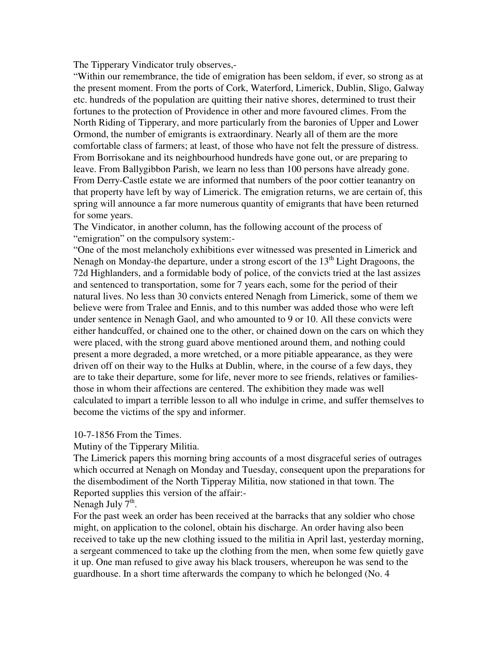The Tipperary Vindicator truly observes,-

"Within our remembrance, the tide of emigration has been seldom, if ever, so strong as at the present moment. From the ports of Cork, Waterford, Limerick, Dublin, Sligo, Galway etc. hundreds of the population are quitting their native shores, determined to trust their fortunes to the protection of Providence in other and more favoured climes. From the North Riding of Tipperary, and more particularly from the baronies of Upper and Lower Ormond, the number of emigrants is extraordinary. Nearly all of them are the more comfortable class of farmers; at least, of those who have not felt the pressure of distress. From Borrisokane and its neighbourhood hundreds have gone out, or are preparing to leave. From Ballygibbon Parish, we learn no less than 100 persons have already gone. From Derry-Castle estate we are informed that numbers of the poor cottier teanantry on that property have left by way of Limerick. The emigration returns, we are certain of, this spring will announce a far more numerous quantity of emigrants that have been returned for some years.

The Vindicator, in another column, has the following account of the process of "emigration" on the compulsory system:-

"One of the most melancholy exhibitions ever witnessed was presented in Limerick and Nenagh on Monday-the departure, under a strong escort of the  $13<sup>th</sup>$  Light Dragoons, the 72d Highlanders, and a formidable body of police, of the convicts tried at the last assizes and sentenced to transportation, some for 7 years each, some for the period of their natural lives. No less than 30 convicts entered Nenagh from Limerick, some of them we believe were from Tralee and Ennis, and to this number was added those who were left under sentence in Nenagh Gaol, and who amounted to 9 or 10. All these convicts were either handcuffed, or chained one to the other, or chained down on the cars on which they were placed, with the strong guard above mentioned around them, and nothing could present a more degraded, a more wretched, or a more pitiable appearance, as they were driven off on their way to the Hulks at Dublin, where, in the course of a few days, they are to take their departure, some for life, never more to see friends, relatives or familiesthose in whom their affections are centered. The exhibition they made was well calculated to impart a terrible lesson to all who indulge in crime, and suffer themselves to become the victims of the spy and informer.

10-7-1856 From the Times.

Mutiny of the Tipperary Militia.

The Limerick papers this morning bring accounts of a most disgraceful series of outrages which occurred at Nenagh on Monday and Tuesday, consequent upon the preparations for the disembodiment of the North Tipperay Militia, now stationed in that town. The Reported supplies this version of the affair:-

Nenagh July  $7<sup>th</sup>$ .

For the past week an order has been received at the barracks that any soldier who chose might, on application to the colonel, obtain his discharge. An order having also been received to take up the new clothing issued to the militia in April last, yesterday morning, a sergeant commenced to take up the clothing from the men, when some few quietly gave it up. One man refused to give away his black trousers, whereupon he was send to the guardhouse. In a short time afterwards the company to which he belonged (No. 4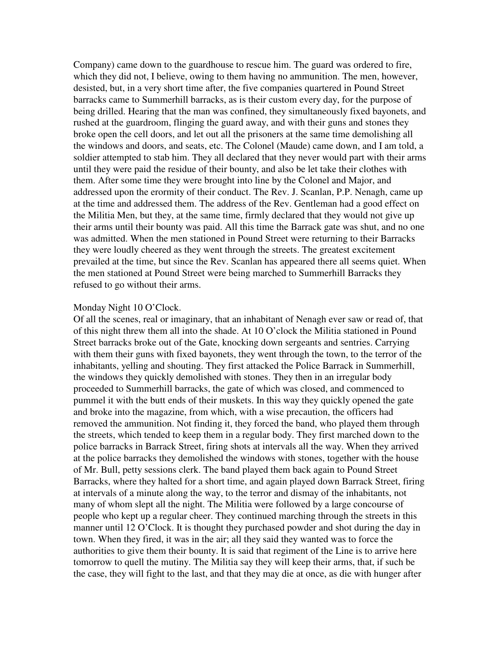Company) came down to the guardhouse to rescue him. The guard was ordered to fire, which they did not, I believe, owing to them having no ammunition. The men, however, desisted, but, in a very short time after, the five companies quartered in Pound Street barracks came to Summerhill barracks, as is their custom every day, for the purpose of being drilled. Hearing that the man was confined, they simultaneously fixed bayonets, and rushed at the guardroom, flinging the guard away, and with their guns and stones they broke open the cell doors, and let out all the prisoners at the same time demolishing all the windows and doors, and seats, etc. The Colonel (Maude) came down, and I am told, a soldier attempted to stab him. They all declared that they never would part with their arms until they were paid the residue of their bounty, and also be let take their clothes with them. After some time they were brought into line by the Colonel and Major, and addressed upon the erormity of their conduct. The Rev. J. Scanlan, P.P. Nenagh, came up at the time and addressed them. The address of the Rev. Gentleman had a good effect on the Militia Men, but they, at the same time, firmly declared that they would not give up their arms until their bounty was paid. All this time the Barrack gate was shut, and no one was admitted. When the men stationed in Pound Street were returning to their Barracks they were loudly cheered as they went through the streets. The greatest excitement prevailed at the time, but since the Rev. Scanlan has appeared there all seems quiet. When the men stationed at Pound Street were being marched to Summerhill Barracks they refused to go without their arms.

#### Monday Night 10 O'Clock.

Of all the scenes, real or imaginary, that an inhabitant of Nenagh ever saw or read of, that of this night threw them all into the shade. At 10 O'clock the Militia stationed in Pound Street barracks broke out of the Gate, knocking down sergeants and sentries. Carrying with them their guns with fixed bayonets, they went through the town, to the terror of the inhabitants, yelling and shouting. They first attacked the Police Barrack in Summerhill, the windows they quickly demolished with stones. They then in an irregular body proceeded to Summerhill barracks, the gate of which was closed, and commenced to pummel it with the butt ends of their muskets. In this way they quickly opened the gate and broke into the magazine, from which, with a wise precaution, the officers had removed the ammunition. Not finding it, they forced the band, who played them through the streets, which tended to keep them in a regular body. They first marched down to the police barracks in Barrack Street, firing shots at intervals all the way. When they arrived at the police barracks they demolished the windows with stones, together with the house of Mr. Bull, petty sessions clerk. The band played them back again to Pound Street Barracks, where they halted for a short time, and again played down Barrack Street, firing at intervals of a minute along the way, to the terror and dismay of the inhabitants, not many of whom slept all the night. The Militia were followed by a large concourse of people who kept up a regular cheer. They continued marching through the streets in this manner until 12 O'Clock. It is thought they purchased powder and shot during the day in town. When they fired, it was in the air; all they said they wanted was to force the authorities to give them their bounty. It is said that regiment of the Line is to arrive here tomorrow to quell the mutiny. The Militia say they will keep their arms, that, if such be the case, they will fight to the last, and that they may die at once, as die with hunger after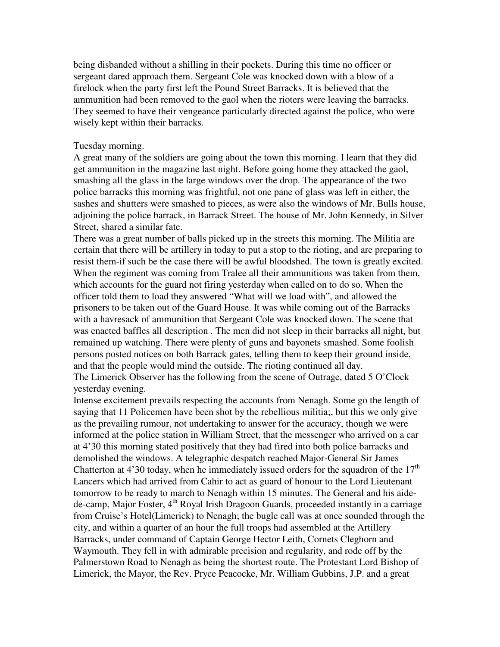being disbanded without a shilling in their pockets. During this time no officer or sergeant dared approach them. Sergeant Cole was knocked down with a blow of a firelock when the party first left the Pound Street Barracks. It is believed that the ammunition had been removed to the gaol when the rioters were leaving the barracks. They seemed to have their vengeance particularly directed against the police, who were wisely kept within their barracks.

#### Tuesday morning.

A great many of the soldiers are going about the town this morning. I learn that they did get ammunition in the magazine last night. Before going home they attacked the gaol, smashing all the glass in the large windows over the drop. The appearance of the two police barracks this morning was frightful, not one pane of glass was left in either, the sashes and shutters were smashed to pieces, as were also the windows of Mr. Bulls house, adjoining the police barrack, in Barrack Street. The house of Mr. John Kennedy, in Silver Street, shared a similar fate.

There was a great number of balls picked up in the streets this morning. The Militia are certain that there will be artillery in today to put a stop to the rioting, and are preparing to resist them-if such be the case there will be awful bloodshed. The town is greatly excited. When the regiment was coming from Tralee all their ammunitions was taken from them, which accounts for the guard not firing yesterday when called on to do so. When the officer told them to load they answered "What will we load with", and allowed the prisoners to be taken out of the Guard House. It was while coming out of the Barracks with a havresack of ammunition that Sergeant Cole was knocked down. The scene that was enacted baffles all description . The men did not sleep in their barracks all night, but remained up watching. There were plenty of guns and bayonets smashed. Some foolish persons posted notices on both Barrack gates, telling them to keep their ground inside, and that the people would mind the outside. The rioting continued all day.

The Limerick Observer has the following from the scene of Outrage, dated 5 O'Clock yesterday evening.

Intense excitement prevails respecting the accounts from Nenagh. Some go the length of saying that 11 Policemen have been shot by the rebellious militia;, but this we only give as the prevailing rumour, not undertaking to answer for the accuracy, though we were informed at the police station in William Street, that the messenger who arrived on a car at 4'30 this morning stated positively that they had fired into both police barracks and demolished the windows. A telegraphic despatch reached Major-General Sir James Chatterton at 4'30 today, when he immediately issued orders for the squadron of the  $17<sup>th</sup>$ Lancers which had arrived from Cahir to act as guard of honour to the Lord Lieutenant tomorrow to be ready to march to Nenagh within 15 minutes. The General and his aidede-camp, Major Foster, 4<sup>th</sup> Royal Irish Dragoon Guards, proceeded instantly in a carriage from Cruise's Hotel(Limerick) to Nenagh; the bugle call was at once sounded through the city, and within a quarter of an hour the full troops had assembled at the Artillery Barracks, under command of Captain George Hector Leith, Cornets Cleghorn and Waymouth. They fell in with admirable precision and regularity, and rode off by the Palmerstown Road to Nenagh as being the shortest route. The Protestant Lord Bishop of Limerick, the Mayor, the Rev. Pryce Peacocke, Mr. William Gubbins, J.P. and a great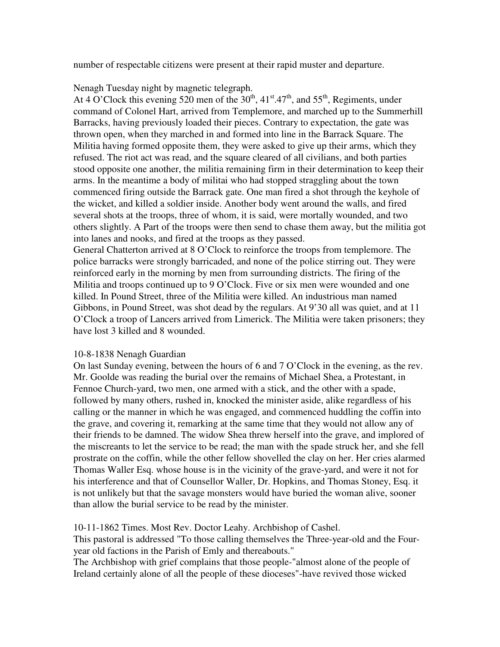number of respectable citizens were present at their rapid muster and departure.

Nenagh Tuesday night by magnetic telegraph.

At 4 O'Clock this evening 520 men of the  $30<sup>th</sup>$ ,  $41<sup>st</sup>$ ,  $47<sup>th</sup>$ , and  $55<sup>th</sup>$ , Regiments, under command of Colonel Hart, arrived from Templemore, and marched up to the Summerhill Barracks, having previously loaded their pieces. Contrary to expectation, the gate was thrown open, when they marched in and formed into line in the Barrack Square. The Militia having formed opposite them, they were asked to give up their arms, which they refused. The riot act was read, and the square cleared of all civilians, and both parties stood opposite one another, the militia remaining firm in their determination to keep their arms. In the meantime a body of militai who had stopped straggling about the town commenced firing outside the Barrack gate. One man fired a shot through the keyhole of the wicket, and killed a soldier inside. Another body went around the walls, and fired several shots at the troops, three of whom, it is said, were mortally wounded, and two others slightly. A Part of the troops were then send to chase them away, but the militia got into lanes and nooks, and fired at the troops as they passed.

General Chatterton arrived at 8 O'Clock to reinforce the troops from templemore. The police barracks were strongly barricaded, and none of the police stirring out. They were reinforced early in the morning by men from surrounding districts. The firing of the Militia and troops continued up to 9 O'Clock. Five or six men were wounded and one killed. In Pound Street, three of the Militia were killed. An industrious man named Gibbons, in Pound Street, was shot dead by the regulars. At 9'30 all was quiet, and at 11 O'Clock a troop of Lancers arrived from Limerick. The Militia were taken prisoners; they have lost 3 killed and 8 wounded.

## 10-8-1838 Nenagh Guardian

On last Sunday evening, between the hours of 6 and 7 O'Clock in the evening, as the rev. Mr. Goolde was reading the burial over the remains of Michael Shea, a Protestant, in Fennoe Church-yard, two men, one armed with a stick, and the other with a spade, followed by many others, rushed in, knocked the minister aside, alike regardless of his calling or the manner in which he was engaged, and commenced huddling the coffin into the grave, and covering it, remarking at the same time that they would not allow any of their friends to be damned. The widow Shea threw herself into the grave, and implored of the miscreants to let the service to be read; the man with the spade struck her, and she fell prostrate on the coffin, while the other fellow shovelled the clay on her. Her cries alarmed Thomas Waller Esq. whose house is in the vicinity of the grave-yard, and were it not for his interference and that of Counsellor Waller, Dr. Hopkins, and Thomas Stoney, Esq. it is not unlikely but that the savage monsters would have buried the woman alive, sooner than allow the burial service to be read by the minister.

## 10-11-1862 Times. Most Rev. Doctor Leahy. Archbishop of Cashel.

This pastoral is addressed "To those calling themselves the Three-year-old and the Fouryear old factions in the Parish of Emly and thereabouts."

The Archbishop with grief complains that those people-"almost alone of the people of Ireland certainly alone of all the people of these dioceses"-have revived those wicked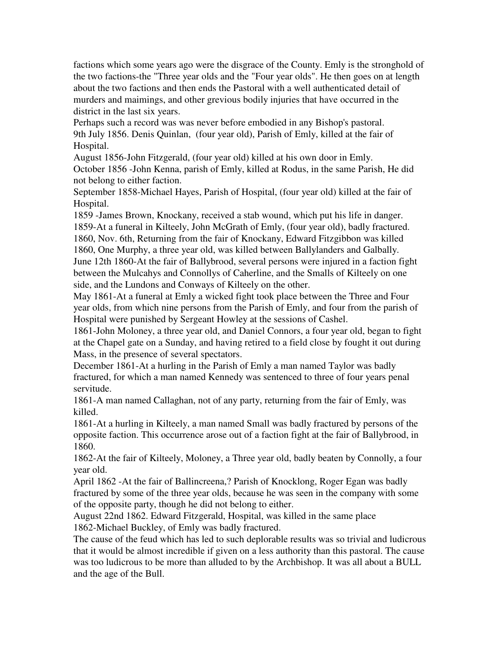factions which some years ago were the disgrace of the County. Emly is the stronghold of the two factions-the "Three year olds and the "Four year olds". He then goes on at length about the two factions and then ends the Pastoral with a well authenticated detail of murders and maimings, and other grevious bodily injuries that have occurred in the district in the last six years.

Perhaps such a record was was never before embodied in any Bishop's pastoral. 9th July 1856. Denis Quinlan, (four year old), Parish of Emly, killed at the fair of Hospital.

August 1856-John Fitzgerald, (four year old) killed at his own door in Emly. October 1856 -John Kenna, parish of Emly, killed at Rodus, in the same Parish, He did not belong to either faction.

September 1858-Michael Hayes, Parish of Hospital, (four year old) killed at the fair of Hospital.

1859 -James Brown, Knockany, received a stab wound, which put his life in danger. 1859-At a funeral in Kilteely, John McGrath of Emly, (four year old), badly fractured. 1860, Nov. 6th, Returning from the fair of Knockany, Edward Fitzgibbon was killed

1860, One Murphy, a three year old, was killed between Ballylanders and Galbally. June 12th 1860-At the fair of Ballybrood, several persons were injured in a faction fight between the Mulcahys and Connollys of Caherline, and the Smalls of Kilteely on one side, and the Lundons and Conways of Kilteely on the other.

May 1861-At a funeral at Emly a wicked fight took place between the Three and Four year olds, from which nine persons from the Parish of Emly, and four from the parish of Hospital were punished by Sergeant Howley at the sessions of Cashel.

1861-John Moloney, a three year old, and Daniel Connors, a four year old, began to fight at the Chapel gate on a Sunday, and having retired to a field close by fought it out during Mass, in the presence of several spectators.

December 1861-At a hurling in the Parish of Emly a man named Taylor was badly fractured, for which a man named Kennedy was sentenced to three of four years penal servitude.

1861-A man named Callaghan, not of any party, returning from the fair of Emly, was killed.

1861-At a hurling in Kilteely, a man named Small was badly fractured by persons of the opposite faction. This occurrence arose out of a faction fight at the fair of Ballybrood, in 1860.

1862-At the fair of Kilteely, Moloney, a Three year old, badly beaten by Connolly, a four year old.

April 1862 -At the fair of Ballincreena,? Parish of Knocklong, Roger Egan was badly fractured by some of the three year olds, because he was seen in the company with some of the opposite party, though he did not belong to either.

August 22nd 1862. Edward Fitzgerald, Hospital, was killed in the same place 1862-Michael Buckley, of Emly was badly fractured.

The cause of the feud which has led to such deplorable results was so trivial and ludicrous that it would be almost incredible if given on a less authority than this pastoral. The cause was too ludicrous to be more than alluded to by the Archbishop. It was all about a BULL and the age of the Bull.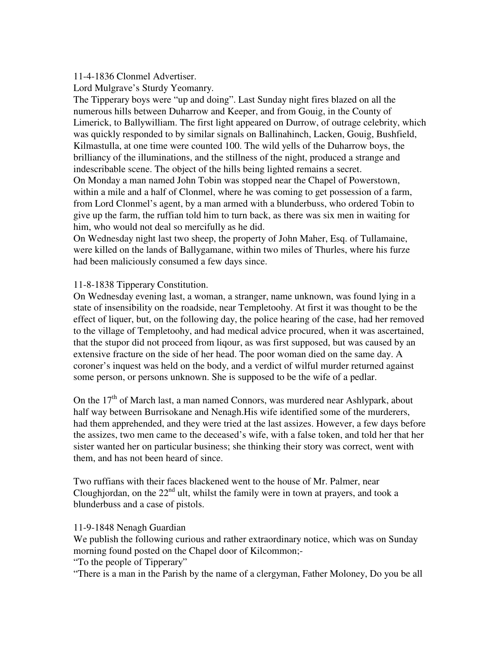11-4-1836 Clonmel Advertiser.

Lord Mulgrave's Sturdy Yeomanry.

The Tipperary boys were "up and doing". Last Sunday night fires blazed on all the numerous hills between Duharrow and Keeper, and from Gouig, in the County of Limerick, to Ballywilliam. The first light appeared on Durrow, of outrage celebrity, which was quickly responded to by similar signals on Ballinahinch, Lacken, Gouig, Bushfield, Kilmastulla, at one time were counted 100. The wild yells of the Duharrow boys, the brilliancy of the illuminations, and the stillness of the night, produced a strange and indescribable scene. The object of the hills being lighted remains a secret.

On Monday a man named John Tobin was stopped near the Chapel of Powerstown, within a mile and a half of Clonmel, where he was coming to get possession of a farm, from Lord Clonmel's agent, by a man armed with a blunderbuss, who ordered Tobin to give up the farm, the ruffian told him to turn back, as there was six men in waiting for him, who would not deal so mercifully as he did.

On Wednesday night last two sheep, the property of John Maher, Esq. of Tullamaine, were killed on the lands of Ballygamane, within two miles of Thurles, where his furze had been maliciously consumed a few days since.

# 11-8-1838 Tipperary Constitution.

On Wednesday evening last, a woman, a stranger, name unknown, was found lying in a state of insensibility on the roadside, near Templetoohy. At first it was thought to be the effect of liquer, but, on the following day, the police hearing of the case, had her removed to the village of Templetoohy, and had medical advice procured, when it was ascertained, that the stupor did not proceed from liqour, as was first supposed, but was caused by an extensive fracture on the side of her head. The poor woman died on the same day. A coroner's inquest was held on the body, and a verdict of wilful murder returned against some person, or persons unknown. She is supposed to be the wife of a pedlar.

On the  $17<sup>th</sup>$  of March last, a man named Connors, was murdered near Ashlypark, about half way between Burrisokane and Nenagh.His wife identified some of the murderers, had them apprehended, and they were tried at the last assizes. However, a few days before the assizes, two men came to the deceased's wife, with a false token, and told her that her sister wanted her on particular business; she thinking their story was correct, went with them, and has not been heard of since.

Two ruffians with their faces blackened went to the house of Mr. Palmer, near Cloughjordan, on the  $22<sup>nd</sup>$  ult, whilst the family were in town at prayers, and took a blunderbuss and a case of pistols.

# 11-9-1848 Nenagh Guardian

We publish the following curious and rather extraordinary notice, which was on Sunday morning found posted on the Chapel door of Kilcommon;- "To the people of Tipperary"

"There is a man in the Parish by the name of a clergyman, Father Moloney, Do you be all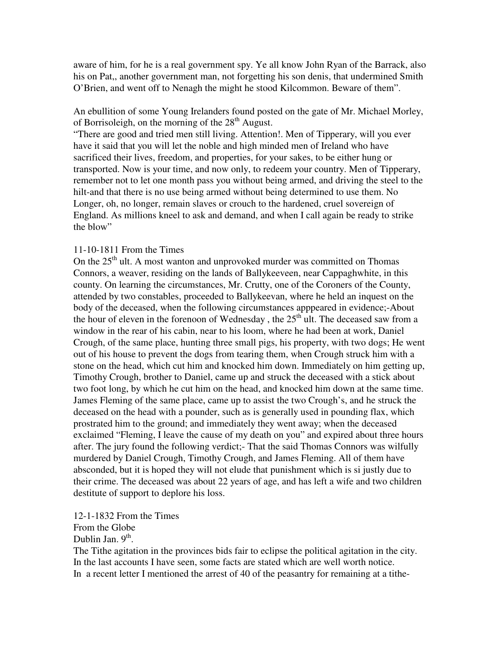aware of him, for he is a real government spy. Ye all know John Ryan of the Barrack, also his on Pat,, another government man, not forgetting his son denis, that undermined Smith O'Brien, and went off to Nenagh the might he stood Kilcommon. Beware of them".

An ebullition of some Young Irelanders found posted on the gate of Mr. Michael Morley, of Borrisoleigh, on the morning of the  $28<sup>th</sup>$  August.

"There are good and tried men still living. Attention!. Men of Tipperary, will you ever have it said that you will let the noble and high minded men of Ireland who have sacrificed their lives, freedom, and properties, for your sakes, to be either hung or transported. Now is your time, and now only, to redeem your country. Men of Tipperary, remember not to let one month pass you without being armed, and driving the steel to the hilt-and that there is no use being armed without being determined to use them. No Longer, oh, no longer, remain slaves or crouch to the hardened, cruel sovereign of England. As millions kneel to ask and demand, and when I call again be ready to strike the blow"

### 11-10-1811 From the Times

On the  $25<sup>th</sup>$  ult. A most wanton and unprovoked murder was committed on Thomas Connors, a weaver, residing on the lands of Ballykeeveen, near Cappaghwhite, in this county. On learning the circumstances, Mr. Crutty, one of the Coroners of the County, attended by two constables, proceeded to Ballykeevan, where he held an inquest on the body of the deceased, when the following circumstances apppeared in evidence;-About the hour of eleven in the forenoon of Wednesday, the  $25<sup>th</sup>$  ult. The deceased saw from a window in the rear of his cabin, near to his loom, where he had been at work, Daniel Crough, of the same place, hunting three small pigs, his property, with two dogs; He went out of his house to prevent the dogs from tearing them, when Crough struck him with a stone on the head, which cut him and knocked him down. Immediately on him getting up, Timothy Crough, brother to Daniel, came up and struck the deceased with a stick about two foot long, by which he cut him on the head, and knocked him down at the same time. James Fleming of the same place, came up to assist the two Crough's, and he struck the deceased on the head with a pounder, such as is generally used in pounding flax, which prostrated him to the ground; and immediately they went away; when the deceased exclaimed "Fleming, I leave the cause of my death on you" and expired about three hours after. The jury found the following verdict;- That the said Thomas Connors was wilfully murdered by Daniel Crough, Timothy Crough, and James Fleming. All of them have absconded, but it is hoped they will not elude that punishment which is si justly due to their crime. The deceased was about 22 years of age, and has left a wife and two children destitute of support to deplore his loss.

12-1-1832 From the Times From the Globe Dublin Jan.  $9<sup>th</sup>$ .

The Tithe agitation in the provinces bids fair to eclipse the political agitation in the city. In the last accounts I have seen, some facts are stated which are well worth notice. In a recent letter I mentioned the arrest of 40 of the peasantry for remaining at a tithe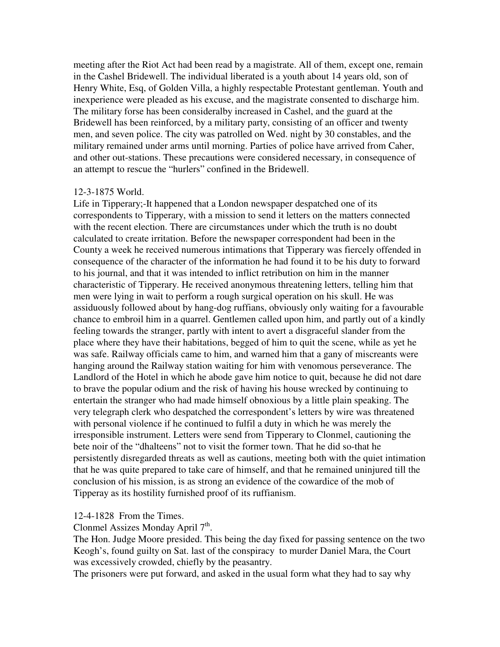meeting after the Riot Act had been read by a magistrate. All of them, except one, remain in the Cashel Bridewell. The individual liberated is a youth about 14 years old, son of Henry White, Esq, of Golden Villa, a highly respectable Protestant gentleman. Youth and inexperience were pleaded as his excuse, and the magistrate consented to discharge him. The military forse has been consideralby increased in Cashel, and the guard at the Bridewell has been reinforced, by a military party, consisting of an officer and twenty men, and seven police. The city was patrolled on Wed. night by 30 constables, and the military remained under arms until morning. Parties of police have arrived from Caher, and other out-stations. These precautions were considered necessary, in consequence of an attempt to rescue the "hurlers" confined in the Bridewell.

#### 12-3-1875 World.

Life in Tipperary;-It happened that a London newspaper despatched one of its correspondents to Tipperary, with a mission to send it letters on the matters connected with the recent election. There are circumstances under which the truth is no doubt calculated to create irritation. Before the newspaper correspondent had been in the County a week he received numerous intimations that Tipperary was fiercely offended in consequence of the character of the information he had found it to be his duty to forward to his journal, and that it was intended to inflict retribution on him in the manner characteristic of Tipperary. He received anonymous threatening letters, telling him that men were lying in wait to perform a rough surgical operation on his skull. He was assiduously followed about by hang-dog ruffians, obviously only waiting for a favourable chance to embroil him in a quarrel. Gentlemen called upon him, and partly out of a kindly feeling towards the stranger, partly with intent to avert a disgraceful slander from the place where they have their habitations, begged of him to quit the scene, while as yet he was safe. Railway officials came to him, and warned him that a gany of miscreants were hanging around the Railway station waiting for him with venomous perseverance. The Landlord of the Hotel in which he abode gave him notice to quit, because he did not dare to brave the popular odium and the risk of having his house wrecked by continuing to entertain the stranger who had made himself obnoxious by a little plain speaking. The very telegraph clerk who despatched the correspondent's letters by wire was threatened with personal violence if he continued to fulfil a duty in which he was merely the irresponsible instrument. Letters were send from Tipperary to Clonmel, cautioning the bete noir of the "dhalteens" not to visit the former town. That he did so-that he persistently disregarded threats as well as cautions, meeting both with the quiet intimation that he was quite prepared to take care of himself, and that he remained uninjured till the conclusion of his mission, is as strong an evidence of the cowardice of the mob of Tipperay as its hostility furnished proof of its ruffianism.

#### 12-4-1828 From the Times.

# Clonmel Assizes Monday April  $7<sup>th</sup>$ .

The Hon. Judge Moore presided. This being the day fixed for passing sentence on the two Keogh's, found guilty on Sat. last of the conspiracy to murder Daniel Mara, the Court was excessively crowded, chiefly by the peasantry.

The prisoners were put forward, and asked in the usual form what they had to say why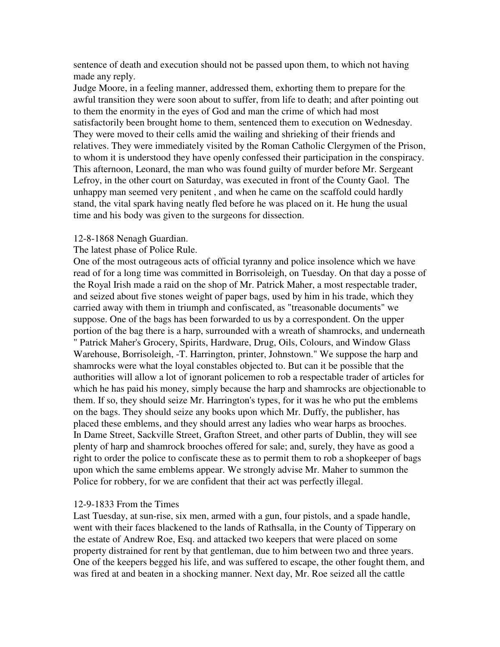sentence of death and execution should not be passed upon them, to which not having made any reply.

Judge Moore, in a feeling manner, addressed them, exhorting them to prepare for the awful transition they were soon about to suffer, from life to death; and after pointing out to them the enormity in the eyes of God and man the crime of which had most satisfactorily been brought home to them, sentenced them to execution on Wednesday. They were moved to their cells amid the wailing and shrieking of their friends and relatives. They were immediately visited by the Roman Catholic Clergymen of the Prison, to whom it is understood they have openly confessed their participation in the conspiracy. This afternoon, Leonard, the man who was found guilty of murder before Mr. Sergeant Lefroy, in the other court on Saturday, was executed in front of the County Gaol. The unhappy man seemed very penitent , and when he came on the scaffold could hardly stand, the vital spark having neatly fled before he was placed on it. He hung the usual time and his body was given to the surgeons for dissection.

#### 12-8-1868 Nenagh Guardian.

#### The latest phase of Police Rule.

One of the most outrageous acts of official tyranny and police insolence which we have read of for a long time was committed in Borrisoleigh, on Tuesday. On that day a posse of the Royal Irish made a raid on the shop of Mr. Patrick Maher, a most respectable trader, and seized about five stones weight of paper bags, used by him in his trade, which they carried away with them in triumph and confiscated, as "treasonable documents" we suppose. One of the bags has been forwarded to us by a correspondent. On the upper portion of the bag there is a harp, surrounded with a wreath of shamrocks, and underneath " Patrick Maher's Grocery, Spirits, Hardware, Drug, Oils, Colours, and Window Glass Warehouse, Borrisoleigh, -T. Harrington, printer, Johnstown." We suppose the harp and shamrocks were what the loyal constables objected to. But can it be possible that the authorities will allow a lot of ignorant policemen to rob a respectable trader of articles for which he has paid his money, simply because the harp and shamrocks are objectionable to them. If so, they should seize Mr. Harrington's types, for it was he who put the emblems on the bags. They should seize any books upon which Mr. Duffy, the publisher, has placed these emblems, and they should arrest any ladies who wear harps as brooches. In Dame Street, Sackville Street, Grafton Street, and other parts of Dublin, they will see plenty of harp and shamrock brooches offered for sale; and, surely, they have as good a right to order the police to confiscate these as to permit them to rob a shopkeeper of bags upon which the same emblems appear. We strongly advise Mr. Maher to summon the Police for robbery, for we are confident that their act was perfectly illegal.

### 12-9-1833 From the Times

Last Tuesday, at sun-rise, six men, armed with a gun, four pistols, and a spade handle, went with their faces blackened to the lands of Rathsalla, in the County of Tipperary on the estate of Andrew Roe, Esq. and attacked two keepers that were placed on some property distrained for rent by that gentleman, due to him between two and three years. One of the keepers begged his life, and was suffered to escape, the other fought them, and was fired at and beaten in a shocking manner. Next day, Mr. Roe seized all the cattle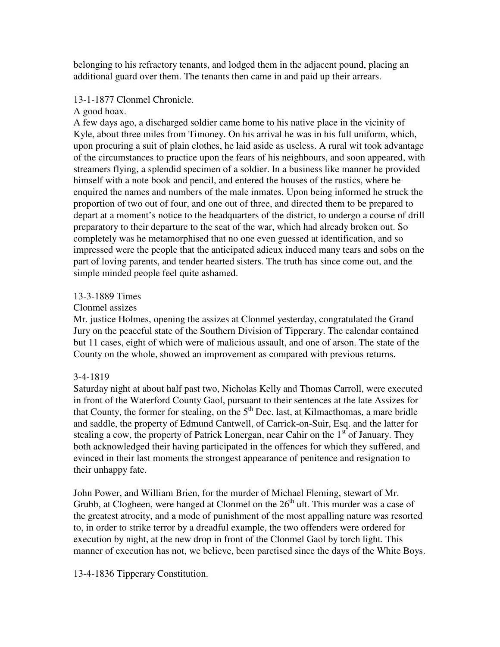belonging to his refractory tenants, and lodged them in the adjacent pound, placing an additional guard over them. The tenants then came in and paid up their arrears.

# 13-1-1877 Clonmel Chronicle.

# A good hoax.

A few days ago, a discharged soldier came home to his native place in the vicinity of Kyle, about three miles from Timoney. On his arrival he was in his full uniform, which, upon procuring a suit of plain clothes, he laid aside as useless. A rural wit took advantage of the circumstances to practice upon the fears of his neighbours, and soon appeared, with streamers flying, a splendid specimen of a soldier. In a business like manner he provided himself with a note book and pencil, and entered the houses of the rustics, where he enquired the names and numbers of the male inmates. Upon being informed he struck the proportion of two out of four, and one out of three, and directed them to be prepared to depart at a moment's notice to the headquarters of the district, to undergo a course of drill preparatory to their departure to the seat of the war, which had already broken out. So completely was he metamorphised that no one even guessed at identification, and so impressed were the people that the anticipated adieux induced many tears and sobs on the part of loving parents, and tender hearted sisters. The truth has since come out, and the simple minded people feel quite ashamed.

# 13-3-1889 Times

# Clonmel assizes

Mr. justice Holmes, opening the assizes at Clonmel yesterday, congratulated the Grand Jury on the peaceful state of the Southern Division of Tipperary. The calendar contained but 11 cases, eight of which were of malicious assault, and one of arson. The state of the County on the whole, showed an improvement as compared with previous returns.

# 3-4-1819

Saturday night at about half past two, Nicholas Kelly and Thomas Carroll, were executed in front of the Waterford County Gaol, pursuant to their sentences at the late Assizes for that County, the former for stealing, on the  $5<sup>th</sup>$  Dec. last, at Kilmacthomas, a mare bridle and saddle, the property of Edmund Cantwell, of Carrick-on-Suir, Esq. and the latter for stealing a cow, the property of Patrick Lonergan, near Cahir on the  $1<sup>st</sup>$  of January. They both acknowledged their having participated in the offences for which they suffered, and evinced in their last moments the strongest appearance of penitence and resignation to their unhappy fate.

John Power, and William Brien, for the murder of Michael Fleming, stewart of Mr. Grubb, at Clogheen, were hanged at Clonmel on the  $26<sup>th</sup>$  ult. This murder was a case of the greatest atrocity, and a mode of punishment of the most appalling nature was resorted to, in order to strike terror by a dreadful example, the two offenders were ordered for execution by night, at the new drop in front of the Clonmel Gaol by torch light. This manner of execution has not, we believe, been parctised since the days of the White Boys.

13-4-1836 Tipperary Constitution.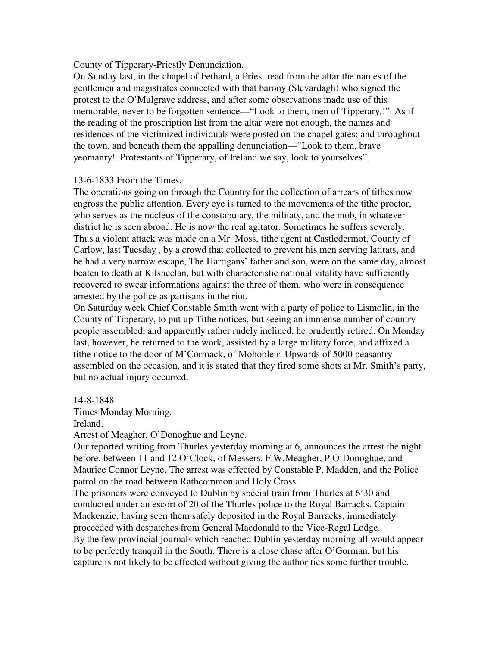County of Tipperary-Priestly Denunciation.

On Sunday last, in the chapel of Fethard, a Priest read from the altar the names of the gentlemen and magistrates connected with that barony (Slevardagh) who signed the protest to the O'Mulgrave address, and after some observations made use of this memorable, never to be forgotten sentence—"Look to them, men of Tipperary,!". As if the reading of the proscription list from the altar were not enough, the names and residences of the victimized individuals were posted on the chapel gates; and throughout the town, and beneath them the appalling denunciation—"Look to them, brave yeomanry!. Protestants of Tipperary, of Ireland we say, look to yourselves".

# 13-6-1833 From the Times.

The operations going on through the Country for the collection of arrears of tithes now engross the public attention. Every eye is turned to the movements of the tithe proctor, who serves as the nucleus of the constabulary, the militaty, and the mob, in whatever district he is seen abroad. He is now the real agitator. Sometimes he suffers severely. Thus a violent attack was made on a Mr. Moss, tithe agent at Castledermot, County of Carlow, last Tuesday , by a crowd that collected to prevent his men serving latitats, and he had a very narrow escape, The Hartigans' father and son, were on the same day, almost beaten to death at Kilsheelan, but with characteristic national vitality have sufficiently recovered to swear informations against the three of them, who were in consequence arrested by the police as partisans in the riot.

On Saturday week Chief Constable Smith went with a party of police to Lismolin, in the County of Tipperary, to put up Tithe notices, but seeing an immense number of country people assembled, and apparently rather rudely inclined, he prudently retired. On Monday last, however, he returned to the work, assisted by a large military force, and affixed a tithe notice to the door of M'Cormack, of Mohobleir. Upwards of 5000 peasantry assembled on the occasion, and it is stated that they fired some shots at Mr. Smith's party, but no actual injury occurred.

### 14-8-1848

Times Monday Morning.

Ireland.

Arrest of Meagher, O'Donoghue and Leyne.

Our reported writing from Thurles yesterday morning at 6, announces the arrest the night before, between 11 and 12 O'Clock, of Messers. F.W.Meagher, P.O'Donoghue, and Maurice Connor Leyne. The arrest was effected by Constable P. Madden, and the Police patrol on the road between Rathcommon and Holy Cross.

The prisoners were conveyed to Dublin by special train from Thurles at 6'30 and conducted under an escort of 20 of the Thurles police to the Royal Barracks. Captain Mackenzie, having seen them safely deposited in the Royal Barracks, immediately proceeded with despatches from General Macdonald to the Vice-Regal Lodge. By the few provincial journals which reached Dublin yesterday morning all would appear to be perfectly tranquil in the South. There is a close chase after O'Gorman, but his capture is not likely to be effected without giving the authorities some further trouble.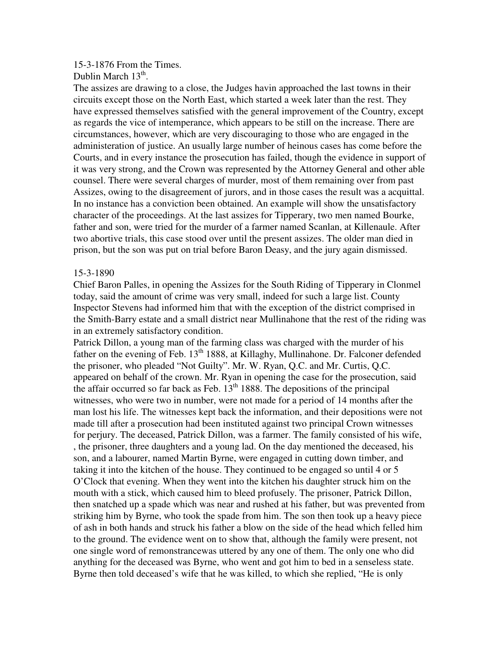#### 15-3-1876 From the Times.

Dublin March 13<sup>th</sup>.

The assizes are drawing to a close, the Judges havin approached the last towns in their circuits except those on the North East, which started a week later than the rest. They have expressed themselves satisfied with the general improvement of the Country, except as regards the vice of intemperance, which appears to be still on the increase. There are circumstances, however, which are very discouraging to those who are engaged in the administeration of justice. An usually large number of heinous cases has come before the Courts, and in every instance the prosecution has failed, though the evidence in support of it was very strong, and the Crown was represented by the Attorney General and other able counsel. There were several charges of murder, most of them remaining over from past Assizes, owing to the disagreement of jurors, and in those cases the result was a acquittal. In no instance has a conviction been obtained. An example will show the unsatisfactory character of the proceedings. At the last assizes for Tipperary, two men named Bourke, father and son, were tried for the murder of a farmer named Scanlan, at Killenaule. After two abortive trials, this case stood over until the present assizes. The older man died in prison, but the son was put on trial before Baron Deasy, and the jury again dismissed.

### 15-3-1890

Chief Baron Palles, in opening the Assizes for the South Riding of Tipperary in Clonmel today, said the amount of crime was very small, indeed for such a large list. County Inspector Stevens had informed him that with the exception of the district comprised in the Smith-Barry estate and a small district near Mullinahone that the rest of the riding was in an extremely satisfactory condition.

Patrick Dillon, a young man of the farming class was charged with the murder of his father on the evening of Feb.  $13<sup>th</sup> 1888$ , at Killaghy, Mullinahone. Dr. Falconer defended the prisoner, who pleaded "Not Guilty". Mr. W. Ryan, Q.C. and Mr. Curtis, Q.C. appeared on behalf of the crown. Mr. Ryan in opening the case for the prosecution, said the affair occurred so far back as Feb.  $13<sup>th</sup> 1888$ . The depositions of the principal witnesses, who were two in number, were not made for a period of 14 months after the man lost his life. The witnesses kept back the information, and their depositions were not made till after a prosecution had been instituted against two principal Crown witnesses for perjury. The deceased, Patrick Dillon, was a farmer. The family consisted of his wife, , the prisoner, three daughters and a young lad. On the day mentioned the deceased, his son, and a labourer, named Martin Byrne, were engaged in cutting down timber, and taking it into the kitchen of the house. They continued to be engaged so until 4 or 5 O'Clock that evening. When they went into the kitchen his daughter struck him on the mouth with a stick, which caused him to bleed profusely. The prisoner, Patrick Dillon, then snatched up a spade which was near and rushed at his father, but was prevented from striking him by Byrne, who took the spade from him. The son then took up a heavy piece of ash in both hands and struck his father a blow on the side of the head which felled him to the ground. The evidence went on to show that, although the family were present, not one single word of remonstrancewas uttered by any one of them. The only one who did anything for the deceased was Byrne, who went and got him to bed in a senseless state. Byrne then told deceased's wife that he was killed, to which she replied, "He is only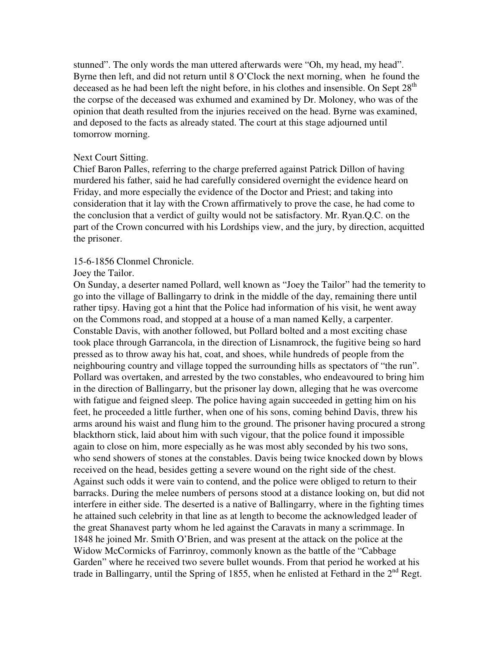stunned". The only words the man uttered afterwards were "Oh, my head, my head". Byrne then left, and did not return until 8 O'Clock the next morning, when he found the deceased as he had been left the night before, in his clothes and insensible. On Sept  $28<sup>th</sup>$ the corpse of the deceased was exhumed and examined by Dr. Moloney, who was of the opinion that death resulted from the injuries received on the head. Byrne was examined, and deposed to the facts as already stated. The court at this stage adjourned until tomorrow morning.

### Next Court Sitting.

Chief Baron Palles, referring to the charge preferred against Patrick Dillon of having murdered his father, said he had carefully considered overnight the evidence heard on Friday, and more especially the evidence of the Doctor and Priest; and taking into consideration that it lay with the Crown affirmatively to prove the case, he had come to the conclusion that a verdict of guilty would not be satisfactory. Mr. Ryan.Q.C. on the part of the Crown concurred with his Lordships view, and the jury, by direction, acquitted the prisoner.

### 15-6-1856 Clonmel Chronicle.

### Joey the Tailor.

On Sunday, a deserter named Pollard, well known as "Joey the Tailor" had the temerity to go into the village of Ballingarry to drink in the middle of the day, remaining there until rather tipsy. Having got a hint that the Police had information of his visit, he went away on the Commons road, and stopped at a house of a man named Kelly, a carpenter. Constable Davis, with another followed, but Pollard bolted and a most exciting chase took place through Garrancola, in the direction of Lisnamrock, the fugitive being so hard pressed as to throw away his hat, coat, and shoes, while hundreds of people from the neighbouring country and village topped the surrounding hills as spectators of "the run". Pollard was overtaken, and arrested by the two constables, who endeavoured to bring him in the direction of Ballingarry, but the prisoner lay down, alleging that he was overcome with fatigue and feigned sleep. The police having again succeeded in getting him on his feet, he proceeded a little further, when one of his sons, coming behind Davis, threw his arms around his waist and flung him to the ground. The prisoner having procured a strong blackthorn stick, laid about him with such vigour, that the police found it impossible again to close on him, more especially as he was most ably seconded by his two sons, who send showers of stones at the constables. Davis being twice knocked down by blows received on the head, besides getting a severe wound on the right side of the chest. Against such odds it were vain to contend, and the police were obliged to return to their barracks. During the melee numbers of persons stood at a distance looking on, but did not interfere in either side. The deserted is a native of Ballingarry, where in the fighting times he attained such celebrity in that line as at length to become the acknowledged leader of the great Shanavest party whom he led against the Caravats in many a scrimmage. In 1848 he joined Mr. Smith O'Brien, and was present at the attack on the police at the Widow McCormicks of Farrinroy, commonly known as the battle of the "Cabbage Garden" where he received two severe bullet wounds. From that period he worked at his trade in Ballingarry, until the Spring of 1855, when he enlisted at Fethard in the  $2<sup>nd</sup>$  Regt.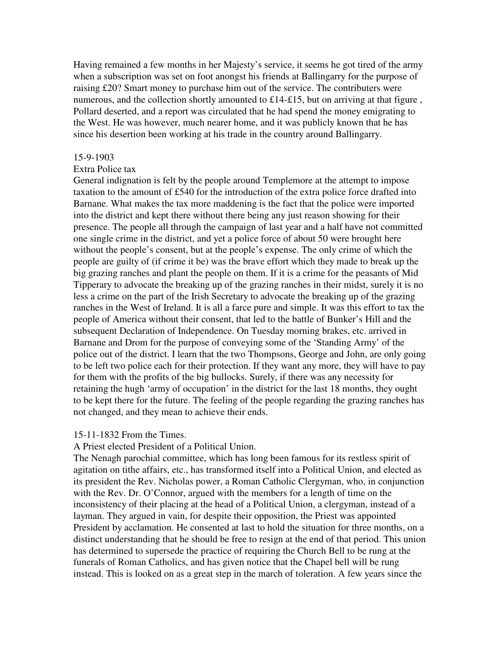Having remained a few months in her Majesty's service, it seems he got tired of the army when a subscription was set on foot anongst his friends at Ballingarry for the purpose of raising £20? Smart money to purchase him out of the service. The contributers were numerous, and the collection shortly amounted to £14-£15, but on arriving at that figure, Pollard deserted, and a report was circulated that he had spend the money emigrating to the West. He was however, much nearer home, and it was publicly known that he has since his desertion been working at his trade in the country around Ballingarry.

#### 15-9-1903

#### Extra Police tax

General indignation is felt by the people around Templemore at the attempt to impose taxation to the amount of £540 for the introduction of the extra police force drafted into Barnane. What makes the tax more maddening is the fact that the police were imported into the district and kept there without there being any just reason showing for their presence. The people all through the campaign of last year and a half have not committed one single crime in the district, and yet a police force of about 50 were brought here without the people's consent, but at the people's expense. The only crime of which the people are guilty of (if crime it be) was the brave effort which they made to break up the big grazing ranches and plant the people on them. If it is a crime for the peasants of Mid Tipperary to advocate the breaking up of the grazing ranches in their midst, surely it is no less a crime on the part of the Irish Secretary to advocate the breaking up of the grazing ranches in the West of Ireland. It is all a farce pure and simple. It was this effort to tax the people of America without their consent, that led to the battle of Bunker's Hill and the subsequent Declaration of Independence. On Tuesday morning brakes, etc. arrived in Barnane and Drom for the purpose of conveying some of the 'Standing Army' of the police out of the district. I learn that the two Thompsons, George and John, are only going to be left two police each for their protection. If they want any more, they will have to pay for them with the profits of the big bullocks. Surely, if there was any necessity for retaining the hugh 'army of occupation' in the district for the last 18 months, they ought to be kept there for the future. The feeling of the people regarding the grazing ranches has not changed, and they mean to achieve their ends.

### 15-11-1832 From the Times.

### A Priest elected President of a Political Union.

The Nenagh parochial committee, which has long been famous for its restless spirit of agitation on tithe affairs, etc., has transformed itself into a Political Union, and elected as its president the Rev. Nicholas power, a Roman Catholic Clergyman, who, in conjunction with the Rev. Dr. O'Connor, argued with the members for a length of time on the inconsistency of their placing at the head of a Political Union, a clergyman, instead of a layman. They argued in vain, for despite their opposition, the Priest was appointed President by acclamation. He consented at last to hold the situation for three months, on a distinct understanding that he should be free to resign at the end of that period. This union has determined to supersede the practice of requiring the Church Bell to be rung at the funerals of Roman Catholics, and has given notice that the Chapel bell will be rung instead. This is looked on as a great step in the march of toleration. A few years since the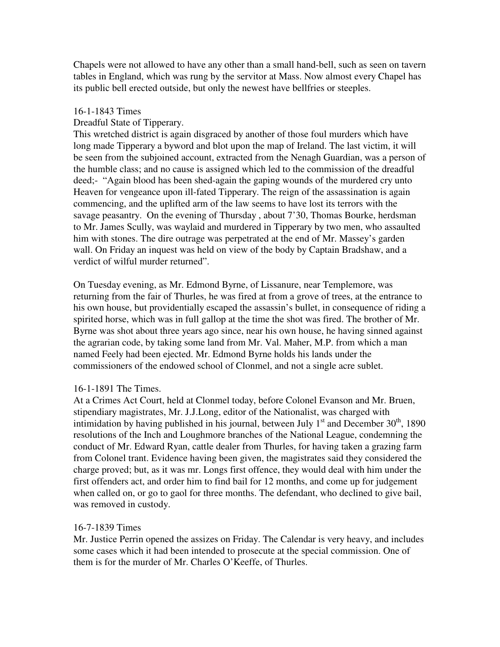Chapels were not allowed to have any other than a small hand-bell, such as seen on tavern tables in England, which was rung by the servitor at Mass. Now almost every Chapel has its public bell erected outside, but only the newest have bellfries or steeples.

### 16-1-1843 Times

## Dreadful State of Tipperary.

This wretched district is again disgraced by another of those foul murders which have long made Tipperary a byword and blot upon the map of Ireland. The last victim, it will be seen from the subjoined account, extracted from the Nenagh Guardian, was a person of the humble class; and no cause is assigned which led to the commission of the dreadful deed;- "Again blood has been shed-again the gaping wounds of the murdered cry unto Heaven for vengeance upon ill-fated Tipperary. The reign of the assassination is again commencing, and the uplifted arm of the law seems to have lost its terrors with the savage peasantry. On the evening of Thursday , about 7'30, Thomas Bourke, herdsman to Mr. James Scully, was waylaid and murdered in Tipperary by two men, who assaulted him with stones. The dire outrage was perpetrated at the end of Mr. Massey's garden wall. On Friday an inquest was held on view of the body by Captain Bradshaw, and a verdict of wilful murder returned".

On Tuesday evening, as Mr. Edmond Byrne, of Lissanure, near Templemore, was returning from the fair of Thurles, he was fired at from a grove of trees, at the entrance to his own house, but providentially escaped the assassin's bullet, in consequence of riding a spirited horse, which was in full gallop at the time the shot was fired. The brother of Mr. Byrne was shot about three years ago since, near his own house, he having sinned against the agrarian code, by taking some land from Mr. Val. Maher, M.P. from which a man named Feely had been ejected. Mr. Edmond Byrne holds his lands under the commissioners of the endowed school of Clonmel, and not a single acre sublet.

# 16-1-1891 The Times.

At a Crimes Act Court, held at Clonmel today, before Colonel Evanson and Mr. Bruen, stipendiary magistrates, Mr. J.J.Long, editor of the Nationalist, was charged with intimidation by having published in his journal, between July  $1<sup>st</sup>$  and December  $30<sup>th</sup>$ , 1890 resolutions of the Inch and Loughmore branches of the National League, condemning the conduct of Mr. Edward Ryan, cattle dealer from Thurles, for having taken a grazing farm from Colonel trant. Evidence having been given, the magistrates said they considered the charge proved; but, as it was mr. Longs first offence, they would deal with him under the first offenders act, and order him to find bail for 12 months, and come up for judgement when called on, or go to gaol for three months. The defendant, who declined to give bail, was removed in custody.

# 16-7-1839 Times

Mr. Justice Perrin opened the assizes on Friday. The Calendar is very heavy, and includes some cases which it had been intended to prosecute at the special commission. One of them is for the murder of Mr. Charles O'Keeffe, of Thurles.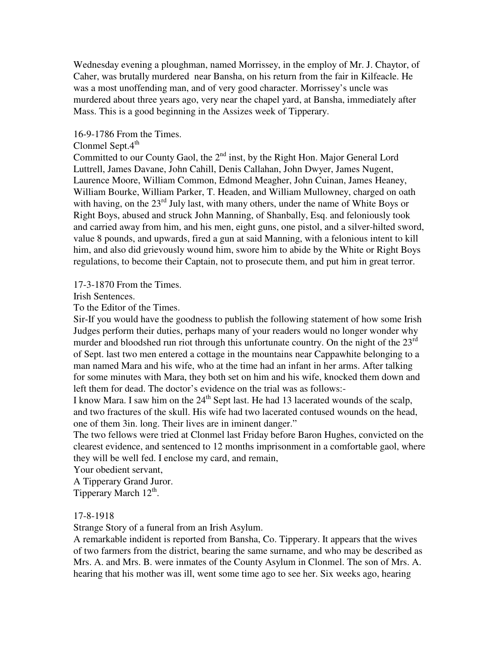Wednesday evening a ploughman, named Morrissey, in the employ of Mr. J. Chaytor, of Caher, was brutally murdered near Bansha, on his return from the fair in Kilfeacle. He was a most unoffending man, and of very good character. Morrissey's uncle was murdered about three years ago, very near the chapel yard, at Bansha, immediately after Mass. This is a good beginning in the Assizes week of Tipperary.

#### 16-9-1786 From the Times.

# Clonmel Sept. $4^{\text{th}}$

Committed to our County Gaol, the  $2<sup>nd</sup>$  inst, by the Right Hon. Major General Lord Luttrell, James Davane, John Cahill, Denis Callahan, John Dwyer, James Nugent, Laurence Moore, William Common, Edmond Meagher, John Cuinan, James Heaney, William Bourke, William Parker, T. Headen, and William Mullowney, charged on oath with having, on the 23<sup>rd</sup> July last, with many others, under the name of White Boys or Right Boys, abused and struck John Manning, of Shanbally, Esq. and feloniously took and carried away from him, and his men, eight guns, one pistol, and a silver-hilted sword, value 8 pounds, and upwards, fired a gun at said Manning, with a felonious intent to kill him, and also did grievously wound him, swore him to abide by the White or Right Boys regulations, to become their Captain, not to prosecute them, and put him in great terror.

### 17-3-1870 From the Times.

Irish Sentences.

To the Editor of the Times.

Sir-If you would have the goodness to publish the following statement of how some Irish Judges perform their duties, perhaps many of your readers would no longer wonder why murder and bloodshed run riot through this unfortunate country. On the night of the  $23<sup>rd</sup>$ of Sept. last two men entered a cottage in the mountains near Cappawhite belonging to a man named Mara and his wife, who at the time had an infant in her arms. After talking for some minutes with Mara, they both set on him and his wife, knocked them down and left them for dead. The doctor's evidence on the trial was as follows:-

I know Mara. I saw him on the  $24<sup>th</sup>$  Sept last. He had 13 lacerated wounds of the scalp, and two fractures of the skull. His wife had two lacerated contused wounds on the head, one of them 3in. long. Their lives are in iminent danger."

The two fellows were tried at Clonmel last Friday before Baron Hughes, convicted on the clearest evidence, and sentenced to 12 months imprisonment in a comfortable gaol, where they will be well fed. I enclose my card, and remain,

Your obedient servant,

A Tipperary Grand Juror.

Tipperary March  $12<sup>th</sup>$ .

#### 17-8-1918

Strange Story of a funeral from an Irish Asylum.

A remarkable indident is reported from Bansha, Co. Tipperary. It appears that the wives of two farmers from the district, bearing the same surname, and who may be described as Mrs. A. and Mrs. B. were inmates of the County Asylum in Clonmel. The son of Mrs. A. hearing that his mother was ill, went some time ago to see her. Six weeks ago, hearing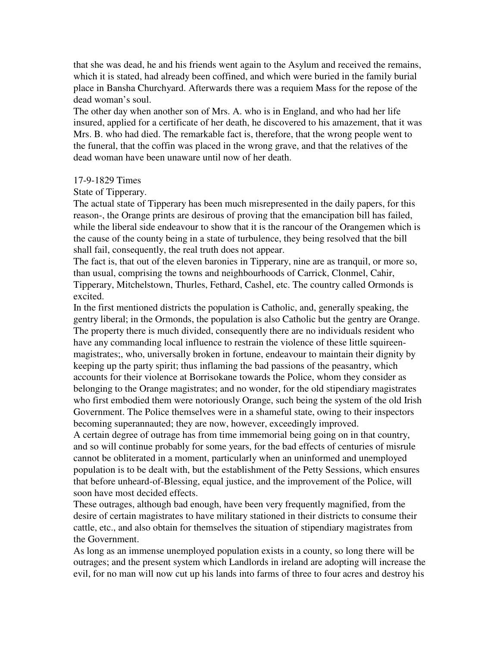that she was dead, he and his friends went again to the Asylum and received the remains, which it is stated, had already been coffined, and which were buried in the family burial place in Bansha Churchyard. Afterwards there was a requiem Mass for the repose of the dead woman's soul.

The other day when another son of Mrs. A. who is in England, and who had her life insured, applied for a certificate of her death, he discovered to his amazement, that it was Mrs. B. who had died. The remarkable fact is, therefore, that the wrong people went to the funeral, that the coffin was placed in the wrong grave, and that the relatives of the dead woman have been unaware until now of her death.

### 17-9-1829 Times

State of Tipperary.

The actual state of Tipperary has been much misrepresented in the daily papers, for this reason-, the Orange prints are desirous of proving that the emancipation bill has failed, while the liberal side endeavour to show that it is the rancour of the Orangemen which is the cause of the county being in a state of turbulence, they being resolved that the bill shall fail, consequently, the real truth does not appear.

The fact is, that out of the eleven baronies in Tipperary, nine are as tranquil, or more so, than usual, comprising the towns and neighbourhoods of Carrick, Clonmel, Cahir, Tipperary, Mitchelstown, Thurles, Fethard, Cashel, etc. The country called Ormonds is excited.

In the first mentioned districts the population is Catholic, and, generally speaking, the gentry liberal; in the Ormonds, the population is also Catholic but the gentry are Orange. The property there is much divided, consequently there are no individuals resident who have any commanding local influence to restrain the violence of these little squireenmagistrates;, who, universally broken in fortune, endeavour to maintain their dignity by keeping up the party spirit; thus inflaming the bad passions of the peasantry, which accounts for their violence at Borrisokane towards the Police, whom they consider as belonging to the Orange magistrates; and no wonder, for the old stipendiary magistrates who first embodied them were notoriously Orange, such being the system of the old Irish Government. The Police themselves were in a shameful state, owing to their inspectors becoming superannauted; they are now, however, exceedingly improved.

A certain degree of outrage has from time immemorial being going on in that country, and so will continue probably for some years, for the bad effects of centuries of misrule cannot be obliterated in a moment, particularly when an uninformed and unemployed population is to be dealt with, but the establishment of the Petty Sessions, which ensures that before unheard-of-Blessing, equal justice, and the improvement of the Police, will soon have most decided effects.

These outrages, although bad enough, have been very frequently magnified, from the desire of certain magistrates to have military stationed in their districts to consume their cattle, etc., and also obtain for themselves the situation of stipendiary magistrates from the Government.

As long as an immense unemployed population exists in a county, so long there will be outrages; and the present system which Landlords in ireland are adopting will increase the evil, for no man will now cut up his lands into farms of three to four acres and destroy his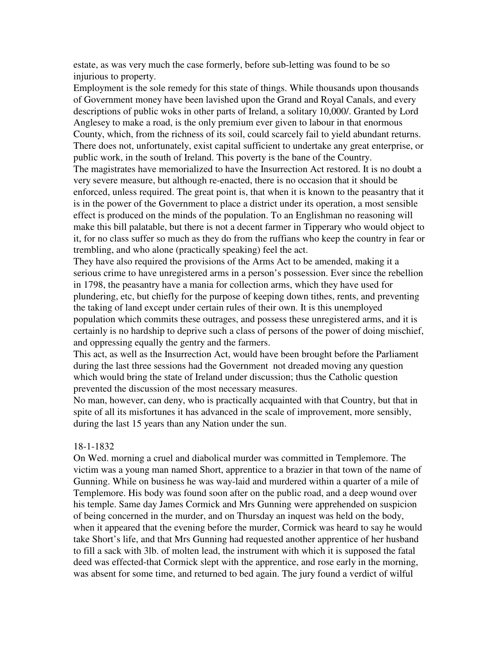estate, as was very much the case formerly, before sub-letting was found to be so injurious to property.

Employment is the sole remedy for this state of things. While thousands upon thousands of Government money have been lavished upon the Grand and Royal Canals, and every descriptions of public woks in other parts of Ireland, a solitary 10,000/. Granted by Lord Anglesey to make a road, is the only premium ever given to labour in that enormous County, which, from the richness of its soil, could scarcely fail to yield abundant returns. There does not, unfortunately, exist capital sufficient to undertake any great enterprise, or public work, in the south of Ireland. This poverty is the bane of the Country. The magistrates have memorialized to have the Insurrection Act restored. It is no doubt a very severe measure, but although re-enacted, there is no occasion that it should be enforced, unless required. The great point is, that when it is known to the peasantry that it is in the power of the Government to place a district under its operation, a most sensible effect is produced on the minds of the population. To an Englishman no reasoning will make this bill palatable, but there is not a decent farmer in Tipperary who would object to it, for no class suffer so much as they do from the ruffians who keep the country in fear or trembling, and who alone (practically speaking) feel the act.

They have also required the provisions of the Arms Act to be amended, making it a serious crime to have unregistered arms in a person's possession. Ever since the rebellion in 1798, the peasantry have a mania for collection arms, which they have used for plundering, etc, but chiefly for the purpose of keeping down tithes, rents, and preventing the taking of land except under certain rules of their own. It is this unemployed population which commits these outrages, and possess these unregistered arms, and it is certainly is no hardship to deprive such a class of persons of the power of doing mischief, and oppressing equally the gentry and the farmers.

This act, as well as the Insurrection Act, would have been brought before the Parliament during the last three sessions had the Government not dreaded moving any question which would bring the state of Ireland under discussion; thus the Catholic question prevented the discussion of the most necessary measures.

No man, however, can deny, who is practically acquainted with that Country, but that in spite of all its misfortunes it has advanced in the scale of improvement, more sensibly, during the last 15 years than any Nation under the sun.

### 18-1-1832

On Wed. morning a cruel and diabolical murder was committed in Templemore. The victim was a young man named Short, apprentice to a brazier in that town of the name of Gunning. While on business he was way-laid and murdered within a quarter of a mile of Templemore. His body was found soon after on the public road, and a deep wound over his temple. Same day James Cormick and Mrs Gunning were apprehended on suspicion of being concerned in the murder, and on Thursday an inquest was held on the body, when it appeared that the evening before the murder, Cormick was heard to say he would take Short's life, and that Mrs Gunning had requested another apprentice of her husband to fill a sack with 3lb. of molten lead, the instrument with which it is supposed the fatal deed was effected-that Cormick slept with the apprentice, and rose early in the morning, was absent for some time, and returned to bed again. The jury found a verdict of wilful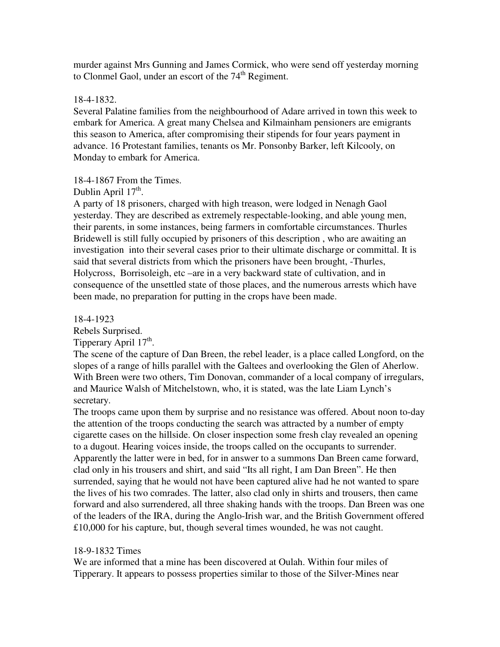murder against Mrs Gunning and James Cormick, who were send off yesterday morning to Clonmel Gaol, under an escort of the 74<sup>th</sup> Regiment.

### 18-4-1832.

Several Palatine families from the neighbourhood of Adare arrived in town this week to embark for America. A great many Chelsea and Kilmainham pensioners are emigrants this season to America, after compromising their stipends for four years payment in advance. 16 Protestant families, tenants os Mr. Ponsonby Barker, left Kilcooly, on Monday to embark for America.

18-4-1867 From the Times.

Dublin April  $17<sup>th</sup>$ .

A party of 18 prisoners, charged with high treason, were lodged in Nenagh Gaol yesterday. They are described as extremely respectable-looking, and able young men, their parents, in some instances, being farmers in comfortable circumstances. Thurles Bridewell is still fully occupied by prisoners of this description , who are awaiting an investigation into their several cases prior to their ultimate discharge or committal. It is said that several districts from which the prisoners have been brought, -Thurles, Holycross, Borrisoleigh, etc –are in a very backward state of cultivation, and in consequence of the unsettled state of those places, and the numerous arrests which have been made, no preparation for putting in the crops have been made.

# 18-4-1923

Rebels Surprised.

Tipperary April 17<sup>th</sup>.

The scene of the capture of Dan Breen, the rebel leader, is a place called Longford, on the slopes of a range of hills parallel with the Galtees and overlooking the Glen of Aherlow. With Breen were two others, Tim Donovan, commander of a local company of irregulars, and Maurice Walsh of Mitchelstown, who, it is stated, was the late Liam Lynch's secretary.

The troops came upon them by surprise and no resistance was offered. About noon to-day the attention of the troops conducting the search was attracted by a number of empty cigarette cases on the hillside. On closer inspection some fresh clay revealed an opening to a dugout. Hearing voices inside, the troops called on the occupants to surrender. Apparently the latter were in bed, for in answer to a summons Dan Breen came forward, clad only in his trousers and shirt, and said "Its all right, I am Dan Breen". He then surrended, saying that he would not have been captured alive had he not wanted to spare the lives of his two comrades. The latter, also clad only in shirts and trousers, then came forward and also surrendered, all three shaking hands with the troops. Dan Breen was one of the leaders of the IRA, during the Anglo-Irish war, and the British Government offered £10,000 for his capture, but, though several times wounded, he was not caught.

# 18-9-1832 Times

We are informed that a mine has been discovered at Oulah. Within four miles of Tipperary. It appears to possess properties similar to those of the Silver-Mines near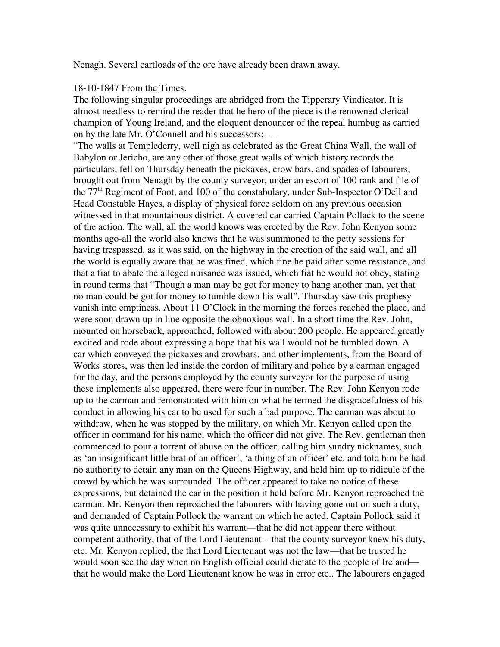Nenagh. Several cartloads of the ore have already been drawn away.

#### 18-10-1847 From the Times.

The following singular proceedings are abridged from the Tipperary Vindicator. It is almost needless to remind the reader that he hero of the piece is the renowned clerical champion of Young Ireland, and the eloquent denouncer of the repeal humbug as carried on by the late Mr. O'Connell and his successors;----

"The walls at Templederry, well nigh as celebrated as the Great China Wall, the wall of Babylon or Jericho, are any other of those great walls of which history records the particulars, fell on Thursday beneath the pickaxes, crow bars, and spades of labourers, brought out from Nenagh by the county surveyor, under an escort of 100 rank and file of the 77<sup>th</sup> Regiment of Foot, and 100 of the constabulary, under Sub-Inspector O'Dell and Head Constable Hayes, a display of physical force seldom on any previous occasion witnessed in that mountainous district. A covered car carried Captain Pollack to the scene of the action. The wall, all the world knows was erected by the Rev. John Kenyon some months ago-all the world also knows that he was summoned to the petty sessions for having trespassed, as it was said, on the highway in the erection of the said wall, and all the world is equally aware that he was fined, which fine he paid after some resistance, and that a fiat to abate the alleged nuisance was issued, which fiat he would not obey, stating in round terms that "Though a man may be got for money to hang another man, yet that no man could be got for money to tumble down his wall". Thursday saw this prophesy vanish into emptiness. About 11 O'Clock in the morning the forces reached the place, and were soon drawn up in line opposite the obnoxious wall. In a short time the Rev. John, mounted on horseback, approached, followed with about 200 people. He appeared greatly excited and rode about expressing a hope that his wall would not be tumbled down. A car which conveyed the pickaxes and crowbars, and other implements, from the Board of Works stores, was then led inside the cordon of military and police by a carman engaged for the day, and the persons employed by the county surveyor for the purpose of using these implements also appeared, there were four in number. The Rev. John Kenyon rode up to the carman and remonstrated with him on what he termed the disgracefulness of his conduct in allowing his car to be used for such a bad purpose. The carman was about to withdraw, when he was stopped by the military, on which Mr. Kenyon called upon the officer in command for his name, which the officer did not give. The Rev. gentleman then commenced to pour a torrent of abuse on the officer, calling him sundry nicknames, such as 'an insignificant little brat of an officer', 'a thing of an officer' etc. and told him he had no authority to detain any man on the Queens Highway, and held him up to ridicule of the crowd by which he was surrounded. The officer appeared to take no notice of these expressions, but detained the car in the position it held before Mr. Kenyon reproached the carman. Mr. Kenyon then reproached the labourers with having gone out on such a duty, and demanded of Captain Pollock the warrant on which he acted. Captain Pollock said it was quite unnecessary to exhibit his warrant—that he did not appear there without competent authority, that of the Lord Lieutenant---that the county surveyor knew his duty, etc. Mr. Kenyon replied, the that Lord Lieutenant was not the law—that he trusted he would soon see the day when no English official could dictate to the people of Ireland that he would make the Lord Lieutenant know he was in error etc.. The labourers engaged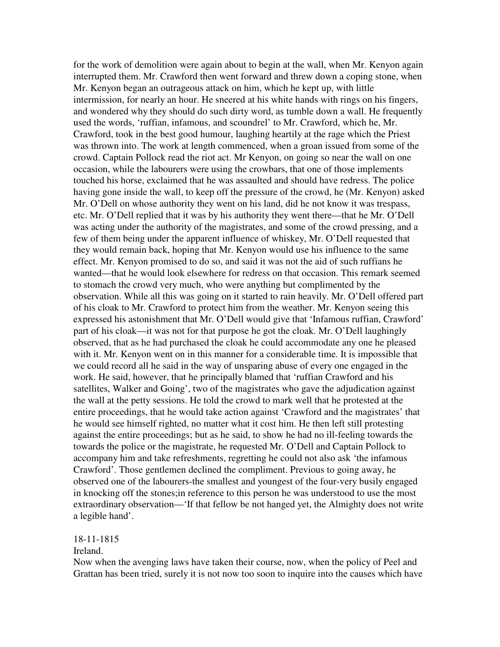for the work of demolition were again about to begin at the wall, when Mr. Kenyon again interrupted them. Mr. Crawford then went forward and threw down a coping stone, when Mr. Kenyon began an outrageous attack on him, which he kept up, with little intermission, for nearly an hour. He sneered at his white hands with rings on his fingers, and wondered why they should do such dirty word, as tumble down a wall. He frequently used the words, 'ruffian, infamous, and scoundrel' to Mr. Crawford, which he, Mr. Crawford, took in the best good humour, laughing heartily at the rage which the Priest was thrown into. The work at length commenced, when a groan issued from some of the crowd. Captain Pollock read the riot act. Mr Kenyon, on going so near the wall on one occasion, while the labourers were using the crowbars, that one of those implements touched his horse, exclaimed that he was assaulted and should have redress. The police having gone inside the wall, to keep off the pressure of the crowd, he (Mr. Kenyon) asked Mr. O'Dell on whose authority they went on his land, did he not know it was trespass, etc. Mr. O'Dell replied that it was by his authority they went there—that he Mr. O'Dell was acting under the authority of the magistrates, and some of the crowd pressing, and a few of them being under the apparent influence of whiskey, Mr. O'Dell requested that they would remain back, hoping that Mr. Kenyon would use his influence to the same effect. Mr. Kenyon promised to do so, and said it was not the aid of such ruffians he wanted—that he would look elsewhere for redress on that occasion. This remark seemed to stomach the crowd very much, who were anything but complimented by the observation. While all this was going on it started to rain heavily. Mr. O'Dell offered part of his cloak to Mr. Crawford to protect him from the weather. Mr. Kenyon seeing this expressed his astonishment that Mr. O'Dell would give that 'Infamous ruffian, Crawford' part of his cloak—it was not for that purpose he got the cloak. Mr. O'Dell laughingly observed, that as he had purchased the cloak he could accommodate any one he pleased with it. Mr. Kenyon went on in this manner for a considerable time. It is impossible that we could record all he said in the way of unsparing abuse of every one engaged in the work. He said, however, that he principally blamed that 'ruffian Crawford and his satellites, Walker and Going', two of the magistrates who gave the adjudication against the wall at the petty sessions. He told the crowd to mark well that he protested at the entire proceedings, that he would take action against 'Crawford and the magistrates' that he would see himself righted, no matter what it cost him. He then left still protesting against the entire proceedings; but as he said, to show he had no ill-feeling towards the towards the police or the magistrate, he requested Mr. O'Dell and Captain Pollock to accompany him and take refreshments, regretting he could not also ask 'the infamous Crawford'. Those gentlemen declined the compliment. Previous to going away, he observed one of the labourers-the smallest and youngest of the four-very busily engaged in knocking off the stones;in reference to this person he was understood to use the most extraordinary observation—'If that fellow be not hanged yet, the Almighty does not write a legible hand'.

### 18-11-1815

### Ireland.

Now when the avenging laws have taken their course, now, when the policy of Peel and Grattan has been tried, surely it is not now too soon to inquire into the causes which have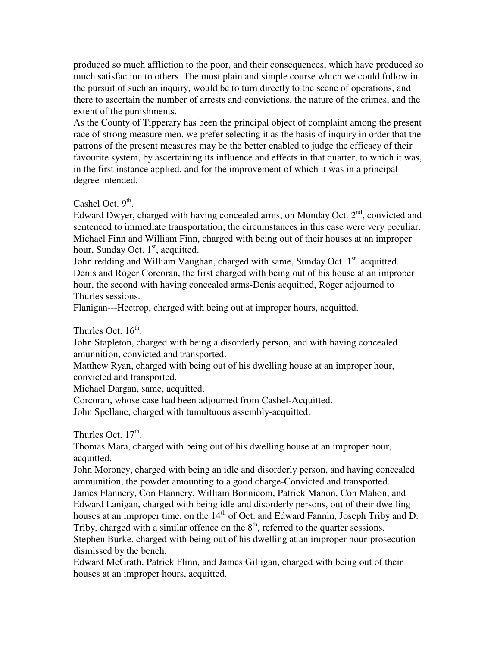produced so much affliction to the poor, and their consequences, which have produced so much satisfaction to others. The most plain and simple course which we could follow in the pursuit of such an inquiry, would be to turn directly to the scene of operations, and there to ascertain the number of arrests and convictions, the nature of the crimes, and the extent of the punishments.

As the County of Tipperary has been the principal object of complaint among the present race of strong measure men, we prefer selecting it as the basis of inquiry in order that the patrons of the present measures may be the better enabled to judge the efficacy of their favourite system, by ascertaining its influence and effects in that quarter, to which it was, in the first instance applied, and for the improvement of which it was in a principal degree intended.

# Cashel Oct.  $9<sup>th</sup>$ .

Edward Dwyer, charged with having concealed arms, on Monday Oct.  $2<sup>nd</sup>$ , convicted and sentenced to immediate transportation; the circumstances in this case were very peculiar. Michael Finn and William Finn, charged with being out of their houses at an improper hour, Sunday Oct.  $1<sup>st</sup>$ , acquitted.

John redding and William Vaughan, charged with same, Sunday Oct.  $1<sup>st</sup>$ . acquitted. Denis and Roger Corcoran, the first charged with being out of his house at an improper hour, the second with having concealed arms-Denis acquitted, Roger adjourned to Thurles sessions.

Flanigan---Hectrop, charged with being out at improper hours, acquitted.

# Thurles Oct.  $16^{\text{th}}$ .

John Stapleton, charged with being a disorderly person, and with having concealed amunnition, convicted and transported.

Matthew Ryan, charged with being out of his dwelling house at an improper hour, convicted and transported.

Michael Dargan, same, acquitted.

Corcoran, whose case had been adjourned from Cashel-Acquitted.

John Spellane, charged with tumultuous assembly-acquitted.

Thurles Oct.  $17<sup>th</sup>$ .

Thomas Mara, charged with being out of his dwelling house at an improper hour, acquitted.

John Moroney, charged with being an idle and disorderly person, and having concealed ammunition, the powder amounting to a good charge-Convicted and transported. James Flannery, Con Flannery, William Bonnicom, Patrick Mahon, Con Mahon, and Edward Lanigan, charged with being idle and disorderly persons, out of their dwelling houses at an improper time, on the 14<sup>th</sup> of Oct. and Edward Fannin, Joseph Triby and D. Triby, charged with a similar offence on the  $8<sup>th</sup>$ , referred to the quarter sessions.

Stephen Burke, charged with being out of his dwelling at an improper hour-prosecution dismissed by the bench.

Edward McGrath, Patrick Flinn, and James Gilligan, charged with being out of their houses at an improper hours, acquitted.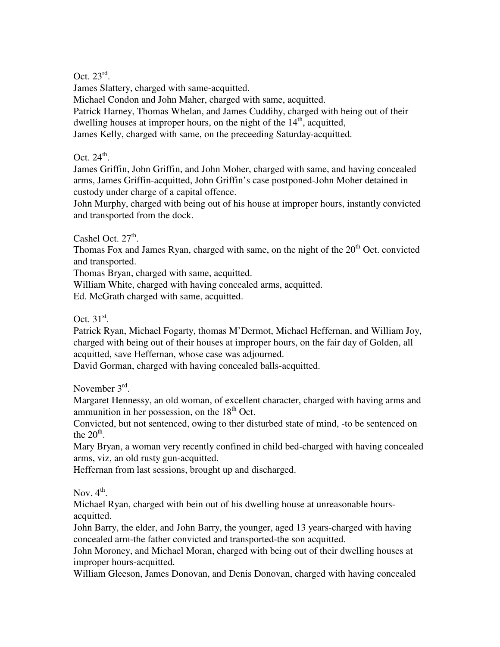Oct.  $23^{\text{rd}}$ .

James Slattery, charged with same-acquitted.

Michael Condon and John Maher, charged with same, acquitted.

Patrick Harney, Thomas Whelan, and James Cuddihy, charged with being out of their dwelling houses at improper hours, on the night of the  $14<sup>th</sup>$ , acquitted,

James Kelly, charged with same, on the preceeding Saturday-acquitted.

Oct.  $24^{\text{th}}$ .

James Griffin, John Griffin, and John Moher, charged with same, and having concealed arms, James Griffin-acquitted, John Griffin's case postponed-John Moher detained in custody under charge of a capital offence.

John Murphy, charged with being out of his house at improper hours, instantly convicted and transported from the dock.

Cashel Oct.  $27<sup>th</sup>$ .

Thomas Fox and James Ryan, charged with same, on the night of the  $20<sup>th</sup>$  Oct. convicted and transported.

Thomas Bryan, charged with same, acquitted.

William White, charged with having concealed arms, acquitted.

Ed. McGrath charged with same, acquitted.

Oct.  $31<sup>st</sup>$ .

Patrick Ryan, Michael Fogarty, thomas M'Dermot, Michael Heffernan, and William Joy, charged with being out of their houses at improper hours, on the fair day of Golden, all acquitted, save Heffernan, whose case was adjourned.

David Gorman, charged with having concealed balls-acquitted.

November 3<sup>rd</sup>.

Margaret Hennessy, an old woman, of excellent character, charged with having arms and ammunition in her possession, on the  $18<sup>th</sup>$  Oct.

Convicted, but not sentenced, owing to ther disturbed state of mind, -to be sentenced on the  $20<sup>th</sup>$ .

Mary Bryan, a woman very recently confined in child bed-charged with having concealed arms, viz, an old rusty gun-acquitted.

Heffernan from last sessions, brought up and discharged.

Nov.  $4^{\text{th}}$ .

Michael Ryan, charged with bein out of his dwelling house at unreasonable hoursacquitted.

John Barry, the elder, and John Barry, the younger, aged 13 years-charged with having concealed arm-the father convicted and transported-the son acquitted.

John Moroney, and Michael Moran, charged with being out of their dwelling houses at improper hours-acquitted.

William Gleeson, James Donovan, and Denis Donovan, charged with having concealed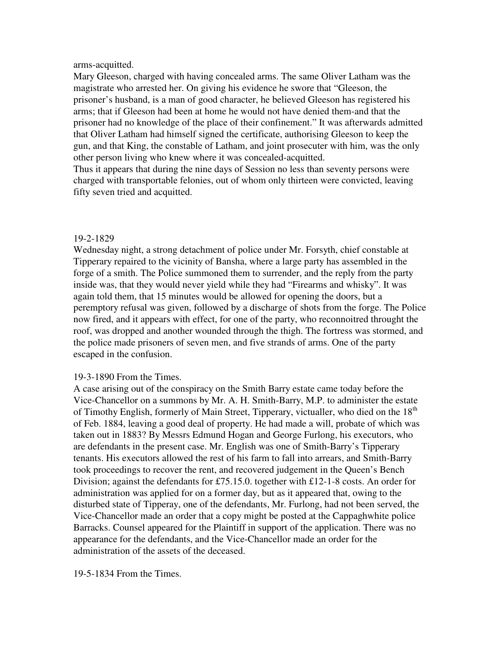### arms-acquitted.

Mary Gleeson, charged with having concealed arms. The same Oliver Latham was the magistrate who arrested her. On giving his evidence he swore that "Gleeson, the prisoner's husband, is a man of good character, he believed Gleeson has registered his arms; that if Gleeson had been at home he would not have denied them-and that the prisoner had no knowledge of the place of their confinement." It was afterwards admitted that Oliver Latham had himself signed the certificate, authorising Gleeson to keep the gun, and that King, the constable of Latham, and joint prosecuter with him, was the only other person living who knew where it was concealed-acquitted.

Thus it appears that during the nine days of Session no less than seventy persons were charged with transportable felonies, out of whom only thirteen were convicted, leaving fifty seven tried and acquitted.

# 19-2-1829

Wednesday night, a strong detachment of police under Mr. Forsyth, chief constable at Tipperary repaired to the vicinity of Bansha, where a large party has assembled in the forge of a smith. The Police summoned them to surrender, and the reply from the party inside was, that they would never yield while they had "Firearms and whisky". It was again told them, that 15 minutes would be allowed for opening the doors, but a peremptory refusal was given, followed by a discharge of shots from the forge. The Police now fired, and it appears with effect, for one of the party, who reconnoitred throught the roof, was dropped and another wounded through the thigh. The fortress was stormed, and the police made prisoners of seven men, and five strands of arms. One of the party escaped in the confusion.

# 19-3-1890 From the Times.

A case arising out of the conspiracy on the Smith Barry estate came today before the Vice-Chancellor on a summons by Mr. A. H. Smith-Barry, M.P. to administer the estate of Timothy English, formerly of Main Street, Tipperary, victualler, who died on the 18<sup>th</sup> of Feb. 1884, leaving a good deal of property. He had made a will, probate of which was taken out in 1883? By Messrs Edmund Hogan and George Furlong, his executors, who are defendants in the present case. Mr. English was one of Smith-Barry's Tipperary tenants. His executors allowed the rest of his farm to fall into arrears, and Smith-Barry took proceedings to recover the rent, and recovered judgement in the Queen's Bench Division; against the defendants for £75.15.0. together with £12-1-8 costs. An order for administration was applied for on a former day, but as it appeared that, owing to the disturbed state of Tipperay, one of the defendants, Mr. Furlong, had not been served, the Vice-Chancellor made an order that a copy might be posted at the Cappaghwhite police Barracks. Counsel appeared for the Plaintiff in support of the application. There was no appearance for the defendants, and the Vice-Chancellor made an order for the administration of the assets of the deceased.

### 19-5-1834 From the Times.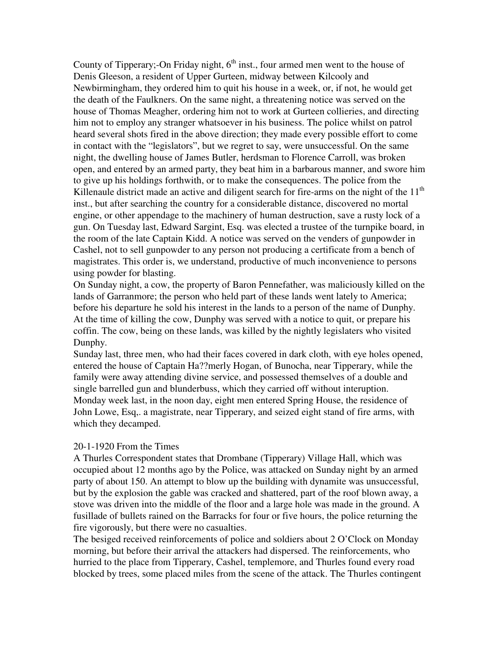County of Tipperary;-On Friday night,  $6<sup>th</sup>$  inst., four armed men went to the house of Denis Gleeson, a resident of Upper Gurteen, midway between Kilcooly and Newbirmingham, they ordered him to quit his house in a week, or, if not, he would get the death of the Faulkners. On the same night, a threatening notice was served on the house of Thomas Meagher, ordering him not to work at Gurteen collieries, and directing him not to employ any stranger whatsoever in his business. The police whilst on patrol heard several shots fired in the above direction; they made every possible effort to come in contact with the "legislators", but we regret to say, were unsuccessful. On the same night, the dwelling house of James Butler, herdsman to Florence Carroll, was broken open, and entered by an armed party, they beat him in a barbarous manner, and swore him to give up his holdings forthwith, or to make the consequences. The police from the Killenaule district made an active and diligent search for fire-arms on the night of the  $11<sup>th</sup>$ inst., but after searching the country for a considerable distance, discovered no mortal engine, or other appendage to the machinery of human destruction, save a rusty lock of a gun. On Tuesday last, Edward Sargint, Esq. was elected a trustee of the turnpike board, in the room of the late Captain Kidd. A notice was served on the venders of gunpowder in Cashel, not to sell gunpowder to any person not producing a certificate from a bench of magistrates. This order is, we understand, productive of much inconvenience to persons using powder for blasting.

On Sunday night, a cow, the property of Baron Pennefather, was maliciously killed on the lands of Garranmore; the person who held part of these lands went lately to America; before his departure he sold his interest in the lands to a person of the name of Dunphy. At the time of killing the cow, Dunphy was served with a notice to quit, or prepare his coffin. The cow, being on these lands, was killed by the nightly legislaters who visited Dunphy.

Sunday last, three men, who had their faces covered in dark cloth, with eye holes opened, entered the house of Captain Ha??merly Hogan, of Bunocha, near Tipperary, while the family were away attending divine service, and possessed themselves of a double and single barrelled gun and blunderbuss, which they carried off without interuption. Monday week last, in the noon day, eight men entered Spring House, the residence of John Lowe, Esq,. a magistrate, near Tipperary, and seized eight stand of fire arms, with which they decamped.

### 20-1-1920 From the Times

A Thurles Correspondent states that Drombane (Tipperary) Village Hall, which was occupied about 12 months ago by the Police, was attacked on Sunday night by an armed party of about 150. An attempt to blow up the building with dynamite was unsuccessful, but by the explosion the gable was cracked and shattered, part of the roof blown away, a stove was driven into the middle of the floor and a large hole was made in the ground. A fusillade of bullets rained on the Barracks for four or five hours, the police returning the fire vigorously, but there were no casualties.

The besiged received reinforcements of police and soldiers about 2 O'Clock on Monday morning, but before their arrival the attackers had dispersed. The reinforcements, who hurried to the place from Tipperary, Cashel, templemore, and Thurles found every road blocked by trees, some placed miles from the scene of the attack. The Thurles contingent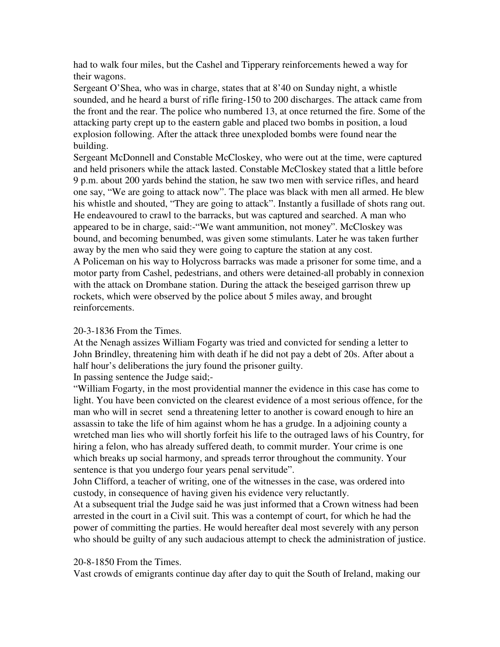had to walk four miles, but the Cashel and Tipperary reinforcements hewed a way for their wagons.

Sergeant O'Shea, who was in charge, states that at 8'40 on Sunday night, a whistle sounded, and he heard a burst of rifle firing-150 to 200 discharges. The attack came from the front and the rear. The police who numbered 13, at once returned the fire. Some of the attacking party crept up to the eastern gable and placed two bombs in position, a loud explosion following. After the attack three unexploded bombs were found near the building.

Sergeant McDonnell and Constable McCloskey, who were out at the time, were captured and held prisoners while the attack lasted. Constable McCloskey stated that a little before 9 p.m. about 200 yards behind the station, he saw two men with service rifles, and heard one say, "We are going to attack now". The place was black with men all armed. He blew his whistle and shouted, "They are going to attack". Instantly a fusillade of shots rang out. He endeavoured to crawl to the barracks, but was captured and searched. A man who appeared to be in charge, said:-"We want ammunition, not money". McCloskey was bound, and becoming benumbed, was given some stimulants. Later he was taken further away by the men who said they were going to capture the station at any cost. A Policeman on his way to Holycross barracks was made a prisoner for some time, and a motor party from Cashel, pedestrians, and others were detained-all probably in connexion with the attack on Drombane station. During the attack the beseiged garrison threw up rockets, which were observed by the police about 5 miles away, and brought reinforcements.

# 20-3-1836 From the Times.

At the Nenagh assizes William Fogarty was tried and convicted for sending a letter to John Brindley, threatening him with death if he did not pay a debt of 20s. After about a half hour's deliberations the jury found the prisoner guilty.

In passing sentence the Judge said;-

"William Fogarty, in the most providential manner the evidence in this case has come to light. You have been convicted on the clearest evidence of a most serious offence, for the man who will in secret send a threatening letter to another is coward enough to hire an assassin to take the life of him against whom he has a grudge. In a adjoining county a wretched man lies who will shortly forfeit his life to the outraged laws of his Country, for hiring a felon, who has already suffered death, to commit murder. Your crime is one which breaks up social harmony, and spreads terror throughout the community. Your sentence is that you undergo four years penal servitude".

John Clifford, a teacher of writing, one of the witnesses in the case, was ordered into custody, in consequence of having given his evidence very reluctantly.

At a subsequent trial the Judge said he was just informed that a Crown witness had been arrested in the court in a Civil suit. This was a contempt of court, for which he had the power of committing the parties. He would hereafter deal most severely with any person who should be guilty of any such audacious attempt to check the administration of justice.

20-8-1850 From the Times.

Vast crowds of emigrants continue day after day to quit the South of Ireland, making our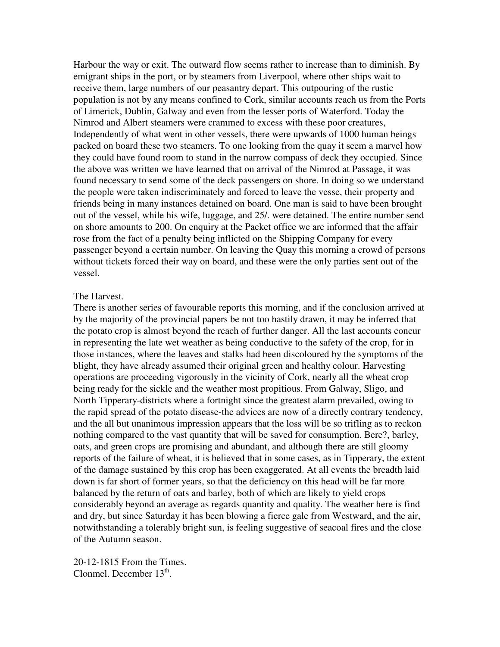Harbour the way or exit. The outward flow seems rather to increase than to diminish. By emigrant ships in the port, or by steamers from Liverpool, where other ships wait to receive them, large numbers of our peasantry depart. This outpouring of the rustic population is not by any means confined to Cork, similar accounts reach us from the Ports of Limerick, Dublin, Galway and even from the lesser ports of Waterford. Today the Nimrod and Albert steamers were crammed to excess with these poor creatures, Independently of what went in other vessels, there were upwards of 1000 human beings packed on board these two steamers. To one looking from the quay it seem a marvel how they could have found room to stand in the narrow compass of deck they occupied. Since the above was written we have learned that on arrival of the Nimrod at Passage, it was found necessary to send some of the deck passengers on shore. In doing so we understand the people were taken indiscriminately and forced to leave the vesse, their property and friends being in many instances detained on board. One man is said to have been brought out of the vessel, while his wife, luggage, and 25/. were detained. The entire number send on shore amounts to 200. On enquiry at the Packet office we are informed that the affair rose from the fact of a penalty being inflicted on the Shipping Company for every passenger beyond a certain number. On leaving the Quay this morning a crowd of persons without tickets forced their way on board, and these were the only parties sent out of the vessel.

### The Harvest.

There is another series of favourable reports this morning, and if the conclusion arrived at by the majority of the provincial papers be not too hastily drawn, it may be inferred that the potato crop is almost beyond the reach of further danger. All the last accounts concur in representing the late wet weather as being conductive to the safety of the crop, for in those instances, where the leaves and stalks had been discoloured by the symptoms of the blight, they have already assumed their original green and healthy colour. Harvesting operations are proceeding vigorously in the vicinity of Cork, nearly all the wheat crop being ready for the sickle and the weather most propitious. From Galway, Sligo, and North Tipperary-districts where a fortnight since the greatest alarm prevailed, owing to the rapid spread of the potato disease-the advices are now of a directly contrary tendency, and the all but unanimous impression appears that the loss will be so trifling as to reckon nothing compared to the vast quantity that will be saved for consumption. Bere?, barley, oats, and green crops are promising and abundant, and although there are still gloomy reports of the failure of wheat, it is believed that in some cases, as in Tipperary, the extent of the damage sustained by this crop has been exaggerated. At all events the breadth laid down is far short of former years, so that the deficiency on this head will be far more balanced by the return of oats and barley, both of which are likely to yield crops considerably beyond an average as regards quantity and quality. The weather here is find and dry, but since Saturday it has been blowing a fierce gale from Westward, and the air, notwithstanding a tolerably bright sun, is feeling suggestive of seacoal fires and the close of the Autumn season.

20-12-1815 From the Times. Clonmel. December  $13<sup>th</sup>$ .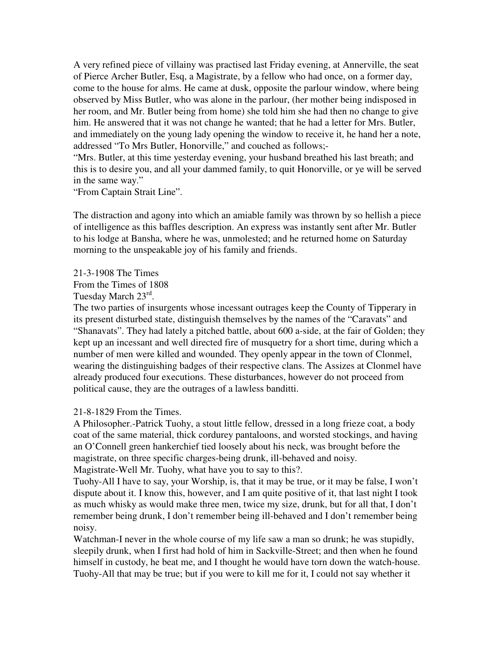A very refined piece of villainy was practised last Friday evening, at Annerville, the seat of Pierce Archer Butler, Esq, a Magistrate, by a fellow who had once, on a former day, come to the house for alms. He came at dusk, opposite the parlour window, where being observed by Miss Butler, who was alone in the parlour, (her mother being indisposed in her room, and Mr. Butler being from home) she told him she had then no change to give him. He answered that it was not change he wanted; that he had a letter for Mrs. Butler, and immediately on the young lady opening the window to receive it, he hand her a note, addressed "To Mrs Butler, Honorville," and couched as follows;-

"Mrs. Butler, at this time yesterday evening, your husband breathed his last breath; and this is to desire you, and all your dammed family, to quit Honorville, or ye will be served in the same way."

"From Captain Strait Line".

The distraction and agony into which an amiable family was thrown by so hellish a piece of intelligence as this baffles description. An express was instantly sent after Mr. Butler to his lodge at Bansha, where he was, unmolested; and he returned home on Saturday morning to the unspeakable joy of his family and friends.

### 21-3-1908 The Times

From the Times of 1808

Tuesday March 23rd.

The two parties of insurgents whose incessant outrages keep the County of Tipperary in its present disturbed state, distinguish themselves by the names of the "Caravats" and "Shanavats". They had lately a pitched battle, about 600 a-side, at the fair of Golden; they kept up an incessant and well directed fire of musquetry for a short time, during which a number of men were killed and wounded. They openly appear in the town of Clonmel, wearing the distinguishing badges of their respective clans. The Assizes at Clonmel have already produced four executions. These disturbances, however do not proceed from political cause, they are the outrages of a lawless banditti.

21-8-1829 From the Times.

A Philosopher.-Patrick Tuohy, a stout little fellow, dressed in a long frieze coat, a body coat of the same material, thick cordurey pantaloons, and worsted stockings, and having an O'Connell green hankerchief tied loosely about his neck, was brought before the magistrate, on three specific charges-being drunk, ill-behaved and noisy.

Magistrate-Well Mr. Tuohy, what have you to say to this?.

Tuohy-All I have to say, your Worship, is, that it may be true, or it may be false, I won't dispute about it. I know this, however, and I am quite positive of it, that last night I took as much whisky as would make three men, twice my size, drunk, but for all that, I don't remember being drunk, I don't remember being ill-behaved and I don't remember being noisy.

Watchman-I never in the whole course of my life saw a man so drunk; he was stupidly, sleepily drunk, when I first had hold of him in Sackville-Street; and then when he found himself in custody, he beat me, and I thought he would have torn down the watch-house. Tuohy-All that may be true; but if you were to kill me for it, I could not say whether it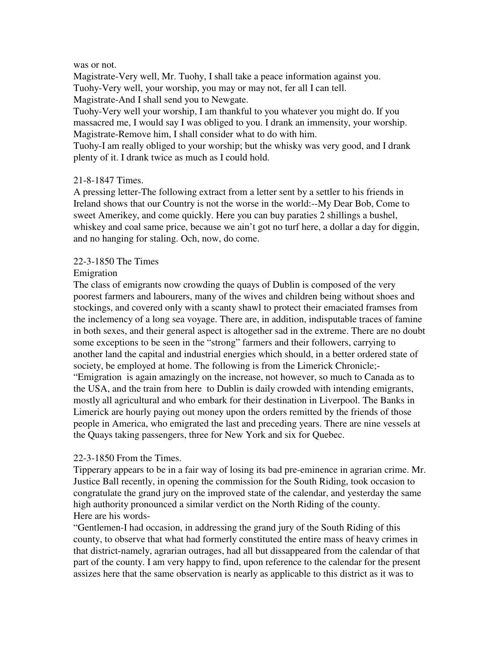### was or not.

Magistrate-Very well, Mr. Tuohy, I shall take a peace information against you. Tuohy-Very well, your worship, you may or may not, fer all I can tell. Magistrate-And I shall send you to Newgate.

Tuohy-Very well your worship, I am thankful to you whatever you might do. If you massacred me, I would say I was obliged to you. I drank an immensity, your worship. Magistrate-Remove him, I shall consider what to do with him.

Tuohy-I am really obliged to your worship; but the whisky was very good, and I drank plenty of it. I drank twice as much as I could hold.

# 21-8-1847 Times.

A pressing letter-The following extract from a letter sent by a settler to his friends in Ireland shows that our Country is not the worse in the world:--My Dear Bob, Come to sweet Amerikey, and come quickly. Here you can buy paraties 2 shillings a bushel, whiskey and coal same price, because we ain't got no turf here, a dollar a day for diggin, and no hanging for staling. Och, now, do come.

# 22-3-1850 The Times

# Emigration

The class of emigrants now crowding the quays of Dublin is composed of the very poorest farmers and labourers, many of the wives and children being without shoes and stockings, and covered only with a scanty shawl to protect their emaciated framses from the inclemency of a long sea voyage. There are, in addition, indisputable traces of famine in both sexes, and their general aspect is altogether sad in the extreme. There are no doubt some exceptions to be seen in the "strong" farmers and their followers, carrying to another land the capital and industrial energies which should, in a better ordered state of society, be employed at home. The following is from the Limerick Chronicle;- "Emigration is again amazingly on the increase, not however, so much to Canada as to the USA, and the train from here to Dublin is daily crowded with intending emigrants, mostly all agricultural and who embark for their destination in Liverpool. The Banks in Limerick are hourly paying out money upon the orders remitted by the friends of those people in America, who emigrated the last and preceding years. There are nine vessels at the Quays taking passengers, three for New York and six for Quebec.

# 22-3-1850 From the Times.

Tipperary appears to be in a fair way of losing its bad pre-eminence in agrarian crime. Mr. Justice Ball recently, in opening the commission for the South Riding, took occasion to congratulate the grand jury on the improved state of the calendar, and yesterday the same high authority pronounced a similar verdict on the North Riding of the county. Here are his words-

"Gentlemen-I had occasion, in addressing the grand jury of the South Riding of this county, to observe that what had formerly constituted the entire mass of heavy crimes in that district-namely, agrarian outrages, had all but dissappeared from the calendar of that part of the county. I am very happy to find, upon reference to the calendar for the present assizes here that the same observation is nearly as applicable to this district as it was to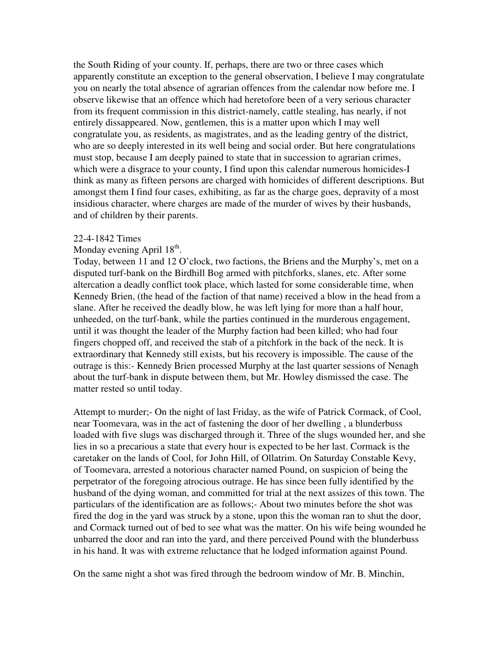the South Riding of your county. If, perhaps, there are two or three cases which apparently constitute an exception to the general observation, I believe I may congratulate you on nearly the total absence of agrarian offences from the calendar now before me. I observe likewise that an offence which had heretofore been of a very serious character from its frequent commission in this district-namely, cattle stealing, has nearly, if not entirely dissappeared. Now, gentlemen, this is a matter upon which I may well congratulate you, as residents, as magistrates, and as the leading gentry of the district, who are so deeply interested in its well being and social order. But here congratulations must stop, because I am deeply pained to state that in succession to agrarian crimes, which were a disgrace to your county, I find upon this calendar numerous homicides-I think as many as fifteen persons are charged with homicides of different descriptions. But amongst them I find four cases, exhibiting, as far as the charge goes, depravity of a most insidious character, where charges are made of the murder of wives by their husbands, and of children by their parents.

#### 22-4-1842 Times

# Monday evening April 18<sup>th</sup>.

Today, between 11 and 12 O'clock, two factions, the Briens and the Murphy's, met on a disputed turf-bank on the Birdhill Bog armed with pitchforks, slanes, etc. After some altercation a deadly conflict took place, which lasted for some considerable time, when Kennedy Brien, (the head of the faction of that name) received a blow in the head from a slane. After he received the deadly blow, he was left lying for more than a half hour, unheeded, on the turf-bank, while the parties continued in the murderous engagement, until it was thought the leader of the Murphy faction had been killed; who had four fingers chopped off, and received the stab of a pitchfork in the back of the neck. It is extraordinary that Kennedy still exists, but his recovery is impossible. The cause of the outrage is this:- Kennedy Brien processed Murphy at the last quarter sessions of Nenagh about the turf-bank in dispute between them, but Mr. Howley dismissed the case. The matter rested so until today.

Attempt to murder;- On the night of last Friday, as the wife of Patrick Cormack, of Cool, near Toomevara, was in the act of fastening the door of her dwelling , a blunderbuss loaded with five slugs was discharged through it. Three of the slugs wounded her, and she lies in so a precarious a state that every hour is expected to be her last. Cormack is the caretaker on the lands of Cool, for John Hill, of Ollatrim. On Saturday Constable Kevy, of Toomevara, arrested a notorious character named Pound, on suspicion of being the perpetrator of the foregoing atrocious outrage. He has since been fully identified by the husband of the dying woman, and committed for trial at the next assizes of this town. The particulars of the identification are as follows;- About two minutes before the shot was fired the dog in the yard was struck by a stone, upon this the woman ran to shut the door, and Cormack turned out of bed to see what was the matter. On his wife being wounded he unbarred the door and ran into the yard, and there perceived Pound with the blunderbuss in his hand. It was with extreme reluctance that he lodged information against Pound.

On the same night a shot was fired through the bedroom window of Mr. B. Minchin,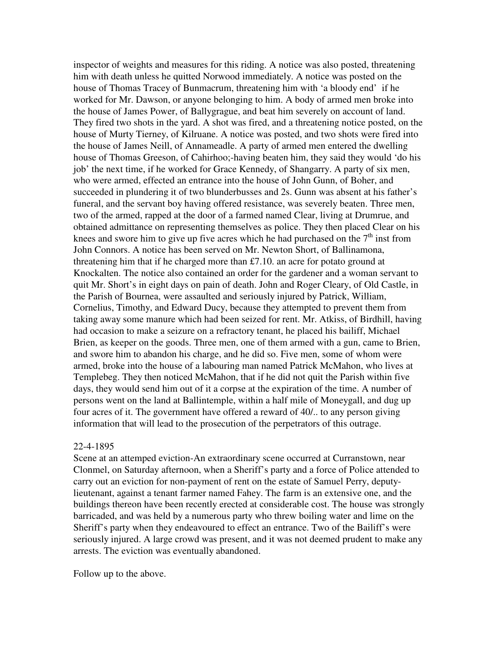inspector of weights and measures for this riding. A notice was also posted, threatening him with death unless he quitted Norwood immediately. A notice was posted on the house of Thomas Tracey of Bunmacrum, threatening him with 'a bloody end' if he worked for Mr. Dawson, or anyone belonging to him. A body of armed men broke into the house of James Power, of Ballygrague, and beat him severely on account of land. They fired two shots in the yard. A shot was fired, and a threatening notice posted, on the house of Murty Tierney, of Kilruane. A notice was posted, and two shots were fired into the house of James Neill, of Annameadle. A party of armed men entered the dwelling house of Thomas Greeson, of Cahirhoo;-having beaten him, they said they would 'do his job' the next time, if he worked for Grace Kennedy, of Shangarry. A party of six men, who were armed, effected an entrance into the house of John Gunn, of Boher, and succeeded in plundering it of two blunderbusses and 2s. Gunn was absent at his father's funeral, and the servant boy having offered resistance, was severely beaten. Three men, two of the armed, rapped at the door of a farmed named Clear, living at Drumrue, and obtained admittance on representing themselves as police. They then placed Clear on his knees and swore him to give up five acres which he had purchased on the  $7<sup>th</sup>$  inst from John Connors. A notice has been served on Mr. Newton Short, of Ballinamona, threatening him that if he charged more than  $\text{\pounds}7.10$ . an acre for potato ground at Knockalten. The notice also contained an order for the gardener and a woman servant to quit Mr. Short's in eight days on pain of death. John and Roger Cleary, of Old Castle, in the Parish of Bournea, were assaulted and seriously injured by Patrick, William, Cornelius, Timothy, and Edward Ducy, because they attempted to prevent them from taking away some manure which had been seized for rent. Mr. Atkiss, of Birdhill, having had occasion to make a seizure on a refractory tenant, he placed his bailiff, Michael Brien, as keeper on the goods. Three men, one of them armed with a gun, came to Brien, and swore him to abandon his charge, and he did so. Five men, some of whom were armed, broke into the house of a labouring man named Patrick McMahon, who lives at Templebeg. They then noticed McMahon, that if he did not quit the Parish within five days, they would send him out of it a corpse at the expiration of the time. A number of persons went on the land at Ballintemple, within a half mile of Moneygall, and dug up four acres of it. The government have offered a reward of 40/.. to any person giving information that will lead to the prosecution of the perpetrators of this outrage.

#### 22-4-1895

Scene at an attemped eviction-An extraordinary scene occurred at Curranstown, near Clonmel, on Saturday afternoon, when a Sheriff's party and a force of Police attended to carry out an eviction for non-payment of rent on the estate of Samuel Perry, deputylieutenant, against a tenant farmer named Fahey. The farm is an extensive one, and the buildings thereon have been recently erected at considerable cost. The house was strongly barricaded, and was held by a numerous party who threw boiling water and lime on the Sheriff's party when they endeavoured to effect an entrance. Two of the Bailiff's were seriously injured. A large crowd was present, and it was not deemed prudent to make any arrests. The eviction was eventually abandoned.

Follow up to the above.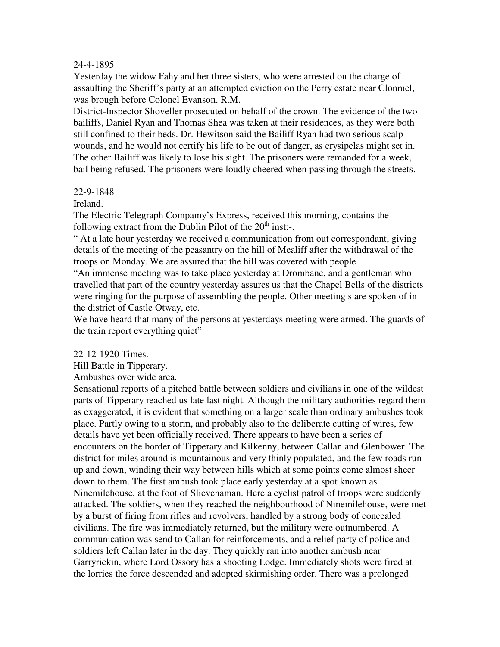### 24-4-1895

Yesterday the widow Fahy and her three sisters, who were arrested on the charge of assaulting the Sheriff's party at an attempted eviction on the Perry estate near Clonmel, was brough before Colonel Evanson. R.M.

District-Inspector Shoveller prosecuted on behalf of the crown. The evidence of the two bailiffs, Daniel Ryan and Thomas Shea was taken at their residences, as they were both still confined to their beds. Dr. Hewitson said the Bailiff Ryan had two serious scalp wounds, and he would not certify his life to be out of danger, as erysipelas might set in. The other Bailiff was likely to lose his sight. The prisoners were remanded for a week, bail being refused. The prisoners were loudly cheered when passing through the streets.

### 22-9-1848

### Ireland.

The Electric Telegraph Compamy's Express, received this morning, contains the following extract from the Dublin Pilot of the  $20<sup>th</sup>$  inst:-.

" At a late hour yesterday we received a communication from out correspondant, giving details of the meeting of the peasantry on the hill of Mealiff after the withdrawal of the troops on Monday. We are assured that the hill was covered with people.

"An immense meeting was to take place yesterday at Drombane, and a gentleman who travelled that part of the country yesterday assures us that the Chapel Bells of the districts were ringing for the purpose of assembling the people. Other meeting s are spoken of in the district of Castle Otway, etc.

We have heard that many of the persons at yesterdays meeting were armed. The guards of the train report everything quiet"

### 22-12-1920 Times.

Hill Battle in Tipperary.

Ambushes over wide area.

Sensational reports of a pitched battle between soldiers and civilians in one of the wildest parts of Tipperary reached us late last night. Although the military authorities regard them as exaggerated, it is evident that something on a larger scale than ordinary ambushes took place. Partly owing to a storm, and probably also to the deliberate cutting of wires, few details have yet been officially received. There appears to have been a series of encounters on the border of Tipperary and Kilkenny, between Callan and Glenbower. The district for miles around is mountainous and very thinly populated, and the few roads run up and down, winding their way between hills which at some points come almost sheer down to them. The first ambush took place early yesterday at a spot known as Ninemilehouse, at the foot of Slievenaman. Here a cyclist patrol of troops were suddenly attacked. The soldiers, when they reached the neighbourhood of Ninemilehouse, were met by a burst of firing from rifles and revolvers, handled by a strong body of concealed civilians. The fire was immediately returned, but the military were outnumbered. A communication was send to Callan for reinforcements, and a relief party of police and soldiers left Callan later in the day. They quickly ran into another ambush near Garryrickin, where Lord Ossory has a shooting Lodge. Immediately shots were fired at the lorries the force descended and adopted skirmishing order. There was a prolonged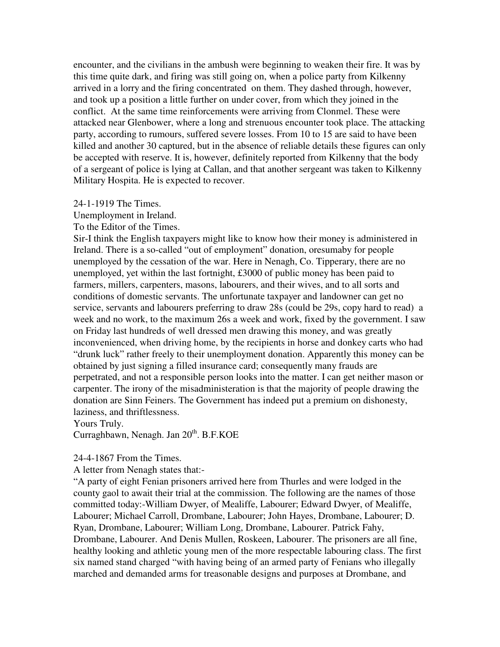encounter, and the civilians in the ambush were beginning to weaken their fire. It was by this time quite dark, and firing was still going on, when a police party from Kilkenny arrived in a lorry and the firing concentrated on them. They dashed through, however, and took up a position a little further on under cover, from which they joined in the conflict. At the same time reinforcements were arriving from Clonmel. These were attacked near Glenbower, where a long and strenuous encounter took place. The attacking party, according to rumours, suffered severe losses. From 10 to 15 are said to have been killed and another 30 captured, but in the absence of reliable details these figures can only be accepted with reserve. It is, however, definitely reported from Kilkenny that the body of a sergeant of police is lying at Callan, and that another sergeant was taken to Kilkenny Military Hospita. He is expected to recover.

24-1-1919 The Times.

Unemployment in Ireland.

To the Editor of the Times.

Sir-I think the English taxpayers might like to know how their money is administered in Ireland. There is a so-called "out of employment" donation, oresumaby for people unemployed by the cessation of the war. Here in Nenagh, Co. Tipperary, there are no unemployed, yet within the last fortnight,  $\pounds 3000$  of public money has been paid to farmers, millers, carpenters, masons, labourers, and their wives, and to all sorts and conditions of domestic servants. The unfortunate taxpayer and landowner can get no service, servants and labourers preferring to draw 28s (could be 29s, copy hard to read) a week and no work, to the maximum 26s a week and work, fixed by the government. I saw on Friday last hundreds of well dressed men drawing this money, and was greatly inconvenienced, when driving home, by the recipients in horse and donkey carts who had "drunk luck" rather freely to their unemployment donation. Apparently this money can be obtained by just signing a filled insurance card; consequently many frauds are perpetrated, and not a responsible person looks into the matter. I can get neither mason or carpenter. The irony of the misadministeration is that the majority of people drawing the donation are Sinn Feiners. The Government has indeed put a premium on dishonesty, laziness, and thriftlessness.

Yours Truly.

Curraghbawn, Nenagh. Jan  $20<sup>th</sup>$ . B.F.KOE

# 24-4-1867 From the Times.

A letter from Nenagh states that:-

"A party of eight Fenian prisoners arrived here from Thurles and were lodged in the county gaol to await their trial at the commission. The following are the names of those committed today:-William Dwyer, of Mealiffe, Labourer; Edward Dwyer, of Mealiffe, Labourer; Michael Carroll, Drombane, Labourer; John Hayes, Drombane, Labourer; D. Ryan, Drombane, Labourer; William Long, Drombane, Labourer. Patrick Fahy, Drombane, Labourer. And Denis Mullen, Roskeen, Labourer. The prisoners are all fine, healthy looking and athletic young men of the more respectable labouring class. The first six named stand charged "with having being of an armed party of Fenians who illegally marched and demanded arms for treasonable designs and purposes at Drombane, and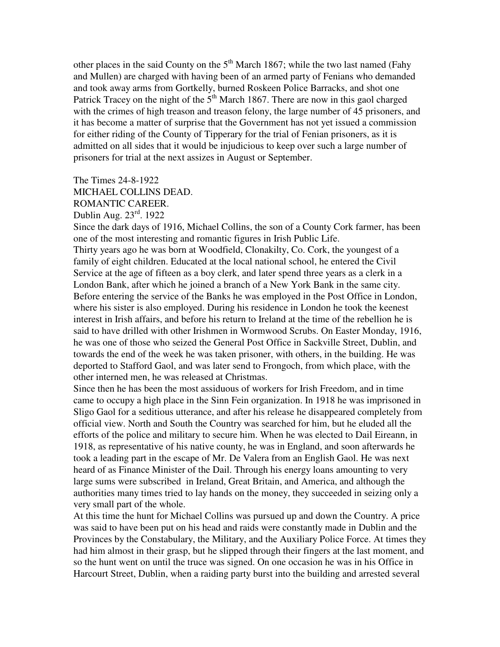other places in the said County on the  $5<sup>th</sup>$  March 1867; while the two last named (Fahy and Mullen) are charged with having been of an armed party of Fenians who demanded and took away arms from Gortkelly, burned Roskeen Police Barracks, and shot one Patrick Tracey on the night of the  $5<sup>th</sup>$  March 1867. There are now in this gaol charged with the crimes of high treason and treason felony, the large number of 45 prisoners, and it has become a matter of surprise that the Government has not yet issued a commission for either riding of the County of Tipperary for the trial of Fenian prisoners, as it is admitted on all sides that it would be injudicious to keep over such a large number of prisoners for trial at the next assizes in August or September.

# The Times 24-8-1922 MICHAEL COLLINS DEAD. ROMANTIC CAREER. Dublin Aug.  $23^{\text{rd}}$ . 1922

Since the dark days of 1916, Michael Collins, the son of a County Cork farmer, has been one of the most interesting and romantic figures in Irish Public Life.

Thirty years ago he was born at Woodfield, Clonakilty, Co. Cork, the youngest of a family of eight children. Educated at the local national school, he entered the Civil Service at the age of fifteen as a boy clerk, and later spend three years as a clerk in a London Bank, after which he joined a branch of a New York Bank in the same city. Before entering the service of the Banks he was employed in the Post Office in London, where his sister is also employed. During his residence in London he took the keenest interest in Irish affairs, and before his return to Ireland at the time of the rebellion he is said to have drilled with other Irishmen in Wormwood Scrubs. On Easter Monday, 1916, he was one of those who seized the General Post Office in Sackville Street, Dublin, and towards the end of the week he was taken prisoner, with others, in the building. He was deported to Stafford Gaol, and was later send to Frongoch, from which place, with the other interned men, he was released at Christmas.

Since then he has been the most assiduous of workers for Irish Freedom, and in time came to occupy a high place in the Sinn Fein organization. In 1918 he was imprisoned in Sligo Gaol for a seditious utterance, and after his release he disappeared completely from official view. North and South the Country was searched for him, but he eluded all the efforts of the police and military to secure him. When he was elected to Dail Eireann, in 1918, as representative of his native county, he was in England, and soon afterwards he took a leading part in the escape of Mr. De Valera from an English Gaol. He was next heard of as Finance Minister of the Dail. Through his energy loans amounting to very large sums were subscribed in Ireland, Great Britain, and America, and although the authorities many times tried to lay hands on the money, they succeeded in seizing only a very small part of the whole.

At this time the hunt for Michael Collins was pursued up and down the Country. A price was said to have been put on his head and raids were constantly made in Dublin and the Provinces by the Constabulary, the Military, and the Auxiliary Police Force. At times they had him almost in their grasp, but he slipped through their fingers at the last moment, and so the hunt went on until the truce was signed. On one occasion he was in his Office in Harcourt Street, Dublin, when a raiding party burst into the building and arrested several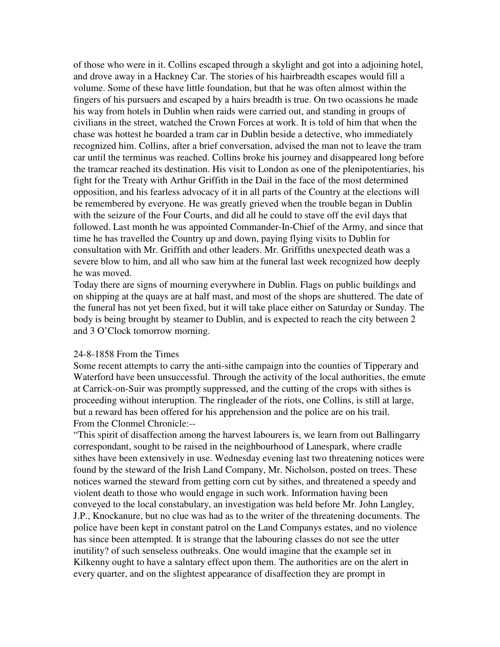of those who were in it. Collins escaped through a skylight and got into a adjoining hotel, and drove away in a Hackney Car. The stories of his hairbreadth escapes would fill a volume. Some of these have little foundation, but that he was often almost within the fingers of his pursuers and escaped by a hairs breadth is true. On two ocassions he made his way from hotels in Dublin when raids were carried out, and standing in groups of civilians in the street, watched the Crown Forces at work. It is told of him that when the chase was hottest he boarded a tram car in Dublin beside a detective, who immediately recognized him. Collins, after a brief conversation, advised the man not to leave the tram car until the terminus was reached. Collins broke his journey and disappeared long before the tramcar reached its destination. His visit to London as one of the plenipotentiaries, his fight for the Treaty with Arthur Griffith in the Dail in the face of the most determined opposition, and his fearless advocacy of it in all parts of the Country at the elections will be remembered by everyone. He was greatly grieved when the trouble began in Dublin with the seizure of the Four Courts, and did all he could to stave off the evil days that followed. Last month he was appointed Commander-In-Chief of the Army, and since that time he has travelled the Country up and down, paying flying visits to Dublin for consultation with Mr. Griffith and other leaders. Mr. Griffiths unexpected death was a severe blow to him, and all who saw him at the funeral last week recognized how deeply he was moved.

Today there are signs of mourning everywhere in Dublin. Flags on public buildings and on shipping at the quays are at half mast, and most of the shops are shuttered. The date of the funeral has not yet been fixed, but it will take place either on Saturday or Sunday. The body is being brought by steamer to Dublin, and is expected to reach the city between 2 and 3 O'Clock tomorrow morning.

#### 24-8-1858 From the Times

Some recent attempts to carry the anti-sithe campaign into the counties of Tipperary and Waterford have been unsuccessful. Through the activity of the local authorities, the emute at Carrick-on-Suir was promptly suppressed, and the cutting of the crops with sithes is proceeding without interuption. The ringleader of the riots, one Collins, is still at large, but a reward has been offered for his apprehension and the police are on his trail. From the Clonmel Chronicle:--

"This spirit of disaffection among the harvest labourers is, we learn from out Ballingarry correspondant, sought to be raised in the neighbourhood of Lanespark, where cradle sithes have been extensively in use. Wednesday evening last two threatening notices were found by the steward of the Irish Land Company, Mr. Nicholson, posted on trees. These notices warned the steward from getting corn cut by sithes, and threatened a speedy and violent death to those who would engage in such work. Information having been conveyed to the local constabulary, an investigation was held before Mr. John Langley, J.P., Knockanure, but no clue was had as to the writer of the threatening documents. The police have been kept in constant patrol on the Land Companys estates, and no violence has since been attempted. It is strange that the labouring classes do not see the utter inutility? of such senseless outbreaks. One would imagine that the example set in Kilkenny ought to have a salntary effect upon them. The authorities are on the alert in every quarter, and on the slightest appearance of disaffection they are prompt in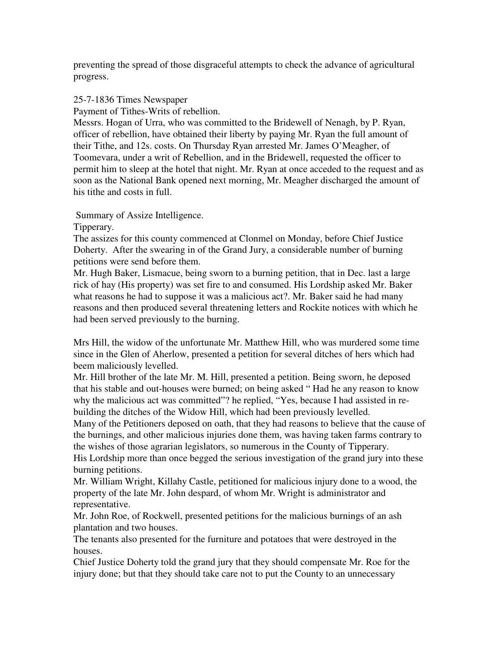preventing the spread of those disgraceful attempts to check the advance of agricultural progress.

# 25-7-1836 Times Newspaper

Payment of Tithes-Writs of rebellion.

Messrs. Hogan of Urra, who was committed to the Bridewell of Nenagh, by P. Ryan, officer of rebellion, have obtained their liberty by paying Mr. Ryan the full amount of their Tithe, and 12s. costs. On Thursday Ryan arrested Mr. James O'Meagher, of Toomevara, under a writ of Rebellion, and in the Bridewell, requested the officer to permit him to sleep at the hotel that night. Mr. Ryan at once acceded to the request and as soon as the National Bank opened next morning, Mr. Meagher discharged the amount of his tithe and costs in full.

Summary of Assize Intelligence.

Tipperary.

The assizes for this county commenced at Clonmel on Monday, before Chief Justice Doherty. After the swearing in of the Grand Jury, a considerable number of burning petitions were send before them.

Mr. Hugh Baker, Lismacue, being sworn to a burning petition, that in Dec. last a large rick of hay (His property) was set fire to and consumed. His Lordship asked Mr. Baker what reasons he had to suppose it was a malicious act?. Mr. Baker said he had many reasons and then produced several threatening letters and Rockite notices with which he had been served previously to the burning.

Mrs Hill, the widow of the unfortunate Mr. Matthew Hill, who was murdered some time since in the Glen of Aherlow, presented a petition for several ditches of hers which had beem maliciously levelled.

Mr. Hill brother of the late Mr. M. Hill, presented a petition. Being sworn, he deposed that his stable and out-houses were burned; on being asked " Had he any reason to know why the malicious act was committed"? he replied, "Yes, because I had assisted in rebuilding the ditches of the Widow Hill, which had been previously levelled.

Many of the Petitioners deposed on oath, that they had reasons to believe that the cause of the burnings, and other malicious injuries done them, was having taken farms contrary to the wishes of those agrarian legislators, so numerous in the County of Tipperary.

His Lordship more than once begged the serious investigation of the grand jury into these burning petitions.

Mr. William Wright, Killahy Castle, petitioned for malicious injury done to a wood, the property of the late Mr. John despard, of whom Mr. Wright is administrator and representative.

Mr. John Roe, of Rockwell, presented petitions for the malicious burnings of an ash plantation and two houses.

The tenants also presented for the furniture and potatoes that were destroyed in the houses.

Chief Justice Doherty told the grand jury that they should compensate Mr. Roe for the injury done; but that they should take care not to put the County to an unnecessary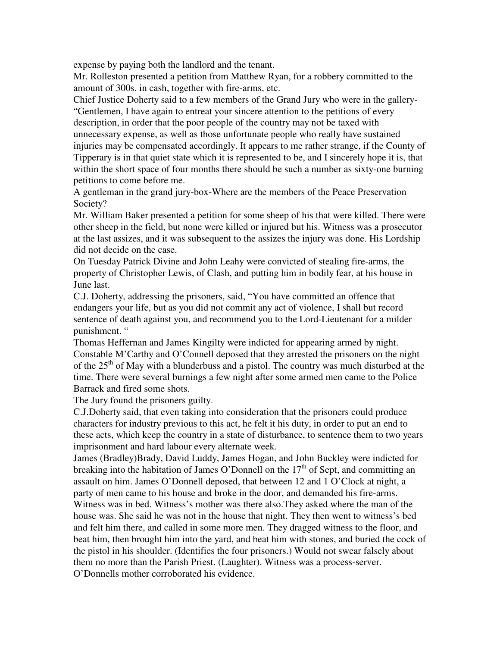expense by paying both the landlord and the tenant.

Mr. Rolleston presented a petition from Matthew Ryan, for a robbery committed to the amount of 300s. in cash, together with fire-arms, etc.

Chief Justice Doherty said to a few members of the Grand Jury who were in the gallery- "Gentlemen, I have again to entreat your sincere attention to the petitions of every description, in order that the poor people of the country may not be taxed with unnecessary expense, as well as those unfortunate people who really have sustained injuries may be compensated accordingly. It appears to me rather strange, if the County of Tipperary is in that quiet state which it is represented to be, and I sincerely hope it is, that within the short space of four months there should be such a number as sixty-one burning petitions to come before me.

A gentleman in the grand jury-box-Where are the members of the Peace Preservation Society?

Mr. William Baker presented a petition for some sheep of his that were killed. There were other sheep in the field, but none were killed or injured but his. Witness was a prosecutor at the last assizes, and it was subsequent to the assizes the injury was done. His Lordship did not decide on the case.

On Tuesday Patrick Divine and John Leahy were convicted of stealing fire-arms, the property of Christopher Lewis, of Clash, and putting him in bodily fear, at his house in June last.

C.J. Doherty, addressing the prisoners, said, "You have committed an offence that endangers your life, but as you did not commit any act of violence, I shall but record sentence of death against you, and recommend you to the Lord-Lieutenant for a milder punishment. "

Thomas Heffernan and James Kingilty were indicted for appearing armed by night. Constable M'Carthy and O'Connell deposed that they arrested the prisoners on the night of the  $25<sup>th</sup>$  of May with a blunderbuss and a pistol. The country was much disturbed at the time. There were several burnings a few night after some armed men came to the Police Barrack and fired some shots.

The Jury found the prisoners guilty.

C.J.Doherty said, that even taking into consideration that the prisoners could produce characters for industry previous to this act, he felt it his duty, in order to put an end to these acts, which keep the country in a state of disturbance, to sentence them to two years imprisonment and hard labour every alternate week.

James (Bradley)Brady, David Luddy, James Hogan, and John Buckley were indicted for breaking into the habitation of James O'Donnell on the  $17<sup>th</sup>$  of Sept, and committing an assault on him. James O'Donnell deposed, that between 12 and 1 O'Clock at night, a party of men came to his house and broke in the door, and demanded his fire-arms. Witness was in bed. Witness's mother was there also.They asked where the man of the house was. She said he was not in the house that night. They then went to witness's bed and felt him there, and called in some more men. They dragged witness to the floor, and beat him, then brought him into the yard, and beat him with stones, and buried the cock of the pistol in his shoulder. (Identifies the four prisoners.) Would not swear falsely about them no more than the Parish Priest. (Laughter). Witness was a process-server. O'Donnells mother corroborated his evidence.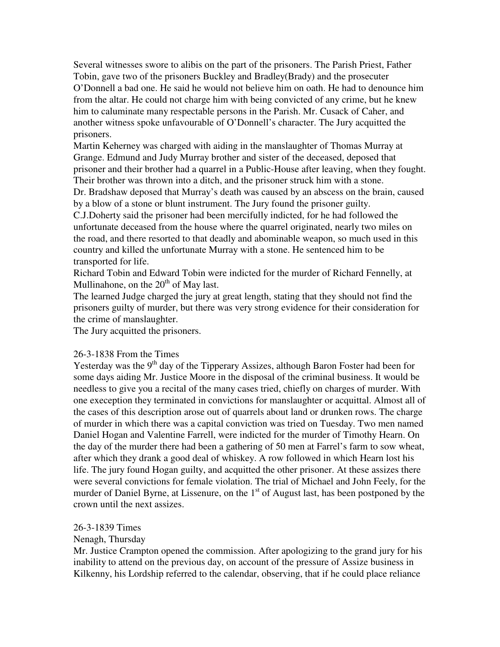Several witnesses swore to alibis on the part of the prisoners. The Parish Priest, Father Tobin, gave two of the prisoners Buckley and Bradley(Brady) and the prosecuter O'Donnell a bad one. He said he would not believe him on oath. He had to denounce him from the altar. He could not charge him with being convicted of any crime, but he knew him to caluminate many respectable persons in the Parish. Mr. Cusack of Caher, and another witness spoke unfavourable of O'Donnell's character. The Jury acquitted the prisoners.

Martin Keherney was charged with aiding in the manslaughter of Thomas Murray at Grange. Edmund and Judy Murray brother and sister of the deceased, deposed that prisoner and their brother had a quarrel in a Public-House after leaving, when they fought. Their brother was thrown into a ditch, and the prisoner struck him with a stone.

Dr. Bradshaw deposed that Murray's death was caused by an abscess on the brain, caused by a blow of a stone or blunt instrument. The Jury found the prisoner guilty.

C.J.Doherty said the prisoner had been mercifully indicted, for he had followed the unfortunate deceased from the house where the quarrel originated, nearly two miles on the road, and there resorted to that deadly and abominable weapon, so much used in this country and killed the unfortunate Murray with a stone. He sentenced him to be transported for life.

Richard Tobin and Edward Tobin were indicted for the murder of Richard Fennelly, at Mullinahone, on the  $20<sup>th</sup>$  of May last.

The learned Judge charged the jury at great length, stating that they should not find the prisoners guilty of murder, but there was very strong evidence for their consideration for the crime of manslaughter.

The Jury acquitted the prisoners.

# 26-3-1838 From the Times

Yesterday was the  $9<sup>th</sup>$  day of the Tipperary Assizes, although Baron Foster had been for some days aiding Mr. Justice Moore in the disposal of the criminal business. It would be needless to give you a recital of the many cases tried, chiefly on charges of murder. With one exeception they terminated in convictions for manslaughter or acquittal. Almost all of the cases of this description arose out of quarrels about land or drunken rows. The charge of murder in which there was a capital conviction was tried on Tuesday. Two men named Daniel Hogan and Valentine Farrell, were indicted for the murder of Timothy Hearn. On the day of the murder there had been a gathering of 50 men at Farrel's farm to sow wheat, after which they drank a good deal of whiskey. A row followed in which Hearn lost his life. The jury found Hogan guilty, and acquitted the other prisoner. At these assizes there were several convictions for female violation. The trial of Michael and John Feely, for the murder of Daniel Byrne, at Lissenure, on the  $1<sup>st</sup>$  of August last, has been postponed by the crown until the next assizes.

# 26-3-1839 Times

### Nenagh, Thursday

Mr. Justice Crampton opened the commission. After apologizing to the grand jury for his inability to attend on the previous day, on account of the pressure of Assize business in Kilkenny, his Lordship referred to the calendar, observing, that if he could place reliance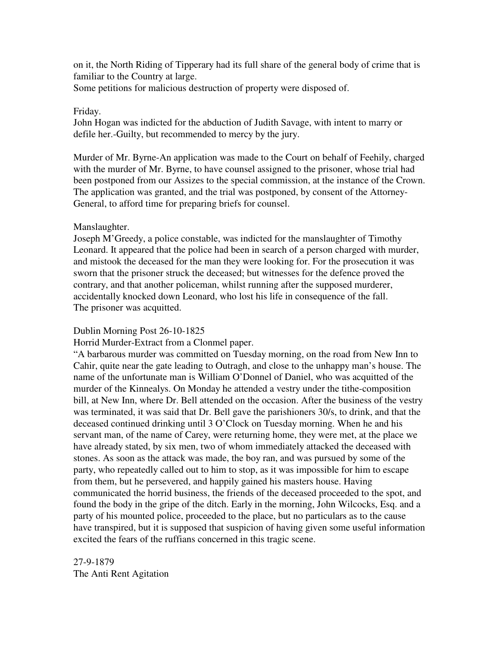on it, the North Riding of Tipperary had its full share of the general body of crime that is familiar to the Country at large.

Some petitions for malicious destruction of property were disposed of.

# Friday.

John Hogan was indicted for the abduction of Judith Savage, with intent to marry or defile her.-Guilty, but recommended to mercy by the jury.

Murder of Mr. Byrne-An application was made to the Court on behalf of Feehily, charged with the murder of Mr. Byrne, to have counsel assigned to the prisoner, whose trial had been postponed from our Assizes to the special commission, at the instance of the Crown. The application was granted, and the trial was postponed, by consent of the Attorney-General, to afford time for preparing briefs for counsel.

# Manslaughter.

Joseph M'Greedy, a police constable, was indicted for the manslaughter of Timothy Leonard. It appeared that the police had been in search of a person charged with murder, and mistook the deceased for the man they were looking for. For the prosecution it was sworn that the prisoner struck the deceased; but witnesses for the defence proved the contrary, and that another policeman, whilst running after the supposed murderer, accidentally knocked down Leonard, who lost his life in consequence of the fall. The prisoner was acquitted.

# Dublin Morning Post 26-10-1825

Horrid Murder-Extract from a Clonmel paper.

"A barbarous murder was committed on Tuesday morning, on the road from New Inn to Cahir, quite near the gate leading to Outragh, and close to the unhappy man's house. The name of the unfortunate man is William O'Donnel of Daniel, who was acquitted of the murder of the Kinnealys. On Monday he attended a vestry under the tithe-composition bill, at New Inn, where Dr. Bell attended on the occasion. After the business of the vestry was terminated, it was said that Dr. Bell gave the parishioners 30/s, to drink, and that the deceased continued drinking until 3 O'Clock on Tuesday morning. When he and his servant man, of the name of Carey, were returning home, they were met, at the place we have already stated, by six men, two of whom immediately attacked the deceased with stones. As soon as the attack was made, the boy ran, and was pursued by some of the party, who repeatedly called out to him to stop, as it was impossible for him to escape from them, but he persevered, and happily gained his masters house. Having communicated the horrid business, the friends of the deceased proceeded to the spot, and found the body in the gripe of the ditch. Early in the morning, John Wilcocks, Esq. and a party of his mounted police, proceeded to the place, but no particulars as to the cause have transpired, but it is supposed that suspicion of having given some useful information excited the fears of the ruffians concerned in this tragic scene.

27-9-1879 The Anti Rent Agitation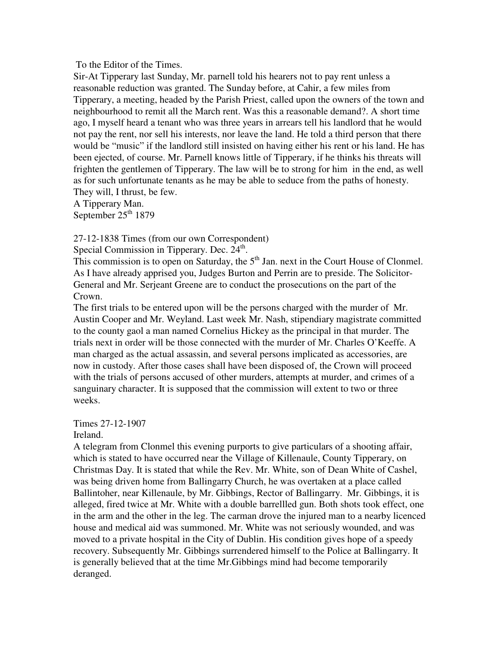To the Editor of the Times.

Sir-At Tipperary last Sunday, Mr. parnell told his hearers not to pay rent unless a reasonable reduction was granted. The Sunday before, at Cahir, a few miles from Tipperary, a meeting, headed by the Parish Priest, called upon the owners of the town and neighbourhood to remit all the March rent. Was this a reasonable demand?. A short time ago, I myself heard a tenant who was three years in arrears tell his landlord that he would not pay the rent, nor sell his interests, nor leave the land. He told a third person that there would be "music" if the landlord still insisted on having either his rent or his land. He has been ejected, of course. Mr. Parnell knows little of Tipperary, if he thinks his threats will frighten the gentlemen of Tipperary. The law will be to strong for him in the end, as well as for such unfortunate tenants as he may be able to seduce from the paths of honesty. They will, I thrust, be few.

A Tipperary Man. September  $25<sup>th</sup> 1879$ 

27-12-1838 Times (from our own Correspondent)

Special Commission in Tipperary. Dec.  $24<sup>th</sup>$ .

This commission is to open on Saturday, the  $5<sup>th</sup>$  Jan. next in the Court House of Clonmel. As I have already apprised you, Judges Burton and Perrin are to preside. The Solicitor-General and Mr. Serjeant Greene are to conduct the prosecutions on the part of the Crown.

The first trials to be entered upon will be the persons charged with the murder of Mr. Austin Cooper and Mr. Weyland. Last week Mr. Nash, stipendiary magistrate committed to the county gaol a man named Cornelius Hickey as the principal in that murder. The trials next in order will be those connected with the murder of Mr. Charles O'Keeffe. A man charged as the actual assassin, and several persons implicated as accessories, are now in custody. After those cases shall have been disposed of, the Crown will proceed with the trials of persons accused of other murders, attempts at murder, and crimes of a sanguinary character. It is supposed that the commission will extent to two or three weeks.

Times 27-12-1907

Ireland.

A telegram from Clonmel this evening purports to give particulars of a shooting affair, which is stated to have occurred near the Village of Killenaule, County Tipperary, on Christmas Day. It is stated that while the Rev. Mr. White, son of Dean White of Cashel, was being driven home from Ballingarry Church, he was overtaken at a place called Ballintoher, near Killenaule, by Mr. Gibbings, Rector of Ballingarry. Mr. Gibbings, it is alleged, fired twice at Mr. White with a double barrellled gun. Both shots took effect, one in the arm and the other in the leg. The carman drove the injured man to a nearby licenced house and medical aid was summoned. Mr. White was not seriously wounded, and was moved to a private hospital in the City of Dublin. His condition gives hope of a speedy recovery. Subsequently Mr. Gibbings surrendered himself to the Police at Ballingarry. It is generally believed that at the time Mr.Gibbings mind had become temporarily deranged.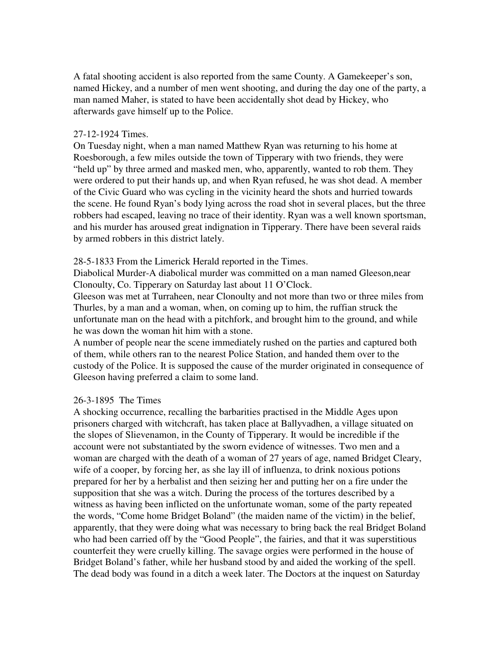A fatal shooting accident is also reported from the same County. A Gamekeeper's son, named Hickey, and a number of men went shooting, and during the day one of the party, a man named Maher, is stated to have been accidentally shot dead by Hickey, who afterwards gave himself up to the Police.

### 27-12-1924 Times.

On Tuesday night, when a man named Matthew Ryan was returning to his home at Roesborough, a few miles outside the town of Tipperary with two friends, they were "held up" by three armed and masked men, who, apparently, wanted to rob them. They were ordered to put their hands up, and when Ryan refused, he was shot dead. A member of the Civic Guard who was cycling in the vicinity heard the shots and hurried towards the scene. He found Ryan's body lying across the road shot in several places, but the three robbers had escaped, leaving no trace of their identity. Ryan was a well known sportsman, and his murder has aroused great indignation in Tipperary. There have been several raids by armed robbers in this district lately.

28-5-1833 From the Limerick Herald reported in the Times.

Diabolical Murder-A diabolical murder was committed on a man named Gleeson,near Clonoulty, Co. Tipperary on Saturday last about 11 O'Clock.

Gleeson was met at Turraheen, near Clonoulty and not more than two or three miles from Thurles, by a man and a woman, when, on coming up to him, the ruffian struck the unfortunate man on the head with a pitchfork, and brought him to the ground, and while he was down the woman hit him with a stone.

A number of people near the scene immediately rushed on the parties and captured both of them, while others ran to the nearest Police Station, and handed them over to the custody of the Police. It is supposed the cause of the murder originated in consequence of Gleeson having preferred a claim to some land.

## 26-3-1895 The Times

A shocking occurrence, recalling the barbarities practised in the Middle Ages upon prisoners charged with witchcraft, has taken place at Ballyvadhen, a village situated on the slopes of Slievenamon, in the County of Tipperary. It would be incredible if the account were not substantiated by the sworn evidence of witnesses. Two men and a woman are charged with the death of a woman of 27 years of age, named Bridget Cleary, wife of a cooper, by forcing her, as she lay ill of influenza, to drink noxious potions prepared for her by a herbalist and then seizing her and putting her on a fire under the supposition that she was a witch. During the process of the tortures described by a witness as having been inflicted on the unfortunate woman, some of the party repeated the words, "Come home Bridget Boland" (the maiden name of the victim) in the belief, apparently, that they were doing what was necessary to bring back the real Bridget Boland who had been carried off by the "Good People", the fairies, and that it was superstitious counterfeit they were cruelly killing. The savage orgies were performed in the house of Bridget Boland's father, while her husband stood by and aided the working of the spell. The dead body was found in a ditch a week later. The Doctors at the inquest on Saturday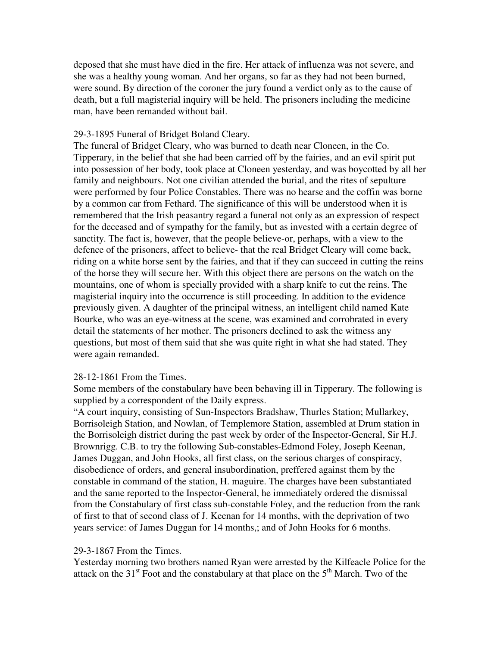deposed that she must have died in the fire. Her attack of influenza was not severe, and she was a healthy young woman. And her organs, so far as they had not been burned, were sound. By direction of the coroner the jury found a verdict only as to the cause of death, but a full magisterial inquiry will be held. The prisoners including the medicine man, have been remanded without bail.

## 29-3-1895 Funeral of Bridget Boland Cleary.

The funeral of Bridget Cleary, who was burned to death near Cloneen, in the Co. Tipperary, in the belief that she had been carried off by the fairies, and an evil spirit put into possession of her body, took place at Cloneen yesterday, and was boycotted by all her family and neighbours. Not one civilian attended the burial, and the rites of sepulture were performed by four Police Constables. There was no hearse and the coffin was borne by a common car from Fethard. The significance of this will be understood when it is remembered that the Irish peasantry regard a funeral not only as an expression of respect for the deceased and of sympathy for the family, but as invested with a certain degree of sanctity. The fact is, however, that the people believe-or, perhaps, with a view to the defence of the prisoners, affect to believe- that the real Bridget Cleary will come back, riding on a white horse sent by the fairies, and that if they can succeed in cutting the reins of the horse they will secure her. With this object there are persons on the watch on the mountains, one of whom is specially provided with a sharp knife to cut the reins. The magisterial inquiry into the occurrence is still proceeding. In addition to the evidence previously given. A daughter of the principal witness, an intelligent child named Kate Bourke, who was an eye-witness at the scene, was examined and corrobrated in every detail the statements of her mother. The prisoners declined to ask the witness any questions, but most of them said that she was quite right in what she had stated. They were again remanded.

### 28-12-1861 From the Times.

Some members of the constabulary have been behaving ill in Tipperary. The following is supplied by a correspondent of the Daily express.

"A court inquiry, consisting of Sun-Inspectors Bradshaw, Thurles Station; Mullarkey, Borrisoleigh Station, and Nowlan, of Templemore Station, assembled at Drum station in the Borrisoleigh district during the past week by order of the Inspector-General, Sir H.J. Brownrigg. C.B. to try the following Sub-constables-Edmond Foley, Joseph Keenan, James Duggan, and John Hooks, all first class, on the serious charges of conspiracy, disobedience of orders, and general insubordination, preffered against them by the constable in command of the station, H. maguire. The charges have been substantiated and the same reported to the Inspector-General, he immediately ordered the dismissal from the Constabulary of first class sub-constable Foley, and the reduction from the rank of first to that of second class of J. Keenan for 14 months, with the deprivation of two years service: of James Duggan for 14 months,; and of John Hooks for 6 months.

### 29-3-1867 From the Times.

Yesterday morning two brothers named Ryan were arrested by the Kilfeacle Police for the attack on the  $31<sup>st</sup>$  Foot and the constabulary at that place on the  $5<sup>th</sup>$  March. Two of the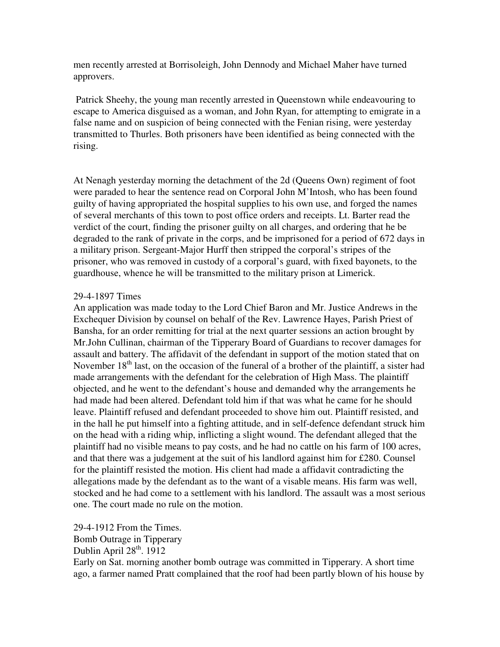men recently arrested at Borrisoleigh, John Dennody and Michael Maher have turned approvers.

 Patrick Sheehy, the young man recently arrested in Queenstown while endeavouring to escape to America disguised as a woman, and John Ryan, for attempting to emigrate in a false name and on suspicion of being connected with the Fenian rising, were yesterday transmitted to Thurles. Both prisoners have been identified as being connected with the rising.

At Nenagh yesterday morning the detachment of the 2d (Queens Own) regiment of foot were paraded to hear the sentence read on Corporal John M'Intosh, who has been found guilty of having appropriated the hospital supplies to his own use, and forged the names of several merchants of this town to post office orders and receipts. Lt. Barter read the verdict of the court, finding the prisoner guilty on all charges, and ordering that he be degraded to the rank of private in the corps, and be imprisoned for a period of 672 days in a military prison. Sergeant-Major Hurff then stripped the corporal's stripes of the prisoner, who was removed in custody of a corporal's guard, with fixed bayonets, to the guardhouse, whence he will be transmitted to the military prison at Limerick.

## 29-4-1897 Times

An application was made today to the Lord Chief Baron and Mr. Justice Andrews in the Exchequer Division by counsel on behalf of the Rev. Lawrence Hayes, Parish Priest of Bansha, for an order remitting for trial at the next quarter sessions an action brought by Mr.John Cullinan, chairman of the Tipperary Board of Guardians to recover damages for assault and battery. The affidavit of the defendant in support of the motion stated that on November  $18<sup>th</sup>$  last, on the occasion of the funeral of a brother of the plaintiff, a sister had made arrangements with the defendant for the celebration of High Mass. The plaintiff objected, and he went to the defendant's house and demanded why the arrangements he had made had been altered. Defendant told him if that was what he came for he should leave. Plaintiff refused and defendant proceeded to shove him out. Plaintiff resisted, and in the hall he put himself into a fighting attitude, and in self-defence defendant struck him on the head with a riding whip, inflicting a slight wound. The defendant alleged that the plaintiff had no visible means to pay costs, and he had no cattle on his farm of 100 acres, and that there was a judgement at the suit of his landlord against him for £280. Counsel for the plaintiff resisted the motion. His client had made a affidavit contradicting the allegations made by the defendant as to the want of a visable means. His farm was well, stocked and he had come to a settlement with his landlord. The assault was a most serious one. The court made no rule on the motion.

29-4-1912 From the Times. Bomb Outrage in Tipperary Dublin April 28<sup>th</sup>. 1912

Early on Sat. morning another bomb outrage was committed in Tipperary. A short time ago, a farmer named Pratt complained that the roof had been partly blown of his house by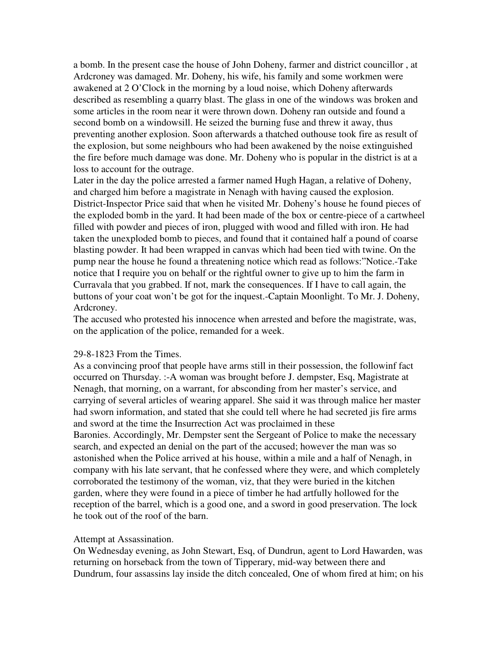a bomb. In the present case the house of John Doheny, farmer and district councillor , at Ardcroney was damaged. Mr. Doheny, his wife, his family and some workmen were awakened at 2 O'Clock in the morning by a loud noise, which Doheny afterwards described as resembling a quarry blast. The glass in one of the windows was broken and some articles in the room near it were thrown down. Doheny ran outside and found a second bomb on a windowsill. He seized the burning fuse and threw it away, thus preventing another explosion. Soon afterwards a thatched outhouse took fire as result of the explosion, but some neighbours who had been awakened by the noise extinguished the fire before much damage was done. Mr. Doheny who is popular in the district is at a loss to account for the outrage.

Later in the day the police arrested a farmer named Hugh Hagan, a relative of Doheny, and charged him before a magistrate in Nenagh with having caused the explosion. District-Inspector Price said that when he visited Mr. Doheny's house he found pieces of the exploded bomb in the yard. It had been made of the box or centre-piece of a cartwheel filled with powder and pieces of iron, plugged with wood and filled with iron. He had taken the unexploded bomb to pieces, and found that it contained half a pound of coarse blasting powder. It had been wrapped in canvas which had been tied with twine. On the pump near the house he found a threatening notice which read as follows:"Notice.-Take notice that I require you on behalf or the rightful owner to give up to him the farm in Curravala that you grabbed. If not, mark the consequences. If I have to call again, the buttons of your coat won't be got for the inquest.-Captain Moonlight. To Mr. J. Doheny, Ardcroney.

The accused who protested his innocence when arrested and before the magistrate, was, on the application of the police, remanded for a week.

#### 29-8-1823 From the Times.

As a convincing proof that people have arms still in their possession, the followinf fact occurred on Thursday. :-A woman was brought before J. dempster, Esq, Magistrate at Nenagh, that morning, on a warrant, for absconding from her master's service, and carrying of several articles of wearing apparel. She said it was through malice her master had sworn information, and stated that she could tell where he had secreted jis fire arms and sword at the time the Insurrection Act was proclaimed in these Baronies. Accordingly, Mr. Dempster sent the Sergeant of Police to make the necessary search, and expected an denial on the part of the accused; however the man was so astonished when the Police arrived at his house, within a mile and a half of Nenagh, in company with his late servant, that he confessed where they were, and which completely corroborated the testimony of the woman, viz, that they were buried in the kitchen garden, where they were found in a piece of timber he had artfully hollowed for the reception of the barrel, which is a good one, and a sword in good preservation. The lock he took out of the roof of the barn.

#### Attempt at Assassination.

On Wednesday evening, as John Stewart, Esq, of Dundrun, agent to Lord Hawarden, was returning on horseback from the town of Tipperary, mid-way between there and Dundrum, four assassins lay inside the ditch concealed, One of whom fired at him; on his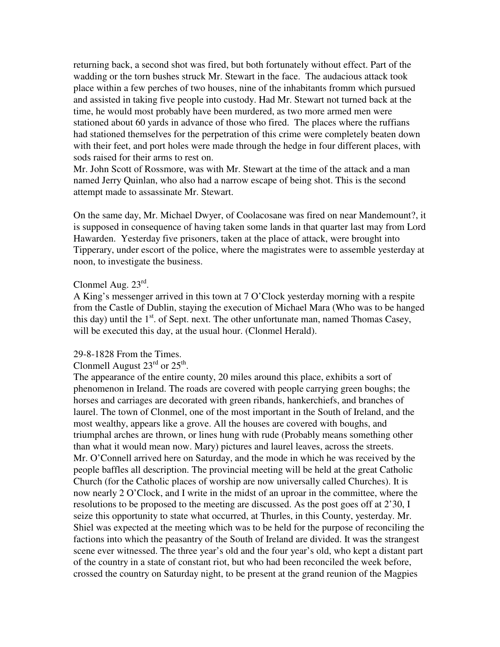returning back, a second shot was fired, but both fortunately without effect. Part of the wadding or the torn bushes struck Mr. Stewart in the face. The audacious attack took place within a few perches of two houses, nine of the inhabitants fromm which pursued and assisted in taking five people into custody. Had Mr. Stewart not turned back at the time, he would most probably have been murdered, as two more armed men were stationed about 60 yards in advance of those who fired. The places where the ruffians had stationed themselves for the perpetration of this crime were completely beaten down with their feet, and port holes were made through the hedge in four different places, with sods raised for their arms to rest on.

Mr. John Scott of Rossmore, was with Mr. Stewart at the time of the attack and a man named Jerry Quinlan, who also had a narrow escape of being shot. This is the second attempt made to assassinate Mr. Stewart.

On the same day, Mr. Michael Dwyer, of Coolacosane was fired on near Mandemount?, it is supposed in consequence of having taken some lands in that quarter last may from Lord Hawarden. Yesterday five prisoners, taken at the place of attack, were brought into Tipperary, under escort of the police, where the magistrates were to assemble yesterday at noon, to investigate the business.

# Clonmel Aug.  $23^{\text{rd}}$ .

A King's messenger arrived in this town at 7 O'Clock yesterday morning with a respite from the Castle of Dublin, staying the execution of Michael Mara (Who was to be hanged this day) until the  $1<sup>st</sup>$ . of Sept. next. The other unfortunate man, named Thomas Casey, will be executed this day, at the usual hour. (Clonmel Herald).

### 29-8-1828 From the Times.

# Clonmell August  $23^{\text{rd}}$  or  $25^{\text{th}}$ .

The appearance of the entire county, 20 miles around this place, exhibits a sort of phenomenon in Ireland. The roads are covered with people carrying green boughs; the horses and carriages are decorated with green ribands, hankerchiefs, and branches of laurel. The town of Clonmel, one of the most important in the South of Ireland, and the most wealthy, appears like a grove. All the houses are covered with boughs, and triumphal arches are thrown, or lines hung with rude (Probably means something other than what it would mean now. Mary) pictures and laurel leaves, across the streets. Mr. O'Connell arrived here on Saturday, and the mode in which he was received by the people baffles all description. The provincial meeting will be held at the great Catholic Church (for the Catholic places of worship are now universally called Churches). It is now nearly 2 O'Clock, and I write in the midst of an uproar in the committee, where the resolutions to be proposed to the meeting are discussed. As the post goes off at 2'30, I seize this opportunity to state what occurred, at Thurles, in this County, yesterday. Mr. Shiel was expected at the meeting which was to be held for the purpose of reconciling the factions into which the peasantry of the South of Ireland are divided. It was the strangest scene ever witnessed. The three year's old and the four year's old, who kept a distant part of the country in a state of constant riot, but who had been reconciled the week before, crossed the country on Saturday night, to be present at the grand reunion of the Magpies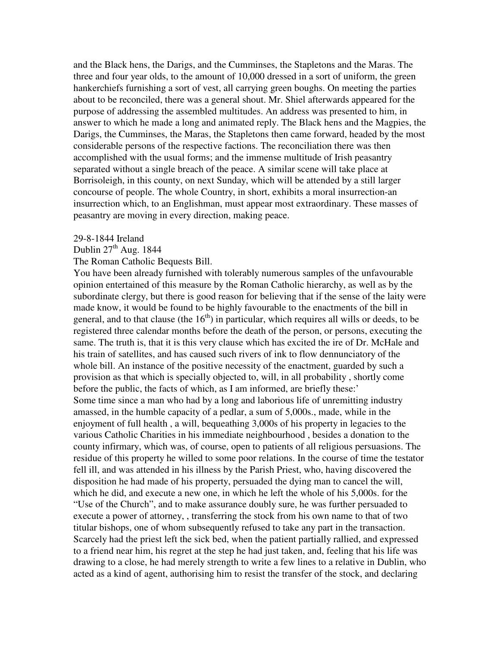and the Black hens, the Darigs, and the Cumminses, the Stapletons and the Maras. The three and four year olds, to the amount of 10,000 dressed in a sort of uniform, the green hankerchiefs furnishing a sort of vest, all carrying green boughs. On meeting the parties about to be reconciled, there was a general shout. Mr. Shiel afterwards appeared for the purpose of addressing the assembled multitudes. An address was presented to him, in answer to which he made a long and animated reply. The Black hens and the Magpies, the Darigs, the Cumminses, the Maras, the Stapletons then came forward, headed by the most considerable persons of the respective factions. The reconciliation there was then accomplished with the usual forms; and the immense multitude of Irish peasantry separated without a single breach of the peace. A similar scene will take place at Borrisoleigh, in this county, on next Sunday, which will be attended by a still larger concourse of people. The whole Country, in short, exhibits a moral insurrection-an insurrection which, to an Englishman, must appear most extraordinary. These masses of peasantry are moving in every direction, making peace.

#### 29-8-1844 Ireland

# Dublin  $27<sup>th</sup>$  Aug. 1844

The Roman Catholic Bequests Bill.

You have been already furnished with tolerably numerous samples of the unfavourable opinion entertained of this measure by the Roman Catholic hierarchy, as well as by the subordinate clergy, but there is good reason for believing that if the sense of the laity were made know, it would be found to be highly favourable to the enactments of the bill in general, and to that clause (the  $16<sup>th</sup>$ ) in particular, which requires all wills or deeds, to be registered three calendar months before the death of the person, or persons, executing the same. The truth is, that it is this very clause which has excited the ire of Dr. McHale and his train of satellites, and has caused such rivers of ink to flow dennunciatory of the whole bill. An instance of the positive necessity of the enactment, guarded by such a provision as that which is specially objected to, will, in all probability , shortly come before the public, the facts of which, as I am informed, are briefly these:' Some time since a man who had by a long and laborious life of unremitting industry amassed, in the humble capacity of a pedlar, a sum of 5,000s., made, while in the enjoyment of full health , a will, bequeathing 3,000s of his property in legacies to the various Catholic Charities in his immediate neighbourhood , besides a donation to the county infirmary, which was, of course, open to patients of all religious persuasions. The residue of this property he willed to some poor relations. In the course of time the testator fell ill, and was attended in his illness by the Parish Priest, who, having discovered the disposition he had made of his property, persuaded the dying man to cancel the will, which he did, and execute a new one, in which he left the whole of his 5,000s. for the "Use of the Church", and to make assurance doubly sure, he was further persuaded to execute a power of attorney, , transferring the stock from his own name to that of two titular bishops, one of whom subsequently refused to take any part in the transaction. Scarcely had the priest left the sick bed, when the patient partially rallied, and expressed to a friend near him, his regret at the step he had just taken, and, feeling that his life was drawing to a close, he had merely strength to write a few lines to a relative in Dublin, who acted as a kind of agent, authorising him to resist the transfer of the stock, and declaring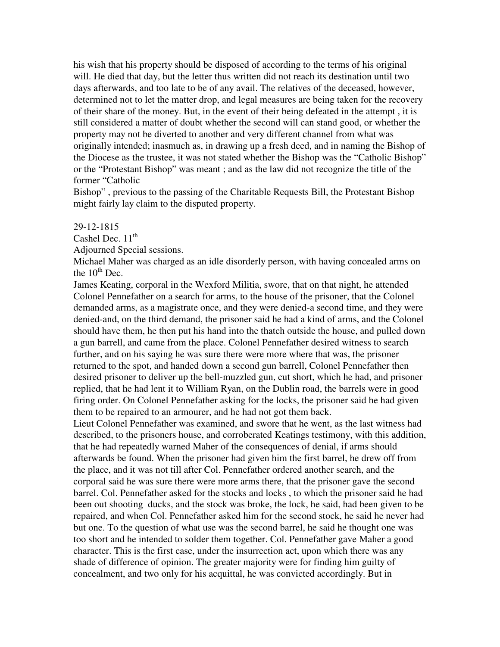his wish that his property should be disposed of according to the terms of his original will. He died that day, but the letter thus written did not reach its destination until two days afterwards, and too late to be of any avail. The relatives of the deceased, however, determined not to let the matter drop, and legal measures are being taken for the recovery of their share of the money. But, in the event of their being defeated in the attempt , it is still considered a matter of doubt whether the second will can stand good, or whether the property may not be diverted to another and very different channel from what was originally intended; inasmuch as, in drawing up a fresh deed, and in naming the Bishop of the Diocese as the trustee, it was not stated whether the Bishop was the "Catholic Bishop" or the "Protestant Bishop" was meant ; and as the law did not recognize the title of the former "Catholic

Bishop" , previous to the passing of the Charitable Requests Bill, the Protestant Bishop might fairly lay claim to the disputed property.

#### 29-12-1815

Cashel Dec. 11<sup>th</sup>

Adjourned Special sessions.

Michael Maher was charged as an idle disorderly person, with having concealed arms on the  $10^{th}$  Dec.

James Keating, corporal in the Wexford Militia, swore, that on that night, he attended Colonel Pennefather on a search for arms, to the house of the prisoner, that the Colonel demanded arms, as a magistrate once, and they were denied-a second time, and they were denied-and, on the third demand, the prisoner said he had a kind of arms, and the Colonel should have them, he then put his hand into the thatch outside the house, and pulled down a gun barrell, and came from the place. Colonel Pennefather desired witness to search further, and on his saying he was sure there were more where that was, the prisoner returned to the spot, and handed down a second gun barrell, Colonel Pennefather then desired prisoner to deliver up the bell-muzzled gun, cut short, which he had, and prisoner replied, that he had lent it to William Ryan, on the Dublin road, the barrels were in good firing order. On Colonel Pennefather asking for the locks, the prisoner said he had given them to be repaired to an armourer, and he had not got them back.

Lieut Colonel Pennefather was examined, and swore that he went, as the last witness had described, to the prisoners house, and corroberated Keatings testimony, with this addition, that he had repeatedly warned Maher of the consequences of denial, if arms should afterwards be found. When the prisoner had given him the first barrel, he drew off from the place, and it was not till after Col. Pennefather ordered another search, and the corporal said he was sure there were more arms there, that the prisoner gave the second barrel. Col. Pennefather asked for the stocks and locks , to which the prisoner said he had been out shooting ducks, and the stock was broke, the lock, he said, had been given to be repaired, and when Col. Pennefather asked him for the second stock, he said he never had but one. To the question of what use was the second barrel, he said he thought one was too short and he intended to solder them together. Col. Pennefather gave Maher a good character. This is the first case, under the insurrection act, upon which there was any shade of difference of opinion. The greater majority were for finding him guilty of concealment, and two only for his acquittal, he was convicted accordingly. But in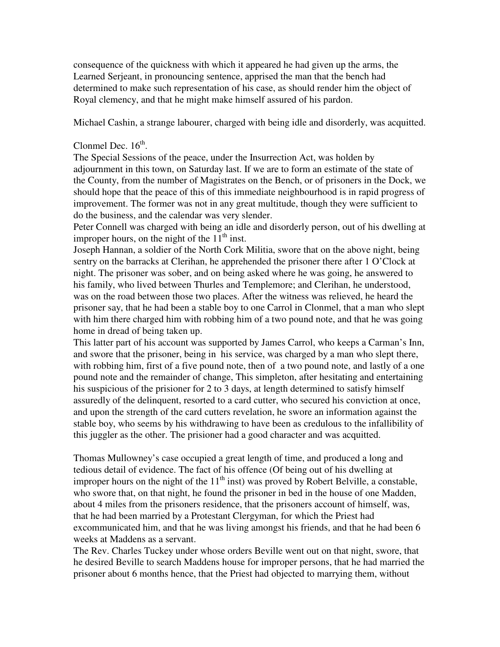consequence of the quickness with which it appeared he had given up the arms, the Learned Serjeant, in pronouncing sentence, apprised the man that the bench had determined to make such representation of his case, as should render him the object of Royal clemency, and that he might make himself assured of his pardon.

Michael Cashin, a strange labourer, charged with being idle and disorderly, was acquitted.

# Clonmel Dec.  $16<sup>th</sup>$ .

The Special Sessions of the peace, under the Insurrection Act, was holden by adjournment in this town, on Saturday last. If we are to form an estimate of the state of the County, from the number of Magistrates on the Bench, or of prisoners in the Dock, we should hope that the peace of this of this immediate neighbourhood is in rapid progress of improvement. The former was not in any great multitude, though they were sufficient to do the business, and the calendar was very slender.

Peter Connell was charged with being an idle and disorderly person, out of his dwelling at improper hours, on the night of the  $11<sup>th</sup>$  inst.

Joseph Hannan, a soldier of the North Cork Militia, swore that on the above night, being sentry on the barracks at Clerihan, he apprehended the prisoner there after 1 O'Clock at night. The prisoner was sober, and on being asked where he was going, he answered to his family, who lived between Thurles and Templemore; and Clerihan, he understood, was on the road between those two places. After the witness was relieved, he heard the prisoner say, that he had been a stable boy to one Carrol in Clonmel, that a man who slept with him there charged him with robbing him of a two pound note, and that he was going home in dread of being taken up.

This latter part of his account was supported by James Carrol, who keeps a Carman's Inn, and swore that the prisoner, being in his service, was charged by a man who slept there, with robbing him, first of a five pound note, then of a two pound note, and lastly of a one pound note and the remainder of change, This simpleton, after hesitating and entertaining his suspicious of the prisioner for 2 to 3 days, at length determined to satisfy himself assuredly of the delinquent, resorted to a card cutter, who secured his conviction at once, and upon the strength of the card cutters revelation, he swore an information against the stable boy, who seems by his withdrawing to have been as credulous to the infallibility of this juggler as the other. The prisioner had a good character and was acquitted.

Thomas Mullowney's case occupied a great length of time, and produced a long and tedious detail of evidence. The fact of his offence (Of being out of his dwelling at improper hours on the night of the  $11<sup>th</sup>$  inst) was proved by Robert Belville, a constable, who swore that, on that night, he found the prisoner in bed in the house of one Madden, about 4 miles from the prisoners residence, that the prisoners account of himself, was, that he had been married by a Protestant Clergyman, for which the Priest had excommunicated him, and that he was living amongst his friends, and that he had been 6 weeks at Maddens as a servant.

The Rev. Charles Tuckey under whose orders Beville went out on that night, swore, that he desired Beville to search Maddens house for improper persons, that he had married the prisoner about 6 months hence, that the Priest had objected to marrying them, without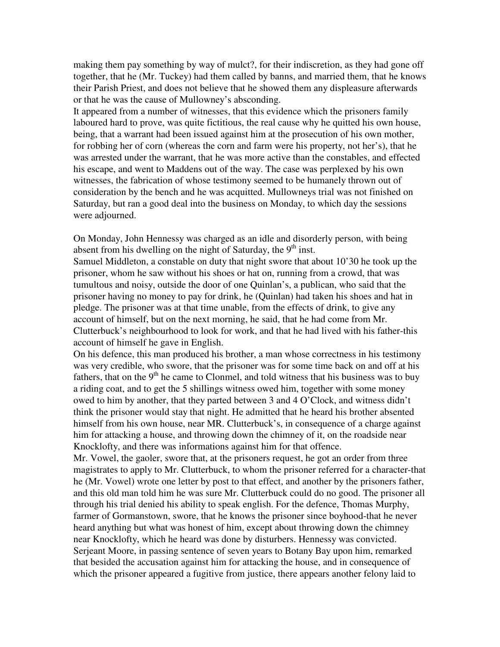making them pay something by way of mulct?, for their indiscretion, as they had gone off together, that he (Mr. Tuckey) had them called by banns, and married them, that he knows their Parish Priest, and does not believe that he showed them any displeasure afterwards or that he was the cause of Mullowney's absconding.

It appeared from a number of witnesses, that this evidence which the prisoners family laboured hard to prove, was quite fictitious, the real cause why he quitted his own house, being, that a warrant had been issued against him at the prosecution of his own mother, for robbing her of corn (whereas the corn and farm were his property, not her's), that he was arrested under the warrant, that he was more active than the constables, and effected his escape, and went to Maddens out of the way. The case was perplexed by his own witnesses, the fabrication of whose testimony seemed to be humanely thrown out of consideration by the bench and he was acquitted. Mullowneys trial was not finished on Saturday, but ran a good deal into the business on Monday, to which day the sessions were adjourned.

On Monday, John Hennessy was charged as an idle and disorderly person, with being absent from his dwelling on the night of Saturday, the  $9<sup>th</sup>$  inst.

Samuel Middleton, a constable on duty that night swore that about 10'30 he took up the prisoner, whom he saw without his shoes or hat on, running from a crowd, that was tumultous and noisy, outside the door of one Quinlan's, a publican, who said that the prisoner having no money to pay for drink, he (Quinlan) had taken his shoes and hat in pledge. The prisoner was at that time unable, from the effects of drink, to give any account of himself, but on the next morning, he said, that he had come from Mr. Clutterbuck's neighbourhood to look for work, and that he had lived with his father-this account of himself he gave in English.

On his defence, this man produced his brother, a man whose correctness in his testimony was very credible, who swore, that the prisoner was for some time back on and off at his fathers, that on the  $9<sup>th</sup>$  he came to Clonmel, and told witness that his business was to buy a riding coat, and to get the 5 shillings witness owed him, together with some money owed to him by another, that they parted between 3 and 4 O'Clock, and witness didn't think the prisoner would stay that night. He admitted that he heard his brother absented himself from his own house, near MR. Clutterbuck's, in consequence of a charge against him for attacking a house, and throwing down the chimney of it, on the roadside near Knocklofty, and there was informations against him for that offence.

Mr. Vowel, the gaoler, swore that, at the prisoners request, he got an order from three magistrates to apply to Mr. Clutterbuck, to whom the prisoner referred for a character-that he (Mr. Vowel) wrote one letter by post to that effect, and another by the prisoners father, and this old man told him he was sure Mr. Clutterbuck could do no good. The prisoner all through his trial denied his ability to speak english. For the defence, Thomas Murphy, farmer of Gormanstown, swore, that he knows the prisoner since boyhood-that he never heard anything but what was honest of him, except about throwing down the chimney near Knocklofty, which he heard was done by disturbers. Hennessy was convicted. Serjeant Moore, in passing sentence of seven years to Botany Bay upon him, remarked that besided the accusation against him for attacking the house, and in consequence of which the prisoner appeared a fugitive from justice, there appears another felony laid to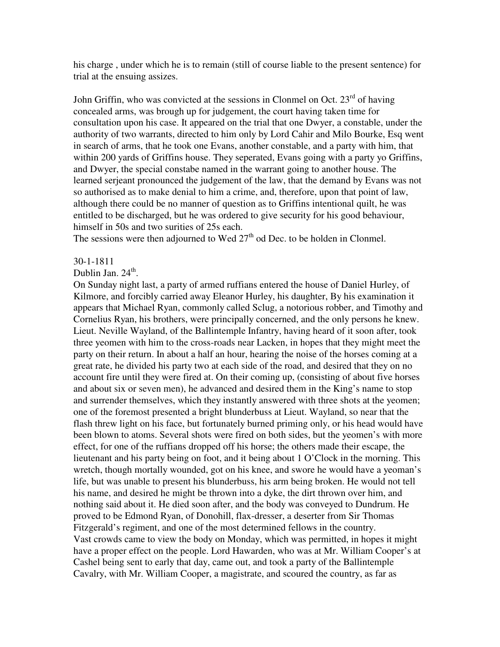his charge , under which he is to remain (still of course liable to the present sentence) for trial at the ensuing assizes.

John Griffin, who was convicted at the sessions in Clonmel on Oct.  $23<sup>rd</sup>$  of having concealed arms, was brough up for judgement, the court having taken time for consultation upon his case. It appeared on the trial that one Dwyer, a constable, under the authority of two warrants, directed to him only by Lord Cahir and Milo Bourke, Esq went in search of arms, that he took one Evans, another constable, and a party with him, that within 200 yards of Griffins house. They seperated, Evans going with a party yo Griffins, and Dwyer, the special constabe named in the warrant going to another house. The learned serjeant pronounced the judgement of the law, that the demand by Evans was not so authorised as to make denial to him a crime, and, therefore, upon that point of law, although there could be no manner of question as to Griffins intentional quilt, he was entitled to be discharged, but he was ordered to give security for his good behaviour, himself in 50s and two surities of 25s each.

The sessions were then adjourned to Wed  $27<sup>th</sup>$  od Dec. to be holden in Clonmel.

#### 30-1-1811

Dublin Jan.  $24^{\text{th}}$ .

On Sunday night last, a party of armed ruffians entered the house of Daniel Hurley, of Kilmore, and forcibly carried away Eleanor Hurley, his daughter, By his examination it appears that Michael Ryan, commonly called Sclug, a notorious robber, and Timothy and Cornelius Ryan, his brothers, were principally concerned, and the only persons he knew. Lieut. Neville Wayland, of the Ballintemple Infantry, having heard of it soon after, took three yeomen with him to the cross-roads near Lacken, in hopes that they might meet the party on their return. In about a half an hour, hearing the noise of the horses coming at a great rate, he divided his party two at each side of the road, and desired that they on no account fire until they were fired at. On their coming up, (consisting of about five horses and about six or seven men), he advanced and desired them in the King's name to stop and surrender themselves, which they instantly answered with three shots at the yeomen; one of the foremost presented a bright blunderbuss at Lieut. Wayland, so near that the flash threw light on his face, but fortunately burned priming only, or his head would have been blown to atoms. Several shots were fired on both sides, but the yeomen's with more effect, for one of the ruffians dropped off his horse; the others made their escape, the lieutenant and his party being on foot, and it being about 1 O'Clock in the morning. This wretch, though mortally wounded, got on his knee, and swore he would have a yeoman's life, but was unable to present his blunderbuss, his arm being broken. He would not tell his name, and desired he might be thrown into a dyke, the dirt thrown over him, and nothing said about it. He died soon after, and the body was conveyed to Dundrum. He proved to be Edmond Ryan, of Donohill, flax-dresser, a deserter from Sir Thomas Fitzgerald's regiment, and one of the most determined fellows in the country. Vast crowds came to view the body on Monday, which was permitted, in hopes it might have a proper effect on the people. Lord Hawarden, who was at Mr. William Cooper's at Cashel being sent to early that day, came out, and took a party of the Ballintemple Cavalry, with Mr. William Cooper, a magistrate, and scoured the country, as far as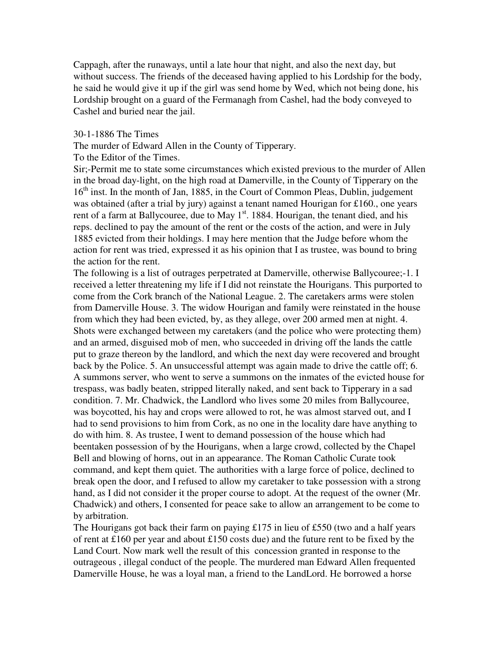Cappagh, after the runaways, until a late hour that night, and also the next day, but without success. The friends of the deceased having applied to his Lordship for the body, he said he would give it up if the girl was send home by Wed, which not being done, his Lordship brought on a guard of the Fermanagh from Cashel, had the body conveyed to Cashel and buried near the jail.

### 30-1-1886 The Times

The murder of Edward Allen in the County of Tipperary.

To the Editor of the Times.

Sir;-Permit me to state some circumstances which existed previous to the murder of Allen in the broad day-light, on the high road at Damerville, in the County of Tipperary on the 16<sup>th</sup> inst. In the month of Jan, 1885, in the Court of Common Pleas, Dublin, judgement was obtained (after a trial by jury) against a tenant named Hourigan for £160., one years rent of a farm at Ballycouree, due to May 1<sup>st</sup>. 1884. Hourigan, the tenant died, and his reps. declined to pay the amount of the rent or the costs of the action, and were in July 1885 evicted from their holdings. I may here mention that the Judge before whom the action for rent was tried, expressed it as his opinion that I as trustee, was bound to bring the action for the rent.

The following is a list of outrages perpetrated at Damerville, otherwise Ballycouree;-1. I received a letter threatening my life if I did not reinstate the Hourigans. This purported to come from the Cork branch of the National League. 2. The caretakers arms were stolen from Damerville House. 3. The widow Hourigan and family were reinstated in the house from which they had been evicted, by, as they allege, over 200 armed men at night. 4. Shots were exchanged between my caretakers (and the police who were protecting them) and an armed, disguised mob of men, who succeeded in driving off the lands the cattle put to graze thereon by the landlord, and which the next day were recovered and brought back by the Police. 5. An unsuccessful attempt was again made to drive the cattle off; 6. A summons server, who went to serve a summons on the inmates of the evicted house for trespass, was badly beaten, stripped literally naked, and sent back to Tipperary in a sad condition. 7. Mr. Chadwick, the Landlord who lives some 20 miles from Ballycouree, was boycotted, his hay and crops were allowed to rot, he was almost starved out, and I had to send provisions to him from Cork, as no one in the locality dare have anything to do with him. 8. As trustee, I went to demand possession of the house which had beentaken possession of by the Hourigans, when a large crowd, collected by the Chapel Bell and blowing of horns, out in an appearance. The Roman Catholic Curate took command, and kept them quiet. The authorities with a large force of police, declined to break open the door, and I refused to allow my caretaker to take possession with a strong hand, as I did not consider it the proper course to adopt. At the request of the owner (Mr. Chadwick) and others, I consented for peace sake to allow an arrangement to be come to by arbitration.

The Hourigans got back their farm on paying  $\pounds$ 175 in lieu of £550 (two and a half years of rent at £160 per year and about £150 costs due) and the future rent to be fixed by the Land Court. Now mark well the result of this concession granted in response to the outrageous , illegal conduct of the people. The murdered man Edward Allen frequented Damerville House, he was a loyal man, a friend to the LandLord. He borrowed a horse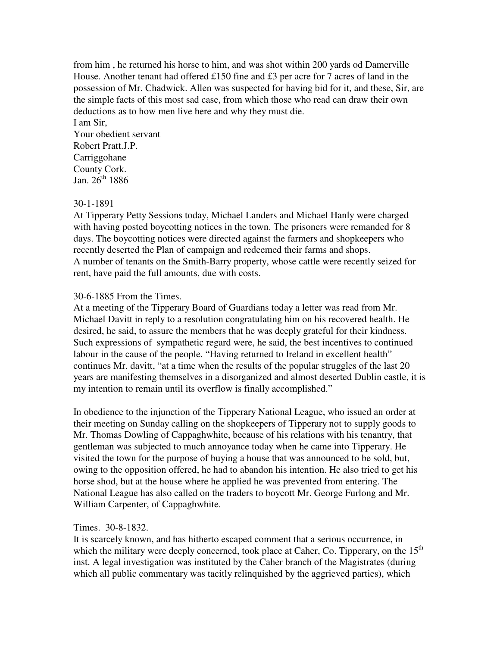from him , he returned his horse to him, and was shot within 200 yards od Damerville House. Another tenant had offered £150 fine and £3 per acre for 7 acres of land in the possession of Mr. Chadwick. Allen was suspected for having bid for it, and these, Sir, are the simple facts of this most sad case, from which those who read can draw their own deductions as to how men live here and why they must die. I am Sir, Your obedient servant

Robert Pratt.J.P. Carriggohane County Cork. Jan.  $26^{th}$  1886

## 30-1-1891

At Tipperary Petty Sessions today, Michael Landers and Michael Hanly were charged with having posted boycotting notices in the town. The prisoners were remanded for 8 days. The boycotting notices were directed against the farmers and shopkeepers who recently deserted the Plan of campaign and redeemed their farms and shops. A number of tenants on the Smith-Barry property, whose cattle were recently seized for rent, have paid the full amounts, due with costs.

## 30-6-1885 From the Times.

At a meeting of the Tipperary Board of Guardians today a letter was read from Mr. Michael Davitt in reply to a resolution congratulating him on his recovered health. He desired, he said, to assure the members that he was deeply grateful for their kindness. Such expressions of sympathetic regard were, he said, the best incentives to continued labour in the cause of the people. "Having returned to Ireland in excellent health" continues Mr. davitt, "at a time when the results of the popular struggles of the last 20 years are manifesting themselves in a disorganized and almost deserted Dublin castle, it is my intention to remain until its overflow is finally accomplished."

In obedience to the injunction of the Tipperary National League, who issued an order at their meeting on Sunday calling on the shopkeepers of Tipperary not to supply goods to Mr. Thomas Dowling of Cappaghwhite, because of his relations with his tenantry, that gentleman was subjected to much annoyance today when he came into Tipperary. He visited the town for the purpose of buying a house that was announced to be sold, but, owing to the opposition offered, he had to abandon his intention. He also tried to get his horse shod, but at the house where he applied he was prevented from entering. The National League has also called on the traders to boycott Mr. George Furlong and Mr. William Carpenter, of Cappaghwhite.

## Times. 30-8-1832.

It is scarcely known, and has hitherto escaped comment that a serious occurrence, in which the military were deeply concerned, took place at Caher, Co. Tipperary, on the  $15<sup>th</sup>$ inst. A legal investigation was instituted by the Caher branch of the Magistrates (during which all public commentary was tacitly relinquished by the aggrieved parties), which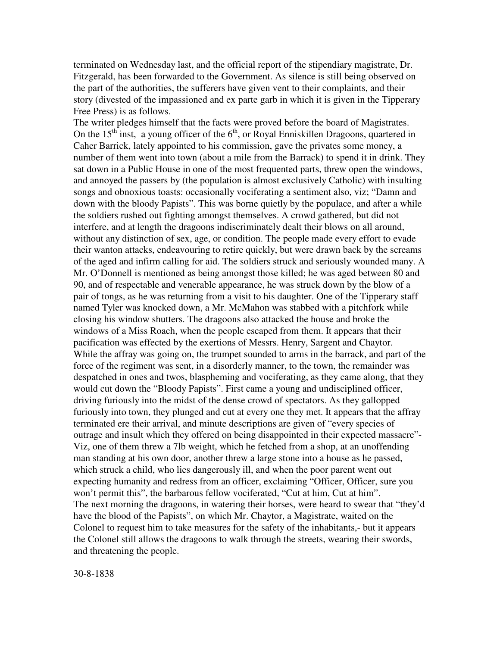terminated on Wednesday last, and the official report of the stipendiary magistrate, Dr. Fitzgerald, has been forwarded to the Government. As silence is still being observed on the part of the authorities, the sufferers have given vent to their complaints, and their story (divested of the impassioned and ex parte garb in which it is given in the Tipperary Free Press) is as follows.

The writer pledges himself that the facts were proved before the board of Magistrates. On the  $15<sup>th</sup>$  inst, a young officer of the  $6<sup>th</sup>$ , or Royal Enniskillen Dragoons, quartered in Caher Barrick, lately appointed to his commission, gave the privates some money, a number of them went into town (about a mile from the Barrack) to spend it in drink. They sat down in a Public House in one of the most frequented parts, threw open the windows, and annoyed the passers by (the population is almost exclusively Catholic) with insulting songs and obnoxious toasts: occasionally vociferating a sentiment also, viz; "Damn and down with the bloody Papists". This was borne quietly by the populace, and after a while the soldiers rushed out fighting amongst themselves. A crowd gathered, but did not interfere, and at length the dragoons indiscriminately dealt their blows on all around, without any distinction of sex, age, or condition. The people made every effort to evade their wanton attacks, endeavouring to retire quickly, but were drawn back by the screams of the aged and infirm calling for aid. The soldiers struck and seriously wounded many. A Mr. O'Donnell is mentioned as being amongst those killed; he was aged between 80 and 90, and of respectable and venerable appearance, he was struck down by the blow of a pair of tongs, as he was returning from a visit to his daughter. One of the Tipperary staff named Tyler was knocked down, a Mr. McMahon was stabbed with a pitchfork while closing his window shutters. The dragoons also attacked the house and broke the windows of a Miss Roach, when the people escaped from them. It appears that their pacification was effected by the exertions of Messrs. Henry, Sargent and Chaytor. While the affray was going on, the trumpet sounded to arms in the barrack, and part of the force of the regiment was sent, in a disorderly manner, to the town, the remainder was despatched in ones and twos, blaspheming and vociferating, as they came along, that they would cut down the "Bloody Papists". First came a young and undisciplined officer, driving furiously into the midst of the dense crowd of spectators. As they gallopped furiously into town, they plunged and cut at every one they met. It appears that the affray terminated ere their arrival, and minute descriptions are given of "every species of outrage and insult which they offered on being disappointed in their expected massacre"- Viz, one of them threw a 7lb weight, which he fetched from a shop, at an unoffending man standing at his own door, another threw a large stone into a house as he passed, which struck a child, who lies dangerously ill, and when the poor parent went out expecting humanity and redress from an officer, exclaiming "Officer, Officer, sure you won't permit this", the barbarous fellow vociferated, "Cut at him, Cut at him". The next morning the dragoons, in watering their horses, were heard to swear that "they'd have the blood of the Papists", on which Mr. Chaytor, a Magistrate, waited on the Colonel to request him to take measures for the safety of the inhabitants,- but it appears the Colonel still allows the dragoons to walk through the streets, wearing their swords, and threatening the people.

30-8-1838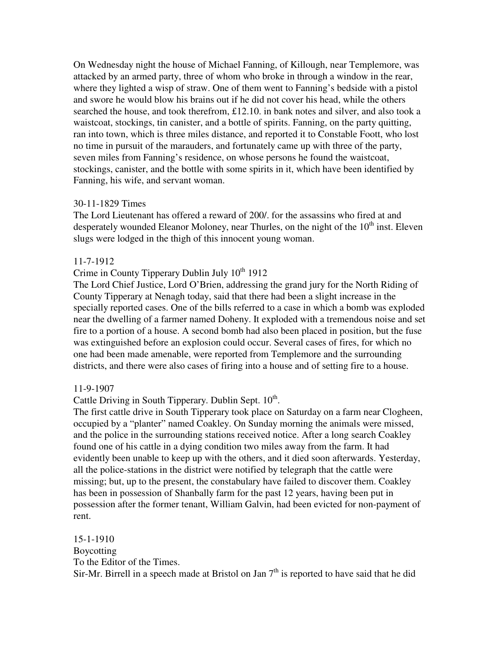On Wednesday night the house of Michael Fanning, of Killough, near Templemore, was attacked by an armed party, three of whom who broke in through a window in the rear, where they lighted a wisp of straw. One of them went to Fanning's bedside with a pistol and swore he would blow his brains out if he did not cover his head, while the others searched the house, and took therefrom, £12.10. in bank notes and silver, and also took a waistcoat, stockings, tin canister, and a bottle of spirits. Fanning, on the party quitting, ran into town, which is three miles distance, and reported it to Constable Foott, who lost no time in pursuit of the marauders, and fortunately came up with three of the party, seven miles from Fanning's residence, on whose persons he found the waistcoat, stockings, canister, and the bottle with some spirits in it, which have been identified by Fanning, his wife, and servant woman.

## 30-11-1829 Times

The Lord Lieutenant has offered a reward of 200/. for the assassins who fired at and desperately wounded Eleanor Moloney, near Thurles, on the night of the  $10<sup>th</sup>$  inst. Eleven slugs were lodged in the thigh of this innocent young woman.

## 11-7-1912

# Crime in County Tipperary Dublin July  $10^{th}$  1912

The Lord Chief Justice, Lord O'Brien, addressing the grand jury for the North Riding of County Tipperary at Nenagh today, said that there had been a slight increase in the specially reported cases. One of the bills referred to a case in which a bomb was exploded near the dwelling of a farmer named Doheny. It exploded with a tremendous noise and set fire to a portion of a house. A second bomb had also been placed in position, but the fuse was extinguished before an explosion could occur. Several cases of fires, for which no one had been made amenable, were reported from Templemore and the surrounding districts, and there were also cases of firing into a house and of setting fire to a house.

### 11-9-1907

Cattle Driving in South Tipperary. Dublin Sept.  $10<sup>th</sup>$ .

The first cattle drive in South Tipperary took place on Saturday on a farm near Clogheen, occupied by a "planter" named Coakley. On Sunday morning the animals were missed, and the police in the surrounding stations received notice. After a long search Coakley found one of his cattle in a dying condition two miles away from the farm. It had evidently been unable to keep up with the others, and it died soon afterwards. Yesterday, all the police-stations in the district were notified by telegraph that the cattle were missing; but, up to the present, the constabulary have failed to discover them. Coakley has been in possession of Shanbally farm for the past 12 years, having been put in possession after the former tenant, William Galvin, had been evicted for non-payment of rent.

15-1-1910 Boycotting To the Editor of the Times. Sir-Mr. Birrell in a speech made at Bristol on Jan  $7<sup>th</sup>$  is reported to have said that he did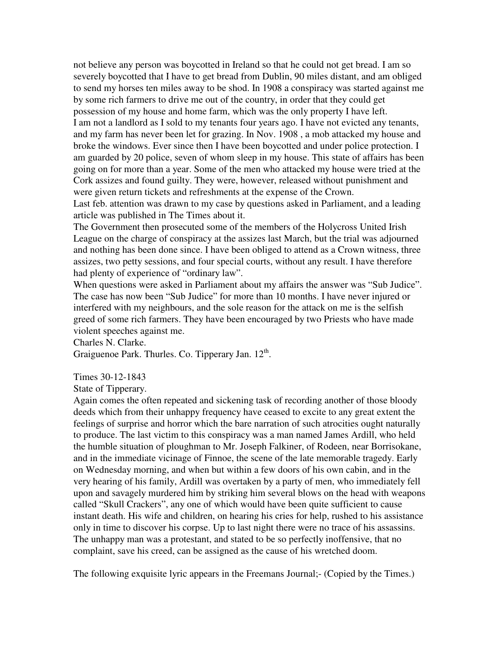not believe any person was boycotted in Ireland so that he could not get bread. I am so severely boycotted that I have to get bread from Dublin, 90 miles distant, and am obliged to send my horses ten miles away to be shod. In 1908 a conspiracy was started against me by some rich farmers to drive me out of the country, in order that they could get possession of my house and home farm, which was the only property I have left. I am not a landlord as I sold to my tenants four years ago. I have not evicted any tenants, and my farm has never been let for grazing. In Nov. 1908 , a mob attacked my house and broke the windows. Ever since then I have been boycotted and under police protection. I am guarded by 20 police, seven of whom sleep in my house. This state of affairs has been going on for more than a year. Some of the men who attacked my house were tried at the Cork assizes and found guilty. They were, however, released without punishment and were given return tickets and refreshments at the expense of the Crown.

Last feb. attention was drawn to my case by questions asked in Parliament, and a leading article was published in The Times about it.

The Government then prosecuted some of the members of the Holycross United Irish League on the charge of conspiracy at the assizes last March, but the trial was adjourned and nothing has been done since. I have been obliged to attend as a Crown witness, three assizes, two petty sessions, and four special courts, without any result. I have therefore had plenty of experience of "ordinary law".

When questions were asked in Parliament about my affairs the answer was "Sub Judice". The case has now been "Sub Judice" for more than 10 months. I have never injured or interfered with my neighbours, and the sole reason for the attack on me is the selfish greed of some rich farmers. They have been encouraged by two Priests who have made violent speeches against me.

Charles N. Clarke.

Graiguenoe Park. Thurles. Co. Tipperary Jan.  $12<sup>th</sup>$ .

Times 30-12-1843

State of Tipperary.

Again comes the often repeated and sickening task of recording another of those bloody deeds which from their unhappy frequency have ceased to excite to any great extent the feelings of surprise and horror which the bare narration of such atrocities ought naturally to produce. The last victim to this conspiracy was a man named James Ardill, who held the humble situation of ploughman to Mr. Joseph Falkiner, of Rodeen, near Borrisokane, and in the immediate vicinage of Finnoe, the scene of the late memorable tragedy. Early on Wednesday morning, and when but within a few doors of his own cabin, and in the very hearing of his family, Ardill was overtaken by a party of men, who immediately fell upon and savagely murdered him by striking him several blows on the head with weapons called "Skull Crackers", any one of which would have been quite sufficient to cause instant death. His wife and children, on hearing his cries for help, rushed to his assistance only in time to discover his corpse. Up to last night there were no trace of his assassins. The unhappy man was a protestant, and stated to be so perfectly inoffensive, that no complaint, save his creed, can be assigned as the cause of his wretched doom.

The following exquisite lyric appears in the Freemans Journal;- (Copied by the Times.)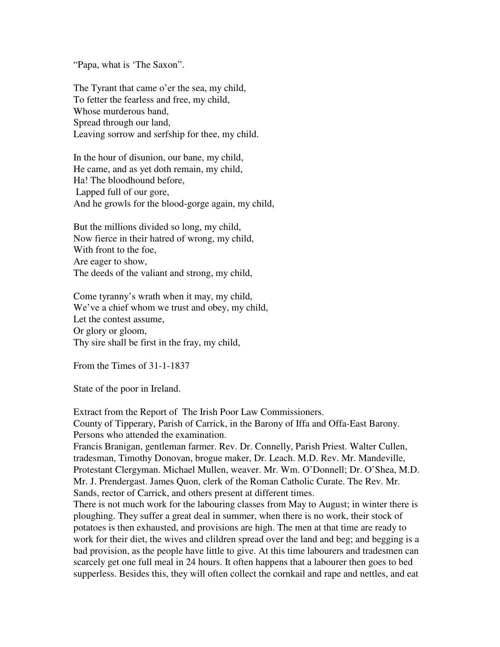"Papa, what is 'The Saxon".

The Tyrant that came o'er the sea, my child, To fetter the fearless and free, my child, Whose murderous band, Spread through our land, Leaving sorrow and serfship for thee, my child.

In the hour of disunion, our bane, my child, He came, and as yet doth remain, my child, Ha! The bloodhound before, Lapped full of our gore, And he growls for the blood-gorge again, my child,

But the millions divided so long, my child, Now fierce in their hatred of wrong, my child, With front to the foe, Are eager to show, The deeds of the valiant and strong, my child,

Come tyranny's wrath when it may, my child, We've a chief whom we trust and obey, my child, Let the contest assume, Or glory or gloom, Thy sire shall be first in the fray, my child,

From the Times of 31-1-1837

State of the poor in Ireland.

Extract from the Report of The Irish Poor Law Commissioners. County of Tipperary, Parish of Carrick, in the Barony of Iffa and Offa-East Barony. Persons who attended the examination.

Francis Branigan, gentleman farmer. Rev. Dr. Connelly, Parish Priest. Walter Cullen, tradesman, Timothy Donovan, brogue maker, Dr. Leach. M.D. Rev. Mr. Mandeville, Protestant Clergyman. Michael Mullen, weaver. Mr. Wm. O'Donnell; Dr. O'Shea, M.D. Mr. J. Prendergast. James Quon, clerk of the Roman Catholic Curate. The Rev. Mr. Sands, rector of Carrick, and others present at different times.

There is not much work for the labouring classes from May to August; in winter there is ploughing. They suffer a great deal in summer, when there is no work, their stock of potatoes is then exhausted, and provisions are high. The men at that time are ready to work for their diet, the wives and clildren spread over the land and beg; and begging is a bad provision, as the people have little to give. At this time labourers and tradesmen can scarcely get one full meal in 24 hours. It often happens that a labourer then goes to bed supperless. Besides this, they will often collect the cornkail and rape and nettles, and eat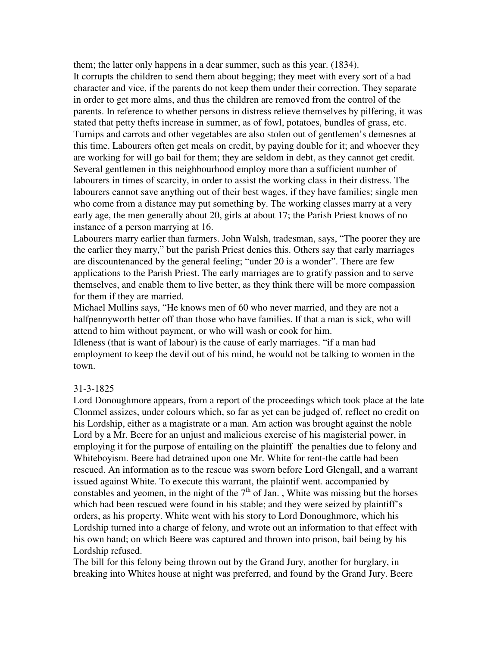them; the latter only happens in a dear summer, such as this year. (1834). It corrupts the children to send them about begging; they meet with every sort of a bad character and vice, if the parents do not keep them under their correction. They separate in order to get more alms, and thus the children are removed from the control of the parents. In reference to whether persons in distress relieve themselves by pilfering, it was stated that petty thefts increase in summer, as of fowl, potatoes, bundles of grass, etc. Turnips and carrots and other vegetables are also stolen out of gentlemen's demesnes at this time. Labourers often get meals on credit, by paying double for it; and whoever they are working for will go bail for them; they are seldom in debt, as they cannot get credit. Several gentlemen in this neighbourhood employ more than a sufficient number of labourers in times of scarcity, in order to assist the working class in their distress. The labourers cannot save anything out of their best wages, if they have families; single men who come from a distance may put something by. The working classes marry at a very early age, the men generally about 20, girls at about 17; the Parish Priest knows of no instance of a person marrying at 16.

Labourers marry earlier than farmers. John Walsh, tradesman, says, "The poorer they are the earlier they marry," but the parish Priest denies this. Others say that early marriages are discountenanced by the general feeling; "under 20 is a wonder". There are few applications to the Parish Priest. The early marriages are to gratify passion and to serve themselves, and enable them to live better, as they think there will be more compassion for them if they are married.

Michael Mullins says, "He knows men of 60 who never married, and they are not a halfpennyworth better off than those who have families. If that a man is sick, who will attend to him without payment, or who will wash or cook for him.

Idleness (that is want of labour) is the cause of early marriages. "if a man had employment to keep the devil out of his mind, he would not be talking to women in the town.

## 31-3-1825

Lord Donoughmore appears, from a report of the proceedings which took place at the late Clonmel assizes, under colours which, so far as yet can be judged of, reflect no credit on his Lordship, either as a magistrate or a man. Am action was brought against the noble Lord by a Mr. Beere for an unjust and malicious exercise of his magisterial power, in employing it for the purpose of entailing on the plaintiff the penalties due to felony and Whiteboyism. Beere had detrained upon one Mr. White for rent-the cattle had been rescued. An information as to the rescue was sworn before Lord Glengall, and a warrant issued against White. To execute this warrant, the plaintif went. accompanied by constables and yeomen, in the night of the  $7<sup>th</sup>$  of Jan., White was missing but the horses which had been rescued were found in his stable; and they were seized by plaintiff's orders, as his property. White went with his story to Lord Donoughmore, which his Lordship turned into a charge of felony, and wrote out an information to that effect with his own hand; on which Beere was captured and thrown into prison, bail being by his Lordship refused.

The bill for this felony being thrown out by the Grand Jury, another for burglary, in breaking into Whites house at night was preferred, and found by the Grand Jury. Beere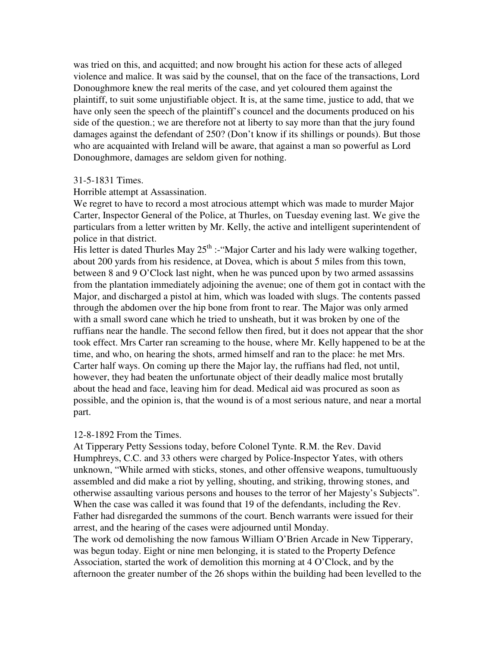was tried on this, and acquitted; and now brought his action for these acts of alleged violence and malice. It was said by the counsel, that on the face of the transactions, Lord Donoughmore knew the real merits of the case, and yet coloured them against the plaintiff, to suit some unjustifiable object. It is, at the same time, justice to add, that we have only seen the speech of the plaintiff's councel and the documents produced on his side of the question.; we are therefore not at liberty to say more than that the jury found damages against the defendant of 250? (Don't know if its shillings or pounds). But those who are acquainted with Ireland will be aware, that against a man so powerful as Lord Donoughmore, damages are seldom given for nothing.

## 31-5-1831 Times.

Horrible attempt at Assassination.

We regret to have to record a most atrocious attempt which was made to murder Major Carter, Inspector General of the Police, at Thurles, on Tuesday evening last. We give the particulars from a letter written by Mr. Kelly, the active and intelligent superintendent of police in that district.

His letter is dated Thurles May  $25<sup>th</sup>$ :-"Major Carter and his lady were walking together, about 200 yards from his residence, at Dovea, which is about 5 miles from this town, between 8 and 9 O'Clock last night, when he was punced upon by two armed assassins from the plantation immediately adjoining the avenue; one of them got in contact with the Major, and discharged a pistol at him, which was loaded with slugs. The contents passed through the abdomen over the hip bone from front to rear. The Major was only armed with a small sword cane which he tried to unsheath, but it was broken by one of the ruffians near the handle. The second fellow then fired, but it does not appear that the shor took effect. Mrs Carter ran screaming to the house, where Mr. Kelly happened to be at the time, and who, on hearing the shots, armed himself and ran to the place: he met Mrs. Carter half ways. On coming up there the Major lay, the ruffians had fled, not until, however, they had beaten the unfortunate object of their deadly malice most brutally about the head and face, leaving him for dead. Medical aid was procured as soon as possible, and the opinion is, that the wound is of a most serious nature, and near a mortal part.

## 12-8-1892 From the Times.

At Tipperary Petty Sessions today, before Colonel Tynte. R.M. the Rev. David Humphreys, C.C. and 33 others were charged by Police-Inspector Yates, with others unknown, "While armed with sticks, stones, and other offensive weapons, tumultuously assembled and did make a riot by yelling, shouting, and striking, throwing stones, and otherwise assaulting various persons and houses to the terror of her Majesty's Subjects". When the case was called it was found that 19 of the defendants, including the Rev. Father had disregarded the summons of the court. Bench warrants were issued for their arrest, and the hearing of the cases were adjourned until Monday.

The work od demolishing the now famous William O'Brien Arcade in New Tipperary, was begun today. Eight or nine men belonging, it is stated to the Property Defence Association, started the work of demolition this morning at 4 O'Clock, and by the afternoon the greater number of the 26 shops within the building had been levelled to the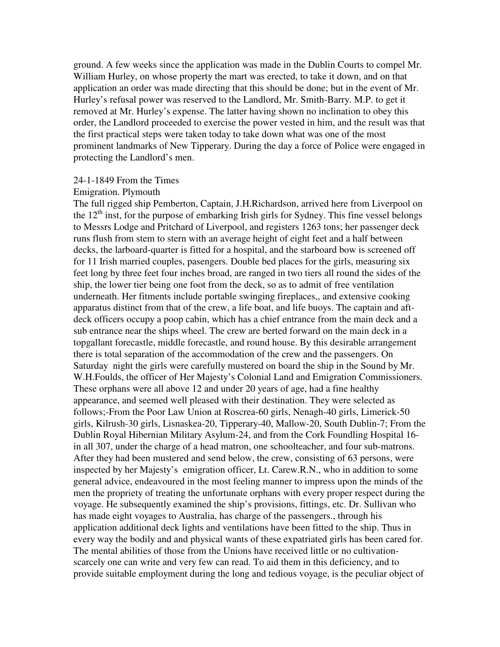ground. A few weeks since the application was made in the Dublin Courts to compel Mr. William Hurley, on whose property the mart was erected, to take it down, and on that application an order was made directing that this should be done; but in the event of Mr. Hurley's refusal power was reserved to the Landlord, Mr. Smith-Barry. M.P. to get it removed at Mr. Hurley's expense. The latter having shown no inclination to obey this order, the Landlord proceeded to exercise the power vested in him, and the result was that the first practical steps were taken today to take down what was one of the most prominent landmarks of New Tipperary. During the day a force of Police were engaged in protecting the Landlord's men.

#### 24-1-1849 From the Times

#### Emigration. Plymouth

The full rigged ship Pemberton, Captain, J.H.Richardson, arrived here from Liverpool on the  $12<sup>th</sup>$  inst, for the purpose of embarking Irish girls for Sydney. This fine vessel belongs to Messrs Lodge and Pritchard of Liverpool, and registers 1263 tons; her passenger deck runs flush from stem to stern with an average height of eight feet and a half between decks, the larboard-quarter is fitted for a hospital, and the starboard bow is screened off for 11 Irish married couples, pasengers. Double bed places for the girls, measuring six feet long by three feet four inches broad, are ranged in two tiers all round the sides of the ship, the lower tier being one foot from the deck, so as to admit of free ventilation underneath. Her fitments include portable swinging fireplaces,, and extensive cooking apparatus distinct from that of the crew, a life boat, and life buoys. The captain and aftdeck officers occupy a poop cabin, which has a chief entrance from the main deck and a sub entrance near the ships wheel. The crew are berted forward on the main deck in a topgallant forecastle, middle forecastle, and round house. By this desirable arrangement there is total separation of the accommodation of the crew and the passengers. On Saturday night the girls were carefully mustered on board the ship in the Sound by Mr. W.H.Foulds, the officer of Her Majesty's Colonial Land and Emigration Commissioners. These orphans were all above 12 and under 20 years of age, had a fine healthy appearance, and seemed well pleased with their destination. They were selected as follows;-From the Poor Law Union at Roscrea-60 girls, Nenagh-40 girls, Limerick-50 girls, Kilrush-30 girls, Lisnaskea-20, Tipperary-40, Mallow-20, South Dublin-7; From the Dublin Royal Hibernian Military Asylum-24, and from the Cork Foundling Hospital 16 in all 307, under the charge of a head matron, one schoolteacher, and four sub-matrons. After they had been mustered and send below, the crew, consisting of 63 persons, were inspected by her Majesty's emigration officer, Lt. Carew.R.N., who in addition to some general advice, endeavoured in the most feeling manner to impress upon the minds of the men the propriety of treating the unfortunate orphans with every proper respect during the voyage. He subsequently examined the ship's provisions, fittings, etc. Dr. Sullivan who has made eight voyages to Australia, has charge of the passengers., through his application additional deck lights and ventilations have been fitted to the ship. Thus in every way the bodily and and physical wants of these expatriated girls has been cared for. The mental abilities of those from the Unions have received little or no cultivationscarcely one can write and very few can read. To aid them in this deficiency, and to provide suitable employment during the long and tedious voyage, is the peculiar object of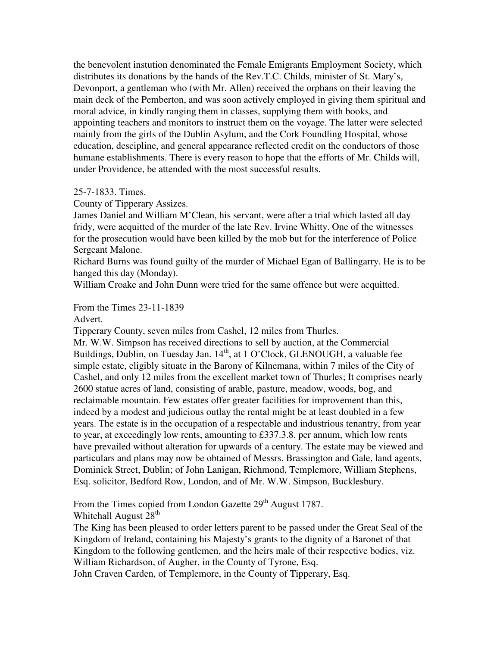the benevolent instution denominated the Female Emigrants Employment Society, which distributes its donations by the hands of the Rev.T.C. Childs, minister of St. Mary's, Devonport, a gentleman who (with Mr. Allen) received the orphans on their leaving the main deck of the Pemberton, and was soon actively employed in giving them spiritual and moral advice, in kindly ranging them in classes, supplying them with books, and appointing teachers and monitors to instruct them on the voyage. The latter were selected mainly from the girls of the Dublin Asylum, and the Cork Foundling Hospital, whose education, descipline, and general appearance reflected credit on the conductors of those humane establishments. There is every reason to hope that the efforts of Mr. Childs will, under Providence, be attended with the most successful results.

### 25-7-1833. Times.

County of Tipperary Assizes.

James Daniel and William M'Clean, his servant, were after a trial which lasted all day fridy, were acquitted of the murder of the late Rev. Irvine Whitty. One of the witnesses for the prosecution would have been killed by the mob but for the interference of Police Sergeant Malone.

Richard Burns was found guilty of the murder of Michael Egan of Ballingarry. He is to be hanged this day (Monday).

William Croake and John Dunn were tried for the same offence but were acquitted.

From the Times 23-11-1839

Advert.

Tipperary County, seven miles from Cashel, 12 miles from Thurles.

Mr. W.W. Simpson has received directions to sell by auction, at the Commercial Buildings, Dublin, on Tuesday Jan. 14<sup>th</sup>, at 1 O'Clock, GLENOUGH, a valuable fee simple estate, eligibly situate in the Barony of Kilnemana, within 7 miles of the City of Cashel, and only 12 miles from the excellent market town of Thurles; It comprises nearly 2600 statue acres of land, consisting of arable, pasture, meadow, woods, bog, and reclaimable mountain. Few estates offer greater facilities for improvement than this, indeed by a modest and judicious outlay the rental might be at least doubled in a few years. The estate is in the occupation of a respectable and industrious tenantry, from year to year, at exceedingly low rents, amounting to £337.3.8. per annum, which low rents have prevailed without alteration for upwards of a century. The estate may be viewed and particulars and plans may now be obtained of Messrs. Brassington and Gale, land agents, Dominick Street, Dublin; of John Lanigan, Richmond, Templemore, William Stephens, Esq. solicitor, Bedford Row, London, and of Mr. W.W. Simpson, Bucklesbury.

From the Times copied from London Gazette 29<sup>th</sup> August 1787. Whitehall August  $28<sup>th</sup>$ 

The King has been pleased to order letters parent to be passed under the Great Seal of the Kingdom of Ireland, containing his Majesty's grants to the dignity of a Baronet of that Kingdom to the following gentlemen, and the heirs male of their respective bodies, viz. William Richardson, of Augher, in the County of Tyrone, Esq.

John Craven Carden, of Templemore, in the County of Tipperary, Esq.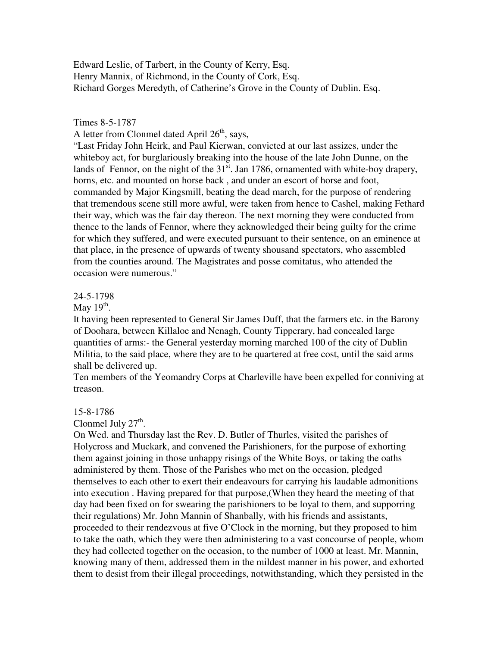Edward Leslie, of Tarbert, in the County of Kerry, Esq. Henry Mannix, of Richmond, in the County of Cork, Esq. Richard Gorges Meredyth, of Catherine's Grove in the County of Dublin. Esq.

Times 8-5-1787

A letter from Clonmel dated April  $26<sup>th</sup>$ , says,

"Last Friday John Heirk, and Paul Kierwan, convicted at our last assizes, under the whiteboy act, for burglariously breaking into the house of the late John Dunne, on the lands of Fennor, on the night of the  $31<sup>st</sup>$ . Jan 1786, ornamented with white-boy drapery, horns, etc. and mounted on horse back , and under an escort of horse and foot, commanded by Major Kingsmill, beating the dead march, for the purpose of rendering that tremendous scene still more awful, were taken from hence to Cashel, making Fethard their way, which was the fair day thereon. The next morning they were conducted from thence to the lands of Fennor, where they acknowledged their being guilty for the crime for which they suffered, and were executed pursuant to their sentence, on an eminence at that place, in the presence of upwards of twenty shousand spectators, who assembled from the counties around. The Magistrates and posse comitatus, who attended the occasion were numerous."

#### 24-5-1798

May  $19<sup>th</sup>$ .

It having been represented to General Sir James Duff, that the farmers etc. in the Barony of Doohara, between Killaloe and Nenagh, County Tipperary, had concealed large quantities of arms:- the General yesterday morning marched 100 of the city of Dublin Militia, to the said place, where they are to be quartered at free cost, until the said arms shall be delivered up.

Ten members of the Yeomandry Corps at Charleville have been expelled for conniving at treason.

#### 15-8-1786

Clonmel July  $27<sup>th</sup>$ .

On Wed. and Thursday last the Rev. D. Butler of Thurles, visited the parishes of Holycross and Muckark, and convened the Parishioners, for the purpose of exhorting them against joining in those unhappy risings of the White Boys, or taking the oaths administered by them. Those of the Parishes who met on the occasion, pledged themselves to each other to exert their endeavours for carrying his laudable admonitions into execution . Having prepared for that purpose,(When they heard the meeting of that day had been fixed on for swearing the parishioners to be loyal to them, and supporring their regulations) Mr. John Mannin of Shanbally, with his friends and assistants, proceeded to their rendezvous at five O'Clock in the morning, but they proposed to him to take the oath, which they were then administering to a vast concourse of people, whom they had collected together on the occasion, to the number of 1000 at least. Mr. Mannin, knowing many of them, addressed them in the mildest manner in his power, and exhorted them to desist from their illegal proceedings, notwithstanding, which they persisted in the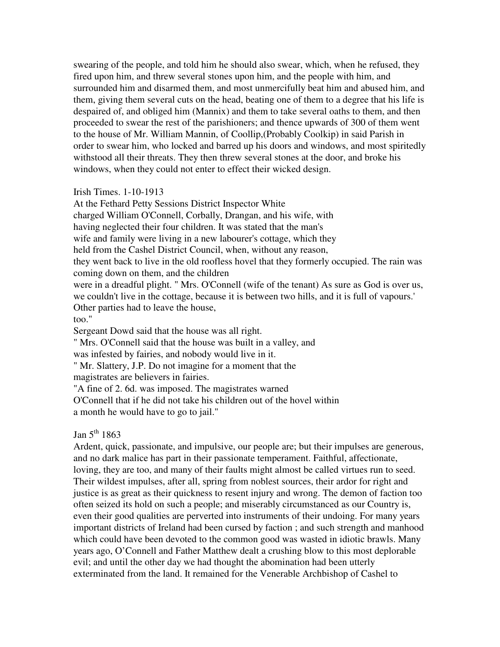swearing of the people, and told him he should also swear, which, when he refused, they fired upon him, and threw several stones upon him, and the people with him, and surrounded him and disarmed them, and most unmercifully beat him and abused him, and them, giving them several cuts on the head, beating one of them to a degree that his life is despaired of, and obliged him (Mannix) and them to take several oaths to them, and then proceeded to swear the rest of the parishioners; and thence upwards of 300 of them went to the house of Mr. William Mannin, of Coollip,(Probably Coolkip) in said Parish in order to swear him, who locked and barred up his doors and windows, and most spiritedly withstood all their threats. They then threw several stones at the door, and broke his windows, when they could not enter to effect their wicked design.

Irish Times. 1-10-1913

At the Fethard Petty Sessions District Inspector White charged William O'Connell, Corbally, Drangan, and his wife, with having neglected their four children. It was stated that the man's wife and family were living in a new labourer's cottage, which they held from the Cashel District Council, when, without any reason, they went back to live in the old roofless hovel that they formerly occupied. The rain was coming down on them, and the children were in a dreadful plight. " Mrs. O'Connell (wife of the tenant) As sure as God is over us, we couldn't live in the cottage, because it is between two hills, and it is full of vapours.' Other parties had to leave the house, too."

Sergeant Dowd said that the house was all right.

" Mrs. O'Connell said that the house was built in a valley, and

was infested by fairies, and nobody would live in it.

" Mr. Slattery, J.P. Do not imagine for a moment that the magistrates are believers in fairies.

"A fine of 2. 6d. was imposed. The magistrates warned

O'Connell that if he did not take his children out of the hovel within a month he would have to go to jail."

# Jan  $5^{\text{th}}$  1863

Ardent, quick, passionate, and impulsive, our people are; but their impulses are generous, and no dark malice has part in their passionate temperament. Faithful, affectionate, loving, they are too, and many of their faults might almost be called virtues run to seed. Their wildest impulses, after all, spring from noblest sources, their ardor for right and justice is as great as their quickness to resent injury and wrong. The demon of faction too often seized its hold on such a people; and miserably circumstanced as our Country is, even their good qualities are perverted into instruments of their undoing. For many years important districts of Ireland had been cursed by faction ; and such strength and manhood which could have been devoted to the common good was wasted in idiotic brawls. Many years ago, O'Connell and Father Matthew dealt a crushing blow to this most deplorable evil; and until the other day we had thought the abomination had been utterly exterminated from the land. It remained for the Venerable Archbishop of Cashel to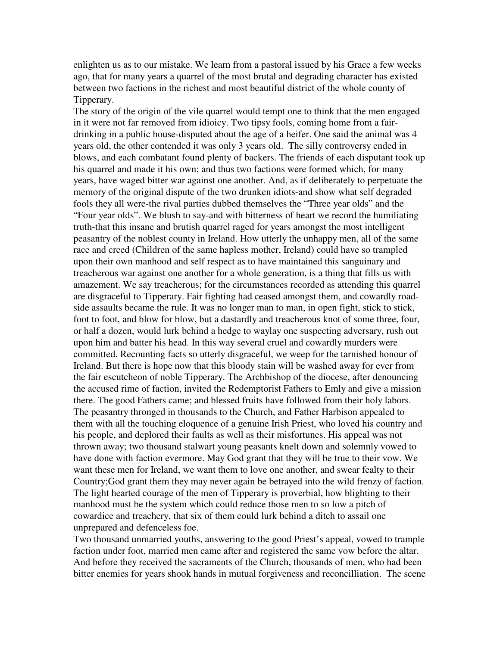enlighten us as to our mistake. We learn from a pastoral issued by his Grace a few weeks ago, that for many years a quarrel of the most brutal and degrading character has existed between two factions in the richest and most beautiful district of the whole county of Tipperary.

The story of the origin of the vile quarrel would tempt one to think that the men engaged in it were not far removed from idioicy. Two tipsy fools, coming home from a fairdrinking in a public house-disputed about the age of a heifer. One said the animal was 4 years old, the other contended it was only 3 years old. The silly controversy ended in blows, and each combatant found plenty of backers. The friends of each disputant took up his quarrel and made it his own; and thus two factions were formed which, for many years, have waged bitter war against one another. And, as if deliberately to perpetuate the memory of the original dispute of the two drunken idiots-and show what self degraded fools they all were-the rival parties dubbed themselves the "Three year olds" and the "Four year olds". We blush to say-and with bitterness of heart we record the humiliating truth-that this insane and brutish quarrel raged for years amongst the most intelligent peasantry of the noblest county in Ireland. How utterly the unhappy men, all of the same race and creed (Children of the same hapless mother, Ireland) could have so trampled upon their own manhood and self respect as to have maintained this sanguinary and treacherous war against one another for a whole generation, is a thing that fills us with amazement. We say treacherous; for the circumstances recorded as attending this quarrel are disgraceful to Tipperary. Fair fighting had ceased amongst them, and cowardly roadside assaults became the rule. It was no longer man to man, in open fight, stick to stick, foot to foot, and blow for blow, but a dastardly and treacherous knot of some three, four, or half a dozen, would lurk behind a hedge to waylay one suspecting adversary, rush out upon him and batter his head. In this way several cruel and cowardly murders were committed. Recounting facts so utterly disgraceful, we weep for the tarnished honour of Ireland. But there is hope now that this bloody stain will be washed away for ever from the fair escutcheon of noble Tipperary. The Archbishop of the diocese, after denouncing the accused rime of faction, invited the Redemptorist Fathers to Emly and give a mission there. The good Fathers came; and blessed fruits have followed from their holy labors. The peasantry thronged in thousands to the Church, and Father Harbison appealed to them with all the touching eloquence of a genuine Irish Priest, who loved his country and his people, and deplored their faults as well as their misfortunes. His appeal was not thrown away; two thousand stalwart young peasants knelt down and solemnly vowed to have done with faction evermore. May God grant that they will be true to their vow. We want these men for Ireland, we want them to love one another, and swear fealty to their Country;God grant them they may never again be betrayed into the wild frenzy of faction. The light hearted courage of the men of Tipperary is proverbial, how blighting to their manhood must be the system which could reduce those men to so low a pitch of cowardice and treachery, that six of them could lurk behind a ditch to assail one unprepared and defenceless foe.

Two thousand unmarried youths, answering to the good Priest's appeal, vowed to trample faction under foot, married men came after and registered the same vow before the altar. And before they received the sacraments of the Church, thousands of men, who had been bitter enemies for years shook hands in mutual forgiveness and reconcilliation. The scene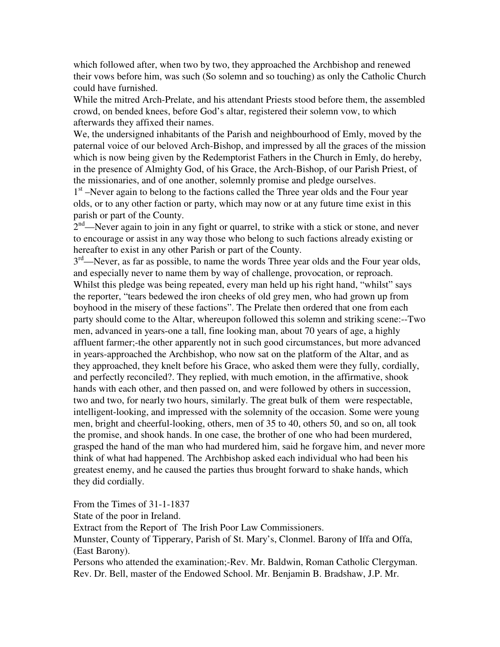which followed after, when two by two, they approached the Archbishop and renewed their vows before him, was such (So solemn and so touching) as only the Catholic Church could have furnished.

While the mitred Arch-Prelate, and his attendant Priests stood before them, the assembled crowd, on bended knees, before God's altar, registered their solemn vow, to which afterwards they affixed their names.

We, the undersigned inhabitants of the Parish and neighbourhood of Emly, moved by the paternal voice of our beloved Arch-Bishop, and impressed by all the graces of the mission which is now being given by the Redemptorist Fathers in the Church in Emly, do hereby, in the presence of Almighty God, of his Grace, the Arch-Bishop, of our Parish Priest, of the missionaries, and of one another, solemnly promise and pledge ourselves.

1<sup>st</sup> –Never again to belong to the factions called the Three year olds and the Four year olds, or to any other faction or party, which may now or at any future time exist in this parish or part of the County.

 $2<sup>nd</sup>$ —Never again to join in any fight or quarrel, to strike with a stick or stone, and never to encourage or assist in any way those who belong to such factions already existing or hereafter to exist in any other Parish or part of the County.

 $3<sup>rd</sup>$ —Never, as far as possible, to name the words Three year olds and the Four year olds, and especially never to name them by way of challenge, provocation, or reproach. Whilst this pledge was being repeated, every man held up his right hand, "whilst" says the reporter, "tears bedewed the iron cheeks of old grey men, who had grown up from boyhood in the misery of these factions". The Prelate then ordered that one from each party should come to the Altar, whereupon followed this solemn and striking scene:--Two men, advanced in years-one a tall, fine looking man, about 70 years of age, a highly affluent farmer;-the other apparently not in such good circumstances, but more advanced in years-approached the Archbishop, who now sat on the platform of the Altar, and as they approached, they knelt before his Grace, who asked them were they fully, cordially, and perfectly reconciled?. They replied, with much emotion, in the affirmative, shook hands with each other, and then passed on, and were followed by others in succession, two and two, for nearly two hours, similarly. The great bulk of them were respectable, intelligent-looking, and impressed with the solemnity of the occasion. Some were young men, bright and cheerful-looking, others, men of 35 to 40, others 50, and so on, all took the promise, and shook hands. In one case, the brother of one who had been murdered, grasped the hand of the man who had murdered him, said he forgave him, and never more think of what had happened. The Archbishop asked each individual who had been his greatest enemy, and he caused the parties thus brought forward to shake hands, which they did cordially.

From the Times of 31-1-1837 State of the poor in Ireland. Extract from the Report of The Irish Poor Law Commissioners. Munster, County of Tipperary, Parish of St. Mary's, Clonmel. Barony of Iffa and Offa, (East Barony).

Persons who attended the examination;-Rev. Mr. Baldwin, Roman Catholic Clergyman. Rev. Dr. Bell, master of the Endowed School. Mr. Benjamin B. Bradshaw, J.P. Mr.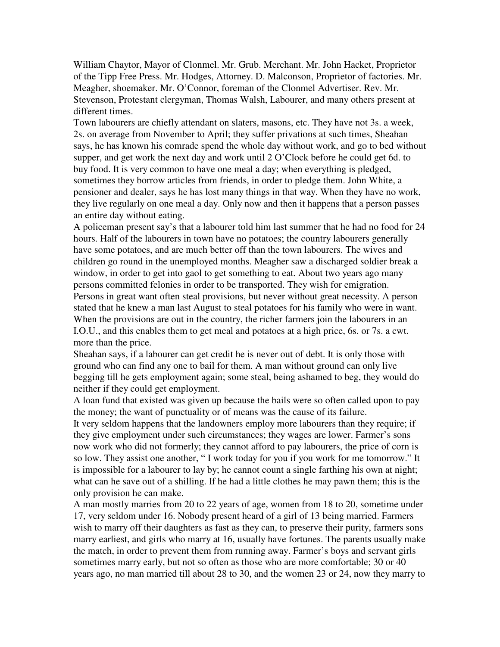William Chaytor, Mayor of Clonmel. Mr. Grub. Merchant. Mr. John Hacket, Proprietor of the Tipp Free Press. Mr. Hodges, Attorney. D. Malconson, Proprietor of factories. Mr. Meagher, shoemaker. Mr. O'Connor, foreman of the Clonmel Advertiser. Rev. Mr. Stevenson, Protestant clergyman, Thomas Walsh, Labourer, and many others present at different times.

Town labourers are chiefly attendant on slaters, masons, etc. They have not 3s. a week, 2s. on average from November to April; they suffer privations at such times, Sheahan says, he has known his comrade spend the whole day without work, and go to bed without supper, and get work the next day and work until 2 O'Clock before he could get 6d. to buy food. It is very common to have one meal a day; when everything is pledged, sometimes they borrow articles from friends, in order to pledge them. John White, a pensioner and dealer, says he has lost many things in that way. When they have no work, they live regularly on one meal a day. Only now and then it happens that a person passes an entire day without eating.

A policeman present say's that a labourer told him last summer that he had no food for 24 hours. Half of the labourers in town have no potatoes; the country labourers generally have some potatoes, and are much better off than the town labourers. The wives and children go round in the unemployed months. Meagher saw a discharged soldier break a window, in order to get into gaol to get something to eat. About two years ago many persons committed felonies in order to be transported. They wish for emigration. Persons in great want often steal provisions, but never without great necessity. A person stated that he knew a man last August to steal potatoes for his family who were in want. When the provisions are out in the country, the richer farmers join the labourers in an I.O.U., and this enables them to get meal and potatoes at a high price, 6s. or 7s. a cwt. more than the price.

Sheahan says, if a labourer can get credit he is never out of debt. It is only those with ground who can find any one to bail for them. A man without ground can only live begging till he gets employment again; some steal, being ashamed to beg, they would do neither if they could get employment.

A loan fund that existed was given up because the bails were so often called upon to pay the money; the want of punctuality or of means was the cause of its failure.

It very seldom happens that the landowners employ more labourers than they require; if they give employment under such circumstances; they wages are lower. Farmer's sons now work who did not formerly; they cannot afford to pay labourers, the price of corn is so low. They assist one another, " I work today for you if you work for me tomorrow." It is impossible for a labourer to lay by; he cannot count a single farthing his own at night; what can he save out of a shilling. If he had a little clothes he may pawn them; this is the only provision he can make.

A man mostly marries from 20 to 22 years of age, women from 18 to 20, sometime under 17, very seldom under 16. Nobody present heard of a girl of 13 being married. Farmers wish to marry off their daughters as fast as they can, to preserve their purity, farmers sons marry earliest, and girls who marry at 16, usually have fortunes. The parents usually make the match, in order to prevent them from running away. Farmer's boys and servant girls sometimes marry early, but not so often as those who are more comfortable; 30 or 40 years ago, no man married till about 28 to 30, and the women 23 or 24, now they marry to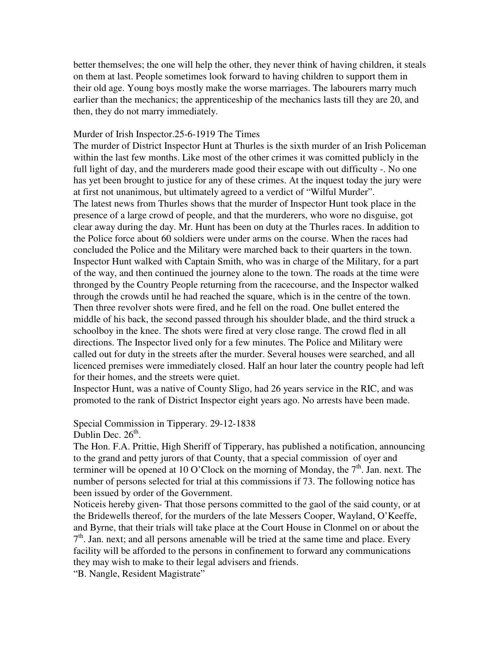better themselves; the one will help the other, they never think of having children, it steals on them at last. People sometimes look forward to having children to support them in their old age. Young boys mostly make the worse marriages. The labourers marry much earlier than the mechanics; the apprenticeship of the mechanics lasts till they are 20, and then, they do not marry immediately.

### Murder of Irish Inspector.25-6-1919 The Times

The murder of District Inspector Hunt at Thurles is the sixth murder of an Irish Policeman within the last few months. Like most of the other crimes it was comitted publicly in the full light of day, and the murderers made good their escape with out difficulty -. No one has yet been brought to justice for any of these crimes. At the inquest today the jury were at first not unanimous, but ultimately agreed to a verdict of "Wilful Murder". The latest news from Thurles shows that the murder of Inspector Hunt took place in the presence of a large crowd of people, and that the murderers, who wore no disguise, got clear away during the day. Mr. Hunt has been on duty at the Thurles races. In addition to the Police force about 60 soldiers were under arms on the course. When the races had concluded the Police and the Military were marched back to their quarters in the town. Inspector Hunt walked with Captain Smith, who was in charge of the Military, for a part of the way, and then continued the journey alone to the town. The roads at the time were thronged by the Country People returning from the racecourse, and the Inspector walked through the crowds until he had reached the square, which is in the centre of the town. Then three revolver shots were fired, and he fell on the road. One bullet entered the middle of his back, the second passed through his shoulder blade, and the third struck a schoolboy in the knee. The shots were fired at very close range. The crowd fled in all directions. The Inspector lived only for a few minutes. The Police and Military were called out for duty in the streets after the murder. Several houses were searched, and all licenced premises were immediately closed. Half an hour later the country people had left for their homes, and the streets were quiet.

Inspector Hunt, was a native of County Sligo, had 26 years service in the RIC, and was promoted to the rank of District Inspector eight years ago. No arrests have been made.

Special Commission in Tipperary. 29-12-1838 Dublin Dec.  $26<sup>th</sup>$ .

The Hon. F.A. Prittie, High Sheriff of Tipperary, has published a notification, announcing to the grand and petty jurors of that County, that a special commission of oyer and terminer will be opened at 10 O'Clock on the morning of Monday, the  $7<sup>th</sup>$ . Jan. next. The number of persons selected for trial at this commissions if 73. The following notice has been issued by order of the Government.

Noticeis hereby given- That those persons committed to the gaol of the said county, or at the Bridewells thereof, for the murders of the late Messers Cooper, Wayland, O'Keeffe, and Byrne, that their trials will take place at the Court House in Clonmel on or about the  $7<sup>th</sup>$ . Jan. next; and all persons amenable will be tried at the same time and place. Every facility will be afforded to the persons in confinement to forward any communications they may wish to make to their legal advisers and friends.

"B. Nangle, Resident Magistrate"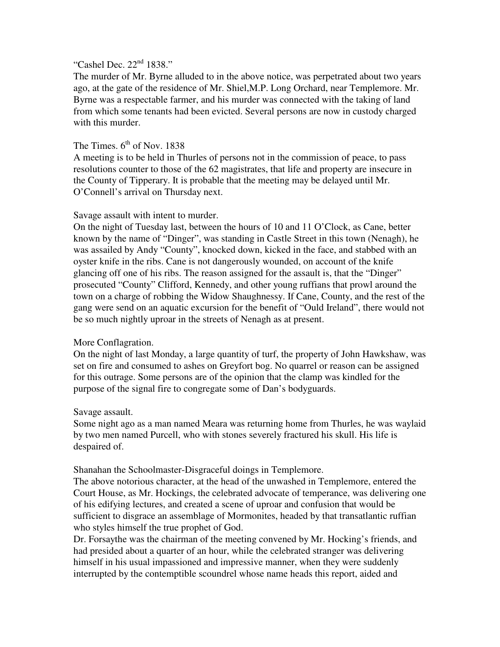# "Cashel Dec.  $22<sup>nd</sup> 1838."$

The murder of Mr. Byrne alluded to in the above notice, was perpetrated about two years ago, at the gate of the residence of Mr. Shiel,M.P. Long Orchard, near Templemore. Mr. Byrne was a respectable farmer, and his murder was connected with the taking of land from which some tenants had been evicted. Several persons are now in custody charged with this murder.

# The Times.  $6<sup>th</sup>$  of Nov. 1838

A meeting is to be held in Thurles of persons not in the commission of peace, to pass resolutions counter to those of the 62 magistrates, that life and property are insecure in the County of Tipperary. It is probable that the meeting may be delayed until Mr. O'Connell's arrival on Thursday next.

## Savage assault with intent to murder.

On the night of Tuesday last, between the hours of 10 and 11 O'Clock, as Cane, better known by the name of "Dinger", was standing in Castle Street in this town (Nenagh), he was assailed by Andy "County", knocked down, kicked in the face, and stabbed with an oyster knife in the ribs. Cane is not dangerously wounded, on account of the knife glancing off one of his ribs. The reason assigned for the assault is, that the "Dinger" prosecuted "County" Clifford, Kennedy, and other young ruffians that prowl around the town on a charge of robbing the Widow Shaughnessy. If Cane, County, and the rest of the gang were send on an aquatic excursion for the benefit of "Ould Ireland", there would not be so much nightly uproar in the streets of Nenagh as at present.

## More Conflagration.

On the night of last Monday, a large quantity of turf, the property of John Hawkshaw, was set on fire and consumed to ashes on Greyfort bog. No quarrel or reason can be assigned for this outrage. Some persons are of the opinion that the clamp was kindled for the purpose of the signal fire to congregate some of Dan's bodyguards.

## Savage assault.

Some night ago as a man named Meara was returning home from Thurles, he was waylaid by two men named Purcell, who with stones severely fractured his skull. His life is despaired of.

### Shanahan the Schoolmaster-Disgraceful doings in Templemore.

The above notorious character, at the head of the unwashed in Templemore, entered the Court House, as Mr. Hockings, the celebrated advocate of temperance, was delivering one of his edifying lectures, and created a scene of uproar and confusion that would be sufficient to disgrace an assemblage of Mormonites, headed by that transatlantic ruffian who styles himself the true prophet of God.

Dr. Forsaythe was the chairman of the meeting convened by Mr. Hocking's friends, and had presided about a quarter of an hour, while the celebrated stranger was delivering himself in his usual impassioned and impressive manner, when they were suddenly interrupted by the contemptible scoundrel whose name heads this report, aided and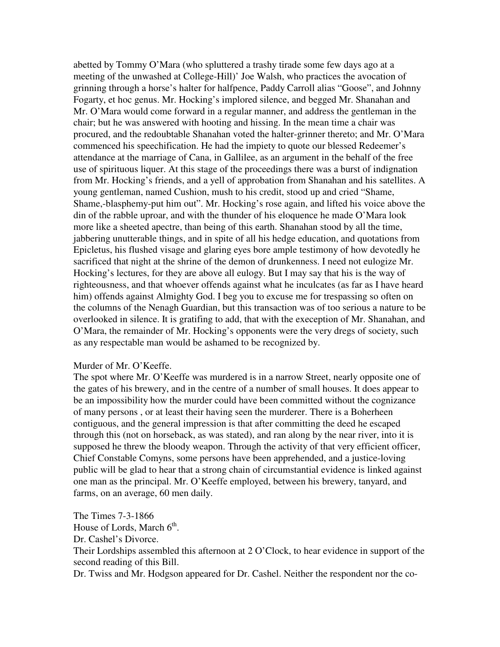abetted by Tommy O'Mara (who spluttered a trashy tirade some few days ago at a meeting of the unwashed at College-Hill)' Joe Walsh, who practices the avocation of grinning through a horse's halter for halfpence, Paddy Carroll alias "Goose", and Johnny Fogarty, et hoc genus. Mr. Hocking's implored silence, and begged Mr. Shanahan and Mr. O'Mara would come forward in a regular manner, and address the gentleman in the chair; but he was answered with hooting and hissing. In the mean time a chair was procured, and the redoubtable Shanahan voted the halter-grinner thereto; and Mr. O'Mara commenced his speechification. He had the impiety to quote our blessed Redeemer's attendance at the marriage of Cana, in Gallilee, as an argument in the behalf of the free use of spirituous liquer. At this stage of the proceedings there was a burst of indignation from Mr. Hocking's friends, and a yell of approbation from Shanahan and his satellites. A young gentleman, named Cushion, mush to his credit, stood up and cried "Shame, Shame,-blasphemy-put him out". Mr. Hocking's rose again, and lifted his voice above the din of the rabble uproar, and with the thunder of his eloquence he made O'Mara look more like a sheeted apectre, than being of this earth. Shanahan stood by all the time, jabbering unutterable things, and in spite of all his hedge education, and quotations from Epicletus, his flushed visage and glaring eyes bore ample testimony of how devotedly he sacrificed that night at the shrine of the demon of drunkenness. I need not eulogize Mr. Hocking's lectures, for they are above all eulogy. But I may say that his is the way of righteousness, and that whoever offends against what he inculcates (as far as I have heard him) offends against Almighty God. I beg you to excuse me for trespassing so often on the columns of the Nenagh Guardian, but this transaction was of too serious a nature to be overlooked in silence. It is gratifing to add, that with the exeception of Mr. Shanahan, and O'Mara, the remainder of Mr. Hocking's opponents were the very dregs of society, such as any respectable man would be ashamed to be recognized by.

### Murder of Mr. O'Keeffe.

The spot where Mr. O'Keeffe was murdered is in a narrow Street, nearly opposite one of the gates of his brewery, and in the centre of a number of small houses. It does appear to be an impossibility how the murder could have been committed without the cognizance of many persons , or at least their having seen the murderer. There is a Boherheen contiguous, and the general impression is that after committing the deed he escaped through this (not on horseback, as was stated), and ran along by the near river, into it is supposed he threw the bloody weapon. Through the activity of that very efficient officer, Chief Constable Comyns, some persons have been apprehended, and a justice-loving public will be glad to hear that a strong chain of circumstantial evidence is linked against one man as the principal. Mr. O'Keeffe employed, between his brewery, tanyard, and farms, on an average, 60 men daily.

The Times 7-3-1866 House of Lords, March 6<sup>th</sup>. Dr. Cashel's Divorce. Their Lordships assembled this afternoon at 2 O'Clock, to hear evidence in support of the second reading of this Bill. Dr. Twiss and Mr. Hodgson appeared for Dr. Cashel. Neither the respondent nor the co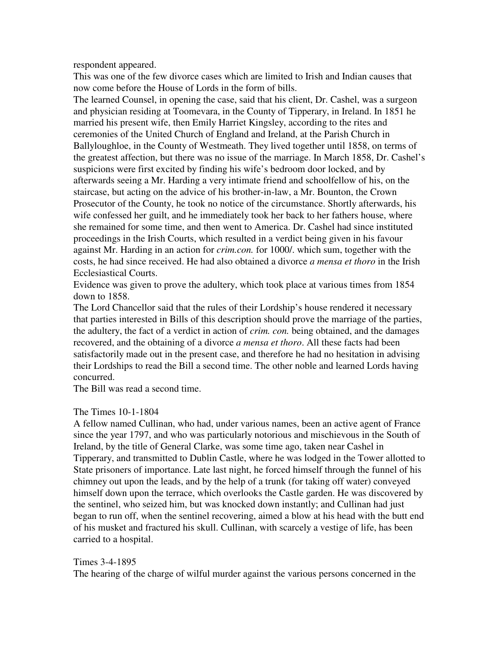respondent appeared.

This was one of the few divorce cases which are limited to Irish and Indian causes that now come before the House of Lords in the form of bills.

The learned Counsel, in opening the case, said that his client, Dr. Cashel, was a surgeon and physician residing at Toomevara, in the County of Tipperary, in Ireland. In 1851 he married his present wife, then Emily Harriet Kingsley, according to the rites and ceremonies of the United Church of England and Ireland, at the Parish Church in Ballyloughloe, in the County of Westmeath. They lived together until 1858, on terms of the greatest affection, but there was no issue of the marriage. In March 1858, Dr. Cashel's suspicions were first excited by finding his wife's bedroom door locked, and by afterwards seeing a Mr. Harding a very intimate friend and schoolfellow of his, on the staircase, but acting on the advice of his brother-in-law, a Mr. Bounton, the Crown Prosecutor of the County, he took no notice of the circumstance. Shortly afterwards, his wife confessed her guilt, and he immediately took her back to her fathers house, where she remained for some time, and then went to America. Dr. Cashel had since instituted proceedings in the Irish Courts, which resulted in a verdict being given in his favour against Mr. Harding in an action for *crim.con.* for 1000/. which sum, together with the costs, he had since received. He had also obtained a divorce *a mensa et thoro* in the Irish Ecclesiastical Courts.

Evidence was given to prove the adultery, which took place at various times from 1854 down to 1858.

The Lord Chancellor said that the rules of their Lordship's house rendered it necessary that parties interested in Bills of this description should prove the marriage of the parties, the adultery, the fact of a verdict in action of *crim. con.* being obtained, and the damages recovered, and the obtaining of a divorce *a mensa et thoro*. All these facts had been satisfactorily made out in the present case, and therefore he had no hesitation in advising their Lordships to read the Bill a second time. The other noble and learned Lords having concurred.

The Bill was read a second time.

The Times 10-1-1804

A fellow named Cullinan, who had, under various names, been an active agent of France since the year 1797, and who was particularly notorious and mischievous in the South of Ireland, by the title of General Clarke, was some time ago, taken near Cashel in Tipperary, and transmitted to Dublin Castle, where he was lodged in the Tower allotted to State prisoners of importance. Late last night, he forced himself through the funnel of his chimney out upon the leads, and by the help of a trunk (for taking off water) conveyed himself down upon the terrace, which overlooks the Castle garden. He was discovered by the sentinel, who seized him, but was knocked down instantly; and Cullinan had just began to run off, when the sentinel recovering, aimed a blow at his head with the butt end of his musket and fractured his skull. Cullinan, with scarcely a vestige of life, has been carried to a hospital.

Times 3-4-1895 The hearing of the charge of wilful murder against the various persons concerned in the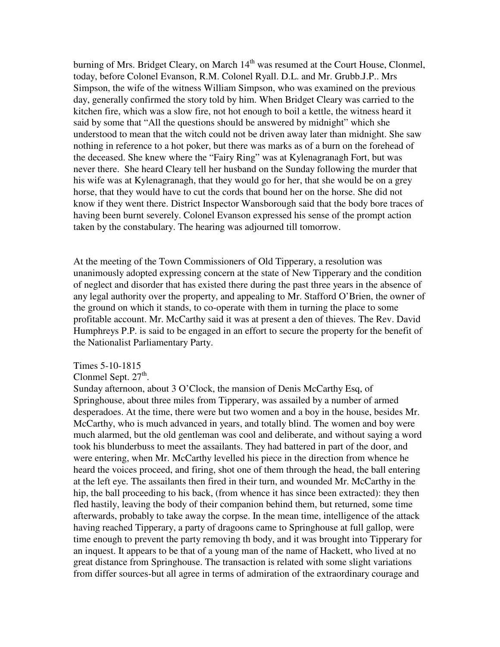burning of Mrs. Bridget Cleary, on March 14<sup>th</sup> was resumed at the Court House, Clonmel, today, before Colonel Evanson, R.M. Colonel Ryall. D.L. and Mr. Grubb.J.P.. Mrs Simpson, the wife of the witness William Simpson, who was examined on the previous day, generally confirmed the story told by him. When Bridget Cleary was carried to the kitchen fire, which was a slow fire, not hot enough to boil a kettle, the witness heard it said by some that "All the questions should be answered by midnight" which she understood to mean that the witch could not be driven away later than midnight. She saw nothing in reference to a hot poker, but there was marks as of a burn on the forehead of the deceased. She knew where the "Fairy Ring" was at Kylenagranagh Fort, but was never there. She heard Cleary tell her husband on the Sunday following the murder that his wife was at Kylenagranagh, that they would go for her, that she would be on a grey horse, that they would have to cut the cords that bound her on the horse. She did not know if they went there. District Inspector Wansborough said that the body bore traces of having been burnt severely. Colonel Evanson expressed his sense of the prompt action taken by the constabulary. The hearing was adjourned till tomorrow.

At the meeting of the Town Commissioners of Old Tipperary, a resolution was unanimously adopted expressing concern at the state of New Tipperary and the condition of neglect and disorder that has existed there during the past three years in the absence of any legal authority over the property, and appealing to Mr. Stafford O'Brien, the owner of the ground on which it stands, to co-operate with them in turning the place to some profitable account. Mr. McCarthy said it was at present a den of thieves. The Rev. David Humphreys P.P. is said to be engaged in an effort to secure the property for the benefit of the Nationalist Parliamentary Party.

#### Times 5-10-1815

# Clonmel Sept.  $27<sup>th</sup>$ .

Sunday afternoon, about 3 O'Clock, the mansion of Denis McCarthy Esq, of Springhouse, about three miles from Tipperary, was assailed by a number of armed desperadoes. At the time, there were but two women and a boy in the house, besides Mr. McCarthy, who is much advanced in years, and totally blind. The women and boy were much alarmed, but the old gentleman was cool and deliberate, and without saying a word took his blunderbuss to meet the assailants. They had battered in part of the door, and were entering, when Mr. McCarthy levelled his piece in the direction from whence he heard the voices proceed, and firing, shot one of them through the head, the ball entering at the left eye. The assailants then fired in their turn, and wounded Mr. McCarthy in the hip, the ball proceeding to his back, (from whence it has since been extracted): they then fled hastily, leaving the body of their companion behind them, but returned, some time afterwards, probably to take away the corpse. In the mean time, intelligence of the attack having reached Tipperary, a party of dragoons came to Springhouse at full gallop, were time enough to prevent the party removing th body, and it was brought into Tipperary for an inquest. It appears to be that of a young man of the name of Hackett, who lived at no great distance from Springhouse. The transaction is related with some slight variations from differ sources-but all agree in terms of admiration of the extraordinary courage and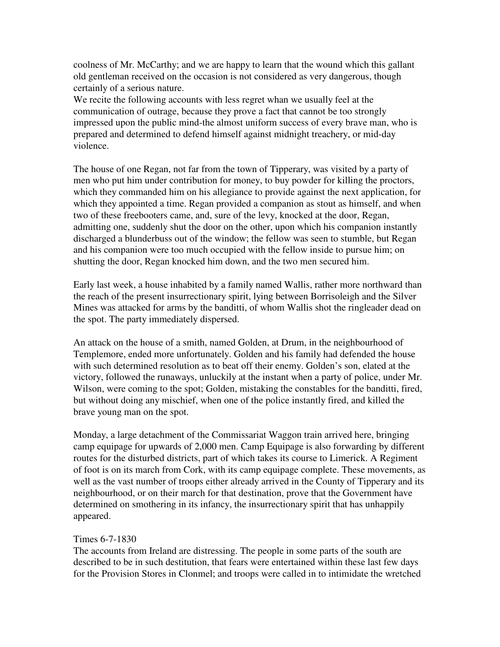coolness of Mr. McCarthy; and we are happy to learn that the wound which this gallant old gentleman received on the occasion is not considered as very dangerous, though certainly of a serious nature.

We recite the following accounts with less regret whan we usually feel at the communication of outrage, because they prove a fact that cannot be too strongly impressed upon the public mind-the almost uniform success of every brave man, who is prepared and determined to defend himself against midnight treachery, or mid-day violence.

The house of one Regan, not far from the town of Tipperary, was visited by a party of men who put him under contribution for money, to buy powder for killing the proctors, which they commanded him on his allegiance to provide against the next application, for which they appointed a time. Regan provided a companion as stout as himself, and when two of these freebooters came, and, sure of the levy, knocked at the door, Regan, admitting one, suddenly shut the door on the other, upon which his companion instantly discharged a blunderbuss out of the window; the fellow was seen to stumble, but Regan and his companion were too much occupied with the fellow inside to pursue him; on shutting the door, Regan knocked him down, and the two men secured him.

Early last week, a house inhabited by a family named Wallis, rather more northward than the reach of the present insurrectionary spirit, lying between Borrisoleigh and the Silver Mines was attacked for arms by the banditti, of whom Wallis shot the ringleader dead on the spot. The party immediately dispersed.

An attack on the house of a smith, named Golden, at Drum, in the neighbourhood of Templemore, ended more unfortunately. Golden and his family had defended the house with such determined resolution as to beat off their enemy. Golden's son, elated at the victory, followed the runaways, unluckily at the instant when a party of police, under Mr. Wilson, were coming to the spot; Golden, mistaking the constables for the banditti, fired, but without doing any mischief, when one of the police instantly fired, and killed the brave young man on the spot.

Monday, a large detachment of the Commissariat Waggon train arrived here, bringing camp equipage for upwards of 2,000 men. Camp Equipage is also forwarding by different routes for the disturbed districts, part of which takes its course to Limerick. A Regiment of foot is on its march from Cork, with its camp equipage complete. These movements, as well as the vast number of troops either already arrived in the County of Tipperary and its neighbourhood, or on their march for that destination, prove that the Government have determined on smothering in its infancy, the insurrectionary spirit that has unhappily appeared.

### Times 6-7-1830

The accounts from Ireland are distressing. The people in some parts of the south are described to be in such destitution, that fears were entertained within these last few days for the Provision Stores in Clonmel; and troops were called in to intimidate the wretched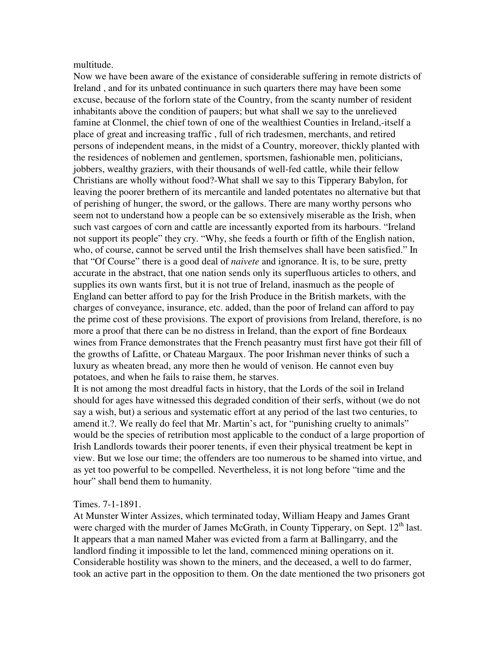#### multitude.

Now we have been aware of the existance of considerable suffering in remote districts of Ireland , and for its unbated continuance in such quarters there may have been some excuse, because of the forlorn state of the Country, from the scanty number of resident inhabitants above the condition of paupers; but what shall we say to the unrelieved famine at Clonmel, the chief town of one of the wealthiest Counties in Ireland,-itself a place of great and increasing traffic , full of rich tradesmen, merchants, and retired persons of independent means, in the midst of a Country, moreover, thickly planted with the residences of noblemen and gentlemen, sportsmen, fashionable men, politicians, jobbers, wealthy graziers, with their thousands of well-fed cattle, while their fellow Christians are wholly without food?-What shall we say to this Tipperary Babylon, for leaving the poorer brethern of its mercantile and landed potentates no alternative but that of perishing of hunger, the sword, or the gallows. There are many worthy persons who seem not to understand how a people can be so extensively miserable as the Irish, when such vast cargoes of corn and cattle are incessantly exported from its harbours. "Ireland not support its people" they cry. "Why, she feeds a fourth or fifth of the English nation, who, of course, cannot be served until the Irish themselves shall have been satisfied." In that "Of Course" there is a good deal of *naivete* and ignorance. It is, to be sure, pretty accurate in the abstract, that one nation sends only its superfluous articles to others, and supplies its own wants first, but it is not true of Ireland, inasmuch as the people of England can better afford to pay for the Irish Produce in the British markets, with the charges of conveyance, insurance, etc. added, than the poor of Ireland can afford to pay the prime cost of these provisions. The export of provisions from Ireland, therefore, is no more a proof that there can be no distress in Ireland, than the export of fine Bordeaux wines from France demonstrates that the French peasantry must first have got their fill of the growths of Lafitte, or Chateau Margaux. The poor Irishman never thinks of such a luxury as wheaten bread, any more then he would of venison. He cannot even buy potatoes, and when he fails to raise them, he starves.

It is not among the most dreadful facts in history, that the Lords of the soil in Ireland should for ages have witnessed this degraded condition of their serfs, without (we do not say a wish, but) a serious and systematic effort at any period of the last two centuries, to amend it.?. We really do feel that Mr. Martin's act, for "punishing cruelty to animals" would be the species of retribution most applicable to the conduct of a large proportion of Irish Landlords towards their poorer tenents, if even their physical treatment be kept in view. But we lose our time; the offenders are too numerous to be shamed into virtue, and as yet too powerful to be compelled. Nevertheless, it is not long before "time and the hour" shall bend them to humanity.

## Times. 7-1-1891.

At Munster Winter Assizes, which terminated today, William Heapy and James Grant were charged with the murder of James McGrath, in County Tipperary, on Sept.  $12<sup>th</sup>$  last. It appears that a man named Maher was evicted from a farm at Ballingarry, and the landlord finding it impossible to let the land, commenced mining operations on it. Considerable hostility was shown to the miners, and the deceased, a well to do farmer, took an active part in the opposition to them. On the date mentioned the two prisoners got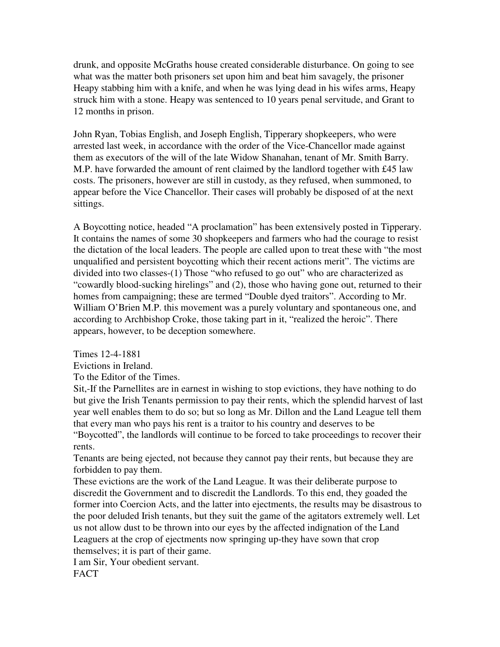drunk, and opposite McGraths house created considerable disturbance. On going to see what was the matter both prisoners set upon him and beat him savagely, the prisoner Heapy stabbing him with a knife, and when he was lying dead in his wifes arms, Heapy struck him with a stone. Heapy was sentenced to 10 years penal servitude, and Grant to 12 months in prison.

John Ryan, Tobias English, and Joseph English, Tipperary shopkeepers, who were arrested last week, in accordance with the order of the Vice-Chancellor made against them as executors of the will of the late Widow Shanahan, tenant of Mr. Smith Barry. M.P. have forwarded the amount of rent claimed by the landlord together with £45 law costs. The prisoners, however are still in custody, as they refused, when summoned, to appear before the Vice Chancellor. Their cases will probably be disposed of at the next sittings.

A Boycotting notice, headed "A proclamation" has been extensively posted in Tipperary. It contains the names of some 30 shopkeepers and farmers who had the courage to resist the dictation of the local leaders. The people are called upon to treat these with "the most unqualified and persistent boycotting which their recent actions merit". The victims are divided into two classes-(1) Those "who refused to go out" who are characterized as "cowardly blood-sucking hirelings" and (2), those who having gone out, returned to their homes from campaigning; these are termed "Double dyed traitors". According to Mr. William O'Brien M.P. this movement was a purely voluntary and spontaneous one, and according to Archbishop Croke, those taking part in it, "realized the heroic". There appears, however, to be deception somewhere.

Times 12-4-1881

Evictions in Ireland.

To the Editor of the Times.

Sit,-If the Parnellites are in earnest in wishing to stop evictions, they have nothing to do but give the Irish Tenants permission to pay their rents, which the splendid harvest of last year well enables them to do so; but so long as Mr. Dillon and the Land League tell them that every man who pays his rent is a traitor to his country and deserves to be "Boycotted", the landlords will continue to be forced to take proceedings to recover their rents.

Tenants are being ejected, not because they cannot pay their rents, but because they are forbidden to pay them.

These evictions are the work of the Land League. It was their deliberate purpose to discredit the Government and to discredit the Landlords. To this end, they goaded the former into Coercion Acts, and the latter into ejectments, the results may be disastrous to the poor deluded Irish tenants, but they suit the game of the agitators extremely well. Let us not allow dust to be thrown into our eyes by the affected indignation of the Land Leaguers at the crop of ejectments now springing up-they have sown that crop themselves; it is part of their game.

I am Sir, Your obedient servant.

FACT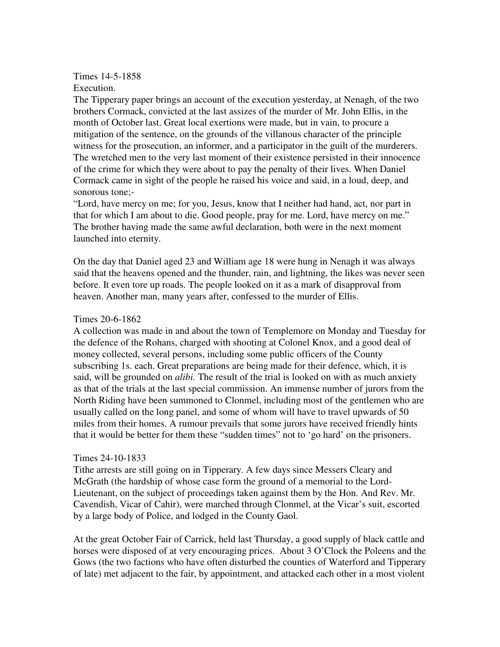Times 14-5-1858 Execution.

The Tipperary paper brings an account of the execution yesterday, at Nenagh, of the two brothers Cormack, convicted at the last assizes of the murder of Mr. John Ellis, in the month of October last. Great local exertions were made, but in vain, to procure a mitigation of the sentence, on the grounds of the villanous character of the principle witness for the prosecution, an informer, and a participator in the guilt of the murderers. The wretched men to the very last moment of their existence persisted in their innocence of the crime for which they were about to pay the penalty of their lives. When Daniel Cormack came in sight of the people he raised his voice and said, in a loud, deep, and sonorous tone;-

"Lord, have mercy on me; for you, Jesus, know that I neither had hand, act, nor part in that for which I am about to die. Good people, pray for me. Lord, have mercy on me." The brother having made the same awful declaration, both were in the next moment launched into eternity.

On the day that Daniel aged 23 and William age 18 were hung in Nenagh it was always said that the heavens opened and the thunder, rain, and lightning, the likes was never seen before. It even tore up roads. The people looked on it as a mark of disapproval from heaven. Another man, many years after, confessed to the murder of Ellis.

## Times 20-6-1862

A collection was made in and about the town of Templemore on Monday and Tuesday for the defence of the Rohans, charged with shooting at Colonel Knox, and a good deal of money collected, several persons, including some public officers of the County subscribing 1s. each. Great preparations are being made for their defence, which, it is said, will be grounded on *alibi.* The result of the trial is looked on with as much anxiety as that of the trials at the last special commission. An immense number of jurors from the North Riding have been summoned to Clonmel, including most of the gentlemen who are usually called on the long panel, and some of whom will have to travel upwards of 50 miles from their homes. A rumour prevails that some jurors have received friendly hints that it would be better for them these "sudden times" not to 'go hard' on the prisoners.

## Times 24-10-1833

Tithe arrests are still going on in Tipperary. A few days since Messers Cleary and McGrath (the hardship of whose case form the ground of a memorial to the Lord-Lieutenant, on the subject of proceedings taken against them by the Hon. And Rev. Mr. Cavendish, Vicar of Cahir), were marched through Clonmel, at the Vicar's suit, escorted by a large body of Police, and lodged in the County Gaol.

At the great October Fair of Carrick, held last Thursday, a good supply of black cattle and horses were disposed of at very encouraging prices. About 3 O'Clock the Poleens and the Gows (the two factions who have often disturbed the counties of Waterford and Tipperary of late) met adjacent to the fair, by appointment, and attacked each other in a most violent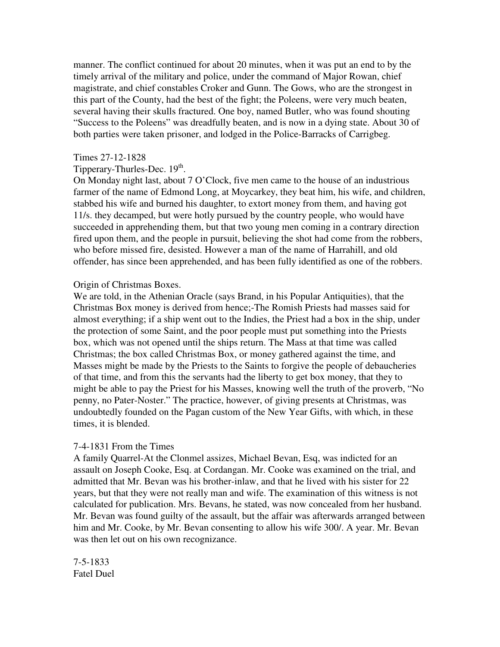manner. The conflict continued for about 20 minutes, when it was put an end to by the timely arrival of the military and police, under the command of Major Rowan, chief magistrate, and chief constables Croker and Gunn. The Gows, who are the strongest in this part of the County, had the best of the fight; the Poleens, were very much beaten, several having their skulls fractured. One boy, named Butler, who was found shouting "Success to the Poleens" was dreadfully beaten, and is now in a dying state. About 30 of both parties were taken prisoner, and lodged in the Police-Barracks of Carrigbeg.

## Times 27-12-1828

# Tipperary-Thurles-Dec. 19<sup>th</sup>.

On Monday night last, about 7 O'Clock, five men came to the house of an industrious farmer of the name of Edmond Long, at Moycarkey, they beat him, his wife, and children, stabbed his wife and burned his daughter, to extort money from them, and having got 11/s. they decamped, but were hotly pursued by the country people, who would have succeeded in apprehending them, but that two young men coming in a contrary direction fired upon them, and the people in pursuit, believing the shot had come from the robbers, who before missed fire, desisted. However a man of the name of Harrahill, and old offender, has since been apprehended, and has been fully identified as one of the robbers.

## Origin of Christmas Boxes.

We are told, in the Athenian Oracle (says Brand, in his Popular Antiquities), that the Christmas Box money is derived from hence;-The Romish Priests had masses said for almost everything; if a ship went out to the Indies, the Priest had a box in the ship, under the protection of some Saint, and the poor people must put something into the Priests box, which was not opened until the ships return. The Mass at that time was called Christmas; the box called Christmas Box, or money gathered against the time, and Masses might be made by the Priests to the Saints to forgive the people of debaucheries of that time, and from this the servants had the liberty to get box money, that they to might be able to pay the Priest for his Masses, knowing well the truth of the proverb, "No penny, no Pater-Noster." The practice, however, of giving presents at Christmas, was undoubtedly founded on the Pagan custom of the New Year Gifts, with which, in these times, it is blended.

## 7-4-1831 From the Times

A family Quarrel-At the Clonmel assizes, Michael Bevan, Esq, was indicted for an assault on Joseph Cooke, Esq. at Cordangan. Mr. Cooke was examined on the trial, and admitted that Mr. Bevan was his brother-inlaw, and that he lived with his sister for 22 years, but that they were not really man and wife. The examination of this witness is not calculated for publication. Mrs. Bevans, he stated, was now concealed from her husband. Mr. Bevan was found guilty of the assault, but the affair was afterwards arranged between him and Mr. Cooke, by Mr. Bevan consenting to allow his wife 300/. A year. Mr. Bevan was then let out on his own recognizance.

7-5-1833 Fatel Duel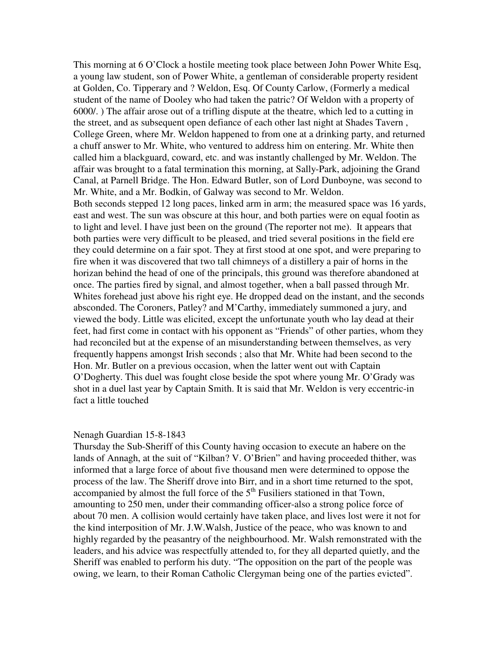This morning at 6 O'Clock a hostile meeting took place between John Power White Esq, a young law student, son of Power White, a gentleman of considerable property resident at Golden, Co. Tipperary and ? Weldon, Esq. Of County Carlow, (Formerly a medical student of the name of Dooley who had taken the patric? Of Weldon with a property of 6000/. ) The affair arose out of a trifling dispute at the theatre, which led to a cutting in the street, and as subsequent open defiance of each other last night at Shades Tavern , College Green, where Mr. Weldon happened to from one at a drinking party, and returned a chuff answer to Mr. White, who ventured to address him on entering. Mr. White then called him a blackguard, coward, etc. and was instantly challenged by Mr. Weldon. The affair was brought to a fatal termination this morning, at Sally-Park, adjoining the Grand Canal, at Parnell Bridge. The Hon. Edward Butler, son of Lord Dunboyne, was second to Mr. White, and a Mr. Bodkin, of Galway was second to Mr. Weldon. Both seconds stepped 12 long paces, linked arm in arm; the measured space was 16 yards, east and west. The sun was obscure at this hour, and both parties were on equal footin as to light and level. I have just been on the ground (The reporter not me). It appears that both parties were very difficult to be pleased, and tried several positions in the field ere they could determine on a fair spot. They at first stood at one spot, and were preparing to fire when it was discovered that two tall chimneys of a distillery a pair of horns in the horizan behind the head of one of the principals, this ground was therefore abandoned at once. The parties fired by signal, and almost together, when a ball passed through Mr. Whites forehead just above his right eye. He dropped dead on the instant, and the seconds absconded. The Coroners, Patley? and M'Carthy, immediately summoned a jury, and viewed the body. Little was elicited, except the unfortunate youth who lay dead at their feet, had first come in contact with his opponent as "Friends" of other parties, whom they had reconciled but at the expense of an misunderstanding between themselves, as very frequently happens amongst Irish seconds ; also that Mr. White had been second to the Hon. Mr. Butler on a previous occasion, when the latter went out with Captain O'Dogherty. This duel was fought close beside the spot where young Mr. O'Grady was shot in a duel last year by Captain Smith. It is said that Mr. Weldon is very eccentric-in fact a little touched

#### Nenagh Guardian 15-8-1843

Thursday the Sub-Sheriff of this County having occasion to execute an habere on the lands of Annagh, at the suit of "Kilban? V. O'Brien" and having proceeded thither, was informed that a large force of about five thousand men were determined to oppose the process of the law. The Sheriff drove into Birr, and in a short time returned to the spot, accompanied by almost the full force of the  $5<sup>th</sup>$  Fusiliers stationed in that Town, amounting to 250 men, under their commanding officer-also a strong police force of about 70 men. A collision would certainly have taken place, and lives lost were it not for the kind interposition of Mr. J.W.Walsh, Justice of the peace, who was known to and highly regarded by the peasantry of the neighbourhood. Mr. Walsh remonstrated with the leaders, and his advice was respectfully attended to, for they all departed quietly, and the Sheriff was enabled to perform his duty. "The opposition on the part of the people was owing, we learn, to their Roman Catholic Clergyman being one of the parties evicted".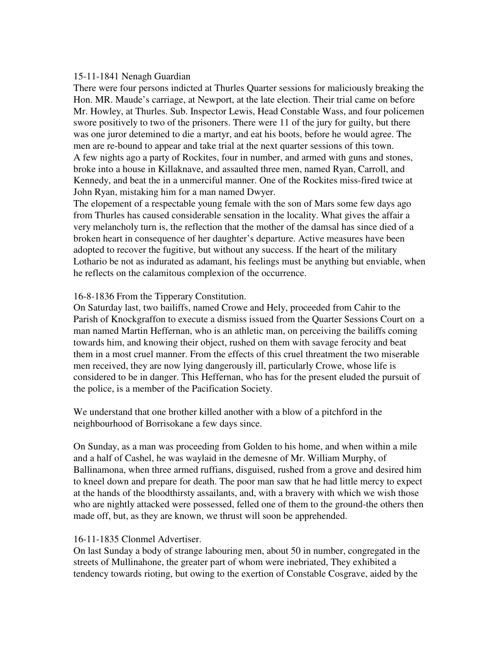### 15-11-1841 Nenagh Guardian

There were four persons indicted at Thurles Quarter sessions for maliciously breaking the Hon. MR. Maude's carriage, at Newport, at the late election. Their trial came on before Mr. Howley, at Thurles. Sub. Inspector Lewis, Head Constable Wass, and four policemen swore positively to two of the prisoners. There were 11 of the jury for guilty, but there was one juror detemined to die a martyr, and eat his boots, before he would agree. The men are re-bound to appear and take trial at the next quarter sessions of this town. A few nights ago a party of Rockites, four in number, and armed with guns and stones, broke into a house in Killaknave, and assaulted three men, named Ryan, Carroll, and Kennedy, and beat the in a unmerciful manner. One of the Rockites miss-fired twice at John Ryan, mistaking him for a man named Dwyer.

The elopement of a respectable young female with the son of Mars some few days ago from Thurles has caused considerable sensation in the locality. What gives the affair a very melancholy turn is, the reflection that the mother of the damsal has since died of a broken heart in consequence of her daughter's departure. Active measures have been adopted to recover the fugitive, but without any success. If the heart of the military Lothario be not as indurated as adamant, his feelings must be anything but enviable, when he reflects on the calamitous complexion of the occurrence.

### 16-8-1836 From the Tipperary Constitution.

On Saturday last, two bailiffs, named Crowe and Hely, proceeded from Cahir to the Parish of Knockgraffon to execute a dismiss issued from the Quarter Sessions Court on a man named Martin Heffernan, who is an athletic man, on perceiving the bailiffs coming towards him, and knowing their object, rushed on them with savage ferocity and beat them in a most cruel manner. From the effects of this cruel threatment the two miserable men received, they are now lying dangerously ill, particularly Crowe, whose life is considered to be in danger. This Heffernan, who has for the present eluded the pursuit of the police, is a member of the Pacification Society.

We understand that one brother killed another with a blow of a pitchford in the neighbourhood of Borrisokane a few days since.

On Sunday, as a man was proceeding from Golden to his home, and when within a mile and a half of Cashel, he was waylaid in the demesne of Mr. William Murphy, of Ballinamona, when three armed ruffians, disguised, rushed from a grove and desired him to kneel down and prepare for death. The poor man saw that he had little mercy to expect at the hands of the bloodthirsty assailants, and, with a bravery with which we wish those who are nightly attacked were possessed, felled one of them to the ground-the others then made off, but, as they are known, we thrust will soon be apprehended.

### 16-11-1835 Clonmel Advertiser.

On last Sunday a body of strange labouring men, about 50 in number, congregated in the streets of Mullinahone, the greater part of whom were inebriated, They exhibited a tendency towards rioting, but owing to the exertion of Constable Cosgrave, aided by the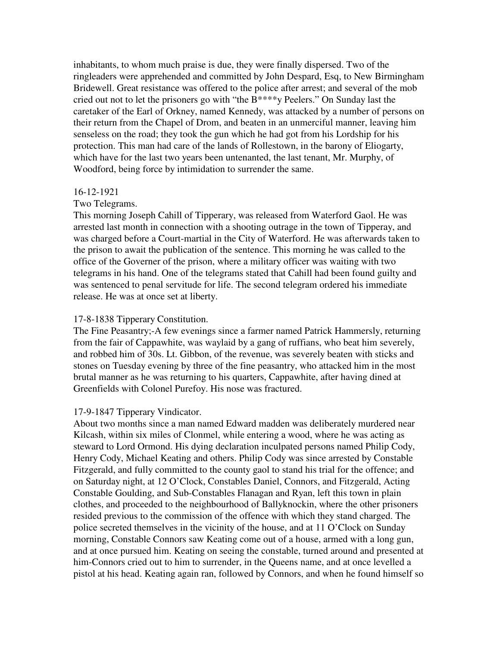inhabitants, to whom much praise is due, they were finally dispersed. Two of the ringleaders were apprehended and committed by John Despard, Esq, to New Birmingham Bridewell. Great resistance was offered to the police after arrest; and several of the mob cried out not to let the prisoners go with "the B\*\*\*\*y Peelers." On Sunday last the caretaker of the Earl of Orkney, named Kennedy, was attacked by a number of persons on their return from the Chapel of Drom, and beaten in an unmerciful manner, leaving him senseless on the road; they took the gun which he had got from his Lordship for his protection. This man had care of the lands of Rollestown, in the barony of Eliogarty, which have for the last two years been untenanted, the last tenant, Mr. Murphy, of Woodford, being force by intimidation to surrender the same.

#### 16-12-1921

#### Two Telegrams.

This morning Joseph Cahill of Tipperary, was released from Waterford Gaol. He was arrested last month in connection with a shooting outrage in the town of Tipperay, and was charged before a Court-martial in the City of Waterford. He was afterwards taken to the prison to await the publication of the sentence. This morning he was called to the office of the Governer of the prison, where a military officer was waiting with two telegrams in his hand. One of the telegrams stated that Cahill had been found guilty and was sentenced to penal servitude for life. The second telegram ordered his immediate release. He was at once set at liberty.

### 17-8-1838 Tipperary Constitution.

The Fine Peasantry;-A few evenings since a farmer named Patrick Hammersly, returning from the fair of Cappawhite, was waylaid by a gang of ruffians, who beat him severely, and robbed him of 30s. Lt. Gibbon, of the revenue, was severely beaten with sticks and stones on Tuesday evening by three of the fine peasantry, who attacked him in the most brutal manner as he was returning to his quarters, Cappawhite, after having dined at Greenfields with Colonel Purefoy. His nose was fractured.

### 17-9-1847 Tipperary Vindicator.

About two months since a man named Edward madden was deliberately murdered near Kilcash, within six miles of Clonmel, while entering a wood, where he was acting as steward to Lord Ormond. His dying declaration inculpated persons named Philip Cody, Henry Cody, Michael Keating and others. Philip Cody was since arrested by Constable Fitzgerald, and fully committed to the county gaol to stand his trial for the offence; and on Saturday night, at 12 O'Clock, Constables Daniel, Connors, and Fitzgerald, Acting Constable Goulding, and Sub-Constables Flanagan and Ryan, left this town in plain clothes, and proceeded to the neighbourhood of Ballyknockin, where the other prisoners resided previous to the commission of the offence with which they stand charged. The police secreted themselves in the vicinity of the house, and at 11 O'Clock on Sunday morning, Constable Connors saw Keating come out of a house, armed with a long gun, and at once pursued him. Keating on seeing the constable, turned around and presented at him-Connors cried out to him to surrender, in the Queens name, and at once levelled a pistol at his head. Keating again ran, followed by Connors, and when he found himself so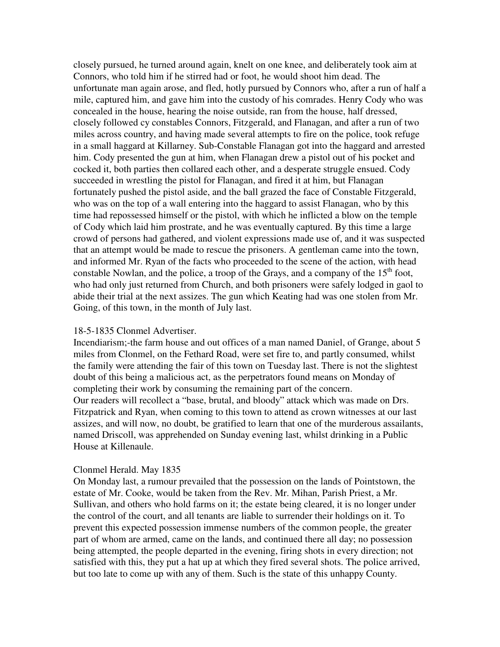closely pursued, he turned around again, knelt on one knee, and deliberately took aim at Connors, who told him if he stirred had or foot, he would shoot him dead. The unfortunate man again arose, and fled, hotly pursued by Connors who, after a run of half a mile, captured him, and gave him into the custody of his comrades. Henry Cody who was concealed in the house, hearing the noise outside, ran from the house, half dressed, closely followed cy constables Connors, Fitzgerald, and Flanagan, and after a run of two miles across country, and having made several attempts to fire on the police, took refuge in a small haggard at Killarney. Sub-Constable Flanagan got into the haggard and arrested him. Cody presented the gun at him, when Flanagan drew a pistol out of his pocket and cocked it, both parties then collared each other, and a desperate struggle ensued. Cody succeeded in wrestling the pistol for Flanagan, and fired it at him, but Flanagan fortunately pushed the pistol aside, and the ball grazed the face of Constable Fitzgerald, who was on the top of a wall entering into the haggard to assist Flanagan, who by this time had repossessed himself or the pistol, with which he inflicted a blow on the temple of Cody which laid him prostrate, and he was eventually captured. By this time a large crowd of persons had gathered, and violent expressions made use of, and it was suspected that an attempt would be made to rescue the prisoners. A gentleman came into the town, and informed Mr. Ryan of the facts who proceeded to the scene of the action, with head constable Nowlan, and the police, a troop of the Grays, and a company of the  $15<sup>th</sup>$  foot, who had only just returned from Church, and both prisoners were safely lodged in gaol to abide their trial at the next assizes. The gun which Keating had was one stolen from Mr. Going, of this town, in the month of July last.

### 18-5-1835 Clonmel Advertiser.

Incendiarism;-the farm house and out offices of a man named Daniel, of Grange, about 5 miles from Clonmel, on the Fethard Road, were set fire to, and partly consumed, whilst the family were attending the fair of this town on Tuesday last. There is not the slightest doubt of this being a malicious act, as the perpetrators found means on Monday of completing their work by consuming the remaining part of the concern. Our readers will recollect a "base, brutal, and bloody" attack which was made on Drs. Fitzpatrick and Ryan, when coming to this town to attend as crown witnesses at our last assizes, and will now, no doubt, be gratified to learn that one of the murderous assailants, named Driscoll, was apprehended on Sunday evening last, whilst drinking in a Public House at Killenaule.

### Clonmel Herald. May 1835

On Monday last, a rumour prevailed that the possession on the lands of Pointstown, the estate of Mr. Cooke, would be taken from the Rev. Mr. Mihan, Parish Priest, a Mr. Sullivan, and others who hold farms on it; the estate being cleared, it is no longer under the control of the court, and all tenants are liable to surrender their holdings on it. To prevent this expected possession immense numbers of the common people, the greater part of whom are armed, came on the lands, and continued there all day; no possession being attempted, the people departed in the evening, firing shots in every direction; not satisfied with this, they put a hat up at which they fired several shots. The police arrived, but too late to come up with any of them. Such is the state of this unhappy County.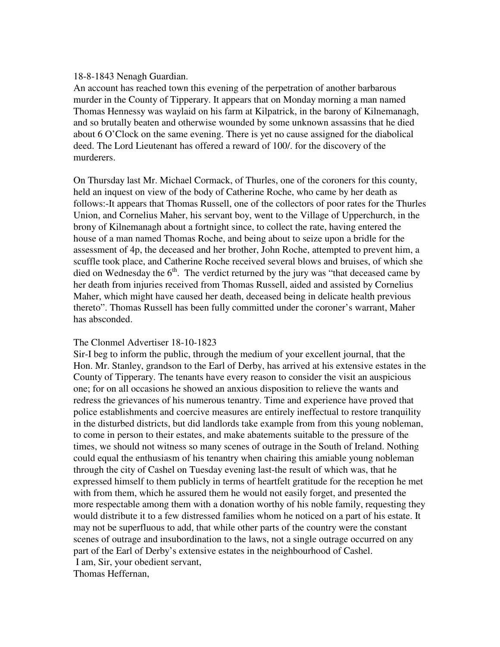### 18-8-1843 Nenagh Guardian.

An account has reached town this evening of the perpetration of another barbarous murder in the County of Tipperary. It appears that on Monday morning a man named Thomas Hennessy was waylaid on his farm at Kilpatrick, in the barony of Kilnemanagh, and so brutally beaten and otherwise wounded by some unknown assassins that he died about 6 O'Clock on the same evening. There is yet no cause assigned for the diabolical deed. The Lord Lieutenant has offered a reward of 100/. for the discovery of the murderers.

On Thursday last Mr. Michael Cormack, of Thurles, one of the coroners for this county, held an inquest on view of the body of Catherine Roche, who came by her death as follows:-It appears that Thomas Russell, one of the collectors of poor rates for the Thurles Union, and Cornelius Maher, his servant boy, went to the Village of Upperchurch, in the brony of Kilnemanagh about a fortnight since, to collect the rate, having entered the house of a man named Thomas Roche, and being about to seize upon a bridle for the assessment of 4p, the deceased and her brother, John Roche, attempted to prevent him, a scuffle took place, and Catherine Roche received several blows and bruises, of which she died on Wednesday the  $6<sup>th</sup>$ . The verdict returned by the jury was "that deceased came by her death from injuries received from Thomas Russell, aided and assisted by Cornelius Maher, which might have caused her death, deceased being in delicate health previous thereto". Thomas Russell has been fully committed under the coroner's warrant, Maher has absconded.

## The Clonmel Advertiser 18-10-1823

Sir-I beg to inform the public, through the medium of your excellent journal, that the Hon. Mr. Stanley, grandson to the Earl of Derby, has arrived at his extensive estates in the County of Tipperary. The tenants have every reason to consider the visit an auspicious one; for on all occasions he showed an anxious disposition to relieve the wants and redress the grievances of his numerous tenantry. Time and experience have proved that police establishments and coercive measures are entirely ineffectual to restore tranquility in the disturbed districts, but did landlords take example from from this young nobleman, to come in person to their estates, and make abatements suitable to the pressure of the times, we should not witness so many scenes of outrage in the South of Ireland. Nothing could equal the enthusiasm of his tenantry when chairing this amiable young nobleman through the city of Cashel on Tuesday evening last-the result of which was, that he expressed himself to them publicly in terms of heartfelt gratitude for the reception he met with from them, which he assured them he would not easily forget, and presented the more respectable among them with a donation worthy of his noble family, requesting they would distribute it to a few distressed families whom he noticed on a part of his estate. It may not be superfluous to add, that while other parts of the country were the constant scenes of outrage and insubordination to the laws, not a single outrage occurred on any part of the Earl of Derby's extensive estates in the neighbourhood of Cashel. I am, Sir, your obedient servant,

Thomas Heffernan,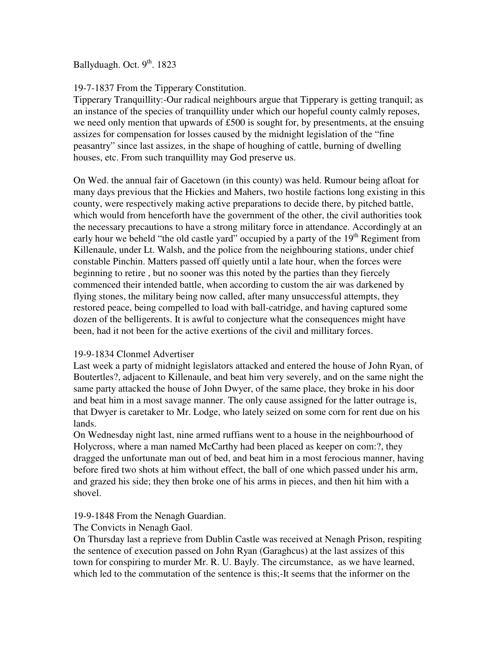Ballyduagh. Oct. 9<sup>th</sup>. 1823

# 19-7-1837 From the Tipperary Constitution.

Tipperary Tranquillity:-Our radical neighbours argue that Tipperary is getting tranquil; as an instance of the species of tranquillity under which our hopeful county calmly reposes, we need only mention that upwards of £500 is sought for, by presentments, at the ensuing assizes for compensation for losses caused by the midnight legislation of the "fine peasantry" since last assizes, in the shape of houghing of cattle, burning of dwelling houses, etc. From such tranquillity may God preserve us.

On Wed. the annual fair of Gacetown (in this county) was held. Rumour being afloat for many days previous that the Hickies and Mahers, two hostile factions long existing in this county, were respectively making active preparations to decide there, by pitched battle, which would from henceforth have the government of the other, the civil authorities took the necessary precautions to have a strong military force in attendance. Accordingly at an early hour we beheld "the old castle yard" occupied by a party of the 19<sup>th</sup> Regiment from Killenaule, under Lt. Walsh, and the police from the neighbouring stations, under chief constable Pinchin. Matters passed off quietly until a late hour, when the forces were beginning to retire , but no sooner was this noted by the parties than they fiercely commenced their intended battle, when according to custom the air was darkened by flying stones, the military being now called, after many unsuccessful attempts, they restored peace, being compelled to load with ball-catridge, and having captured some dozen of the belligerents. It is awful to conjecture what the consequences might have been, had it not been for the active exertions of the civil and millitary forces.

# 19-9-1834 Clonmel Advertiser

Last week a party of midnight legislators attacked and entered the house of John Ryan, of Boutertles?, adjacent to Killenaule, and beat him very severely, and on the same night the same party attacked the house of John Dwyer, of the same place, they broke in his door and beat him in a most savage manner. The only cause assigned for the latter outrage is, that Dwyer is caretaker to Mr. Lodge, who lately seized on some corn for rent due on his lands.

On Wednesday night last, nine armed ruffians went to a house in the neighbourhood of Holycross, where a man named McCarthy had been placed as keeper on com:?, they dragged the unfortunate man out of bed, and beat him in a most ferocious manner, having before fired two shots at him without effect, the ball of one which passed under his arm, and grazed his side; they then broke one of his arms in pieces, and then hit him with a shovel.

# 19-9-1848 From the Nenagh Guardian.

The Convicts in Nenagh Gaol.

On Thursday last a reprieve from Dublin Castle was received at Nenagh Prison, respiting the sentence of execution passed on John Ryan (Garaghcus) at the last assizes of this town for conspiring to murder Mr. R. U. Bayly. The circumstance, as we have learned, which led to the commutation of the sentence is this;-It seems that the informer on the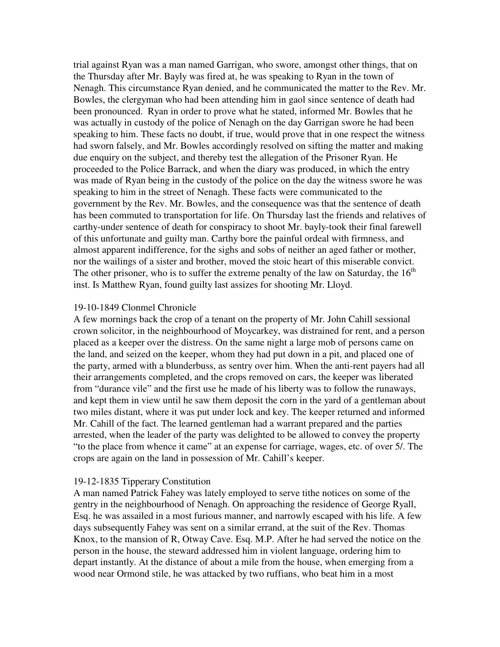trial against Ryan was a man named Garrigan, who swore, amongst other things, that on the Thursday after Mr. Bayly was fired at, he was speaking to Ryan in the town of Nenagh. This circumstance Ryan denied, and he communicated the matter to the Rev. Mr. Bowles, the clergyman who had been attending him in gaol since sentence of death had been pronounced. Ryan in order to prove what he stated, informed Mr. Bowles that he was actually in custody of the police of Nenagh on the day Garrigan swore he had been speaking to him. These facts no doubt, if true, would prove that in one respect the witness had sworn falsely, and Mr. Bowles accordingly resolved on sifting the matter and making due enquiry on the subject, and thereby test the allegation of the Prisoner Ryan. He proceeded to the Police Barrack, and when the diary was produced, in which the entry was made of Ryan being in the custody of the police on the day the witness swore he was speaking to him in the street of Nenagh. These facts were communicated to the government by the Rev. Mr. Bowles, and the consequence was that the sentence of death has been commuted to transportation for life. On Thursday last the friends and relatives of carthy-under sentence of death for conspiracy to shoot Mr. bayly-took their final farewell of this unfortunate and guilty man. Carthy bore the painful ordeal with firmness, and almost apparent indifference, for the sighs and sobs of neither an aged father or mother, nor the wailings of a sister and brother, moved the stoic heart of this miserable convict. The other prisoner, who is to suffer the extreme penalty of the law on Saturday, the  $16<sup>th</sup>$ inst. Is Matthew Ryan, found guilty last assizes for shooting Mr. Lloyd.

### 19-10-1849 Clonmel Chronicle

A few mornings back the crop of a tenant on the property of Mr. John Cahill sessional crown solicitor, in the neighbourhood of Moycarkey, was distrained for rent, and a person placed as a keeper over the distress. On the same night a large mob of persons came on the land, and seized on the keeper, whom they had put down in a pit, and placed one of the party, armed with a blunderbuss, as sentry over him. When the anti-rent payers had all their arrangements completed, and the crops removed on cars, the keeper was liberated from "durance vile" and the first use he made of his liberty was to follow the runaways, and kept them in view until he saw them deposit the corn in the yard of a gentleman about two miles distant, where it was put under lock and key. The keeper returned and informed Mr. Cahill of the fact. The learned gentleman had a warrant prepared and the parties arrested, when the leader of the party was delighted to be allowed to convey the property "to the place from whence it came" at an expense for carriage, wages, etc. of over 5/. The crops are again on the land in possession of Mr. Cahill's keeper.

## 19-12-1835 Tipperary Constitution

A man named Patrick Fahey was lately employed to serve tithe notices on some of the gentry in the neighbourhood of Nenagh. On approaching the residence of George Ryall, Esq. he was assailed in a most furious manner, and narrowly escaped with his life. A few days subsequently Fahey was sent on a similar errand, at the suit of the Rev. Thomas Knox, to the mansion of R, Otway Cave. Esq. M.P. After he had served the notice on the person in the house, the steward addressed him in violent language, ordering him to depart instantly. At the distance of about a mile from the house, when emerging from a wood near Ormond stile, he was attacked by two ruffians, who beat him in a most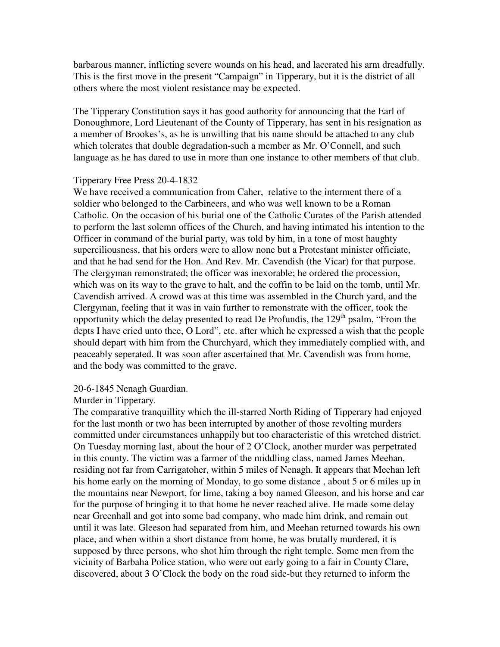barbarous manner, inflicting severe wounds on his head, and lacerated his arm dreadfully. This is the first move in the present "Campaign" in Tipperary, but it is the district of all others where the most violent resistance may be expected.

The Tipperary Constitution says it has good authority for announcing that the Earl of Donoughmore, Lord Lieutenant of the County of Tipperary, has sent in his resignation as a member of Brookes's, as he is unwilling that his name should be attached to any club which tolerates that double degradation-such a member as Mr. O'Connell, and such language as he has dared to use in more than one instance to other members of that club.

### Tipperary Free Press 20-4-1832

We have received a communication from Caher, relative to the interment there of a soldier who belonged to the Carbineers, and who was well known to be a Roman Catholic. On the occasion of his burial one of the Catholic Curates of the Parish attended to perform the last solemn offices of the Church, and having intimated his intention to the Officer in command of the burial party, was told by him, in a tone of most haughty superciliousness, that his orders were to allow none but a Protestant minister officiate, and that he had send for the Hon. And Rev. Mr. Cavendish (the Vicar) for that purpose. The clergyman remonstrated; the officer was inexorable; he ordered the procession, which was on its way to the grave to halt, and the coffin to be laid on the tomb, until Mr. Cavendish arrived. A crowd was at this time was assembled in the Church yard, and the Clergyman, feeling that it was in vain further to remonstrate with the officer, took the opportunity which the delay presented to read De Profundis, the  $129<sup>th</sup>$  psalm, "From the depts I have cried unto thee, O Lord", etc. after which he expressed a wish that the people should depart with him from the Churchyard, which they immediately complied with, and peaceably seperated. It was soon after ascertained that Mr. Cavendish was from home, and the body was committed to the grave.

## 20-6-1845 Nenagh Guardian.

Murder in Tipperary.

The comparative tranquillity which the ill-starred North Riding of Tipperary had enjoyed for the last month or two has been interrupted by another of those revolting murders committed under circumstances unhappily but too characteristic of this wretched district. On Tuesday morning last, about the hour of 2 O'Clock, another murder was perpetrated in this county. The victim was a farmer of the middling class, named James Meehan, residing not far from Carrigatoher, within 5 miles of Nenagh. It appears that Meehan left his home early on the morning of Monday, to go some distance , about 5 or 6 miles up in the mountains near Newport, for lime, taking a boy named Gleeson, and his horse and car for the purpose of bringing it to that home he never reached alive. He made some delay near Greenhall and got into some bad company, who made him drink, and remain out until it was late. Gleeson had separated from him, and Meehan returned towards his own place, and when within a short distance from home, he was brutally murdered, it is supposed by three persons, who shot him through the right temple. Some men from the vicinity of Barbaha Police station, who were out early going to a fair in County Clare, discovered, about 3 O'Clock the body on the road side-but they returned to inform the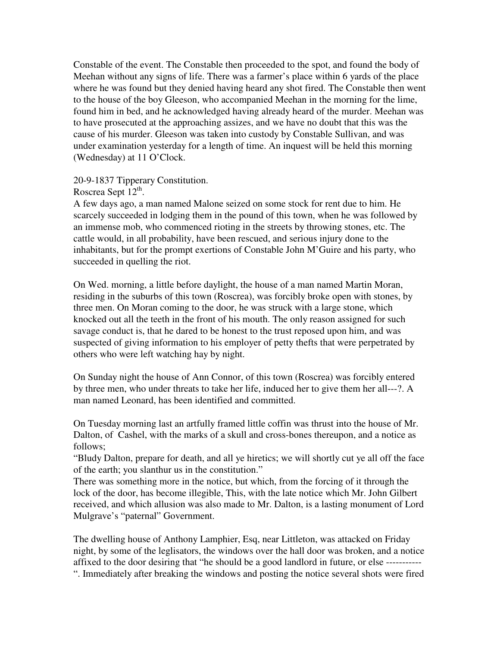Constable of the event. The Constable then proceeded to the spot, and found the body of Meehan without any signs of life. There was a farmer's place within 6 yards of the place where he was found but they denied having heard any shot fired. The Constable then went to the house of the boy Gleeson, who accompanied Meehan in the morning for the lime, found him in bed, and he acknowledged having already heard of the murder. Meehan was to have prosecuted at the approaching assizes, and we have no doubt that this was the cause of his murder. Gleeson was taken into custody by Constable Sullivan, and was under examination yesterday for a length of time. An inquest will be held this morning (Wednesday) at 11 O'Clock.

20-9-1837 Tipperary Constitution.

Roscrea Sept  $12^{th}$ .

A few days ago, a man named Malone seized on some stock for rent due to him. He scarcely succeeded in lodging them in the pound of this town, when he was followed by an immense mob, who commenced rioting in the streets by throwing stones, etc. The cattle would, in all probability, have been rescued, and serious injury done to the inhabitants, but for the prompt exertions of Constable John M'Guire and his party, who succeeded in quelling the riot.

On Wed. morning, a little before daylight, the house of a man named Martin Moran, residing in the suburbs of this town (Roscrea), was forcibly broke open with stones, by three men. On Moran coming to the door, he was struck with a large stone, which knocked out all the teeth in the front of his mouth. The only reason assigned for such savage conduct is, that he dared to be honest to the trust reposed upon him, and was suspected of giving information to his employer of petty thefts that were perpetrated by others who were left watching hay by night.

On Sunday night the house of Ann Connor, of this town (Roscrea) was forcibly entered by three men, who under threats to take her life, induced her to give them her all---?. A man named Leonard, has been identified and committed.

On Tuesday morning last an artfully framed little coffin was thrust into the house of Mr. Dalton, of Cashel, with the marks of a skull and cross-bones thereupon, and a notice as follows;

"Bludy Dalton, prepare for death, and all ye hiretics; we will shortly cut ye all off the face of the earth; you slanthur us in the constitution."

There was something more in the notice, but which, from the forcing of it through the lock of the door, has become illegible, This, with the late notice which Mr. John Gilbert received, and which allusion was also made to Mr. Dalton, is a lasting monument of Lord Mulgrave's "paternal" Government.

The dwelling house of Anthony Lamphier, Esq, near Littleton, was attacked on Friday night, by some of the leglisators, the windows over the hall door was broken, and a notice affixed to the door desiring that "he should be a good landlord in future, or else ----------- ". Immediately after breaking the windows and posting the notice several shots were fired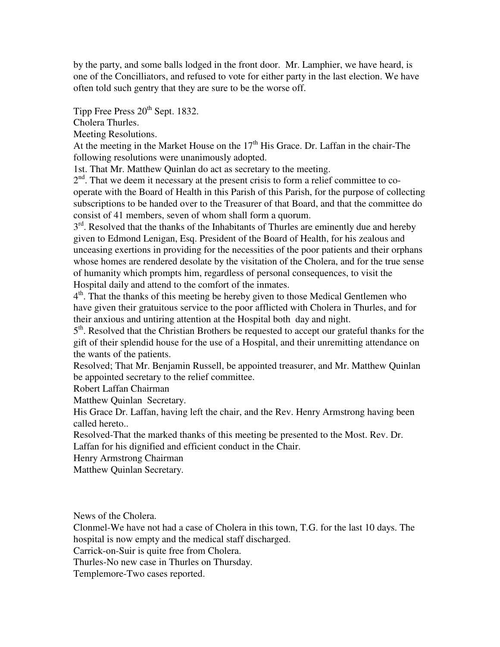by the party, and some balls lodged in the front door. Mr. Lamphier, we have heard, is one of the Concilliators, and refused to vote for either party in the last election. We have often told such gentry that they are sure to be the worse off.

Tipp Free Press  $20<sup>th</sup>$  Sept. 1832.

Cholera Thurles.

Meeting Resolutions.

At the meeting in the Market House on the  $17<sup>th</sup>$  His Grace. Dr. Laffan in the chair-The following resolutions were unanimously adopted.

1st. That Mr. Matthew Quinlan do act as secretary to the meeting.

 $2<sup>nd</sup>$ . That we deem it necessary at the present crisis to form a relief committee to cooperate with the Board of Health in this Parish of this Parish, for the purpose of collecting subscriptions to be handed over to the Treasurer of that Board, and that the committee do consist of 41 members, seven of whom shall form a quorum.

3<sup>rd</sup>. Resolved that the thanks of the Inhabitants of Thurles are eminently due and hereby given to Edmond Lenigan, Esq. President of the Board of Health, for his zealous and unceasing exertions in providing for the necessities of the poor patients and their orphans whose homes are rendered desolate by the visitation of the Cholera, and for the true sense of humanity which prompts him, regardless of personal consequences, to visit the Hospital daily and attend to the comfort of the inmates.

4<sup>th</sup>. That the thanks of this meeting be hereby given to those Medical Gentlemen who have given their gratuitous service to the poor afflicted with Cholera in Thurles, and for their anxious and untiring attention at the Hospital both day and night.

5<sup>th</sup>. Resolved that the Christian Brothers be requested to accept our grateful thanks for the gift of their splendid house for the use of a Hospital, and their unremitting attendance on the wants of the patients.

Resolved; That Mr. Benjamin Russell, be appointed treasurer, and Mr. Matthew Quinlan be appointed secretary to the relief committee.

Robert Laffan Chairman

Matthew Quinlan Secretary.

His Grace Dr. Laffan, having left the chair, and the Rev. Henry Armstrong having been called hereto..

Resolved-That the marked thanks of this meeting be presented to the Most. Rev. Dr. Laffan for his dignified and efficient conduct in the Chair.

Henry Armstrong Chairman

Matthew Quinlan Secretary.

News of the Cholera.

Clonmel-We have not had a case of Cholera in this town, T.G. for the last 10 days. The hospital is now empty and the medical staff discharged.

Carrick-on-Suir is quite free from Cholera.

Thurles-No new case in Thurles on Thursday.

Templemore-Two cases reported.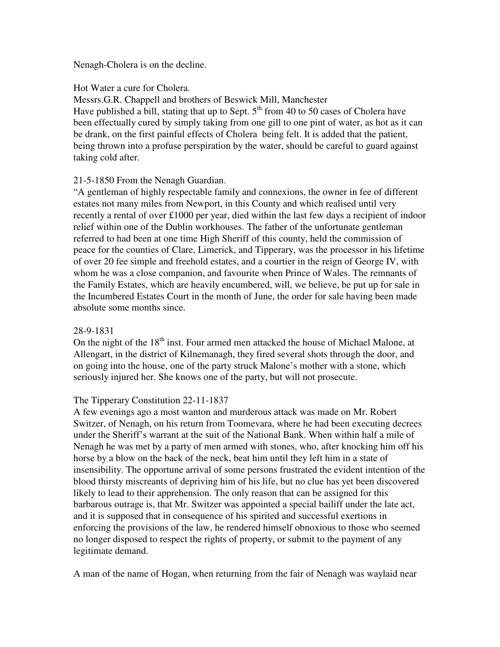Nenagh-Cholera is on the decline.

## Hot Water a cure for Cholera.

Messrs.G.R. Chappell and brothers of Beswick Mill, Manchester Have published a bill, stating that up to Sept.  $5<sup>th</sup>$  from 40 to 50 cases of Cholera have been effectually cured by simply taking from one gill to one pint of water, as hot as it can be drank, on the first painful effects of Cholera being felt. It is added that the patient, being thrown into a profuse perspiration by the water, should be careful to guard against taking cold after.

## 21-5-1850 From the Nenagh Guardian.

"A gentleman of highly respectable family and connexions, the owner in fee of different estates not many miles from Newport, in this County and which realised until very recently a rental of over £1000 per year, died within the last few days a recipient of indoor relief within one of the Dublin workhouses. The father of the unfortunate gentleman referred to had been at one time High Sheriff of this county, held the commission of peace for the counties of Clare, Limerick, and Tipperary, was the processor in his lifetime of over 20 fee simple and freehold estates, and a courtier in the reign of George IV, with whom he was a close companion, and favourite when Prince of Wales. The remnants of the Family Estates, which are heavily encumbered, will, we believe, be put up for sale in the Incumbered Estates Court in the month of June, the order for sale having been made absolute some months since.

## 28-9-1831

On the night of the  $18<sup>th</sup>$  inst. Four armed men attacked the house of Michael Malone, at Allengart, in the district of Kilnemanagh, they fired several shots through the door, and on going into the house, one of the party struck Malone's mother with a stone, which seriously injured her. She knows one of the party, but will not prosecute.

# The Tipperary Constitution 22-11-1837

A few evenings ago a most wanton and murderous attack was made on Mr. Robert Switzer, of Nenagh, on his return from Toomevara, where he had been executing decrees under the Sheriff's warrant at the suit of the National Bank. When within half a mile of Nenagh he was met by a party of men armed with stones, who, after knocking him off his horse by a blow on the back of the neck, beat him until they left him in a state of insensibility. The opportune arrival of some persons frustrated the evident intention of the blood thirsty miscreants of depriving him of his life, but no clue has yet been discovered likely to lead to their apprehension. The only reason that can be assigned for this barbarous outrage is, that Mr. Switzer was appointed a special bailiff under the late act, and it is supposed that in consequence of his spirited and successful exertions in enforcing the provisions of the law, he rendered himself obnoxious to those who seemed no longer disposed to respect the rights of property, or submit to the payment of any legitimate demand.

A man of the name of Hogan, when returning from the fair of Nenagh was waylaid near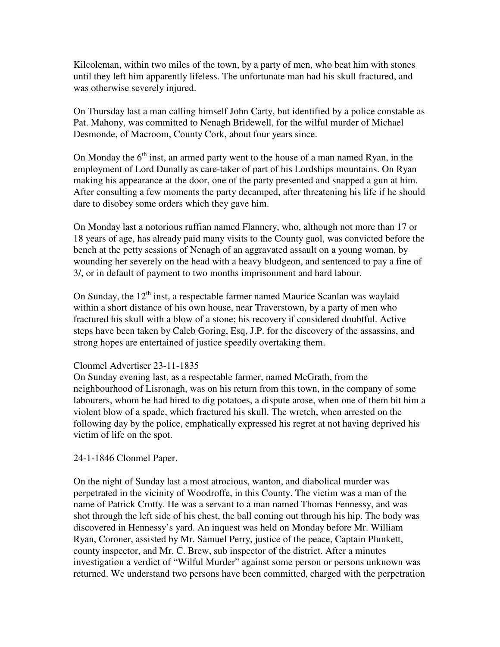Kilcoleman, within two miles of the town, by a party of men, who beat him with stones until they left him apparently lifeless. The unfortunate man had his skull fractured, and was otherwise severely injured.

On Thursday last a man calling himself John Carty, but identified by a police constable as Pat. Mahony, was committed to Nenagh Bridewell, for the wilful murder of Michael Desmonde, of Macroom, County Cork, about four years since.

On Monday the  $6<sup>th</sup>$  inst, an armed party went to the house of a man named Ryan, in the employment of Lord Dunally as care-taker of part of his Lordships mountains. On Ryan making his appearance at the door, one of the party presented and snapped a gun at him. After consulting a few moments the party decamped, after threatening his life if he should dare to disobey some orders which they gave him.

On Monday last a notorious ruffian named Flannery, who, although not more than 17 or 18 years of age, has already paid many visits to the County gaol, was convicted before the bench at the petty sessions of Nenagh of an aggravated assault on a young woman, by wounding her severely on the head with a heavy bludgeon, and sentenced to pay a fine of 3/, or in default of payment to two months imprisonment and hard labour.

On Sunday, the  $12<sup>th</sup>$  inst, a respectable farmer named Maurice Scanlan was waylaid within a short distance of his own house, near Traverstown, by a party of men who fractured his skull with a blow of a stone; his recovery if considered doubtful. Active steps have been taken by Caleb Goring, Esq, J.P. for the discovery of the assassins, and strong hopes are entertained of justice speedily overtaking them.

## Clonmel Advertiser 23-11-1835

On Sunday evening last, as a respectable farmer, named McGrath, from the neighbourhood of Lisronagh, was on his return from this town, in the company of some labourers, whom he had hired to dig potatoes, a dispute arose, when one of them hit him a violent blow of a spade, which fractured his skull. The wretch, when arrested on the following day by the police, emphatically expressed his regret at not having deprived his victim of life on the spot.

## 24-1-1846 Clonmel Paper.

On the night of Sunday last a most atrocious, wanton, and diabolical murder was perpetrated in the vicinity of Woodroffe, in this County. The victim was a man of the name of Patrick Crotty. He was a servant to a man named Thomas Fennessy, and was shot through the left side of his chest, the ball coming out through his hip. The body was discovered in Hennessy's yard. An inquest was held on Monday before Mr. William Ryan, Coroner, assisted by Mr. Samuel Perry, justice of the peace, Captain Plunkett, county inspector, and Mr. C. Brew, sub inspector of the district. After a minutes investigation a verdict of "Wilful Murder" against some person or persons unknown was returned. We understand two persons have been committed, charged with the perpetration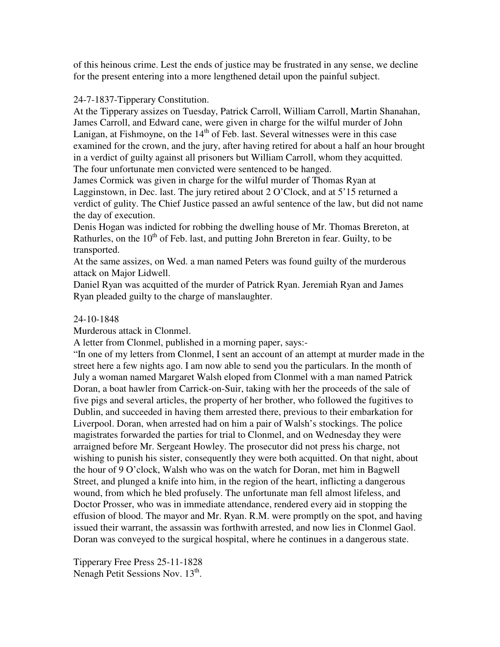of this heinous crime. Lest the ends of justice may be frustrated in any sense, we decline for the present entering into a more lengthened detail upon the painful subject.

## 24-7-1837-Tipperary Constitution.

At the Tipperary assizes on Tuesday, Patrick Carroll, William Carroll, Martin Shanahan, James Carroll, and Edward cane, were given in charge for the wilful murder of John Lanigan, at Fishmoyne, on the  $14<sup>th</sup>$  of Feb. last. Several witnesses were in this case examined for the crown, and the jury, after having retired for about a half an hour brought in a verdict of guilty against all prisoners but William Carroll, whom they acquitted. The four unfortunate men convicted were sentenced to be hanged.

James Cormick was given in charge for the wilful murder of Thomas Ryan at Lagginstown, in Dec. last. The jury retired about 2 O'Clock, and at 5'15 returned a verdict of gulity. The Chief Justice passed an awful sentence of the law, but did not name the day of execution.

Denis Hogan was indicted for robbing the dwelling house of Mr. Thomas Brereton, at Rathurles, on the  $10<sup>th</sup>$  of Feb. last, and putting John Brereton in fear. Guilty, to be transported.

At the same assizes, on Wed. a man named Peters was found guilty of the murderous attack on Major Lidwell.

Daniel Ryan was acquitted of the murder of Patrick Ryan. Jeremiah Ryan and James Ryan pleaded guilty to the charge of manslaughter.

## 24-10-1848

Murderous attack in Clonmel.

A letter from Clonmel, published in a morning paper, says:-

"In one of my letters from Clonmel, I sent an account of an attempt at murder made in the street here a few nights ago. I am now able to send you the particulars. In the month of July a woman named Margaret Walsh eloped from Clonmel with a man named Patrick Doran, a boat hawler from Carrick-on-Suir, taking with her the proceeds of the sale of five pigs and several articles, the property of her brother, who followed the fugitives to Dublin, and succeeded in having them arrested there, previous to their embarkation for Liverpool. Doran, when arrested had on him a pair of Walsh's stockings. The police magistrates forwarded the parties for trial to Clonmel, and on Wednesday they were arraigned before Mr. Sergeant Howley. The prosecutor did not press his charge, not wishing to punish his sister, consequently they were both acquitted. On that night, about the hour of 9 O'clock, Walsh who was on the watch for Doran, met him in Bagwell Street, and plunged a knife into him, in the region of the heart, inflicting a dangerous wound, from which he bled profusely. The unfortunate man fell almost lifeless, and Doctor Prosser, who was in immediate attendance, rendered every aid in stopping the effusion of blood. The mayor and Mr. Ryan. R.M. were promptly on the spot, and having issued their warrant, the assassin was forthwith arrested, and now lies in Clonmel Gaol. Doran was conveyed to the surgical hospital, where he continues in a dangerous state.

Tipperary Free Press 25-11-1828 Nenagh Petit Sessions Nov. 13<sup>th</sup>.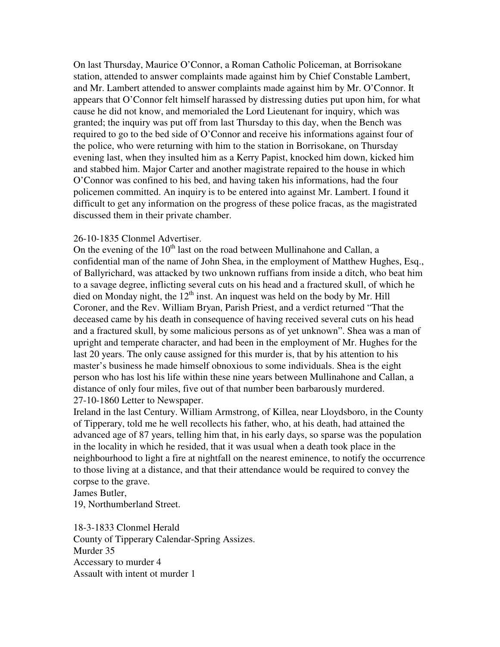On last Thursday, Maurice O'Connor, a Roman Catholic Policeman, at Borrisokane station, attended to answer complaints made against him by Chief Constable Lambert, and Mr. Lambert attended to answer complaints made against him by Mr. O'Connor. It appears that O'Connor felt himself harassed by distressing duties put upon him, for what cause he did not know, and memorialed the Lord Lieutenant for inquiry, which was granted; the inquiry was put off from last Thursday to this day, when the Bench was required to go to the bed side of O'Connor and receive his informations against four of the police, who were returning with him to the station in Borrisokane, on Thursday evening last, when they insulted him as a Kerry Papist, knocked him down, kicked him and stabbed him. Major Carter and another magistrate repaired to the house in which O'Connor was confined to his bed, and having taken his informations, had the four policemen committed. An inquiry is to be entered into against Mr. Lambert. I found it difficult to get any information on the progress of these police fracas, as the magistrated discussed them in their private chamber.

### 26-10-1835 Clonmel Advertiser.

On the evening of the  $10<sup>th</sup>$  last on the road between Mullinahone and Callan, a confidential man of the name of John Shea, in the employment of Matthew Hughes, Esq., of Ballyrichard, was attacked by two unknown ruffians from inside a ditch, who beat him to a savage degree, inflicting several cuts on his head and a fractured skull, of which he died on Monday night, the  $12<sup>th</sup>$  inst. An inquest was held on the body by Mr. Hill Coroner, and the Rev. William Bryan, Parish Priest, and a verdict returned "That the deceased came by his death in consequence of having received several cuts on his head and a fractured skull, by some malicious persons as of yet unknown". Shea was a man of upright and temperate character, and had been in the employment of Mr. Hughes for the last 20 years. The only cause assigned for this murder is, that by his attention to his master's business he made himself obnoxious to some individuals. Shea is the eight person who has lost his life within these nine years between Mullinahone and Callan, a distance of only four miles, five out of that number been barbarously murdered. 27-10-1860 Letter to Newspaper.

Ireland in the last Century. William Armstrong, of Killea, near Lloydsboro, in the County of Tipperary, told me he well recollects his father, who, at his death, had attained the advanced age of 87 years, telling him that, in his early days, so sparse was the population in the locality in which he resided, that it was usual when a death took place in the neighbourhood to light a fire at nightfall on the nearest eminence, to notify the occurrence to those living at a distance, and that their attendance would be required to convey the corpse to the grave.

James Butler,

19, Northumberland Street.

18-3-1833 Clonmel Herald County of Tipperary Calendar-Spring Assizes. Murder 35 Accessary to murder 4 Assault with intent ot murder 1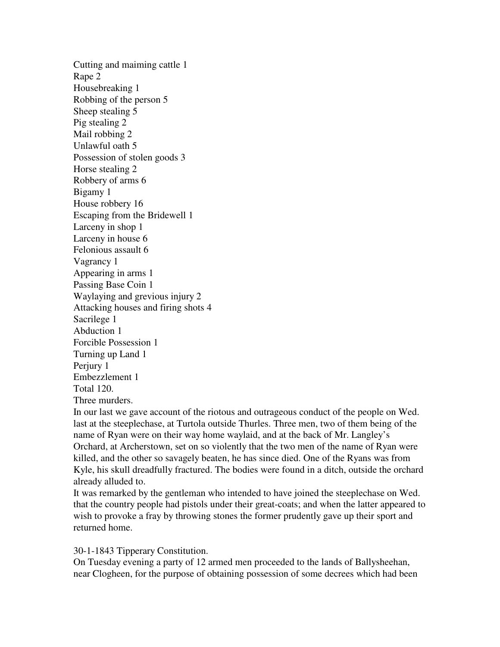Cutting and maiming cattle 1 Rape 2 Housebreaking 1 Robbing of the person 5 Sheep stealing 5 Pig stealing 2 Mail robbing 2 Unlawful oath 5 Possession of stolen goods 3 Horse stealing 2 Robbery of arms 6 Bigamy 1 House robbery 16 Escaping from the Bridewell 1 Larceny in shop 1 Larceny in house 6 Felonious assault 6 Vagrancy 1 Appearing in arms 1 Passing Base Coin 1 Waylaying and grevious injury 2 Attacking houses and firing shots 4 Sacrilege 1 Abduction 1 Forcible Possession 1 Turning up Land 1 Perjury 1 Embezzlement 1 Total 120. Three murders.

In our last we gave account of the riotous and outrageous conduct of the people on Wed. last at the steeplechase, at Turtola outside Thurles. Three men, two of them being of the name of Ryan were on their way home waylaid, and at the back of Mr. Langley's Orchard, at Archerstown, set on so violently that the two men of the name of Ryan were killed, and the other so savagely beaten, he has since died. One of the Ryans was from Kyle, his skull dreadfully fractured. The bodies were found in a ditch, outside the orchard already alluded to.

It was remarked by the gentleman who intended to have joined the steeplechase on Wed. that the country people had pistols under their great-coats; and when the latter appeared to wish to provoke a fray by throwing stones the former prudently gave up their sport and returned home.

## 30-1-1843 Tipperary Constitution.

On Tuesday evening a party of 12 armed men proceeded to the lands of Ballysheehan, near Clogheen, for the purpose of obtaining possession of some decrees which had been